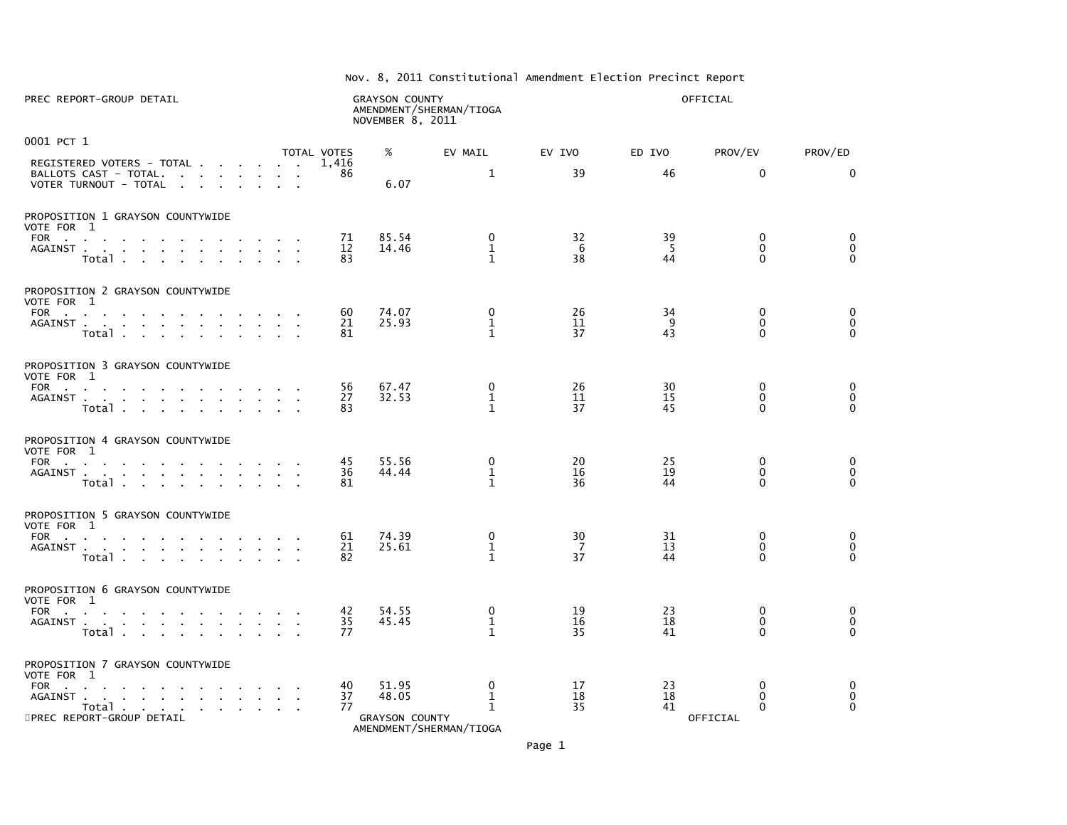| Nov. 8, 2011 Constitutional Amendment Election Precinct Report |
|----------------------------------------------------------------|

| PREC REPORT-GROUP DETAIL                                                                                                                                                                                                                                                                             | <b>GRAYSON COUNTY</b><br>NOVEMBER 8, 2011                 | AMENDMENT/SHERMAN/TIOGA                     |                |                | OFFICIAL                                             |                                            |
|------------------------------------------------------------------------------------------------------------------------------------------------------------------------------------------------------------------------------------------------------------------------------------------------------|-----------------------------------------------------------|---------------------------------------------|----------------|----------------|------------------------------------------------------|--------------------------------------------|
| 0001 PCT 1                                                                                                                                                                                                                                                                                           | %<br>TOTAL VOTES                                          | EV MAIL                                     | EV IVO         | ED IVO         | PROV/EV                                              | PROV/ED                                    |
| REGISTERED VOTERS - TOTAL<br>VOTER TURNOUT - TOTAL                                                                                                                                                                                                                                                   | 1,416<br>86<br>6.07                                       | $\mathbf{1}$                                | 39             | 46             | $\Omega$                                             | $\mathbf{0}$                               |
| PROPOSITION 1 GRAYSON COUNTYWIDE<br>VOTE FOR 1<br>FOR<br>AGAINST<br>Total                                                                                                                                                                                                                            | 85.54<br>71<br>12<br>14.46<br>83                          | 0<br>$\mathbf{1}$<br>$\mathbf{1}$           | 32<br>6<br>38  | 39<br>5<br>44  | 0<br>$\Omega$<br>$\Omega$                            | $\mathbf 0$<br>$\mathbf 0$<br>$\Omega$     |
| PROPOSITION 2 GRAYSON COUNTYWIDE<br>VOTE FOR 1<br>FOR<br>AGAINST<br>Total                                                                                                                                                                                                                            | 74.07<br>60<br>21<br>25.93<br>81                          | $\mathbf 0$<br>$\mathbf 1$<br>$\mathbf{1}$  | 26<br>11<br>37 | 34<br>9<br>43  | $\mathbf 0$<br>$\mathbf{0}$<br>$\Omega$              | $\mathbf 0$<br>$\mathbf 0$<br>$\Omega$     |
| PROPOSITION 3 GRAYSON COUNTYWIDE<br>VOTE FOR 1<br>FOR The contract of the contract of the contract of the contract of the contract of the contract of the contract of the contract of the contract of the contract of the contract of the contract of the contract of the contra<br>AGAINST<br>Total | 56<br>67.47<br>32.53<br>27<br>83                          | $\mathbf 0$<br>$\mathbf{1}$<br>$\mathbf{1}$ | 26<br>11<br>37 | 30<br>15<br>45 | $\Omega$<br>$\mathbf 0$<br>$\Omega$                  | $\mathbf 0$<br>$\mathbf 0$<br>$\Omega$     |
| PROPOSITION 4 GRAYSON COUNTYWIDE<br>VOTE FOR 1<br>FOR<br>AGAINST<br>Total                                                                                                                                                                                                                            | 45<br>55.56<br>36<br>44.44<br>81                          | 0<br>$\mathbf{1}$<br>$\mathbf{1}$           | 20<br>16<br>36 | 25<br>19<br>44 | $\mathbf{0}$<br>$\mathbf 0$<br>$\mathbf{0}$          | 0<br>$\mathbf 0$<br>$\Omega$               |
| PROPOSITION 5 GRAYSON COUNTYWIDE<br>VOTE FOR 1<br>FOR<br>AGAINST<br>Total                                                                                                                                                                                                                            | 74.39<br>61<br>25.61<br>21<br>82                          | $\Omega$<br>1<br>$\mathbf{1}$               | 30<br>7<br>37  | 31<br>13<br>44 | $\mathbf{0}$<br>$\mathbf{0}$<br>$\Omega$             | 0<br>$\mathbf 0$<br>$\Omega$               |
| PROPOSITION 6 GRAYSON COUNTYWIDE<br>VOTE FOR 1<br>FOR $\cdots$ $\cdots$ $\cdots$<br>AGAINST<br>Totales                                                                                                                                                                                               | 54.55<br>42<br>35<br>45.45<br>77                          | $\Omega$<br>$\mathbf{1}$<br>$\mathbf{1}$    | 19<br>16<br>35 | 23<br>18<br>41 | $\mathbf{0}$<br>$\mathbf{0}$<br>$\mathbf{0}$         | $\mathbf 0$<br>$\mathbf 0$<br>$\mathbf{0}$ |
| PROPOSITION 7 GRAYSON COUNTYWIDE<br>VOTE FOR 1<br>FOR<br>AGAINST.<br>the contract of the contract of the con-<br>$\alpha$ , $\beta$ , $\alpha$<br>Total<br>5PREC REPORT-GROUP DETAIL                                                                                                                 | 40<br>51.95<br>37<br>48.05<br>77<br><b>GRAYSON COUNTY</b> | 0<br>$\mathbf{1}$<br>$\mathbf{1}$<br>$\sim$ | 17<br>18<br>35 | 23<br>18<br>41 | $\mathbf{0}$<br>$\mathbf{0}$<br>$\Omega$<br>OFFICIAL | $\mathbf 0$<br>$\mathbf 0$<br>$\Omega$     |

AMENDMENT/SHERMAN/TIOGA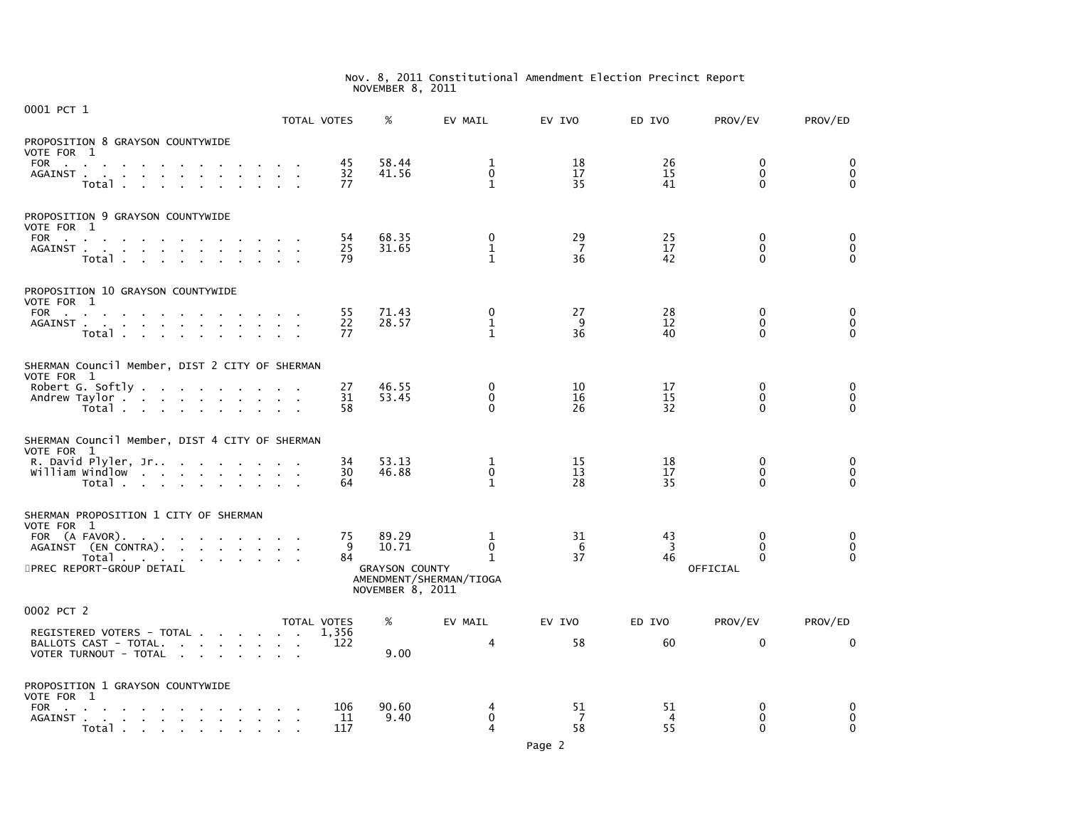| 0001 PCT 1                                                                                                                                                                            |                            | TOTAL VOTES                 | %                                                           | EV MAIL                                                      | EV IVO                     | ED IVO                     | PROV/EV                                      | PROV/ED                                    |
|---------------------------------------------------------------------------------------------------------------------------------------------------------------------------------------|----------------------------|-----------------------------|-------------------------------------------------------------|--------------------------------------------------------------|----------------------------|----------------------------|----------------------------------------------|--------------------------------------------|
| PROPOSITION 8 GRAYSON COUNTYWIDE<br>VOTE FOR 1<br>FOR<br>the contract of the contract of the contract of the<br>AGAINST<br>Total                                                      |                            | 45<br>32<br>77              | 58.44<br>41.56                                              | 1<br>$\Omega$<br>$\mathbf{1}$                                | 18<br>17<br>35             | 26<br>15<br>41             | 0<br>$\Omega$<br>$\Omega$                    | 0<br>$\mathbf{0}$<br>$\Omega$              |
| PROPOSITION 9 GRAYSON COUNTYWIDE<br>VOTE FOR 1<br>FOR the state of the state of the state of the state of the state of the state of the state of the state of the<br>AGAINST<br>Total |                            | 54<br>25<br>79              | 68.35<br>31.65                                              | 0<br>$\mathbf{1}$<br>$\mathbf{1}$                            | 29<br>$\overline{7}$<br>36 | 25<br>17<br>42             | $\mathbf{0}$<br>$\Omega$<br>$\Omega$         | 0<br>$\mathbf{0}$<br>$\Omega$              |
| PROPOSITION 10 GRAYSON COUNTYWIDE<br>VOTE FOR 1<br>FOR<br>AGAINST<br>$\sim$<br>Total                                                                                                  | <b>Service Control</b>     | 55<br>22<br>77              | 71.43<br>28.57                                              | $\mathbf 0$<br>$\mathbf{1}$<br>$\mathbf{1}$                  | 27<br>9<br>36              | 28<br>12<br>40             | $\mathbf{0}$<br>$\mathbf{0}$<br>$\Omega$     | 0<br>$\mathbf 0$<br>$\Omega$               |
| SHERMAN Council Member, DIST 2 CITY OF SHERMAN<br>VOTE FOR 1<br>Robert G. Softly<br>Andrew Taylor<br>Total                                                                            |                            | 27<br>31<br>58              | 46.55<br>53.45                                              | $\mathbf{0}$<br>$\mathbf 0$<br>$\Omega$                      | 10<br>16<br>26             | 17<br>15<br>32             | $\Omega$<br>$\mathbf{0}$<br>$\Omega$         | $\mathbf 0$<br>$\mathbf 0$<br>$\mathbf{0}$ |
| SHERMAN Council Member, DIST 4 CITY OF SHERMAN<br>VOTE FOR 1<br>R. David Plyler, Jr<br>william windlow<br>Total                                                                       |                            | 34<br>30<br>64              | 53.13<br>46.88                                              | $\mathbf{1}$<br>$\mathbf 0$<br>$\mathbf{1}$                  | 15<br>13<br>28             | 18<br>17<br>35             | $\mathbf{0}$<br>$\mathbf{0}$<br>$\Omega$     | 0<br>$\mathbf 0$<br>$\Omega$               |
| SHERMAN PROPOSITION 1 CITY OF SHERMAN<br>VOTE FOR 1<br>FOR (A FAVOR).<br>AGAINST (EN CONTRA).<br>Total<br>5PREC REPORT-GROUP DETAIL                                                   |                            | 75<br>9<br>84               | 89.29<br>10.71<br><b>GRAYSON COUNTY</b><br>NOVEMBER 8, 2011 | 1<br>$\mathbf{0}$<br>$\mathbf{1}$<br>AMENDMENT/SHERMAN/TIOGA | 31<br>6<br>37              | 43<br>$\overline{3}$<br>46 | $\Omega$<br>$\Omega$<br>$\Omega$<br>OFFICIAL | 0<br>$\mathbf 0$<br>$\Omega$               |
| 0002 PCT 2<br>REGISTERED VOTERS - TOTAL<br>BALLOTS CAST - TOTAL.<br>VOTER TURNOUT - TOTAL                                                                                             |                            | TOTAL VOTES<br>1,356<br>122 | %<br>9.00                                                   | EV MAIL<br>4                                                 | EV IVO<br>58               | ED IVO<br>60               | PROV/EV<br>$\mathbf{0}$                      | PROV/ED<br>$\mathbf{0}$                    |
| PROPOSITION 1 GRAYSON COUNTYWIDE<br>VOTE FOR 1<br>FOR<br>AGAINST<br>e a Totale de la calendaria de la calendaria de la calendaria de la calendaria de la calendaria de la calendar    | $\sim 10^{-11}$ km $^{-1}$ | 106<br>11<br>117            | 90.60<br>9.40                                               | 4<br>$\mathbf 0$<br>4                                        | 51<br>7<br>58              | 51<br>4<br>55              | 0<br>0<br>$\Omega$                           | 0<br>$\mathbf 0$<br>$\Omega$               |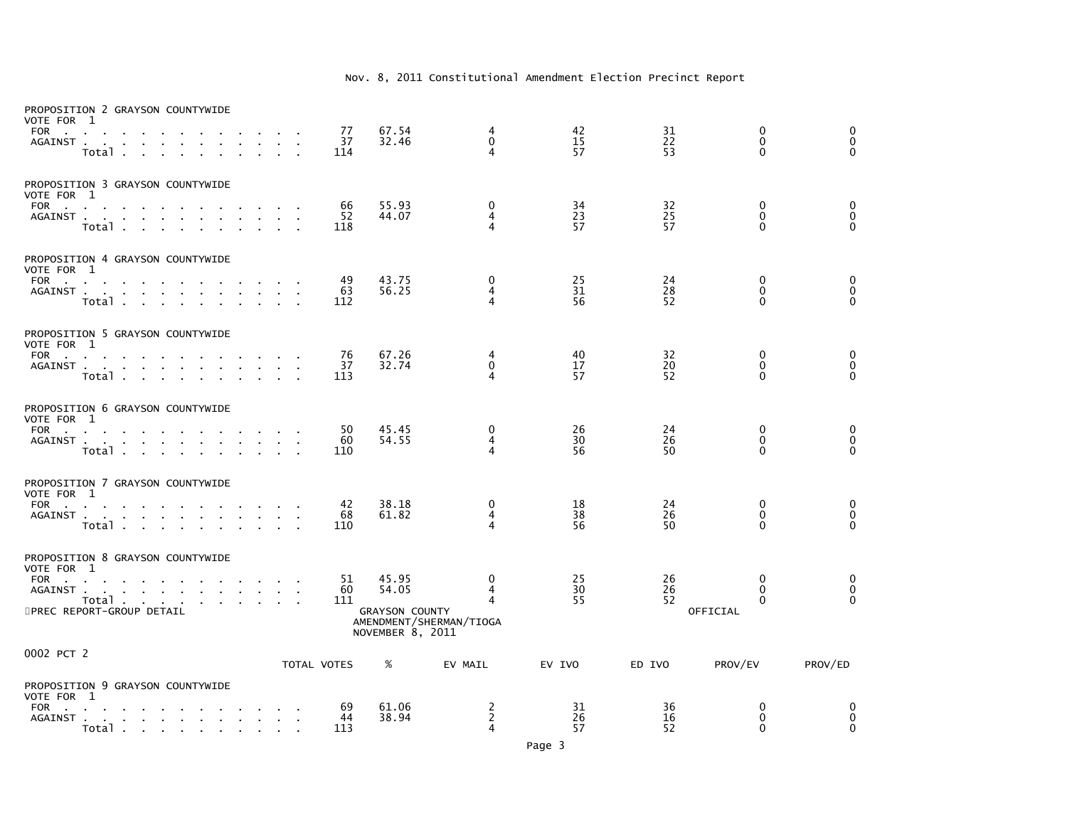| PROPOSITION 2 GRAYSON COUNTYWIDE<br>VOTE FOR 1<br>FOR<br>$\sim$ 10 $\pm$<br>AGAINST<br>Total                                                                                                                                                                                                         |                                                                       | 77<br>37<br>114 | 67.54<br>32.46                                              | 4<br>$\mathbf{0}$<br>4                 | 42<br>15<br>57 | 31<br>22<br>53 | 0<br>$\mathbf{0}$<br>$\mathbf{0}$                | $\Omega$<br>$\mathbf 0$<br>$\Omega$  |
|------------------------------------------------------------------------------------------------------------------------------------------------------------------------------------------------------------------------------------------------------------------------------------------------------|-----------------------------------------------------------------------|-----------------|-------------------------------------------------------------|----------------------------------------|----------------|----------------|--------------------------------------------------|--------------------------------------|
| PROPOSITION 3 GRAYSON COUNTYWIDE<br>VOTE FOR 1<br>FOR and the second contract of the second second second second second second second second second second second second second second second second second second second second second second second second second second secon<br>AGAINST<br>Total |                                                                       | 66<br>52<br>118 | 55.93<br>44.07                                              | 0<br>4<br>4                            | 34<br>23<br>57 | 32<br>25<br>57 | 0<br>$\Omega$<br>$\Omega$                        | 0<br>$\ddot{\mathbf{0}}$<br>$\Omega$ |
| PROPOSITION 4 GRAYSON COUNTYWIDE<br>VOTE FOR 1<br>FOR<br>AGAINST<br>Total                                                                                                                                                                                                                            | $\sim$<br>$\sim 10^{-11}$<br>$\mathbf{r}$<br><b>Contract Contract</b> | 49<br>63<br>112 | 43.75<br>56.25                                              | 0<br>4<br>4                            | 25<br>31<br>56 | 24<br>28<br>52 | $\mathbf{0}$<br>$\mathbf{0}$<br>$\Omega$         | 0<br>$\mathbf 0$<br>$\Omega$         |
| PROPOSITION 5 GRAYSON COUNTYWIDE<br>VOTE FOR 1<br>FOR<br>AGAINST<br>Total                                                                                                                                                                                                                            |                                                                       | 76<br>37<br>113 | 67.26<br>32.74                                              | 4<br>$\mathbf 0$<br>4                  | 40<br>17<br>57 | 32<br>20<br>52 | $\mathbf 0$<br>$\mathbf{0}$<br>$\Omega$          | 0<br>$\overline{0}$<br>$\Omega$      |
| PROPOSITION 6 GRAYSON COUNTYWIDE<br>VOTE FOR 1<br>FOR<br>AGAINST<br>Total                                                                                                                                                                                                                            |                                                                       | 50<br>60<br>110 | 45.45<br>54.55                                              | 0<br>$\overline{4}$<br>4               | 26<br>30<br>56 | 24<br>26<br>50 | $\mathbf{0}$<br>$\mathbf 0$<br>$\Omega$          | 0<br>$\ddot{\mathbf{0}}$<br>$\Omega$ |
| PROPOSITION 7 GRAYSON COUNTYWIDE<br>VOTE FOR 1<br>FOR<br>AGAINST<br>Total                                                                                                                                                                                                                            |                                                                       | 42<br>68<br>110 | 38.18<br>61.82                                              | 0<br>4<br>4                            | 18<br>38<br>56 | 24<br>26<br>50 | $\bf{0}$<br>$\mathbf{0}$<br>$\Omega$             | 0<br>$\pmb{0}$<br>$\Omega$           |
| PROPOSITION 8 GRAYSON COUNTYWIDE<br>VOTE FOR 1<br>FOR<br>AGAINST.<br>and a series of the contract of the series<br>Total<br>5PREC REPORT-GROUP DETAIL                                                                                                                                                | $\sim$                                                                | 51<br>60<br>111 | 45.95<br>54.05<br><b>GRAYSON COUNTY</b><br>NOVEMBER 8, 2011 | 0<br>4<br>4<br>AMENDMENT/SHERMAN/TIOGA | 25<br>30<br>55 | 26<br>26<br>52 | $\Omega$<br>$\mathbf{0}$<br>$\Omega$<br>OFFICIAL | 0<br>$\mathbf 0$<br>$\Omega$         |
| 0002 PCT 2                                                                                                                                                                                                                                                                                           |                                                                       | TOTAL VOTES     | %                                                           | EV MAIL                                | EV IVO         | ED IVO         | PROV/EV                                          | PROV/ED                              |
| PROPOSITION 9 GRAYSON COUNTYWIDE<br>VOTE FOR 1<br>FOR<br>the contract of the contract of the<br>AGAINST<br>Total                                                                                                                                                                                     | $\sim 100$ km s $^{-1}$                                               | 69<br>44<br>113 | 61.06<br>38.94                                              | 2<br>$\overline{2}$<br>4               | 31<br>26<br>57 | 36<br>16<br>52 | 0<br>$\mathbf 0$<br>$\Omega$                     | 0<br>$\mathbf 0$<br>$\Omega$         |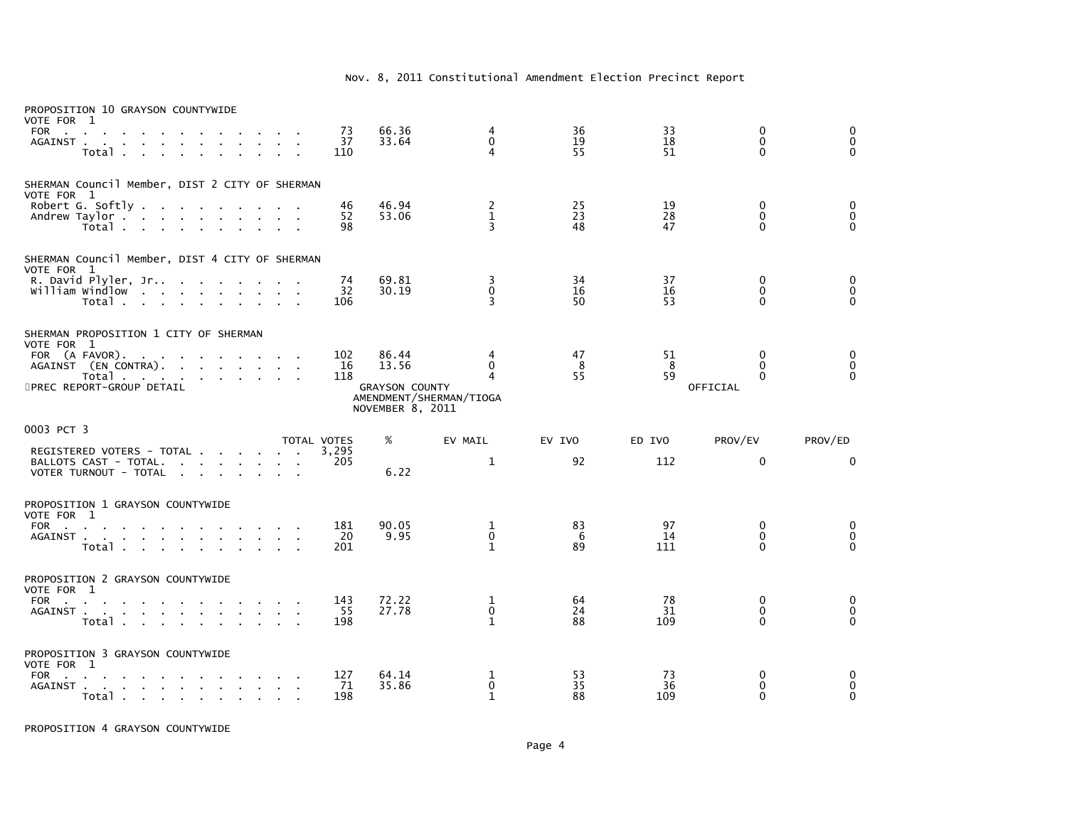| PROPOSITION 10 GRAYSON COUNTYWIDE<br>VOTE FOR 1                                                           |                                                                                                                 |                                                  |                    |                                           |                                                          |                |                 |                                          |                              |
|-----------------------------------------------------------------------------------------------------------|-----------------------------------------------------------------------------------------------------------------|--------------------------------------------------|--------------------|-------------------------------------------|----------------------------------------------------------|----------------|-----------------|------------------------------------------|------------------------------|
| <b>FOR</b><br><b>Contract Contract</b><br>AGAINST<br>Total                                                | <b>Carl Corporation</b>                                                                                         |                                                  | 73<br>37<br>110    | 66.36<br>33.64                            | 4<br>$\Omega$<br>$\overline{4}$                          | 36<br>19<br>55 | 33<br>18<br>51  | 0<br>$\mathbf{0}$<br>$\Omega$            | 0<br>$\mathbf 0$<br>$\Omega$ |
| SHERMAN Council Member, DIST 2 CITY OF SHERMAN<br>VOTE FOR 1                                              |                                                                                                                 |                                                  |                    |                                           |                                                          |                |                 |                                          |                              |
| Robert G. Softly.<br>Andrew Taylor<br>Total                                                               | the contract of the contract of the                                                                             |                                                  | 46<br>52<br>98     | 46.94<br>53.06                            | $\overline{c}$<br>$\mathbf 1$<br>$\overline{\mathbf{3}}$ | 25<br>23<br>48 | 19<br>28<br>47  | $\mathbf{0}$<br>$\mathbf{0}$<br>$\Omega$ | 0<br>$\mathbf 0$<br>$\Omega$ |
| SHERMAN Council Member, DIST 4 CITY OF SHERMAN<br>VOTE FOR 1                                              |                                                                                                                 |                                                  |                    |                                           |                                                          |                |                 |                                          |                              |
| R. David Plyler, Jr<br>william Windlow<br>Total                                                           | the contract of the contract of the contract of the contract of the contract of the contract of the contract of |                                                  | 74<br>32<br>106    | 69.81<br>30.19                            | 3<br>$\Omega$<br>3                                       | 34<br>16<br>50 | 37<br>16<br>53  | 0<br>$\Omega$<br>$\Omega$                | 0<br>$\mathbf 0$<br>$\Omega$ |
| SHERMAN PROPOSITION 1 CITY OF SHERMAN<br>VOTE FOR 1                                                       |                                                                                                                 |                                                  |                    |                                           |                                                          |                |                 |                                          |                              |
| FOR (A FAVOR).<br>$\sim$ 100 $\pm$<br>$\sim$<br>AGAINST (EN CONTRA).<br>Total                             | the contract of the contract of                                                                                 |                                                  | 102<br>16<br>118   | 86.44<br>13.56                            | 4<br>$\Omega$<br>4                                       | 47<br>8<br>55  | 51<br>-8<br>59  | $\mathbf{0}$<br>$\Omega$<br>$\Omega$     | 0<br>0<br>$\Omega$           |
| 5PREC REPORT-GROUP DETAIL                                                                                 |                                                                                                                 |                                                  |                    | <b>GRAYSON COUNTY</b><br>NOVEMBER 8, 2011 | AMENDMENT/SHERMAN/TIOGA                                  |                |                 | OFFICIAL                                 |                              |
| 0003 PCT 3                                                                                                |                                                                                                                 |                                                  | <b>TOTAL VOTES</b> | %                                         | EV MAIL                                                  | EV IVO         | ED IVO          | PROV/EV                                  | PROV/ED                      |
| REGISTERED VOTERS - TOTAL<br>BALLOTS CAST - TOTAL.<br>VOTER TURNOUT - TOTAL                               |                                                                                                                 |                                                  | 3,295<br>205       | 6.22                                      | $\mathbf{1}$                                             | 92             | 112             | $\mathbf 0$                              | $\mathbf{0}$                 |
| PROPOSITION 1 GRAYSON COUNTYWIDE<br>VOTE FOR 1                                                            |                                                                                                                 |                                                  |                    |                                           |                                                          |                |                 |                                          |                              |
| <b>FOR</b><br>the contract of the contract of<br>AGAINST.<br>the contract of the contract of the<br>Total |                                                                                                                 | $\sim$<br>$\mathbf{r}$<br>$\sim$<br>$\mathbf{r}$ | 181<br>20<br>201   | 90.05<br>9.95                             | 1<br>$\mathbf 0$<br>1                                    | 83<br>6<br>89  | 97<br>14<br>111 | 0<br>$\mathbf{0}$<br>$\Omega$            | 0<br>$\mathbf 0$<br>$\Omega$ |
| PROPOSITION 2 GRAYSON COUNTYWIDE<br>VOTE FOR 1                                                            |                                                                                                                 |                                                  |                    |                                           |                                                          |                |                 |                                          |                              |
| <b>FOR</b><br>the contract of the contract of the contract of<br>AGAINST<br>Total                         |                                                                                                                 |                                                  | 143<br>55<br>198   | 72.22<br>27.78                            | 1<br>0<br>$\mathbf{1}$                                   | 64<br>24<br>88 | 78<br>31<br>109 | $\mathbf{0}$<br>0<br>$\Omega$            | 0<br>$\mathbf 0$<br>$\Omega$ |
| PROPOSITION 3 GRAYSON COUNTYWIDE<br>VOTE FOR 1                                                            |                                                                                                                 |                                                  |                    |                                           |                                                          |                |                 |                                          |                              |
| <b>FOR</b><br><b>Carl Carl</b><br>AGAINST<br>Total                                                        | the company of the company of the                                                                               |                                                  | 127<br>71<br>198   | 64.14<br>35.86                            | 1<br>$\mathbf 0$<br>$\mathbf{1}$                         | 53<br>35<br>88 | 73<br>36<br>109 | 0<br>0<br>$\Omega$                       | 0<br>$\mathbf 0$<br>$\Omega$ |

PROPOSITION 4 GRAYSON COUNTYWIDE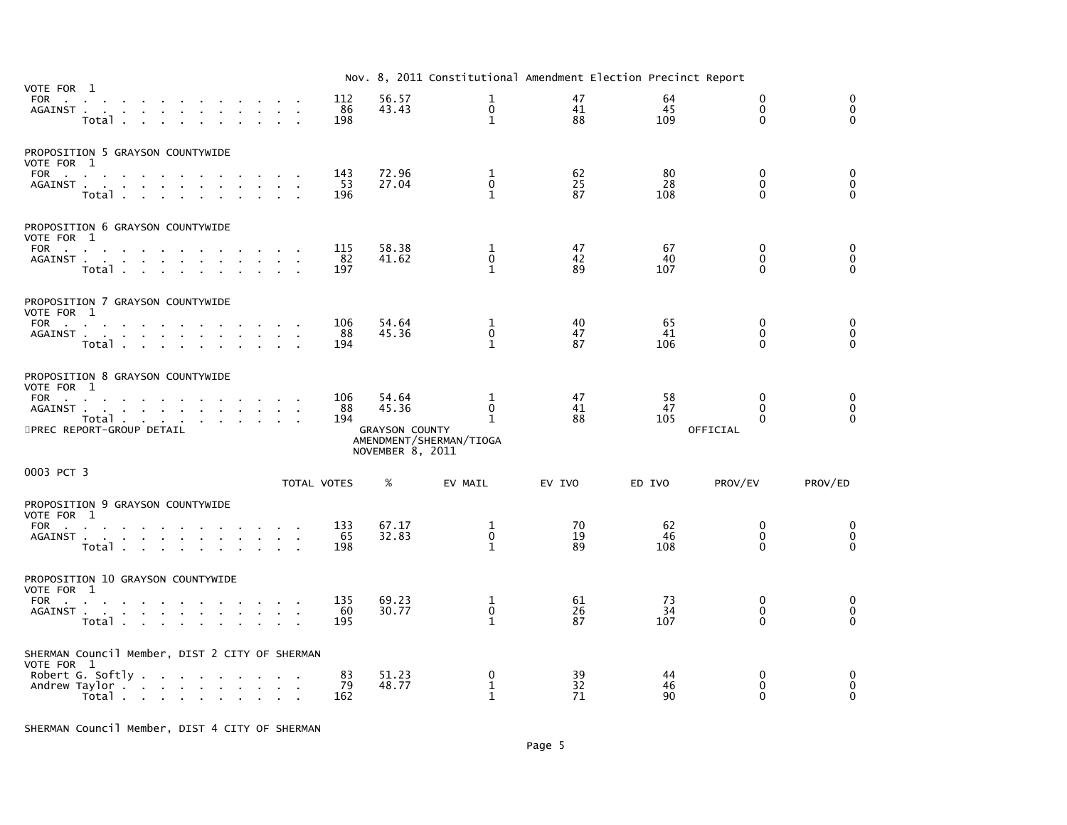|                                                                                                                                                                                         |                  |                                                             | Nov. 8, 2011 Constitutional Amendment Election Precinct Report |                |                 |                                              |                                      |
|-----------------------------------------------------------------------------------------------------------------------------------------------------------------------------------------|------------------|-------------------------------------------------------------|----------------------------------------------------------------|----------------|-----------------|----------------------------------------------|--------------------------------------|
| VOTE FOR 1<br><b>FOR</b><br>the contract of the contract of<br>AGAINST<br>Total .<br><b>Service</b><br>$\sim$                                                                           | 112<br>86<br>198 | 56.57<br>43.43                                              | 1<br>$\mathbf 0$<br>$\mathbf{1}$                               | 47<br>41<br>88 | 64<br>45<br>109 | $\mathbf{0}$<br>$\mathbf{0}$<br>$\Omega$     | $\mathbf{0}$<br>$\Omega$<br>$\Omega$ |
| PROPOSITION 5 GRAYSON COUNTYWIDE<br>VOTE FOR 1<br><b>FOR</b><br>the control of the con-<br>$\sim$<br>AGAINST<br>Total .<br>$\sim 10$<br><b>Service</b>                                  | 143<br>53<br>196 | 72.96<br>27.04                                              | 1<br>$\mathbf{0}$<br>$\mathbf{1}$                              | 62<br>25<br>87 | 80<br>28<br>108 | $\mathbf{0}$<br>$\Omega$<br>$\Omega$         | 0<br>$\mathbf 0$<br>$\mathbf{0}$     |
| PROPOSITION 6 GRAYSON COUNTYWIDE<br>VOTE FOR 1<br>FOR<br>AGAINST<br>$\mathbf{r}$<br>Total                                                                                               | 115<br>82<br>197 | 58.38<br>41.62                                              | 1<br>$\Omega$<br>$\mathbf{1}$                                  | 47<br>42<br>89 | 67<br>40<br>107 | $\mathbf{0}$<br>$\Omega$<br>$\Omega$         | 0<br>$\mathbf{0}$<br>$\Omega$        |
| PROPOSITION 7 GRAYSON COUNTYWIDE<br>VOTE FOR 1<br>FOR<br>AGAINST<br>the contract of the contract of the<br>$\sim$<br>$\mathbf{r}$<br>Total                                              | 106<br>88<br>194 | 54.64<br>45.36                                              | 1<br>$\mathbf 0$<br>$\mathbf{1}$                               | 40<br>47<br>87 | 65<br>41<br>106 | $\mathbf 0$<br>$\Omega$<br>$\Omega$          | 0<br>$\mathbf 0$<br>$\mathbf{0}$     |
| PROPOSITION 8 GRAYSON COUNTYWIDE<br>VOTE FOR 1<br>FOR<br>the contract of the contract of the con-<br>AGAINST<br>Total $\cdots$ $\cdots$<br>5PREC REPORT-GROUP DETAIL                    | 106<br>88<br>194 | 54.64<br>45.36<br><b>GRAYSON COUNTY</b><br>NOVEMBER 8, 2011 | 1<br>0<br>$\mathbf{1}$<br>AMENDMENT/SHERMAN/TIOGA              | 47<br>41<br>88 | 58<br>47<br>105 | $\Omega$<br>$\Omega$<br>$\Omega$<br>OFFICIAL | 0<br>$\mathbf{0}$<br>$\Omega$        |
| 0003 PCT 3<br>TOTAL VOTES                                                                                                                                                               |                  | %                                                           | EV MAIL                                                        | EV IVO         | ED IVO          | PROV/EV                                      | PROV/ED                              |
| PROPOSITION 9 GRAYSON COUNTYWIDE<br>VOTE FOR 1<br>FOR<br>AGAINST<br>the contract of the contract of the<br>$\sim 10^{-1}$<br>$\sim$<br>Total                                            | 133<br>65<br>198 | 67.17<br>32.83                                              | 1<br>$\mathbf 0$<br>$\mathbf{1}$                               | 70<br>19<br>89 | 62<br>46<br>108 | $\mathbf{0}$<br>$\mathbf{0}$<br>$\Omega$     | 0<br>0<br>$\Omega$                   |
| PROPOSITION 10 GRAYSON COUNTYWIDE<br>VOTE FOR 1<br>FOR<br><b>Contract</b><br>AGAINST<br><b>Service</b><br>Total<br>$\mathbf{r}$<br>$\mathbf{r}$<br>$\sim$                               | 135<br>60<br>195 | 69.23<br>30.77                                              | $\mathbf 1$<br>0<br>$\mathbf{1}$                               | 61<br>26<br>87 | 73<br>34<br>107 | $\mathbf{0}$<br>$\mathbf{0}$<br>$\Omega$     | 0<br>$\mathbf 0$<br>$\mathbf{0}$     |
| SHERMAN Council Member, DIST 2 CITY OF SHERMAN<br>VOTE FOR 1<br>Robert G. Softly $\ldots$ $\ldots$ $\ldots$ $\ldots$<br>Andrew Taylor<br>Total .<br>the contract of the contract of the | 83<br>79<br>162  | 51.23<br>48.77                                              | 0<br>1<br>$\mathbf{1}$                                         | 39<br>32<br>71 | 44<br>46<br>90  | $\Omega$<br>$\mathbf{0}$<br>$\Omega$         | $\Omega$<br>$\Omega$<br>$\Omega$     |

SHERMAN Council Member, DIST 4 CITY OF SHERMAN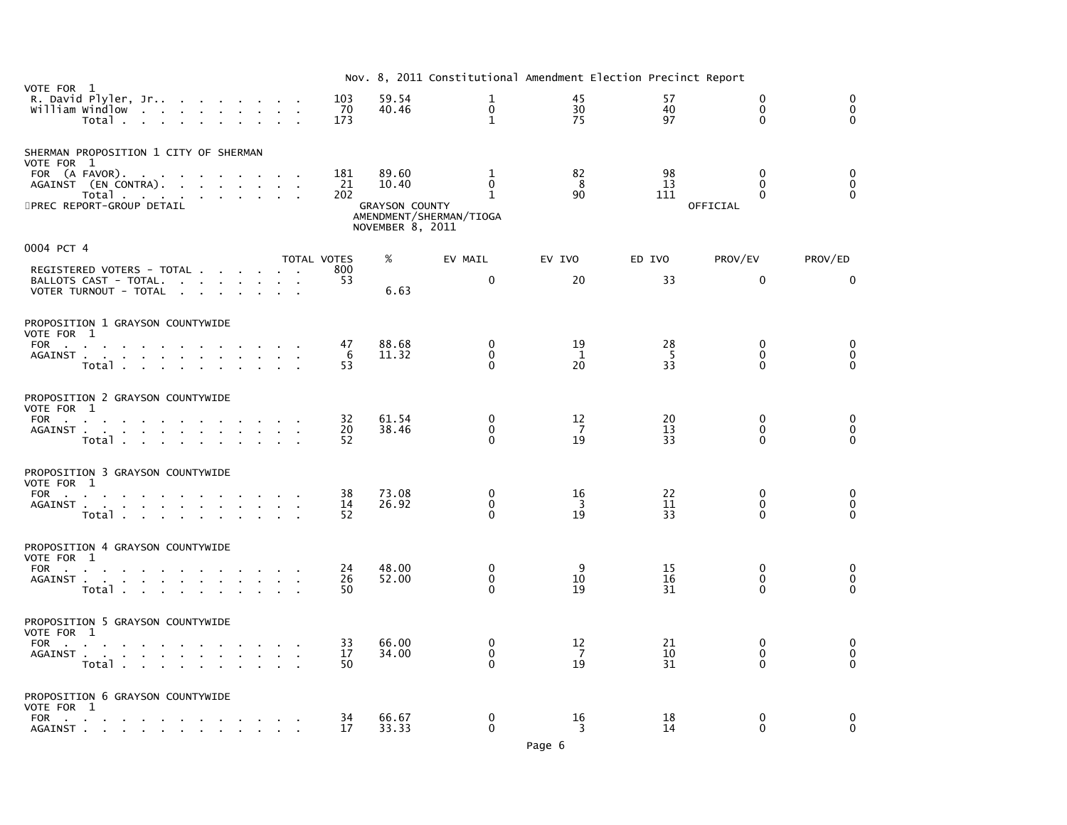|                                                                                                                                                                 |             |                  |                                           | Nov. 8, 2011 Constitutional Amendment Election Precinct Report |                      |                |                                      |                              |
|-----------------------------------------------------------------------------------------------------------------------------------------------------------------|-------------|------------------|-------------------------------------------|----------------------------------------------------------------|----------------------|----------------|--------------------------------------|------------------------------|
| VOTE FOR 1<br>R. David Plyler, Jr<br>$\sim$<br>William Windlow<br>the contract of the contract<br>$\sim 100$<br><b>All Cards</b><br>Total .<br>$\sim$<br>$\sim$ |             | 103<br>70<br>173 | 59.54<br>40.46                            | $\mathbf{1}$<br>$\mathbf 0$<br>$\mathbf{1}$                    | 45<br>30<br>75       | 57<br>40<br>97 | $\mathbf{0}$<br>$\Omega$<br>$\Omega$ | $\mathbf 0$<br>0<br>$\Omega$ |
| SHERMAN PROPOSITION 1 CITY OF SHERMAN<br>VOTE FOR 1                                                                                                             |             |                  |                                           |                                                                |                      |                |                                      |                              |
| FOR (A FAVOR)<br>the contract of the contract of the<br>$\mathbf{r}$<br>AGAINST (EN CONTRA).                                                                    |             | 181<br>21        | 89.60<br>10.40                            | 1<br>$\Omega$                                                  | 82<br>-8             | 98<br>13       | $\Omega$<br>$\Omega$                 | $\mathbf 0$<br>$\pmb{0}$     |
| Total<br>$\sim$<br>$\sim$<br>$\sim 10^{-11}$<br>5PREC REPORT-GROUP DETAIL                                                                                       |             | 202              | <b>GRAYSON COUNTY</b><br>NOVEMBER 8, 2011 | $\mathbf{1}$<br>AMENDMENT/SHERMAN/TIOGA                        | 90                   | 111            | $\Omega$<br>OFFICIAL                 | $\Omega$                     |
| 0004 PCT 4                                                                                                                                                      | TOTAL VOTES |                  | %                                         | EV MAIL                                                        | EV IVO               | ED IVO         | PROV/EV                              | PROV/ED                      |
| REGISTERED VOTERS - TOTAL<br>BALLOTS CAST - TOTAL.                                                                                                              |             | 800<br>53        |                                           | $\mathbf{0}$                                                   | 20                   | 33             | $\Omega$                             | $\mathbf{0}$                 |
| VOTER TURNOUT - TOTAL                                                                                                                                           |             |                  | 6.63                                      |                                                                |                      |                |                                      |                              |
| PROPOSITION 1 GRAYSON COUNTYWIDE<br>VOTE FOR 1                                                                                                                  |             |                  |                                           |                                                                |                      |                |                                      |                              |
| FOR<br>the contract of the contract of the<br>the company of the company<br>AGAINST<br>$\sim 10$<br>$\sim$<br>$\sim$<br>$\sim 10^{-1}$<br>$\sim$                |             | 47<br>6          | 88.68<br>11.32                            | 0<br>$\mathbf{0}$                                              | 19<br>1              | 28<br>-5       | $\Omega$<br>$\Omega$                 | 0<br>$\mathbf 0$             |
| Total                                                                                                                                                           |             | 53               |                                           | $\Omega$                                                       | 20                   | 33             | 0                                    | $\Omega$                     |
| PROPOSITION 2 GRAYSON COUNTYWIDE<br>VOTE FOR 1                                                                                                                  |             |                  |                                           |                                                                |                      |                |                                      |                              |
| FOR<br>AGAINST<br>$\mathbf{u} = \mathbf{u} + \mathbf{u}$ . The $\mathbf{u}$                                                                                     |             | 32<br>20         | 61.54<br>38.46                            | $\mathbf 0$<br>$\Omega$                                        | 12<br>$\overline{7}$ | 20<br>13       | $\Omega$<br>$\Omega$                 | 0<br>$\mathbf 0$             |
| Total                                                                                                                                                           |             | 52               |                                           | $\Omega$                                                       | 19                   | 33             | $\Omega$                             | $\Omega$                     |
| PROPOSITION 3 GRAYSON COUNTYWIDE<br>VOTE FOR 1                                                                                                                  |             |                  |                                           |                                                                |                      |                |                                      |                              |
| <b>FOR</b><br>the contract of the contract of the<br>AGAINST<br>$\mathbf{r}$                                                                                    |             | 38<br>14         | 73.08<br>26.92                            | 0<br>$\Omega$                                                  | 16<br>-3             | 22<br>11       | 0<br>$\Omega$                        | 0<br>$\mathbf 0$             |
| Total<br><b>Contract Contract Street</b>                                                                                                                        |             | 52               |                                           | $\Omega$                                                       | 19                   | 33             | $\Omega$                             | $\Omega$                     |
| PROPOSITION 4 GRAYSON COUNTYWIDE<br>VOTE FOR 1                                                                                                                  |             |                  |                                           |                                                                |                      |                |                                      |                              |
| <b>FOR</b><br><b>Contract Contract</b><br>AGAINST                                                                                                               |             | 24<br>26         | 48.00<br>52.00                            | $\mathbf 0$<br>$\mathbf{0}$                                    | 9<br>10              | 15<br>16       | 0<br>$\Omega$                        | 0<br>$\mathbf 0$             |
| Total                                                                                                                                                           |             | 50               |                                           | $\Omega$                                                       | 19                   | 31             | $\Omega$                             | $\Omega$                     |
| PROPOSITION 5 GRAYSON COUNTYWIDE                                                                                                                                |             |                  |                                           |                                                                |                      |                |                                      |                              |
| VOTE FOR 1<br><b>FOR</b><br>the contract of the contract<br>AGAINST .<br>and a straightful contract and a straight<br>$\sim 100$                                |             | 33<br>17         | 66.00<br>34.00                            | $\mathbf 0$<br>$\Omega$                                        | 12<br>$\overline{7}$ | 21<br>10       | 0<br>$\Omega$                        | 0<br>$\mathbf 0$             |
| Total                                                                                                                                                           |             | 50               |                                           | $\Omega$                                                       | 19                   | 31             | $\Omega$                             | $\Omega$                     |
| PROPOSITION 6 GRAYSON COUNTYWIDE                                                                                                                                |             |                  |                                           |                                                                |                      |                |                                      |                              |
| VOTE FOR 1<br>FOR<br>the contract of the contract of the contract of<br>AGAINST                                                                                 |             | 34<br>17         | 66.67<br>33.33                            | $\Omega$<br>0                                                  | 16<br>3              | 18<br>14       | $\Omega$<br>0                        | 0<br>$\mathbf 0$             |
|                                                                                                                                                                 |             |                  |                                           |                                                                |                      |                |                                      |                              |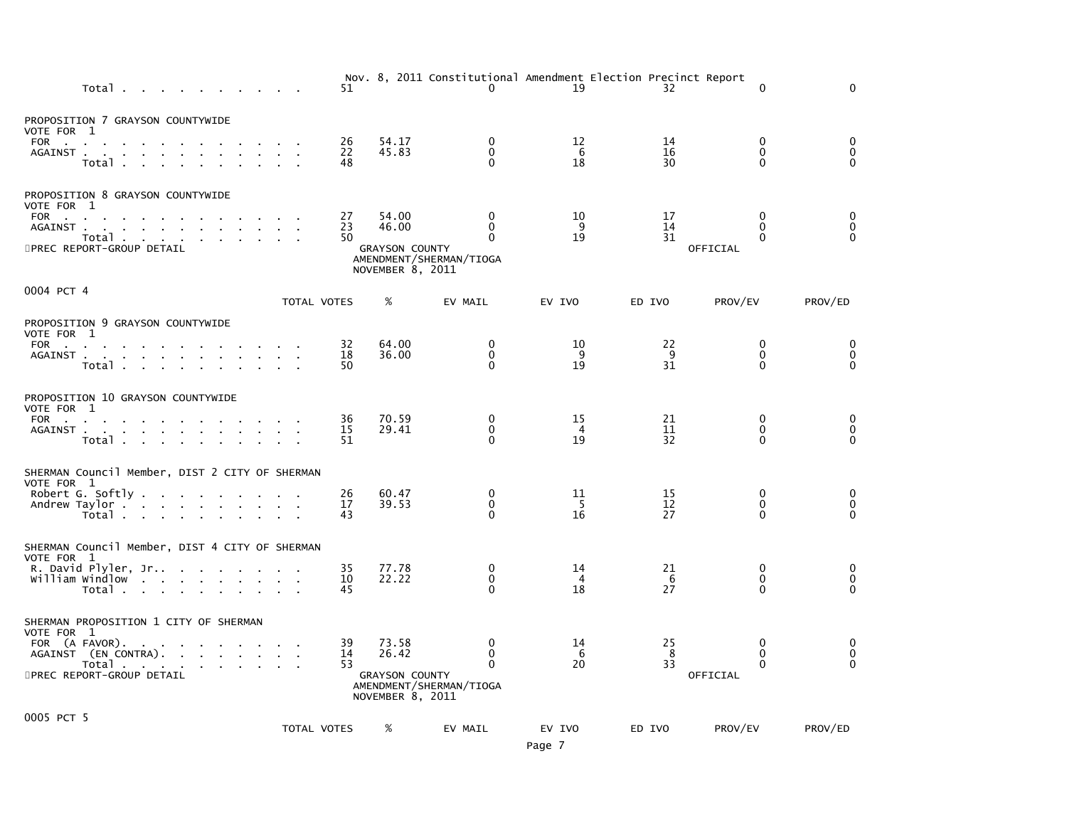| Total                                                                                                                                                                                                                                              | 51             |                                                             | $\mathbf{0}$                                                            | Nov. 8, 2011 Constitutional Amendment Election Precinct Report<br>19 | 32             | $\Omega$                                  | $\Omega$                     |
|----------------------------------------------------------------------------------------------------------------------------------------------------------------------------------------------------------------------------------------------------|----------------|-------------------------------------------------------------|-------------------------------------------------------------------------|----------------------------------------------------------------------|----------------|-------------------------------------------|------------------------------|
| PROPOSITION 7 GRAYSON COUNTYWIDE<br>VOTE FOR 1                                                                                                                                                                                                     |                |                                                             |                                                                         |                                                                      |                |                                           |                              |
| FOR<br>AGAINST<br>$\sim$<br>Total .                                                                                                                                                                                                                | 26<br>22<br>48 | 54.17<br>45.83                                              | 0<br>0<br>$\mathbf{0}$                                                  | 12<br>6<br>18                                                        | 14<br>16<br>30 | 0<br>0<br>$\Omega$                        | 0<br>0<br>$\Omega$           |
| PROPOSITION 8 GRAYSON COUNTYWIDE<br>VOTE FOR 1                                                                                                                                                                                                     |                |                                                             |                                                                         |                                                                      |                |                                           |                              |
| FOR<br>Total<br>5PREC REPORT-GROUP DETAIL                                                                                                                                                                                                          | 27<br>23<br>50 | 54.00<br>46.00<br><b>GRAYSON COUNTY</b><br>NOVEMBER 8, 2011 | $\mathbf{0}$<br>$\mathbf{0}$<br>$\mathbf{0}$<br>AMENDMENT/SHERMAN/TIOGA | 10<br>9<br>19                                                        | 17<br>14<br>31 | 0<br>$\mathbf{0}$<br>$\Omega$<br>OFFICIAL | 0<br>$\mathbf 0$<br>$\Omega$ |
| 0004 PCT 4                                                                                                                                                                                                                                         |                |                                                             |                                                                         |                                                                      |                |                                           |                              |
|                                                                                                                                                                                                                                                    | TOTAL VOTES    | %                                                           | EV MAIL                                                                 | EV IVO                                                               | ED IVO         | PROV/EV                                   | PROV/ED                      |
| PROPOSITION 9 GRAYSON COUNTYWIDE<br>VOTE FOR 1                                                                                                                                                                                                     |                |                                                             |                                                                         |                                                                      |                |                                           |                              |
| FOR<br>AGAINST<br>Total                                                                                                                                                                                                                            | 32<br>18<br>50 | 64.00<br>36.00                                              | $\Omega$<br>$\mathbf 0$<br>$\Omega$                                     | 10<br>-9<br>19                                                       | 22<br>9<br>31  | $\Omega$<br>$\mathbf{0}$<br>$\Omega$      | 0<br>0<br>0                  |
| PROPOSITION 10 GRAYSON COUNTYWIDE<br>VOTE FOR 1                                                                                                                                                                                                    |                |                                                             |                                                                         |                                                                      |                |                                           |                              |
| FOR the contract of the contract of the contract of the contract of the contract of the contract of the contract of the contract of the contract of the contract of the contract of the contract of the contract of the contra<br>AGAINST<br>Total | 36<br>15<br>51 | 70.59<br>29.41                                              | $\mathbf 0$<br>0<br>$\Omega$                                            | 15<br>4<br>19                                                        | 21<br>11<br>32 | 0<br>0<br>$\Omega$                        | 0<br>0<br>$\Omega$           |
| SHERMAN Council Member, DIST 2 CITY OF SHERMAN<br>VOTE FOR 1                                                                                                                                                                                       |                |                                                             |                                                                         |                                                                      |                |                                           |                              |
| Robert G. Softly<br>Andrew Taylor<br>Total                                                                                                                                                                                                         | 26<br>17<br>43 | 60.47<br>39.53                                              | 0<br>$\mathbf 0$<br>$\Omega$                                            | 11<br>- 5<br>16                                                      | 15<br>12<br>27 | 0<br>$\Omega$<br>$\Omega$                 | 0<br>0<br>$\Omega$           |
| SHERMAN Council Member, DIST 4 CITY OF SHERMAN<br>VOTE FOR 1                                                                                                                                                                                       |                |                                                             |                                                                         |                                                                      |                |                                           |                              |
| R. David Plyler, Jr<br>william windlow<br>Total                                                                                                                                                                                                    | 35<br>10<br>45 | 77.78<br>22.22                                              | 0<br>0<br>$\Omega$                                                      | 14<br>4<br>18                                                        | 21<br>6<br>27  | $\mathbf{0}$<br>0<br>$\Omega$             | 0<br>0<br>$\Omega$           |
| SHERMAN PROPOSITION 1 CITY OF SHERMAN<br>VOTE FOR 1                                                                                                                                                                                                |                |                                                             |                                                                         |                                                                      |                |                                           |                              |
| FOR (A FAVOR).<br>AGAINST (EN CONTRA).                                                                                                                                                                                                             | 39<br>14<br>53 | 73.58<br>26.42                                              | 0<br>$\Omega$<br>$\Omega$                                               | 14<br>6<br>20                                                        | 25<br>8<br>33  | $\Omega$<br>$\Omega$<br>$\Omega$          | 0<br>$\mathbf 0$<br>$\Omega$ |
| Total<br>5PREC REPORT-GROUP DETAIL                                                                                                                                                                                                                 |                | <b>GRAYSON COUNTY</b><br>NOVEMBER 8, 2011                   | AMENDMENT/SHERMAN/TIOGA                                                 |                                                                      |                | OFFICIAL                                  |                              |
| 0005 PCT 5                                                                                                                                                                                                                                         |                |                                                             |                                                                         |                                                                      |                |                                           |                              |
|                                                                                                                                                                                                                                                    | TOTAL VOTES    | %                                                           | EV MAIL                                                                 | EV IVO<br>Page 7                                                     | ED IVO         | PROV/EV                                   | PROV/ED                      |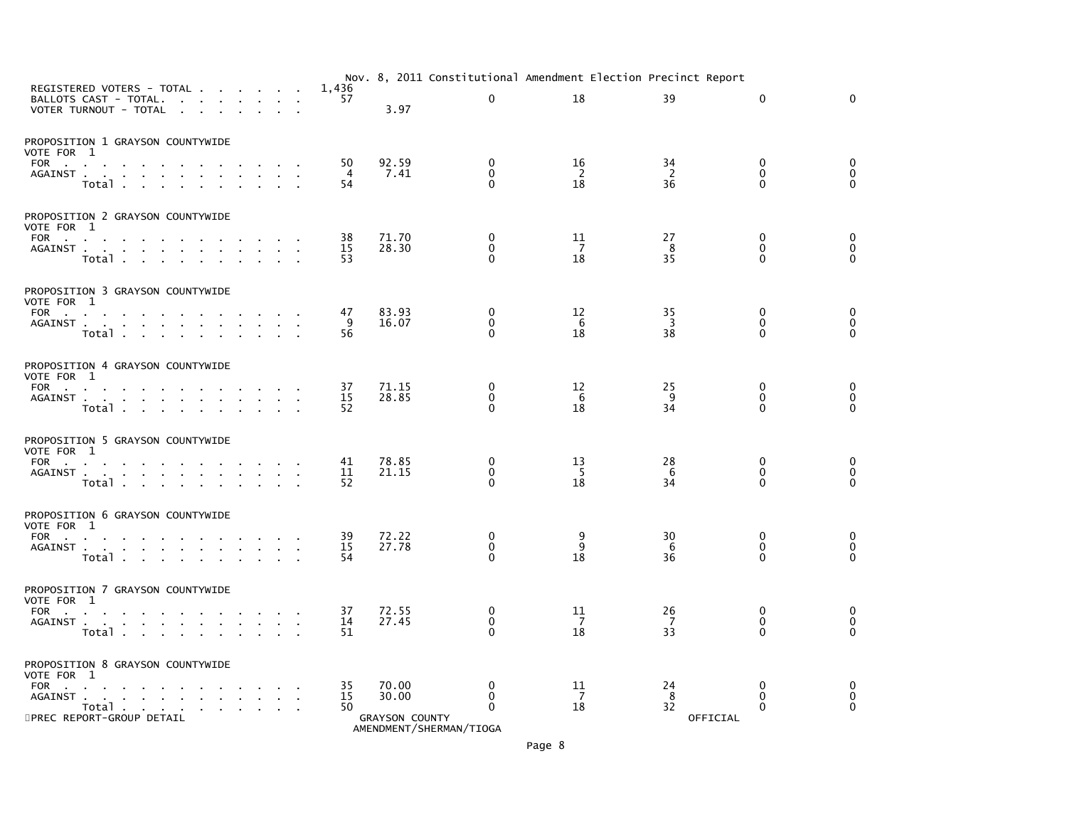|                                                                                                                                                  |                | Nov. 8, 2011 Constitutional Amendment Election Precinct Report |                              |                |                                   |                                         |                                  |
|--------------------------------------------------------------------------------------------------------------------------------------------------|----------------|----------------------------------------------------------------|------------------------------|----------------|-----------------------------------|-----------------------------------------|----------------------------------|
| REGISTERED VOTERS - TOTAL.<br>and a strain and<br>BALLOTS CAST - TOTAL.<br>$\sim$<br>$\sim$<br>VOTER TURNOUT - TOTAL<br>$\sim$<br>$\sim$         | 1,436<br>57    | 3.97                                                           | $\Omega$                     | 18             | 39                                | $\mathbf{0}$                            | $\Omega$                         |
| PROPOSITION 1 GRAYSON COUNTYWIDE<br>VOTE FOR 1<br>FOR<br>the contract of the contract of                                                         | 50             | 92.59                                                          | 0                            | 16             | 34                                | 0                                       | 0                                |
| AGAINST<br><b>Contract Contract</b><br>$\mathbf{r}$<br>$\mathbf{r}$<br>Total                                                                     | 4<br>54        | 7.41                                                           | 0<br>$\Omega$                | -2<br>18       | $\overline{2}$<br>$3\overline{6}$ | $\mathbf 0$<br>$\Omega$                 | 0<br>$\Omega$                    |
| PROPOSITION 2 GRAYSON COUNTYWIDE<br>VOTE FOR 1                                                                                                   |                |                                                                |                              |                |                                   |                                         |                                  |
| FOR<br><b>Contract Contract Street</b><br>AGAINST<br>Total<br>$\sim$                                                                             | 38<br>15<br>53 | 71.70<br>28.30                                                 | 0<br>$\mathbf 0$<br>$\Omega$ | 11<br>7<br>18  | 27<br>8<br>35                     | 0<br>0<br>$\Omega$                      | 0<br>$\mathbf 0$<br>$\Omega$     |
| PROPOSITION 3 GRAYSON COUNTYWIDE<br>VOTE FOR 1                                                                                                   |                |                                                                |                              |                |                                   |                                         |                                  |
| FOR<br>and the contract of<br>AGAINST<br>Total                                                                                                   | 47<br>9<br>56  | 83.93<br>16.07                                                 | 0<br>$\mathbf 0$<br>$\Omega$ | 12<br>6<br>18  | 35<br>3<br>38                     | 0<br>$\mathbf{0}$<br>$\Omega$           | 0<br>$\mathbf 0$<br>$\mathbf{0}$ |
| PROPOSITION 4 GRAYSON COUNTYWIDE<br>VOTE FOR 1                                                                                                   |                |                                                                |                              |                |                                   |                                         |                                  |
| FOR<br>AGAINST<br>Total                                                                                                                          | 37<br>15<br>52 | 71.15<br>28.85                                                 | 0<br>0<br>$\mathbf{0}$       | 12<br>6<br>18  | 25<br>9<br>34                     | $\mathbf 0$<br>$\mathbf{0}$<br>$\Omega$ | 0<br>0<br>$\Omega$               |
| PROPOSITION 5 GRAYSON COUNTYWIDE<br>VOTE FOR 1                                                                                                   |                |                                                                |                              |                |                                   |                                         |                                  |
| FOR<br>the contract of the contract of the con-<br>AGAINST<br>$\sim$<br>$\sim$<br>$\sim$<br>Total<br><b>Contract Contract Contract</b><br>$\sim$ | 41<br>11<br>52 | 78.85<br>21.15                                                 | 0<br>$\mathbf 0$<br>$\Omega$ | 13<br>-5<br>18 | 28<br>6<br>34                     | 0<br>$\mathbf 0$<br>$\Omega$            | 0<br>0<br>$\Omega$               |
| PROPOSITION 6 GRAYSON COUNTYWIDE<br>VOTE FOR 1                                                                                                   |                |                                                                |                              |                |                                   |                                         |                                  |
| FOR<br>AGAINST<br><b>College</b><br>$\sim$<br>Total .<br><b>Service State</b><br>$\sim$                                                          | 39<br>15<br>54 | 72.22<br>27.78                                                 | 0<br>0<br>$\mathbf{0}$       | 9<br>9<br>18   | 30<br>6<br>36                     | 0<br>0<br>$\Omega$                      | 0<br>$\mathbf 0$<br>$\Omega$     |
| PROPOSITION 7 GRAYSON COUNTYWIDE<br>VOTE FOR 1                                                                                                   |                |                                                                |                              |                |                                   |                                         |                                  |
| AGAINST<br>$\sim 10^{-1}$<br>$\sim$<br>Total                                                                                                     | 37<br>14<br>51 | 72.55<br>27.45                                                 | 0<br>0<br>$\Omega$           | 11<br>7<br>18  | 26<br>-7<br>33                    | 0<br>0<br>$\Omega$                      | 0<br>0<br>$\Omega$               |
| PROPOSITION 8 GRAYSON COUNTYWIDE<br>VOTE FOR 1                                                                                                   |                |                                                                |                              |                |                                   |                                         |                                  |
| FOR<br>and the state of the state of the state of the<br>AGAINST<br>Total<br>$\sim 10^{-11}$<br>5PREC REPORT-GROUP DETAIL                        | 35<br>15<br>50 | 70.00<br>30.00<br><b>GRAYSON COUNTY</b>                        | 0<br>0<br>$\Omega$           | 11<br>7<br>18  | 24<br>8<br>32<br>OFFICIAL         | $\mathbf{0}$<br>0<br>$\Omega$           | 0<br>0<br>$\Omega$               |

AMENDMENT/SHERMAN/TIOGA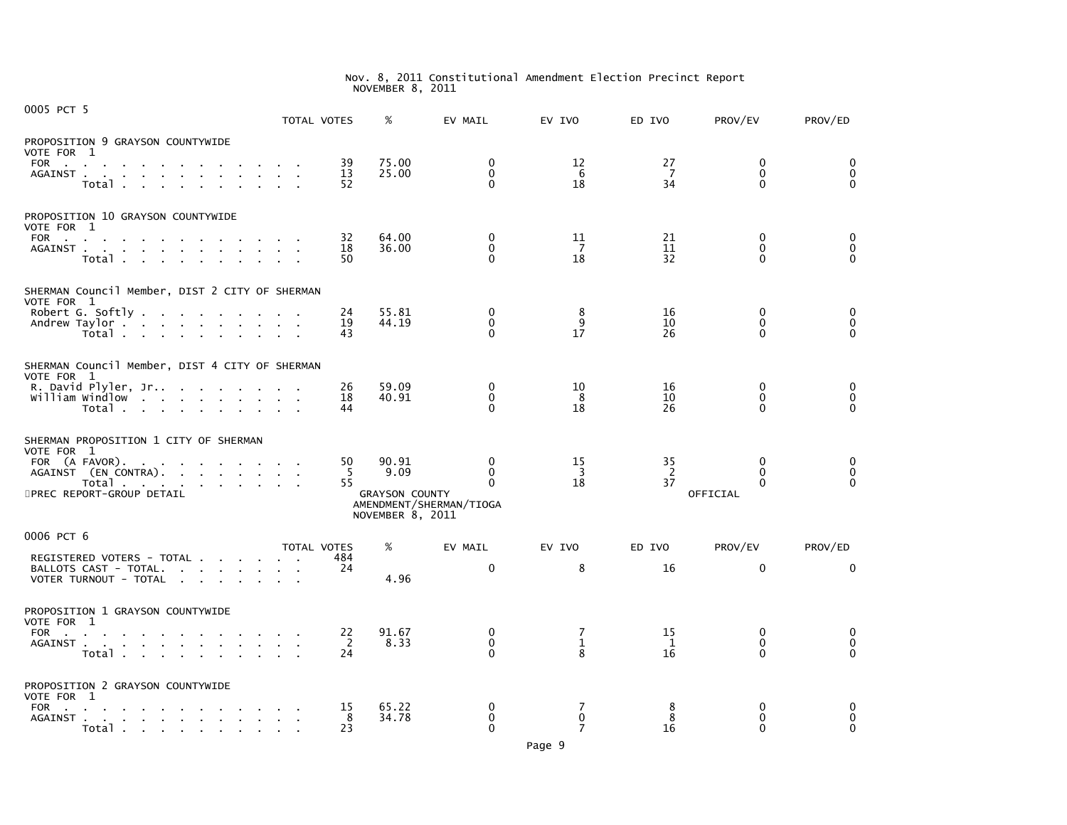| 0005 PCT 5                                                                                                                                                                                                                                         | TOTAL VOTES              |                | %                                         | EV MAIL                                  | EV IVO                     | ED IVO               | PROV/EV                                 | PROV/ED                             |
|----------------------------------------------------------------------------------------------------------------------------------------------------------------------------------------------------------------------------------------------------|--------------------------|----------------|-------------------------------------------|------------------------------------------|----------------------------|----------------------|-----------------------------------------|-------------------------------------|
| PROPOSITION 9 GRAYSON COUNTYWIDE<br>VOTE FOR 1<br>FOR<br>$\sim$<br>the contract of the contract                                                                                                                                                    |                          | 39             | 75.00                                     | $\mathbf 0$                              | 12                         | 27                   | $\mathbf 0$                             | $\mathbf 0$                         |
| AGAINST.<br>the contract of the contract of<br>Total                                                                                                                                                                                               |                          | 13<br>52       | 25.00                                     | $\Omega$<br>$\Omega$                     | 6<br>18                    | $\overline{7}$<br>34 | $\mathbf{0}$<br>$\Omega$                | $\mathbf 0$<br>$\Omega$             |
| PROPOSITION 10 GRAYSON COUNTYWIDE<br>VOTE FOR 1                                                                                                                                                                                                    |                          |                |                                           |                                          |                            |                      |                                         |                                     |
| FOR the contract of the contract of the contract of the contract of the contract of the contract of the contract of the contract of the contract of the contract of the contract of the contract of the contract of the contra<br>AGAINST<br>Total | <b>Contract Contract</b> | 32<br>18<br>50 | 64.00<br>36.00                            | $\Omega$<br>$\mathbf{0}$<br>$\Omega$     | 11<br>$\overline{7}$<br>18 | 21<br>11<br>32       | $\mathbf 0$<br>$\mathbf{0}$<br>$\Omega$ | 0<br>$\mathbf 0$<br>$\Omega$        |
| SHERMAN Council Member, DIST 2 CITY OF SHERMAN<br>VOTE FOR 1                                                                                                                                                                                       |                          |                |                                           |                                          |                            |                      |                                         |                                     |
| Robert G. Softly.<br>the contract of the contract of the con-<br>Andrew Taylor<br>Total                                                                                                                                                            |                          | 24<br>19<br>43 | 55.81<br>44.19                            | $\mathbf{0}$<br>$\mathbf{0}$<br>$\Omega$ | 8<br>9<br>17               | 16<br>10<br>26       | $\Omega$<br>$\mathbf{0}$<br>O           | $\Omega$<br>$\mathbf 0$<br>$\Omega$ |
| SHERMAN Council Member, DIST 4 CITY OF SHERMAN<br>VOTE FOR 1                                                                                                                                                                                       |                          |                |                                           |                                          |                            |                      |                                         |                                     |
| R. David Plyler, Jr<br>william windlow<br>Total                                                                                                                                                                                                    |                          | 26<br>18<br>44 | 59.09<br>40.91                            | 0<br>0<br>$\mathbf{0}$                   | 10<br>8<br>18              | 16<br>10<br>26       | 0<br>0<br>$\Omega$                      | 0<br>$\mathbf 0$<br>$\Omega$        |
| SHERMAN PROPOSITION 1 CITY OF SHERMAN<br>VOTE FOR 1                                                                                                                                                                                                |                          |                |                                           |                                          |                            |                      |                                         |                                     |
| FOR (A FAVOR).<br>AGAINST (EN CONTRA).                                                                                                                                                                                                             |                          | 50<br>-5       | 90.91<br>9.09                             | $\mathbf{0}$<br>$\Omega$                 | 15<br>$\overline{3}$       | 35<br>2              | $\Omega$<br>$\Omega$                    | 0<br>$\mathbf 0$<br>$\Omega$        |
| Total<br><b>Service</b><br>5PREC REPORT-GROUP DETAIL                                                                                                                                                                                               |                          | 55             | <b>GRAYSON COUNTY</b><br>NOVEMBER 8, 2011 | $\Omega$<br>AMENDMENT/SHERMAN/TIOGA      | 18                         | 37                   | 0<br>OFFICIAL                           |                                     |
| 0006 PCT 6                                                                                                                                                                                                                                         | TOTAL VOTES              |                | %                                         | EV MAIL                                  | EV IVO                     | ED IVO               | PROV/EV                                 | PROV/ED                             |
| REGISTERED VOTERS - TOTAL<br>BALLOTS CAST - TOTAL.<br>VOTER TURNOUT - TOTAL                                                                                                                                                                        |                          | 484<br>24      | 4.96                                      | $\mathbf{0}$                             | 8                          | 16                   | $\Omega$                                | $\Omega$                            |
| PROPOSITION 1 GRAYSON COUNTYWIDE<br>VOTE FOR 1                                                                                                                                                                                                     |                          |                |                                           |                                          |                            |                      |                                         |                                     |
| FOR<br>AGAINST<br>Total                                                                                                                                                                                                                            |                          | 22<br>-2<br>24 | 91.67<br>8.33                             | $\Omega$<br>$\mathbf{0}$<br>$\Omega$     | 7<br>$\mathbf{1}$<br>8     | 15<br>1<br>16        | $\Omega$<br>$\mathbf{0}$<br>0           | 0<br>0<br>$\Omega$                  |
| PROPOSITION 2 GRAYSON COUNTYWIDE<br>VOTE FOR 1                                                                                                                                                                                                     |                          |                |                                           |                                          |                            |                      |                                         |                                     |
| FOR<br>and the company of the company of<br>and a straightful contract and a straight<br>AGAINST.<br>$Total \cdot \cdot \cdot \cdot \cdot \cdot \cdot$                                                                                             |                          | 15<br>8<br>23  | 65.22<br>34.78                            | 0<br>$\Omega$<br>$\mathbf{0}$            | 7<br>$\mathbf{0}$<br>7     | 8<br>8<br>16         | 0<br>$\Omega$<br>0                      | 0<br>$\mathbf 0$<br>$\mathbf 0$     |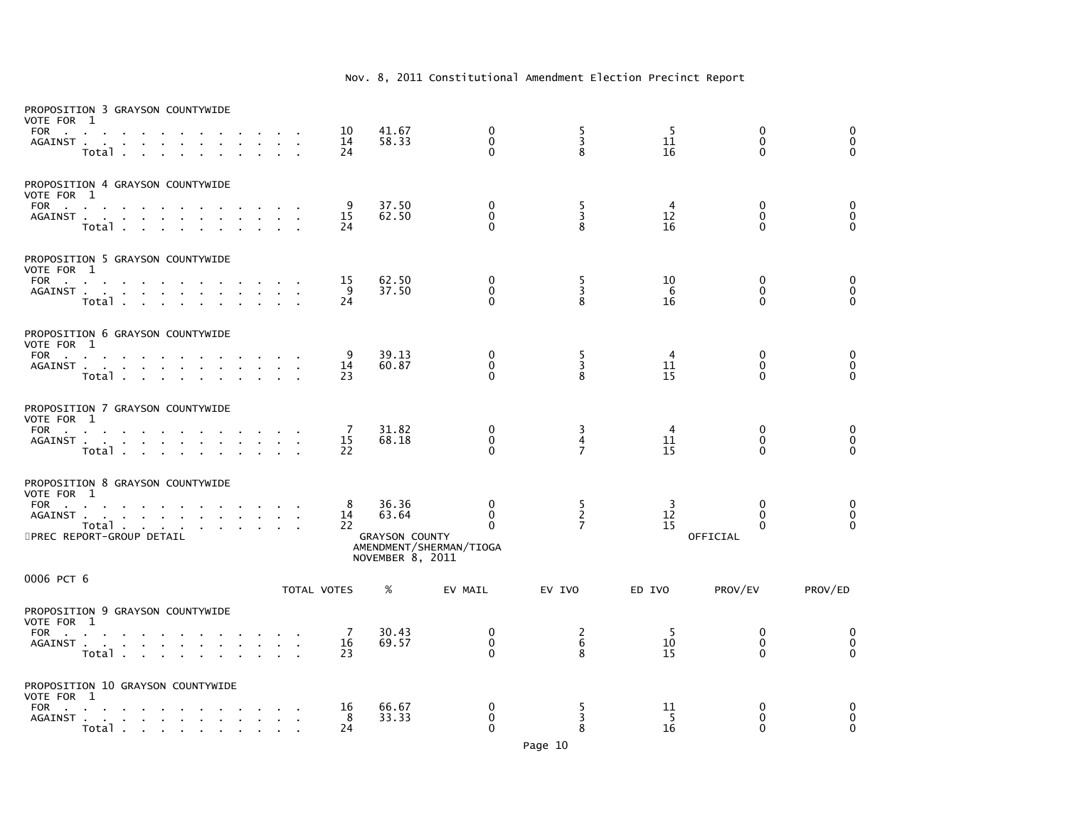| PROPOSITION 3 GRAYSON COUNTYWIDE<br>VOTE FOR 1<br>FOR<br>AGAINST<br>Total .<br>$\mathcal{L}^{\text{max}}$ and<br>$\sim$                   |        |                 | 10<br>14<br>24 | 41.67<br>58.33                                              | 0<br>$\mathbf 0$<br>$\Omega$                                | $\frac{5}{3}$<br>8                    | -5<br>11<br>16 | 0<br>$\mathbf{0}$<br>$\Omega$                        | 0<br>$\mathbf 0$<br>$\Omega$ |
|-------------------------------------------------------------------------------------------------------------------------------------------|--------|-----------------|----------------|-------------------------------------------------------------|-------------------------------------------------------------|---------------------------------------|----------------|------------------------------------------------------|------------------------------|
| PROPOSITION 4 GRAYSON COUNTYWIDE<br>VOTE FOR 1<br>FOR<br>AGAINST<br>Total                                                                 |        |                 | 9<br>15<br>24  | 37.50<br>62.50                                              | 0<br>$\mathbf 0$<br>$\Omega$                                | 5<br>3<br>8                           | 4<br>12<br>16  | 0<br>$\Omega$<br>$\Omega$                            | 0<br>0<br>$\Omega$           |
| PROPOSITION 5 GRAYSON COUNTYWIDE<br>VOTE FOR 1<br>FOR<br>AGAINST<br>Total                                                                 |        | $\sim$          | 15<br>9<br>24  | 62.50<br>37.50                                              | 0<br>$\mathbf 0$<br>$\Omega$                                | $\frac{5}{3}$<br>8                    | 10<br>6<br>16  | $\mathbf 0$<br>$\mathbf 0$<br>$\Omega$               | 0<br>$\pmb{0}$<br>$\Omega$   |
| PROPOSITION 6 GRAYSON COUNTYWIDE<br>VOTE FOR 1<br>FOR<br>AGAINST<br>Total                                                                 |        | $\sim 10^{-11}$ | 9<br>14<br>23  | 39.13<br>60.87                                              | $\mathbf{0}$<br>$\mathbf 0$<br>$\Omega$                     | $\frac{5}{3}$<br>8                    | 4<br>11<br>15  | $\mathbf{0}$<br>$\mathbf{0}$<br>$\Omega$             | 0<br>0<br>$\Omega$           |
| PROPOSITION 7 GRAYSON COUNTYWIDE<br>VOTE FOR 1<br>FOR<br>$\mathbf{r}$<br>AGAINST<br>Total<br>$\sim$                                       |        |                 | 7<br>15<br>22  | 31.82<br>68.18                                              | 0<br>$\pmb{0}$<br>$\Omega$                                  | 3<br>4<br>$\overline{7}$              | 4<br>11<br>15  | 0<br>$\mathbf 0$<br>$\Omega$                         | 0<br>$\mathbf 0$<br>$\Omega$ |
| PROPOSITION 8 GRAYSON COUNTYWIDE<br>VOTE FOR 1<br><b>FOR</b><br><b>Contract Contract</b><br>AGAINST<br>Total<br>5PREC REPORT-GROUP DETAIL |        |                 | 8<br>14<br>22  | 36.36<br>63.64<br><b>GRAYSON COUNTY</b><br>NOVEMBER 8, 2011 | 0<br>$\mathbf 0$<br>$\mathbf{0}$<br>AMENDMENT/SHERMAN/TIOGA | 5<br>$\overline{2}$<br>$\overline{7}$ | -3<br>12<br>15 | $\mathbf{0}$<br>$\Omega$<br>$\mathbf{0}$<br>OFFICIAL | 0<br>$\mathbf 0$<br>$\Omega$ |
| 0006 PCT 6                                                                                                                                |        |                 | TOTAL VOTES    | %                                                           | EV MAIL                                                     | EV IVO                                | ED IVO         | PROV/EV                                              | PROV/ED                      |
| PROPOSITION 9 GRAYSON COUNTYWIDE<br>VOTE FOR 1<br>FOR<br>$\sim$<br>AGAINST<br>Total                                                       |        | $\sim 10$       | 7<br>16<br>23  | 30.43<br>69.57                                              | 0<br>$\mathbf 0$<br>$\Omega$                                | $\frac{2}{6}$<br>8                    | -5<br>10<br>15 | 0<br>0<br>$\Omega$                                   | 0<br>$\pmb{0}$<br>$\Omega$   |
| PROPOSITION 10 GRAYSON COUNTYWIDE<br>VOTE FOR 1<br><b>FOR</b><br><b>Service</b> State<br>AGAINST<br>Total                                 | $\sim$ |                 | 16<br>8<br>24  | 66.67<br>33.33                                              | $\mathbf{0}$<br>0<br>$\Omega$                               | 5<br>3<br>8                           | 11<br>-5<br>16 | $\mathbf{0}$<br>0<br>$\mathbf{0}$                    | 0<br>0<br>$\mathbf{0}$       |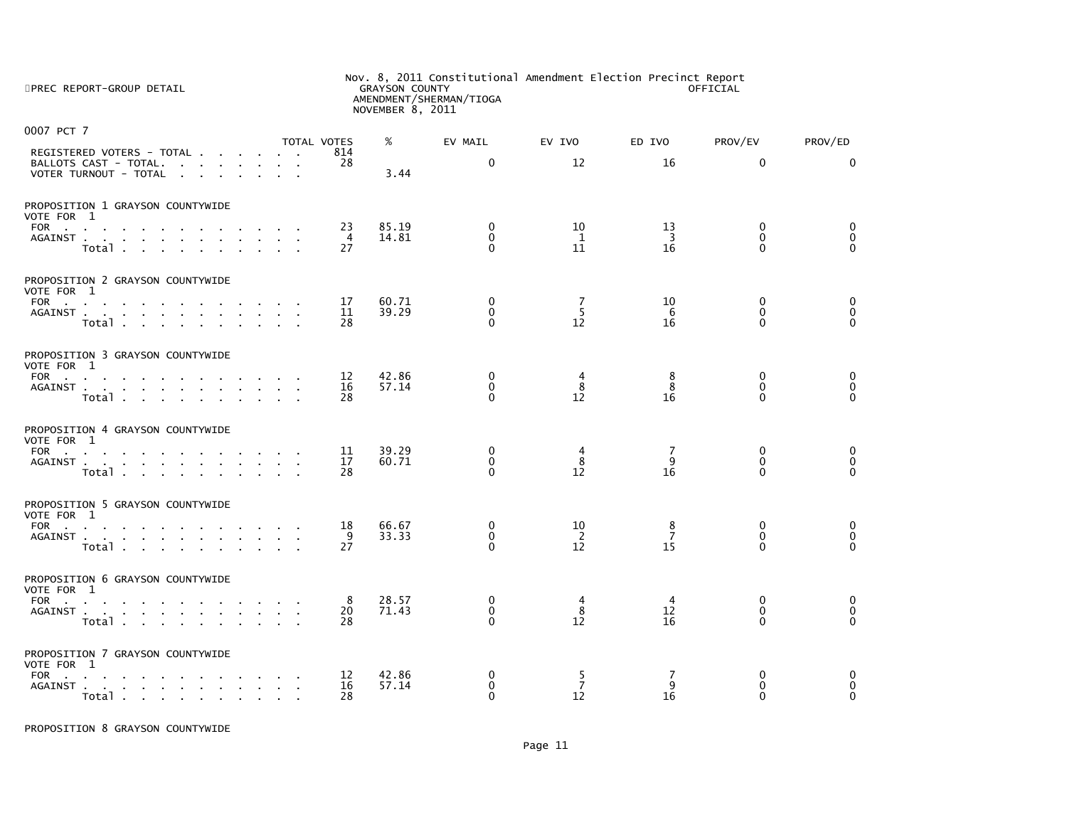| 5PREC REPORT-GROUP DETAIL                                                                                             | Nov. 8, 2011 Constitutional Amendment Election Precinct Report<br><b>GRAYSON COUNTY</b><br>OFFICIAL<br>AMENDMENT/SHERMAN/TIOGA<br>NOVEMBER 8, 2011 |                |                                          |                           |                            |                                          |                                     |  |  |
|-----------------------------------------------------------------------------------------------------------------------|----------------------------------------------------------------------------------------------------------------------------------------------------|----------------|------------------------------------------|---------------------------|----------------------------|------------------------------------------|-------------------------------------|--|--|
| 0007 PCT 7                                                                                                            | <b>TOTAL VOTES</b>                                                                                                                                 | %              | EV MAIL                                  | EV IVO                    | ED IVO                     | PROV/EV                                  | PROV/ED                             |  |  |
| REGISTERED VOTERS - TOTAL<br>BALLOTS CAST - TOTAL.<br>VOTER TURNOUT - TOTAL                                           | 814<br>28                                                                                                                                          | 3.44           | $\Omega$                                 | 12                        | 16                         | $\Omega$                                 | 0                                   |  |  |
| PROPOSITION 1 GRAYSON COUNTYWIDE                                                                                      |                                                                                                                                                    |                |                                          |                           |                            |                                          |                                     |  |  |
| VOTE FOR 1<br>FOR<br>AGAINST<br><b>All Carried Control</b><br>$Total \cdot \cdot \cdot \cdot \cdot \cdot \cdot \cdot$ | 23<br>4<br>27                                                                                                                                      | 85.19<br>14.81 | $\mathbf{0}$<br>$\mathbf{0}$<br>$\Omega$ | 10<br>1<br>11             | 13<br>$\overline{3}$<br>16 | $\mathbf 0$<br>$\Omega$<br>$\Omega$      | $\mathbf 0$<br>$\Omega$<br>$\Omega$ |  |  |
| PROPOSITION 2 GRAYSON COUNTYWIDE                                                                                      |                                                                                                                                                    |                |                                          |                           |                            |                                          |                                     |  |  |
| VOTE FOR 1<br>FOR $\qquad \qquad \ldots \qquad \qquad \ldots \qquad \qquad \ldots \qquad \ldots$<br>AGAINST<br>Total  | 17<br>11<br>28                                                                                                                                     | 60.71<br>39.29 | $\mathbf{0}$<br>$\mathbf{0}$<br>$\Omega$ | 7<br>5<br>12              | 10<br>6<br>16              | $\Omega$<br>$\mathbf{0}$<br>$\Omega$     | 0<br>$\mathbf 0$<br>$\Omega$        |  |  |
| PROPOSITION 3 GRAYSON COUNTYWIDE                                                                                      |                                                                                                                                                    |                |                                          |                           |                            |                                          |                                     |  |  |
| VOTE FOR 1<br>FOR<br>AGAINST<br>Total                                                                                 | 12<br>16<br>28                                                                                                                                     | 42.86<br>57.14 | $\mathbf{0}$<br>$\mathbf{0}$<br>$\Omega$ | 4<br>8<br>12              | 8<br>8<br>16               | $\Omega$<br>$\Omega$<br>$\Omega$         | $\Omega$<br>$\Omega$<br>$\Omega$    |  |  |
| PROPOSITION 4 GRAYSON COUNTYWIDE                                                                                      |                                                                                                                                                    |                |                                          |                           |                            |                                          |                                     |  |  |
| VOTE FOR 1<br><b>FOR</b><br>the contract of the contract of the contract of the contract of<br>AGAINST<br>Total       | 11<br>17<br>28                                                                                                                                     | 39.29<br>60.71 | $\Omega$<br>$\mathbf{0}$<br>$\Omega$     | 4<br>8<br>12              | 7<br>q<br>16               | $\mathbf{0}$<br>$\mathbf{0}$<br>$\Omega$ | 0<br>$\mathbf 0$<br>$\Omega$        |  |  |
| PROPOSITION 5 GRAYSON COUNTYWIDE                                                                                      |                                                                                                                                                    |                |                                          |                           |                            |                                          |                                     |  |  |
| VOTE FOR 1<br>FOR<br>AGAINST<br>Total                                                                                 | 18<br>-9<br>27                                                                                                                                     | 66.67<br>33.33 | 0<br>$\Omega$<br>0                       | 10<br>2<br>12             | 8<br>$\overline{7}$<br>15  | 0<br>$\Omega$<br>0                       | 0<br>$\mathbf 0$<br>$\Omega$        |  |  |
| PROPOSITION 6 GRAYSON COUNTYWIDE                                                                                      |                                                                                                                                                    |                |                                          |                           |                            |                                          |                                     |  |  |
| VOTE FOR 1<br>FOR<br>AGAINST<br>Total                                                                                 | 8<br>20<br>28                                                                                                                                      | 28.57<br>71.43 | $\mathbf{0}$<br>$\mathbf{0}$<br>$\Omega$ | 4<br>8<br>12              | 4<br>12<br>16              | 0<br>$\Omega$<br>$\Omega$                | 0<br>$\Omega$<br>$\Omega$           |  |  |
| PROPOSITION 7 GRAYSON COUNTYWIDE                                                                                      |                                                                                                                                                    |                |                                          |                           |                            |                                          |                                     |  |  |
| VOTE FOR 1<br>FOR<br>the contract of the contract of the contract of<br>AGAINST<br>Total                              | 12<br>16<br>28                                                                                                                                     | 42.86<br>57.14 | 0<br>$\mathbf{0}$<br>$\Omega$            | 5<br>$\overline{7}$<br>12 | 7<br>9<br>16               | 0<br>$\Omega$<br>$\Omega$                | 0<br>$\Omega$<br>$\Omega$           |  |  |

PROPOSITION 8 GRAYSON COUNTYWIDE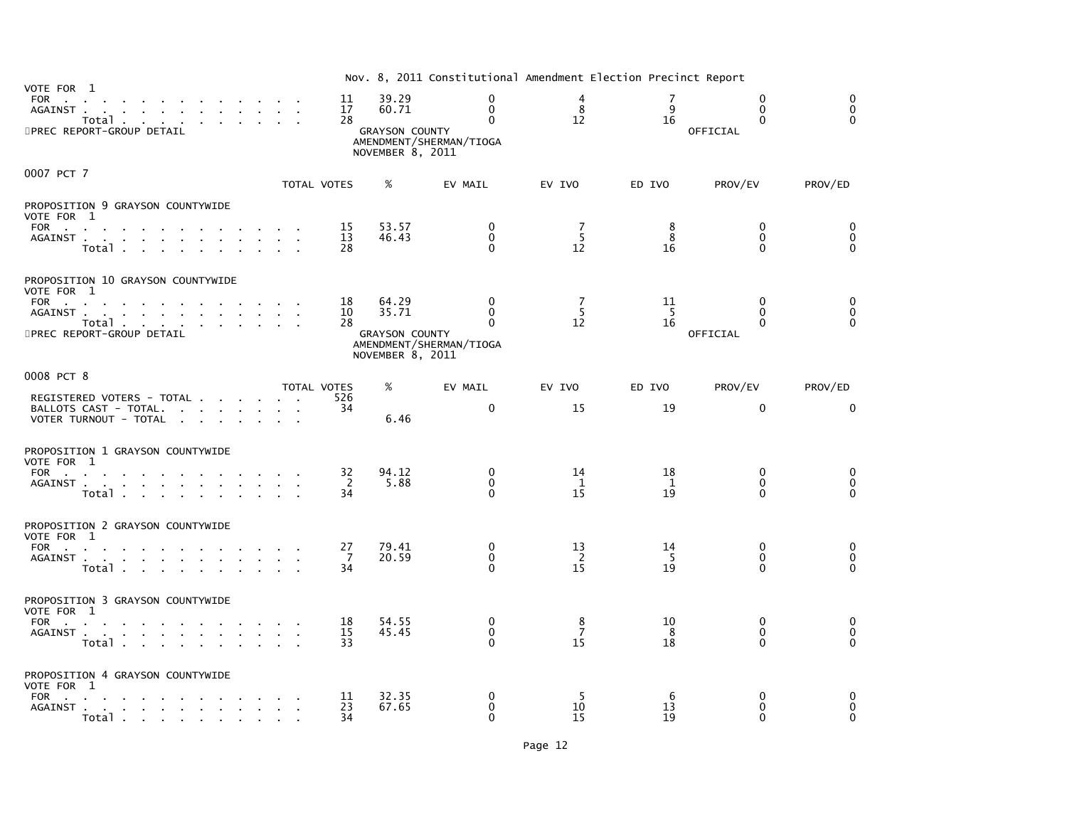|                                                                                                                                                     |                |                                                             | Nov. 8, 2011 Constitutional Amendment Election Precinct Report  |                                          |                            |                                              |                                          |
|-----------------------------------------------------------------------------------------------------------------------------------------------------|----------------|-------------------------------------------------------------|-----------------------------------------------------------------|------------------------------------------|----------------------------|----------------------------------------------|------------------------------------------|
| VOTE FOR 1<br>FOR<br>the contract of the contract of<br>AGAINST<br>Total $\cdots$ $\cdots$ $\cdots$<br>5PREC REPORT-GROUP DETAIL                    | 11<br>17<br>28 | 39.29<br>60.71<br><b>GRAYSON COUNTY</b><br>NOVEMBER 8, 2011 | $\Omega$<br>$\mathbf{0}$<br>$\Omega$<br>AMENDMENT/SHERMAN/TIOGA | $\overline{4}$<br>8<br>$12 \overline{ }$ | 9<br>16                    | $\Omega$<br>$\Omega$<br>$\Omega$<br>OFFICIAL | $\Omega$<br>$\mathbf{0}$<br>$\Omega$     |
| 0007 PCT 7                                                                                                                                          | TOTAL VOTES    | %                                                           | EV MAIL                                                         | EV IVO                                   | ED IVO                     | PROV/EV                                      | PROV/ED                                  |
| PROPOSITION 9 GRAYSON COUNTYWIDE<br>VOTE FOR 1<br>FOR<br>AGAINST<br>Total                                                                           | 15<br>13<br>28 | 53.57<br>46.43                                              | 0<br>$\Omega$<br>$\Omega$                                       | -7<br>5<br>12                            | 8<br>8<br>16               | $\mathbf{0}$<br>$\Omega$<br>$\mathbf{0}$     | $\Omega$<br>$\mathbf{0}$<br>$\mathbf{0}$ |
| PROPOSITION 10 GRAYSON COUNTYWIDE<br>VOTE FOR 1<br>FOR<br>AGAINST<br>Total<br>5PREC REPORT-GROUP DETAIL                                             | 18<br>10<br>28 | 64.29<br>35.71<br><b>GRAYSON COUNTY</b><br>NOVEMBER 8, 2011 | 0<br>$\Omega$<br>$\Omega$<br>AMENDMENT/SHERMAN/TIOGA            | 7<br>5<br>12                             | 11<br>-5<br>16             | $\mathbf{0}$<br>$\Omega$<br>0<br>OFFICIAL    | 0<br>$\mathbf{0}$<br>$\Omega$            |
| 0008 PCT 8                                                                                                                                          | TOTAL VOTES    | %                                                           | EV MAIL                                                         | EV IVO                                   | ED IVO                     | PROV/EV                                      | PROV/ED                                  |
| REGISTERED VOTERS - TOTAL<br>BALLOTS CAST - TOTAL.<br>VOTER TURNOUT - TOTAL                                                                         | 526<br>34      | 6.46                                                        | $\mathbf{0}$                                                    | 15                                       | 19                         | $\Omega$                                     | $\Omega$                                 |
| PROPOSITION 1 GRAYSON COUNTYWIDE<br>VOTE FOR 1<br><b>FOR</b><br>the contract of the contract of the contract of the contract of<br>AGAINST<br>Total | 32<br>2<br>34  | 94.12<br>5.88                                               | $\mathbf{0}$<br>$\Omega$<br>$\Omega$                            | 14<br>1<br>15                            | 18<br>$\overline{1}$<br>19 | $\mathbf{0}$<br>$\mathbf{0}$<br>$\Omega$     | 0<br>0<br>$\mathbf{0}$                   |
| PROPOSITION 2 GRAYSON COUNTYWIDE<br>VOTE FOR 1<br>FOR<br>AGAINST<br>Total                                                                           | 27<br>7<br>34  | 79.41<br>20.59                                              | 0<br>$\mathbf 0$<br>$\Omega$                                    | 13<br>$\overline{2}$<br>15               | 14<br>-5<br>19             | $\mathbf{0}$<br>0<br>$\Omega$                | 0<br>$\mathbf 0$<br>$\Omega$             |
| PROPOSITION 3 GRAYSON COUNTYWIDE<br>VOTE FOR 1<br>FOR<br>AGAINST<br>Total                                                                           | 18<br>15<br>33 | 54.55<br>45.45                                              | 0<br>$\Omega$<br>$\Omega$                                       | 8<br>$\overline{7}$<br>15                | 10<br>8<br>18              | 0<br>$\mathbf{0}$<br>$\Omega$                | 0<br>$\mathbf 0$<br>$\Omega$             |
| PROPOSITION 4 GRAYSON COUNTYWIDE<br>VOTE FOR 1<br>FOR<br>the contract of the contract of the con-<br>AGAINST<br>Total                               | 11<br>23<br>34 | 32.35<br>67.65                                              | $\mathbf{0}$<br>0<br>$\Omega$                                   | 5<br>10<br>15                            | 6<br>13<br>19              | $\mathbf{0}$<br>0<br>$\Omega$                | $\mathbf{0}$<br>0<br>$\Omega$            |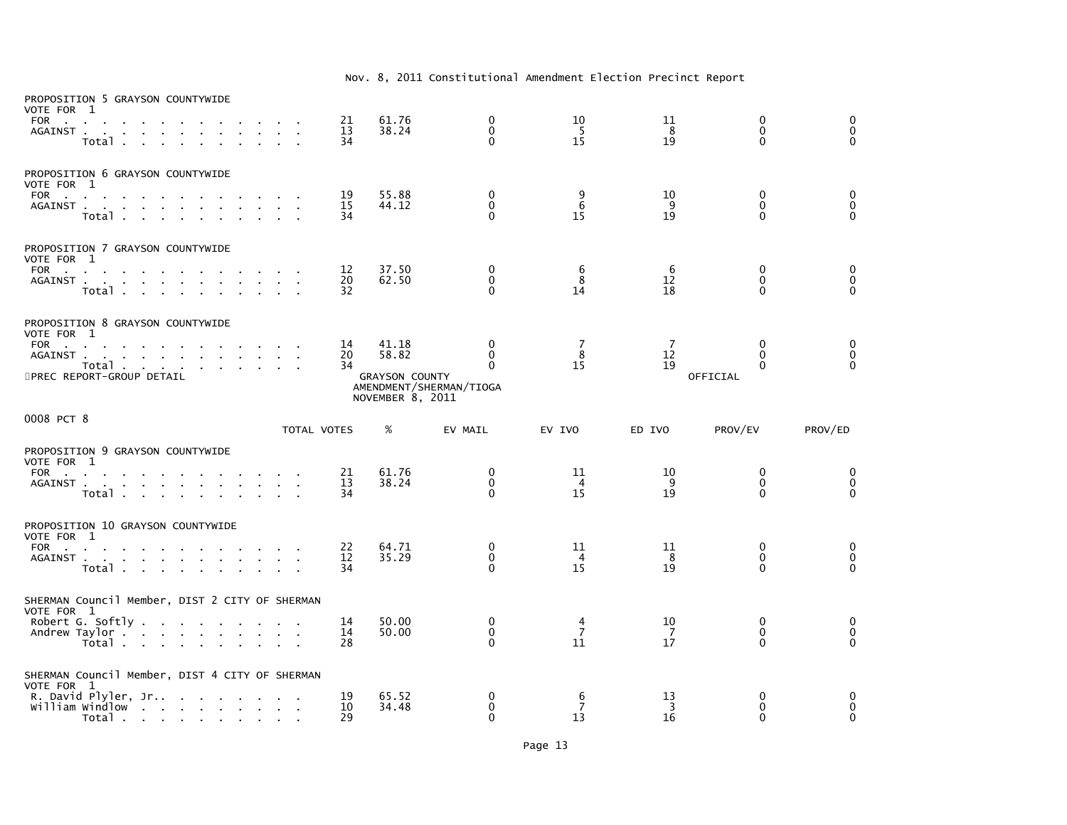| PROPOSITION 5 GRAYSON COUNTYWIDE<br>VOTE FOR 1<br>FOR<br>AGAINST.                           | <b>Carl Carl</b><br>$\sim 10^{-11}$<br>$\sim$<br>Total .<br>$\sim$<br>$\sim$                        | $\sim$<br>$\sim$ |                              |              |                                | 21<br>13<br>34 | 61.76<br>38.24                                              | 0<br>$\mathbf{0}$<br>$\mathbf{0}$                                   | 10<br>-5<br>15             | 11<br>8<br>19              | $\mathbf 0$<br>$\mathbf{0}$<br>$\Omega$      | $\mathbf 0$<br>$\mathbf 0$<br>$\Omega$                  |
|---------------------------------------------------------------------------------------------|-----------------------------------------------------------------------------------------------------|------------------|------------------------------|--------------|--------------------------------|----------------|-------------------------------------------------------------|---------------------------------------------------------------------|----------------------------|----------------------------|----------------------------------------------|---------------------------------------------------------|
| PROPOSITION 6 GRAYSON COUNTYWIDE<br>VOTE FOR 1<br>FOR                                       | the contract of the contract of the contract of the contract of the contract of<br>AGAINST<br>Total |                  |                              | $\sim$       | $\sim 10^{-1}$<br>$\mathbf{r}$ | 19<br>15<br>34 | 55.88<br>44.12                                              | $\mathbf 0$<br>$\mathbf{0}$<br>$\Omega$                             | $\frac{9}{6}$<br>15        | 10<br>9<br>19              | $\mathbf 0$<br>$\Omega$<br>0                 | $\begin{smallmatrix}0\0\0\end{smallmatrix}$<br>$\Omega$ |
| PROPOSITION 7 GRAYSON COUNTYWIDE<br>VOTE FOR 1<br>FOR                                       | AGAINST<br>Total                                                                                    |                  | $\sim$<br>$\sim$<br>$\sim$   | $\mathbf{r}$ | <b>Service</b>                 | 12<br>20<br>32 | 37.50<br>62.50                                              | $\mathbf 0$<br>$\mathbf 0$<br>$\Omega$                              | 6<br>8<br>14               | 6<br>12<br>18              | $\Omega$<br>$\mathbf{0}$<br>$\Omega$         | $\mathbf 0$<br>$\mathbf 0$<br>$\Omega$                  |
| PROPOSITION 8 GRAYSON COUNTYWIDE<br>VOTE FOR 1<br>FOR<br>5PREC REPORT-GROUP DETAIL          | AGAINST<br>Total                                                                                    |                  | the contract of the contract |              |                                | 14<br>20<br>34 | 41.18<br>58.82<br><b>GRAYSON COUNTY</b><br>NOVEMBER 8, 2011 | $\mathbf{0}$<br>$\mathbf{0}$<br>$\Omega$<br>AMENDMENT/SHERMAN/TIOGA | 7<br>8<br>15               | $\overline{7}$<br>12<br>19 | $\Omega$<br>$\Omega$<br>$\Omega$<br>OFFICIAL | $\mathbf 0$<br>$\mathbf 0$<br>$\Omega$                  |
| 0008 PCT 8                                                                                  |                                                                                                     |                  |                              |              | TOTAL VOTES                    |                | %                                                           | EV MAIL                                                             | EV IVO                     | ED IVO                     | PROV/EV                                      | PROV/ED                                                 |
| PROPOSITION 9 GRAYSON COUNTYWIDE<br>VOTE FOR 1<br>FOR                                       | AGAINST<br>Total                                                                                    |                  | $\sim$                       | $\sim$       | <b>Carl Carl</b>               | 21<br>13<br>34 | 61.76<br>38.24                                              | 0<br>$\mathbf 0$<br>$\Omega$                                        | 11<br>4<br>15              | 10<br>-9<br>19             | $\mathbf{0}$<br>$\Omega$<br>0                | $\mathbf 0$<br>$\mathbf 0$<br>$\Omega$                  |
| PROPOSITION 10 GRAYSON COUNTYWIDE<br>VOTE FOR 1<br><b>FOR</b><br>the company of the company | AGAINST<br>Total                                                                                    |                  |                              |              |                                | 22<br>12<br>34 | 64.71<br>35.29                                              | $\mathbf{0}$<br>0<br>$\Omega$                                       | 11<br>$\overline{4}$<br>15 | 11<br>-8<br>19             | $\Omega$<br>$\mathbf{0}$<br>0                | 0<br>0<br>$\mathbf{0}$                                  |
| SHERMAN Council Member, DIST 2 CITY OF SHERMAN<br>VOTE FOR 1<br>Andrew Taylor               | Robert G. Softly $\ldots$ $\ldots$ $\ldots$                                                         |                  |                              |              |                                | 14<br>14       | 50.00<br>50.00                                              | 0<br>$\mathbf 0$                                                    | 4<br>$\overline{7}$        | 10<br>- 7                  | 0<br>$\Omega$                                | 0<br>$\mathbf 0$                                        |
|                                                                                             | Total                                                                                               |                  |                              |              | <b>College</b>                 | 28             |                                                             | $\Omega$                                                            | 11                         | 17                         | 0                                            | $\Omega$                                                |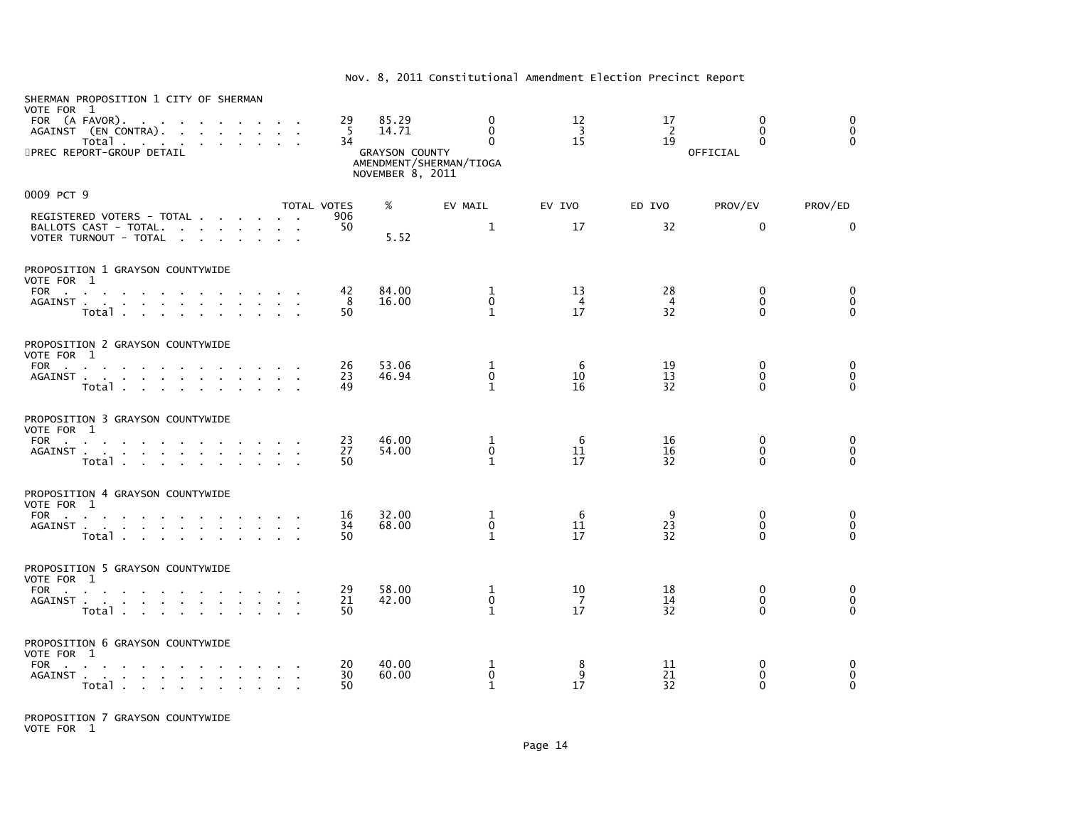| SHERMAN PROPOSITION 1 CITY OF SHERMAN<br>VOTE FOR 1<br>FOR (A FAVOR).<br>AGAINST (EN CONTRA).<br>Total<br>5PREC REPORT-GROUP DETAIL |              |                                                                                                       | 29<br>-5<br>34     | 85.29<br>14.71<br><b>GRAYSON COUNTY</b><br>NOVEMBER 8, 2011 | $\mathbf{0}$<br>$\mathbf{0}$<br>$\Omega$<br>AMENDMENT/SHERMAN/TIOGA | 12<br>$\overline{\mathbf{3}}$<br>15 | 17<br>$\overline{2}$<br>19 | $\Omega$<br>$\mathbf{0}$<br>$\Omega$<br>OFFICIAL | 0<br>$\pmb{0}$<br>$\Omega$ |
|-------------------------------------------------------------------------------------------------------------------------------------|--------------|-------------------------------------------------------------------------------------------------------|--------------------|-------------------------------------------------------------|---------------------------------------------------------------------|-------------------------------------|----------------------------|--------------------------------------------------|----------------------------|
| 0009 PCT 9                                                                                                                          |              |                                                                                                       | <b>TOTAL VOTES</b> | %                                                           |                                                                     |                                     |                            | PROV/EV                                          | PROV/ED                    |
| REGISTERED VOTERS - TOTAL<br>BALLOTS CAST - TOTAL.<br>VOTER TURNOUT - TOTAL                                                         |              |                                                                                                       | 906<br>50          | 5.52                                                        | EV MAIL<br>$\mathbf{1}$                                             | EV IVO<br>17                        | ED IVO<br>32               | $\mathbf{0}$                                     | $\Omega$                   |
|                                                                                                                                     |              |                                                                                                       |                    |                                                             |                                                                     |                                     |                            |                                                  |                            |
| PROPOSITION 1 GRAYSON COUNTYWIDE<br>VOTE FOR 1                                                                                      |              |                                                                                                       |                    |                                                             |                                                                     |                                     |                            |                                                  |                            |
| FOR<br>AGAINST<br>Total                                                                                                             | $\sim$       | $\mathbf{r} = \mathbf{r} + \mathbf{r}$ . The $\mathbf{r}$<br>$\mathbf{r} = \mathbf{r} + \mathbf{r}$ . | 42<br>8<br>50      | 84.00<br>16.00                                              | 1<br>$\mathbf 0$<br>$\mathbf{1}$                                    | 13<br>$\overline{4}$<br>17          | 28<br>$\overline{4}$<br>32 | $\mathbf{0}$<br>$\mathbf{0}$<br>$\Omega$         | 0<br>0<br>$\Omega$         |
| PROPOSITION 2 GRAYSON COUNTYWIDE                                                                                                    |              |                                                                                                       |                    |                                                             |                                                                     |                                     |                            |                                                  |                            |
| VOTE FOR 1<br>FOR                                                                                                                   |              |                                                                                                       | 26                 | 53.06                                                       | 1                                                                   | 6                                   | 19                         | 0                                                | 0                          |
| AGAINST<br>Total                                                                                                                    | $\sim$       | $\mathbf{r} = \mathbf{r} + \mathbf{r}$ . The $\mathbf{r}$                                             | 23<br>49           | 46.94                                                       | $\mathbf 0$<br>$\mathbf{1}$                                         | 10<br>16                            | 13<br>32                   | $\mathbf{0}$<br>$\Omega$                         | 0<br>$\Omega$              |
| PROPOSITION 3 GRAYSON COUNTYWIDE                                                                                                    |              |                                                                                                       |                    |                                                             |                                                                     |                                     |                            |                                                  |                            |
| VOTE FOR 1<br><b>FOR</b><br>the contract of the contract of the<br>AGAINST                                                          | $\sim$       |                                                                                                       | 23<br>27           | 46.00<br>54.00                                              | 1<br>$\mathbf{0}$                                                   | 6<br>11                             | 16<br>16                   | $\mathbf{0}$<br>$\mathbf{0}$                     | 0<br>$\mathbf 0$           |
| Total                                                                                                                               |              |                                                                                                       | 50                 |                                                             | $\mathbf{1}$                                                        | 17                                  | 32                         | $\Omega$                                         | $\Omega$                   |
| PROPOSITION 4 GRAYSON COUNTYWIDE<br>VOTE FOR 1                                                                                      |              |                                                                                                       |                    |                                                             |                                                                     |                                     |                            |                                                  |                            |
| FOR $\qquad \qquad \ldots \qquad \qquad \ldots$<br>AGAINST                                                                          |              |                                                                                                       | 16<br>34           | 32.00<br>68.00                                              | 1<br>0                                                              | 6<br>11                             | 9<br>23                    | $\mathbf{0}$<br>$\mathbf 0$                      | 0<br>$\pmb{0}$             |
| Total                                                                                                                               |              |                                                                                                       | 50                 |                                                             | $\mathbf{1}$                                                        | 17                                  | 32                         | $\Omega$                                         | $\Omega$                   |
| PROPOSITION 5 GRAYSON COUNTYWIDE<br>VOTE FOR 1                                                                                      |              |                                                                                                       |                    |                                                             |                                                                     |                                     |                            |                                                  |                            |
| FOR $\cdots$ $\cdots$ $\cdots$<br>AGAINST                                                                                           |              |                                                                                                       | 29<br>21           | 58.00<br>42.00                                              | 1<br>0                                                              | 10<br>$\overline{7}$                | 18<br>14                   | $\mathbf{0}$<br>$\mathbf 0$                      | 0<br>$\mathbf 0$           |
| Total                                                                                                                               |              |                                                                                                       | 50                 |                                                             | $\mathbf{1}$                                                        | 17                                  | 32                         | $\Omega$                                         | $\Omega$                   |
| PROPOSITION 6 GRAYSON COUNTYWIDE<br>VOTE FOR 1                                                                                      |              |                                                                                                       |                    |                                                             |                                                                     |                                     |                            |                                                  |                            |
| FOR<br>AGAINST.<br>the contract of the contract of the                                                                              | $\mathbf{r}$ |                                                                                                       | 20<br>30           | 40.00<br>60.00                                              | 1<br>$\mathbf{0}$                                                   | 8<br>9                              | 11<br>21                   | 0<br>$\mathbf{0}$                                | 0<br>0                     |
| Total                                                                                                                               |              |                                                                                                       | 50                 |                                                             | $\mathbf{1}$                                                        | 17                                  | 32                         | $\mathbf 0$                                      | 0                          |

PROPOSITION 7 GRAYSON COUNTYWIDE VOTE FOR 1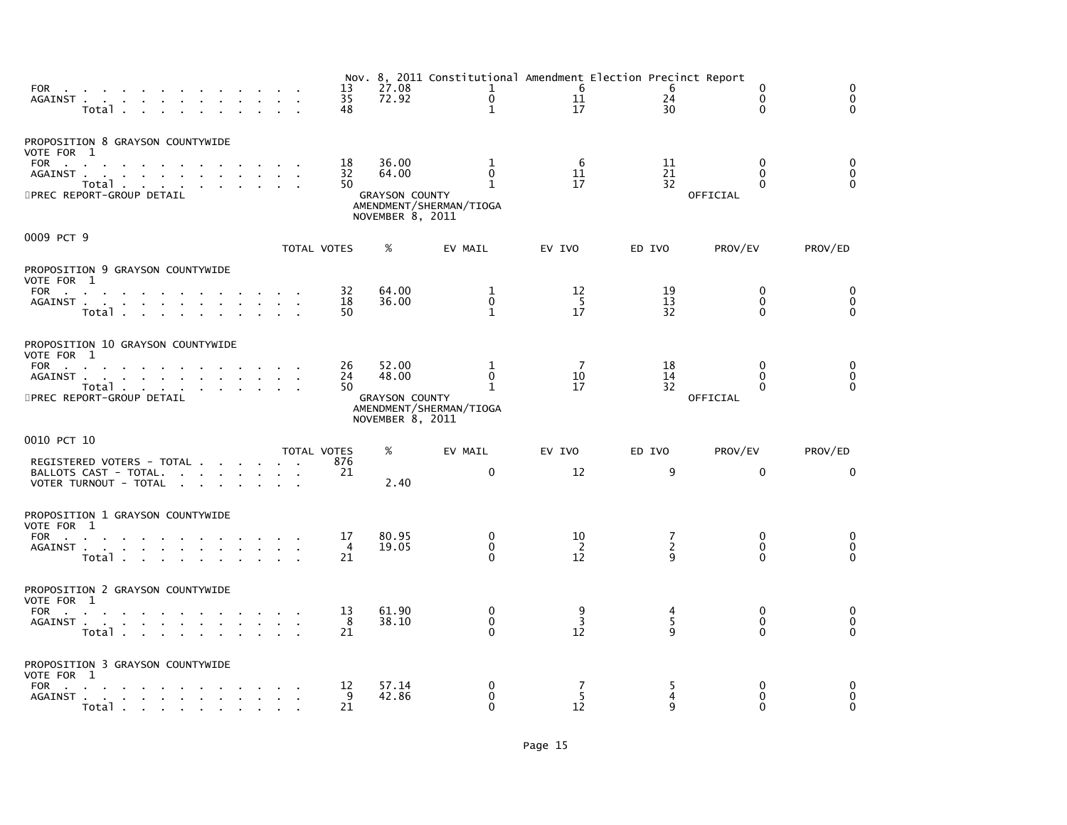| FOR $\cdots$ $\cdots$ $\cdots$<br>AGAINST<br>$\sim$<br>Total                                                                                                      |                         | 13<br>35<br>48             | 27.08<br>72.92                                              | Nov. 8, 2011 Constitutional Amendment Election Precinct Report<br>$\mathbf{1}$<br>$\mathbf{0}$<br>$\mathbf{1}$ | - 6<br>11<br>17            | 6<br>24<br>30  | $\mathbf{0}$<br>$\Omega$<br>0                | $\Omega$<br>$\mathbf{0}$<br>$\Omega$        |
|-------------------------------------------------------------------------------------------------------------------------------------------------------------------|-------------------------|----------------------------|-------------------------------------------------------------|----------------------------------------------------------------------------------------------------------------|----------------------------|----------------|----------------------------------------------|---------------------------------------------|
| PROPOSITION 8 GRAYSON COUNTYWIDE<br>VOTE FOR 1<br>FOR<br>AGAINST.<br>and a series of the contract of the<br><b>Contract</b><br>Total<br>5PREC REPORT-GROUP DETAIL |                         | 18<br>32<br>50             | 36.00<br>64.00<br><b>GRAYSON COUNTY</b><br>NOVEMBER 8, 2011 | 1<br>$\mathbf 0$<br>$\mathbf{1}$<br>AMENDMENT/SHERMAN/TIOGA                                                    | 6<br>11<br>17              | 11<br>21<br>32 | $\Omega$<br>$\Omega$<br>$\Omega$<br>OFFICIAL | 0<br>$\pmb{0}$<br>$\Omega$                  |
| 0009 PCT 9                                                                                                                                                        |                         | TOTAL VOTES                | %                                                           | EV MAIL                                                                                                        | EV IVO                     | ED IVO         | PROV/EV                                      | PROV/ED                                     |
| PROPOSITION 9 GRAYSON COUNTYWIDE<br>VOTE FOR 1<br>FOR<br>AGAINST<br>and a straightful control of the<br>Total                                                     |                         | 32<br>18<br>50             | 64.00<br>36.00                                              | 1<br>$\mathbf 0$<br>$\mathbf{1}$                                                                               | 12<br>$5\phantom{0}$<br>17 | 19<br>13<br>32 | $\Omega$<br>$\Omega$<br>$\Omega$             | $\mathbf{0}$<br>$\mathbf 0$<br>$\mathbf{0}$ |
| PROPOSITION 10 GRAYSON COUNTYWIDE<br>VOTE FOR 1<br>FOR<br>AGAINST<br>Total<br>5PREC REPORT-GROUP DETAIL                                                           |                         | 26<br>24<br>50             | 52.00<br>48.00<br><b>GRAYSON COUNTY</b><br>NOVEMBER 8, 2011 | 1<br>$\Omega$<br>1<br>AMENDMENT/SHERMAN/TIOGA                                                                  | -7<br>10<br>17             | 18<br>14<br>32 | $\Omega$<br>$\Omega$<br>0<br>OFFICIAL        | 0<br>$\mathbf 0$<br>$\Omega$                |
| 0010 PCT 10                                                                                                                                                       |                         | <b>TOTAL VOTES</b>         | %                                                           | EV MAIL                                                                                                        | EV IVO                     | ED IVO         | PROV/EV                                      | PROV/ED                                     |
| REGISTERED VOTERS - TOTAL<br>BALLOTS CAST - TOTAL.<br>VOTER TURNOUT - TOTAL<br>the contract of the contract of the con-                                           |                         | 876<br>21                  | 2.40                                                        | $\mathbf{0}$                                                                                                   | 12                         | 9              | $\Omega$                                     | $\mathbf{0}$                                |
| PROPOSITION 1 GRAYSON COUNTYWIDE<br>VOTE FOR 1<br>FOR<br>AGAINST<br>the contract of the contract of the contract of<br>Total                                      |                         | 17<br>$\overline{4}$<br>21 | 80.95<br>19.05                                              | 0<br>$\mathbf 0$<br>$\Omega$                                                                                   | 10<br>$\overline{2}$<br>12 | 7<br>2<br>q    | 0<br>$\Omega$<br>0                           | 0<br>$\mathbf 0$<br>$\Omega$                |
| PROPOSITION 2 GRAYSON COUNTYWIDE<br>VOTE FOR 1<br>FOR<br>the contract of the contract of the contract of<br>AGAINST<br>$\sim$<br>Total                            | $\sim 100$ km s $^{-1}$ | 13<br>-8<br>21             | 61.90<br>38.10                                              | 0<br>$\mathbf 0$<br>$\Omega$                                                                                   | 9<br>$\overline{3}$<br>12  | 4<br>5<br>q    | $\mathbf{0}$<br>0<br>$\Omega$                | 0<br>$\mathbf 0$<br>$\Omega$                |
| PROPOSITION 3 GRAYSON COUNTYWIDE<br>VOTE FOR 1<br>FOR<br>AGAINST<br>Total .<br>the contract of the contract of                                                    |                         | 12<br>9<br>21              | 57.14<br>42.86                                              | 0<br>$\mathbf{0}$<br>$\Omega$                                                                                  | 7<br>5<br>12               | 5<br>4<br>q    | 0<br>0<br>$\Omega$                           | 0<br>$\Omega$<br>$\Omega$                   |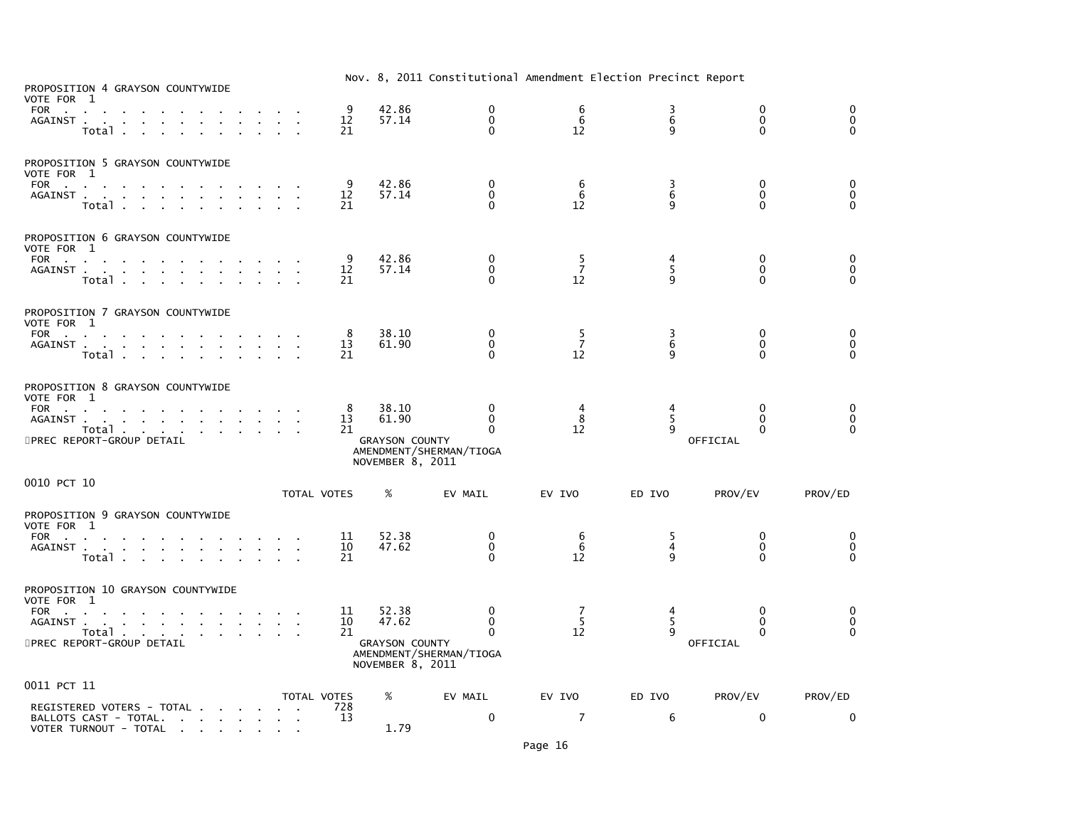| PROPOSITION 4 GRAYSON COUNTYWIDE<br>VOTE FOR 1<br>FOR<br>AGAINST                                    | Total                                                    |                                     |  | 9<br>12<br>21            | 42.86<br>57.14                                              | 0<br>0<br>$\Omega$                            | 6<br>6<br>12              | $\frac{3}{6}$<br>9        | 0<br>$\mathbf 0$<br>$\Omega$              | 0<br>$\pmb{0}$<br>$\Omega$                                |
|-----------------------------------------------------------------------------------------------------|----------------------------------------------------------|-------------------------------------|--|--------------------------|-------------------------------------------------------------|-----------------------------------------------|---------------------------|---------------------------|-------------------------------------------|-----------------------------------------------------------|
| PROPOSITION 5 GRAYSON COUNTYWIDE<br>VOTE FOR 1<br><b>FOR</b><br><b>Contract Contract</b><br>AGAINST | Total                                                    |                                     |  | 9<br>12<br>21            | 42.86<br>57.14                                              | 0<br>0<br>$\Omega$                            | 6<br>6<br>12              | 3<br>$6\phantom{1}6$<br>9 | 0<br>0<br>$\Omega$                        | $\begin{smallmatrix}0\0\end{smallmatrix}$<br>$\mathbf{0}$ |
| PROPOSITION 6 GRAYSON COUNTYWIDE<br>VOTE FOR 1<br>FOR<br>AGAINST                                    | <b>Contract Contract</b><br>Total                        |                                     |  | 9<br>12<br>21            | 42.86<br>57.14                                              | 0<br>$\Omega$<br>0                            | $\frac{5}{7}$<br>12       | $\frac{4}{5}$<br>9        | 0<br>$\mathbf{0}$<br>$\Omega$             | 0<br>$\begin{smallmatrix}0\\0\end{smallmatrix}$           |
| PROPOSITION 7 GRAYSON COUNTYWIDE<br>VOTE FOR 1<br>FOR<br>AGAINST.                                   | the contract of the contract of the contract of<br>Total |                                     |  | 8<br>13<br>21            | 38.10<br>61.90                                              | 0<br>$\Omega$<br>$\Omega$                     | 5<br>$\overline{7}$<br>12 | 3<br>6<br>9               | $\mathbf{0}$<br>$\Omega$<br>$\Omega$      | 0<br>$\ddot{\mathbf{0}}$<br>$\Omega$                      |
| PROPOSITION 8 GRAYSON COUNTYWIDE<br>VOTE FOR 1<br>FOR<br>AGAINST.<br>5PREC REPORT-GROUP DETAIL      | the contract of the contract of the con-<br>Total        |                                     |  | 8<br>13<br>21            | 38.10<br>61.90<br><b>GRAYSON COUNTY</b><br>NOVEMBER 8, 2011 | 0<br>0<br>$\Omega$<br>AMENDMENT/SHERMAN/TIOGA | 4<br>8<br>12              | 4<br>5<br>9               | 0<br>$\mathbf{0}$<br>$\Omega$<br>OFFICIAL | 0<br>$\pmb{0}$<br>$\overline{0}$                          |
| 0010 PCT 10                                                                                         |                                                          |                                     |  | TOTAL VOTES              | %                                                           | EV MAIL                                       | EV IVO                    | ED IVO                    | PROV/EV                                   | PROV/ED                                                   |
| PROPOSITION 9 GRAYSON COUNTYWIDE<br>VOTE FOR 1<br>FOR<br>AGAINST                                    | Total                                                    |                                     |  | 11<br>10<br>21           | 52.38<br>47.62                                              | 0<br>0<br>$\Omega$                            | 6<br>$\overline{6}$<br>12 | 5<br>4<br>$\mathbf{q}$    | 0<br>0<br>$\Omega$                        | 0<br>$\ddot{\mathbf{0}}$<br>$\mathbf{0}$                  |
| PROPOSITION 10 GRAYSON COUNTYWIDE<br>VOTE FOR 1<br>FOR<br>AGAINST.<br>5PREC REPORT-GROUP DETAIL     | and a straightful contract and a straight<br>Total       |                                     |  | 11<br>10<br>21           | 52.38<br>47.62<br><b>GRAYSON COUNTY</b><br>NOVEMBER 8, 2011 | 0<br>$\Omega$<br>0<br>AMENDMENT/SHERMAN/TIOGA | 7<br>5<br>12              | 4<br>5<br>9               | 0<br>$\mathbf{0}$<br>0<br>OFFICIAL        | 0<br>$\begin{smallmatrix}0\\0\end{smallmatrix}$           |
| 0011 PCT 11<br>REGISTERED VOTERS - TOTAL<br>BALLOTS CAST - TOTAL.<br>VOTER TURNOUT - TOTAL          |                                                          | the contract of the contract of the |  | TOTAL VOTES<br>728<br>13 | %<br>1.79                                                   | EV MAIL<br>0                                  | EV IVO<br>$\overline{7}$  | ED IVO<br>6               | PROV/EV<br>$\mathbf 0$                    | PROV/ED<br>0                                              |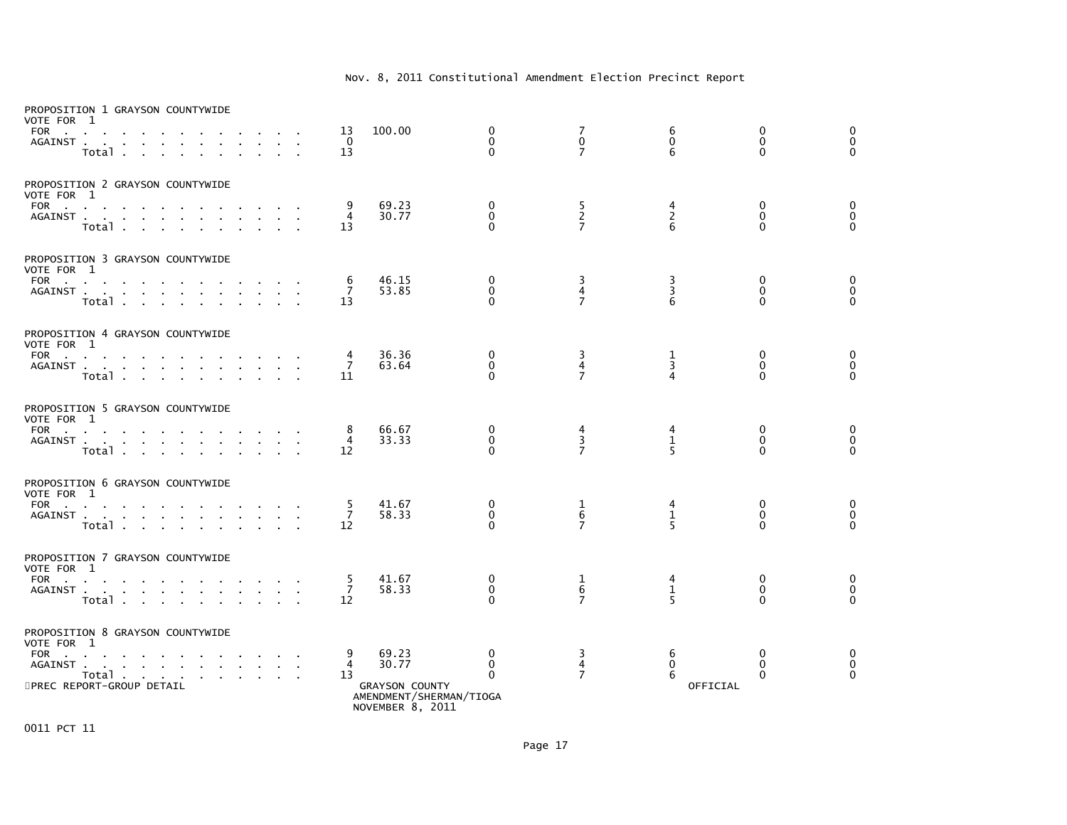| VOTE FOR 1<br><b>FOR</b><br><b>Contract Contract</b> | PROPOSITION 1 GRAYSON COUNTYWIDE<br>AGAINST<br>$\sim$<br>Total .<br>$\sim$<br>$\mathbf{r} = \mathbf{r} + \mathbf{r}$                                                                                                                                                                             |                                  |                |        | 13<br>$\Omega$<br>13      | 100.00                                                                                 | 0<br>$\mathbf{0}$<br>$\Omega$           | $\begin{smallmatrix}7\0\end{smallmatrix}$<br>$\overline{7}$ | 6<br>$\mathbf 0$<br>6             | 0<br>$\mathbf{0}$<br>$\Omega$           | 0<br>$\mathbf 0$<br>$\Omega$     |
|------------------------------------------------------|--------------------------------------------------------------------------------------------------------------------------------------------------------------------------------------------------------------------------------------------------------------------------------------------------|----------------------------------|----------------|--------|---------------------------|----------------------------------------------------------------------------------------|-----------------------------------------|-------------------------------------------------------------|-----------------------------------|-----------------------------------------|----------------------------------|
| VOTE FOR 1                                           | PROPOSITION 2 GRAYSON COUNTYWIDE<br>FOR<br>Total                                                                                                                                                                                                                                                 | $\sim 10^{-1}$                   |                |        | 9<br>$\overline{4}$<br>13 | 69.23<br>30.77                                                                         | 0<br>$\mathbf 0$<br>$\Omega$            | 5<br>$\frac{2}{7}$                                          | 4<br>$\frac{2}{6}$                | $\mathbf 0$<br>$\mathbf 0$<br>$\Omega$  | 0<br>$\overline{0}$              |
| VOTE FOR 1<br>FOR                                    | PROPOSITION 3 GRAYSON COUNTYWIDE<br>AGAINST<br>Total                                                                                                                                                                                                                                             |                                  |                |        | 6<br>$\overline{7}$<br>13 | 46.15<br>53.85                                                                         | 0<br>$\mathbf 0$<br>$\Omega$            | 3<br>$\overline{4}$<br>$\overline{7}$                       | 3<br>$\overline{3}$<br>6          | 0<br>$\mathbf 0$<br>$\Omega$            | 0<br>$\overline{0}$<br>$\Omega$  |
| VOTE FOR 1<br>FOR                                    | PROPOSITION 4 GRAYSON COUNTYWIDE<br>AGAINST<br>$\sim 10^{-1}$<br>$\mathbf{r}$<br>Total                                                                                                                                                                                                           | $\mathbf{r}$<br>$\sim$<br>$\sim$ |                |        | 4<br>$\overline{7}$<br>11 | 36.36<br>63.64                                                                         | 0<br>$\mathbf 0$<br>$\Omega$            | 3<br>$\overline{4}$<br>$\overline{7}$                       | 1<br>3<br>4                       | 0<br>$\mathbf 0$<br>$\Omega$            | 0<br>$\pmb{0}$<br>$\overline{0}$ |
| VOTE FOR 1<br>FOR<br>AGAINST .                       | PROPOSITION 5 GRAYSON COUNTYWIDE<br>$\sim$ 100 $\mu$ .<br>$\sim$<br>and a straightful contract and a straight<br>Total                                                                                                                                                                           |                                  |                |        | 8<br>$\overline{4}$<br>12 | 66.67<br>33.33                                                                         | 0<br>$\mathbf{0}$<br>$\Omega$           | 4<br>3<br>$\overline{7}$                                    | 4<br>$\mathbf{1}$<br>5            | 0<br>$\mathbf{0}$<br>$\Omega$           | 0<br>$\pmb{0}$<br>$\Omega$       |
| VOTE FOR 1                                           | PROPOSITION 6 GRAYSON COUNTYWIDE<br>FOR PORT And Providence and Providence and Providence and Providence and Providence and Providence and Providence and Providence and Providence and Providence and Providence and Providence and Providence and Providence and<br>AGAINST<br>$\sim$<br>Total | $\sim$                           |                |        | 5<br>$\overline{7}$<br>12 | 41.67<br>58.33                                                                         | 0<br>$\mathbf 0$<br>$\Omega$            | 1<br>6<br>$\overline{7}$                                    | 4<br>$\mathbf{1}$<br>5            | 0<br>$\mathbf 0$<br>$\Omega$            | 0<br>$\pmb{0}$<br>$\Omega$       |
| VOTE FOR 1<br><b>FOR</b><br>AGAINST.                 | PROPOSITION 7 GRAYSON COUNTYWIDE<br>the company of the company<br>the contract of the contract of the con-<br>Total                                                                                                                                                                              |                                  | <b>College</b> | $\sim$ | 5<br>$\overline{7}$<br>12 | 41.67<br>58.33                                                                         | $\mathbf 0$<br>$\mathbf 0$<br>$\Omega$  | $\mathbf{1}$<br>$\overline{6}$<br>$\overline{7}$            | 4<br>$\mathbf{1}$<br>5            | 0<br>$\mathbf 0$<br>$\Omega$            | 0<br>$\pmb{0}$<br>$\Omega$       |
| VOTE FOR 1<br>FOR<br>AGAINST.                        | PROPOSITION 8 GRAYSON COUNTYWIDE<br>$\sim$<br>and a straight<br>and a strain of<br>Total<br>$\sim$<br>$\sim 100$<br>5PREC REPORT-GROUP DETAIL                                                                                                                                                    | <b>Service State</b>             |                |        | 9<br>$\overline{4}$<br>13 | 69.23<br>30.77<br><b>GRAYSON COUNTY</b><br>AMENDMENT/SHERMAN/TIOGA<br>NOVEMBER 8, 2011 | $\mathbf{0}$<br>$\mathbf 0$<br>$\Omega$ | 3<br>4<br>$\overline{7}$                                    | 6<br>$\mathbf 0$<br>6<br>OFFICIAL | $\mathbf{0}$<br>$\mathbf 0$<br>$\Omega$ | 0<br>$\overline{0}$              |

0011 PCT 11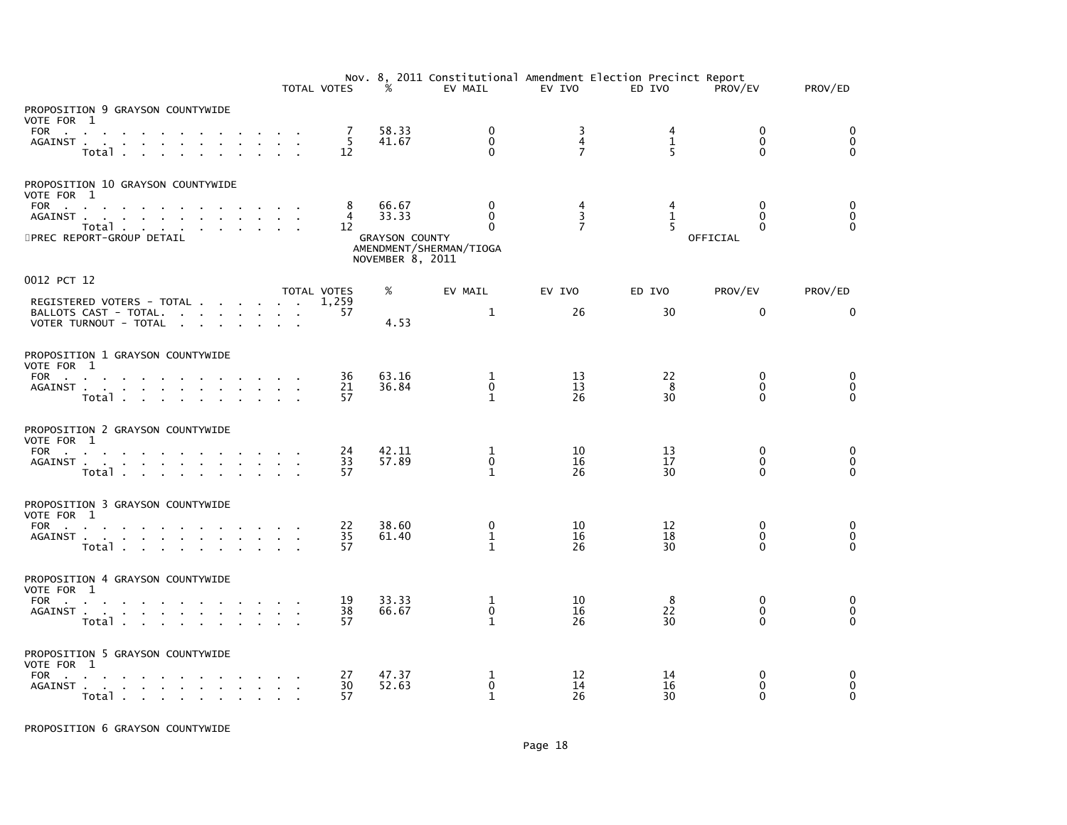|                                                            |                                                          | TOTAL VOTES  | $\frac{1}{2}$                             | EV MAIL                                  | EV IVO                                | Nov. 8, 2011 Constitutional Amendment Election Precinct Report<br>ED IVO | PROV/EV                          | PROV/ED                                |
|------------------------------------------------------------|----------------------------------------------------------|--------------|-------------------------------------------|------------------------------------------|---------------------------------------|--------------------------------------------------------------------------|----------------------------------|----------------------------------------|
| PROPOSITION 9 GRAYSON COUNTYWIDE<br>VOTE FOR 1             |                                                          |              |                                           |                                          |                                       |                                                                          |                                  |                                        |
| FOR<br>AGAINST<br>Total                                    | and a strategic and<br><b>Contract Contract Contract</b> | 7<br>5<br>12 | 58.33<br>41.67                            | 0<br>$\mathbf{0}$<br>$\Omega$            | 3<br>$\overline{4}$<br>$\overline{7}$ | 4<br>$\mathbf{1}$<br>$5\overline{5}$                                     | 0<br>$\mathbf{0}$<br>$\Omega$    | $\mathbf 0$<br>$\mathbf 0$<br>$\Omega$ |
| PROPOSITION 10 GRAYSON COUNTYWIDE<br>VOTE FOR 1            |                                                          |              |                                           |                                          |                                       |                                                                          |                                  |                                        |
| FOR<br>AGAINST<br>Total                                    |                                                          | 8<br>4<br>12 | 66.67<br>33.33                            | $\mathbf{0}$<br>$\mathbf{0}$<br>$\Omega$ | 4<br>3<br>$\overline{7}$              | 4<br>$\mathbf{1}$<br>$5\overline{5}$                                     | $\Omega$<br>$\Omega$<br>$\Omega$ | 0<br>0<br>$\Omega$                     |
| 5PREC REPORT-GROUP DETAIL                                  |                                                          |              | <b>GRAYSON COUNTY</b><br>NOVEMBER 8, 2011 | AMENDMENT/SHERMAN/TIOGA                  |                                       |                                                                          | OFFICIAL                         |                                        |
| 0012 PCT 12                                                |                                                          | TOTAL VOTES  | %                                         | EV MAIL                                  | EV IVO                                | ED IVO                                                                   | PROV/EV                          | PROV/ED                                |
| REGISTERED VOTERS - TOTAL<br>BALLOTS CAST - TOTAL.         |                                                          | 1.259<br>57  |                                           | 1                                        | 26                                    | 30                                                                       | $\mathbf{0}$                     | $\mathbf{0}$                           |
| VOTER TURNOUT - TOTAL                                      |                                                          |              | 4.53                                      |                                          |                                       |                                                                          |                                  |                                        |
| PROPOSITION 1 GRAYSON COUNTYWIDE<br>VOTE FOR 1             |                                                          |              |                                           |                                          |                                       |                                                                          |                                  |                                        |
| FOR<br>AGAINST                                             |                                                          | 36<br>21     | 63.16<br>36.84                            | 1<br>$\mathbf{0}$                        | 13<br>13                              | 22<br>8                                                                  | 0<br>$\Omega$                    | 0<br>$\mathbf 0$                       |
| Total                                                      |                                                          | 57           |                                           | $\mathbf{1}$                             | 26                                    | 30                                                                       | <sup>0</sup>                     |                                        |
| PROPOSITION 2 GRAYSON COUNTYWIDE<br>VOTE FOR 1             |                                                          |              |                                           |                                          |                                       |                                                                          |                                  |                                        |
| FOR<br>AGAINST                                             |                                                          | 24<br>33     | 42.11<br>57.89                            | 1<br>$\mathbf{0}$                        | 10<br>16                              | 13<br>17                                                                 | $\mathbf{0}$<br>$\Omega$         | 0<br>$\mathbf 0$                       |
| Total                                                      |                                                          | 57           |                                           | $\mathbf{1}$                             | 26                                    | 30                                                                       | 0                                | $\Omega$                               |
| PROPOSITION 3 GRAYSON COUNTYWIDE<br>VOTE FOR 1             |                                                          |              |                                           |                                          |                                       |                                                                          |                                  |                                        |
| FOR<br>AGAINST                                             |                                                          | 22<br>35     | 38.60<br>61.40                            | 0<br>$\mathbf 1$                         | 10<br>16                              | 12<br>18                                                                 | $\mathbf 0$<br>$\Omega$          | 0<br>$\overline{0}$                    |
| Total                                                      |                                                          | 57           |                                           | $\mathbf{1}$                             | 26                                    | 30                                                                       | <sup>0</sup>                     | $\Omega$                               |
| PROPOSITION 4 GRAYSON COUNTYWIDE<br>VOTE FOR 1             |                                                          |              |                                           |                                          |                                       |                                                                          |                                  |                                        |
| FOR<br>AGAINST                                             |                                                          | 19<br>38     | 33.33<br>66.67                            | 1<br>$\mathbf 0$                         | 10<br>16                              | 8<br>22                                                                  | $\Omega$<br>$\mathbf{0}$         | 0<br>$\mathbf 0$                       |
| Total                                                      |                                                          | 57           |                                           | $\mathbf{1}$                             | 26                                    | 30                                                                       | $\Omega$                         | $\Omega$                               |
| PROPOSITION 5 GRAYSON COUNTYWIDE<br>VOTE FOR 1             |                                                          |              |                                           |                                          |                                       |                                                                          |                                  |                                        |
| FOR<br>the contract of the contract of the con-<br>AGAINST |                                                          | 27<br>30     | 47.37<br>52.63                            | 1<br>$\mathbf 0$                         | 12<br>14                              | 14<br>16                                                                 | 0<br>0                           | 0<br>$\mathbf 0$                       |
| Total                                                      |                                                          | 57           |                                           | $\mathbf{1}$                             | 26                                    | 30                                                                       | U                                | $\Omega$                               |

PROPOSITION 6 GRAYSON COUNTYWIDE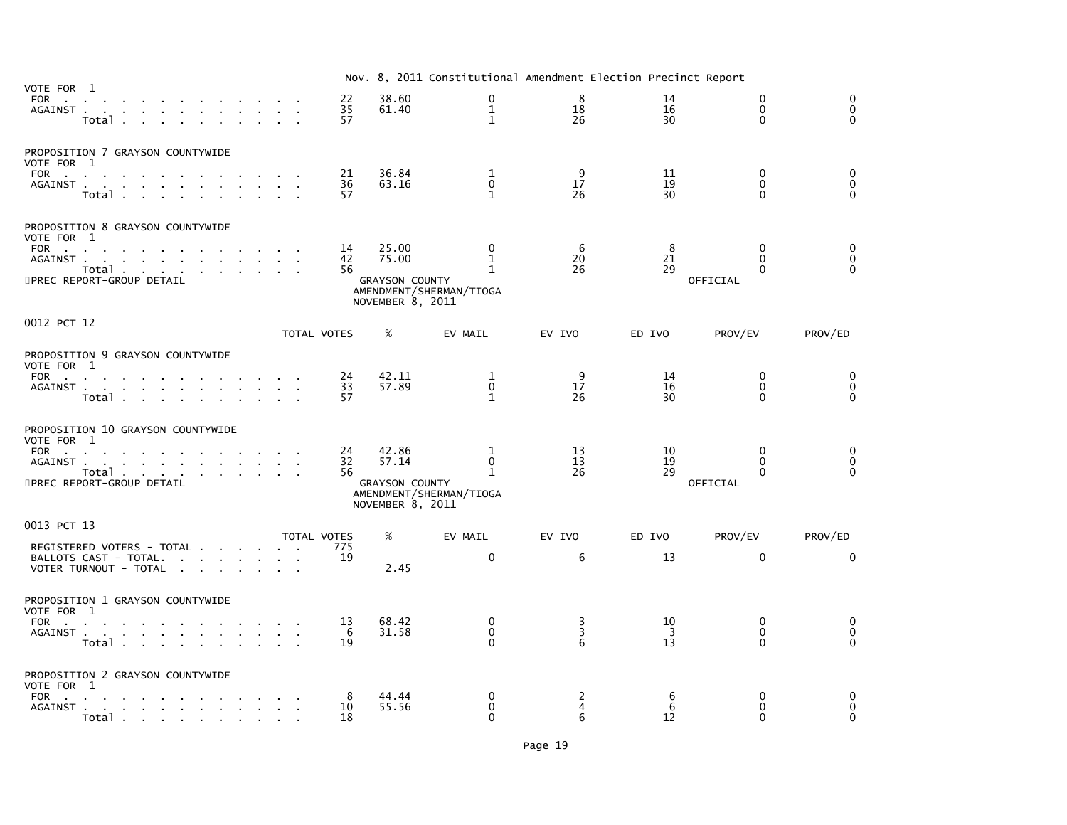|                                                                                                                                                                                                                                     |                          |                                                             | Nov. 8, 2011 Constitutional Amendment Election Precinct Report |                          |                |                                  |                                        |
|-------------------------------------------------------------------------------------------------------------------------------------------------------------------------------------------------------------------------------------|--------------------------|-------------------------------------------------------------|----------------------------------------------------------------|--------------------------|----------------|----------------------------------|----------------------------------------|
| VOTE FOR 1<br>FOR<br>the contract of the contract of the con-<br>AGAINST<br>Total                                                                                                                                                   | 22<br>35<br>57           | 38.60<br>61.40                                              | 0<br>$\mathbf{1}$<br>$\mathbf{1}$                              | 8<br>18<br>26            | 14<br>16<br>30 | $\Omega$<br>$\Omega$<br>$\Omega$ | $\mathbf 0$<br>$\mathbf 0$<br>$\Omega$ |
| PROPOSITION 7 GRAYSON COUNTYWIDE<br>VOTE FOR 1<br>FOR $\qquad \qquad \ldots \qquad \qquad \ldots \qquad \qquad \ldots$<br>AGAINST<br>Total                                                                                          | 21<br>36<br>57           | 36.84<br>63.16                                              | 1<br>$\mathbf 0$<br>$\mathbf{1}$                               | 9<br>17<br>26            | 11<br>19<br>30 | $\Omega$<br>0<br>0               | $\mathbf 0$<br>$\pmb{0}$<br>$\Omega$   |
| PROPOSITION 8 GRAYSON COUNTYWIDE<br>VOTE FOR 1<br>FOR<br>the contract of the contract of the con-<br>$\sim$<br>AGAINST<br>Total $\cdots$ $\cdots$ $\cdots$<br>5PREC REPORT-GROUP DETAIL                                             | 14<br>42<br>56           | 25.00<br>75.00<br><b>GRAYSON COUNTY</b><br>NOVEMBER 8, 2011 | $\mathbf{0}$<br>1<br>$\mathbf{1}$<br>AMENDMENT/SHERMAN/TIOGA   | -6<br>20<br>26           | 8<br>21<br>29  | $\Omega$<br>0<br>0<br>OFFICIAL   | 0<br>$\mathbf 0$<br>$\Omega$           |
| 0012 PCT 12                                                                                                                                                                                                                         | TOTAL VOTES              | $\%$                                                        | EV MAIL                                                        | EV IVO                   | ED IVO         | PROV/EV                          | PROV/ED                                |
| PROPOSITION 9 GRAYSON COUNTYWIDE<br>VOTE FOR 1<br>FOR<br>AGAINST<br>Total                                                                                                                                                           | 24<br>33<br>57           | 42.11<br>57.89                                              | 1<br>$\mathbf{0}$<br>$\mathbf{1}$                              | 9<br>17<br>26            | 14<br>16<br>30 | $\mathbf{0}$<br>$\Omega$<br>0    | 0<br>$\mathbf 0$<br>$\mathbf{0}$       |
| PROPOSITION 10 GRAYSON COUNTYWIDE<br>VOTE FOR 1<br>FOR<br>AGAINST<br>Total<br>5PREC REPORT-GROUP DETAIL                                                                                                                             | 24<br>32<br>56           | 42.86<br>57.14<br><b>GRAYSON COUNTY</b><br>NOVEMBER 8, 2011 | 1<br>$\mathbf 0$<br>$\mathbf{1}$<br>AMENDMENT/SHERMAN/TIOGA    | 13<br>13<br>26           | 10<br>19<br>29 | 0<br>0<br>0<br>OFFICIAL          | 0<br>$\mathbf 0$<br>$\Omega$           |
| 0013 PCT 13<br>REGISTERED VOTERS - TOTAL<br>BALLOTS CAST - TOTAL.<br>VOTER TURNOUT - TOTAL                                                                                                                                          | TOTAL VOTES<br>775<br>19 | %<br>2.45                                                   | EV MAIL<br>$\mathbf 0$                                         | EV IVO<br>6              | ED IVO<br>13   | PROV/EV<br>$\mathbf{0}$          | PROV/ED<br>$\Omega$                    |
| PROPOSITION 1 GRAYSON COUNTYWIDE<br>VOTE FOR 1<br><b>FOR</b><br>the contract of the contract of the contract of the con-<br>AGAINST<br>Total .<br>the contract of the contract of the con-                                          | 13<br>-6<br>19           | 68.42<br>31.58                                              | 0<br>$\Omega$<br>$\Omega$                                      | 3<br>3<br>6              | 10<br>-3<br>13 | 0<br>0<br>0                      | 0<br>$\mathbf 0$<br>$\Omega$           |
| PROPOSITION 2 GRAYSON COUNTYWIDE<br>VOTE FOR 1<br>FOR<br>AGAINST<br>the contract of the contract of the<br>$\sim$<br>Total in the set of the set of the set of the set of the set of the set of the set of the set of the set of th | 10<br>18                 | 44.44<br>55.56                                              | 0<br>0<br>$\Omega$                                             | $\overline{c}$<br>4<br>6 | 6<br>6<br>12   | 0<br>$\Omega$<br>∩               | 0<br>$\mathbf 0$<br>$\Omega$           |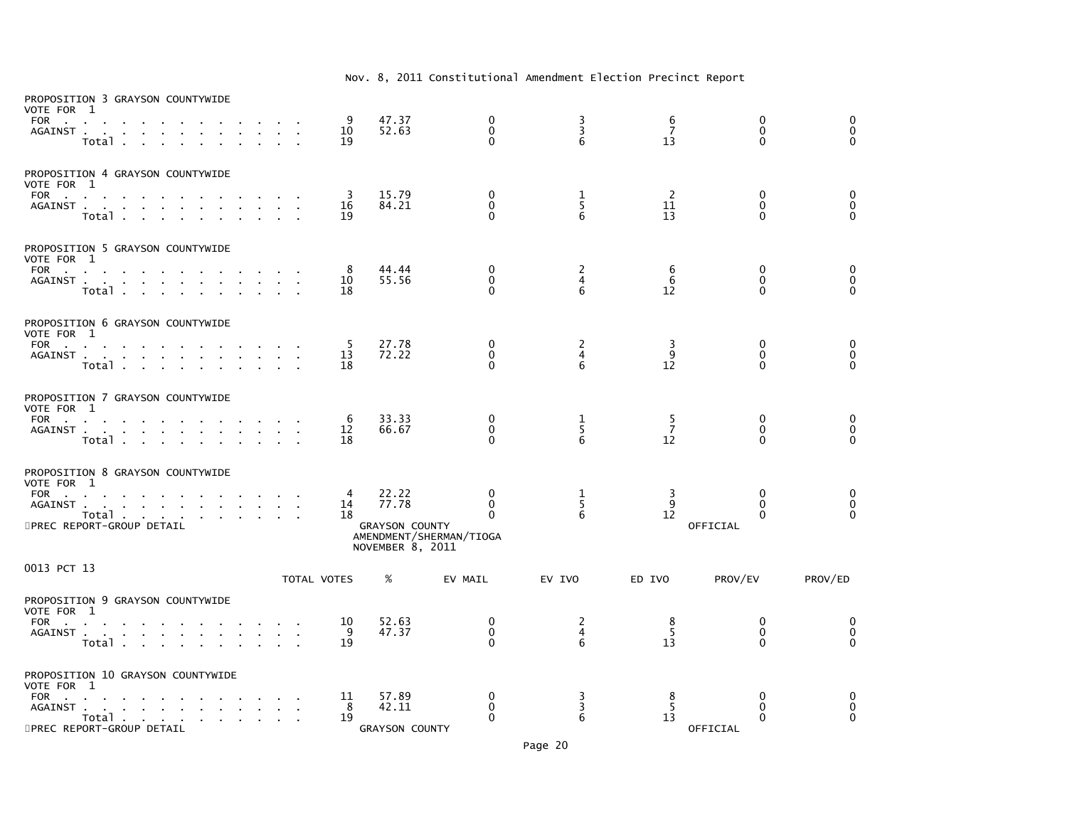| VOTE FOR 1<br>FOR                    | PROPOSITION 3 GRAYSON COUNTYWIDE<br>AGAINST<br>Total.                                                                              | $\sim$       |  | 9<br>10<br>19  | 47.37<br>52.63                                              | $\mathbf 0$<br>$\mathbf 0$<br>$\Omega$                              | $\frac{3}{3}$<br>6       | 6<br>$\overline{7}$<br>13 | $\mathbf 0$<br>$\mathbf 0$<br>$\Omega$           | 0<br>$\mathbf 0$<br>$\Omega$ |
|--------------------------------------|------------------------------------------------------------------------------------------------------------------------------------|--------------|--|----------------|-------------------------------------------------------------|---------------------------------------------------------------------|--------------------------|---------------------------|--------------------------------------------------|------------------------------|
| VOTE FOR 1<br>FOR                    | PROPOSITION 4 GRAYSON COUNTYWIDE<br>AGAINST<br>Total                                                                               |              |  | 3<br>16<br>19  | 15.79<br>84.21                                              | 0<br>$\mathbf 0$<br>$\Omega$                                        | 1<br>5<br>6              | -2<br>11<br>13            | 0<br>$\mathbf{0}$<br>$\Omega$                    | 0<br>$\pmb{0}$<br>$\Omega$   |
| VOTE FOR 1<br><b>FOR</b>             | PROPOSITION 5 GRAYSON COUNTYWIDE<br><b>Contract Contract</b><br>AGAINST<br>Total .<br><b>Contract Contract</b>                     |              |  | 8<br>10<br>18  | 44.44<br>55.56                                              | $\mathbf{0}$<br>$\Omega$<br>$\Omega$                                | 2<br>$\overline{4}$<br>6 | 6<br>6<br>12              | 0<br>$\Omega$<br>$\Omega$                        | 0<br>$\mathbf 0$<br>$\Omega$ |
| VOTE FOR 1<br>FOR                    | PROPOSITION 6 GRAYSON COUNTYWIDE<br><b>Contract Contract</b><br><b>Contract Contract Contract</b><br>AGAINST<br>Total              | $\mathbf{r}$ |  | -5<br>13<br>18 | 27.78<br>72.22                                              | 0<br>$\Omega$<br>$\Omega$                                           | 2<br>$\overline{4}$<br>6 | 3<br>9<br>12              | 0<br>$\mathbf{0}$<br>$\Omega$                    | 0<br>$\mathbf 0$<br>$\Omega$ |
| VOTE FOR 1<br>FOR                    | PROPOSITION 7 GRAYSON COUNTYWIDE<br>the contract of the<br>AGAINST<br>Total                                                        |              |  | 6<br>12<br>18  | 33.33<br>66.67                                              | $\mathbf{0}$<br>$\mathbf 0$<br>$\Omega$                             | 1<br>5<br>6              | $\frac{5}{7}$<br>12       | $\mathbf{0}$<br>$\mathbf{0}$<br>$\Omega$         | 0<br>$\mathbf 0$<br>$\Omega$ |
| VOTE FOR 1<br>FOR<br>AGAINST.        | PROPOSITION 8 GRAYSON COUNTYWIDE<br>the contract of the contract of the<br>Total<br>5PREC REPORT-GROUP DETAIL                      |              |  | 4<br>14<br>18  | 22.22<br>77.78<br><b>GRAYSON COUNTY</b><br>NOVEMBER 8, 2011 | $\mathbf{0}$<br>$\mathbf{0}$<br>$\Omega$<br>AMENDMENT/SHERMAN/TIOGA | 1<br>5<br>6              | 3<br>9<br>12              | $\mathbf{0}$<br>0<br>$\Omega$<br><b>OFFICIAL</b> | 0<br>$\mathbf 0$<br>$\Omega$ |
| 0013 PCT 13                          |                                                                                                                                    |              |  | TOTAL VOTES    | %                                                           | EV MAIL                                                             | EV IVO                   | ED IVO                    | PROV/EV                                          | PROV/ED                      |
| VOTE FOR 1<br><b>FOR</b>             | PROPOSITION 9 GRAYSON COUNTYWIDE<br><b>Contractor</b><br>AGAINST<br>$\sim$<br>$\sim$<br>Total                                      | $\sim$       |  | 10<br>9<br>19  | 52.63<br>47.37                                              | 0<br>$\mathbf 0$<br>$\Omega$                                        | $\frac{2}{4}$<br>6       | 8<br>5<br>13              | 0<br>0<br>$\Omega$                               | 0<br>0<br>$\Omega$           |
| VOTE FOR 1<br><b>FOR</b><br>AGAINST. | PROPOSITION 10 GRAYSON COUNTYWIDE<br><b>Carl Carl</b><br>the contract of the contract of the<br>Total<br>5PREC REPORT-GROUP DETAIL |              |  | 11<br>8<br>19  | 57.89<br>42.11<br><b>GRAYSON COUNTY</b>                     | $\mathbf 0$<br>$\mathbf{0}$<br>$\Omega$                             | 3<br>3<br>6              | 8<br>5<br>13              | 0<br>0<br>$\Omega$<br>OFFICIAL                   | 0<br>0<br>$\Omega$           |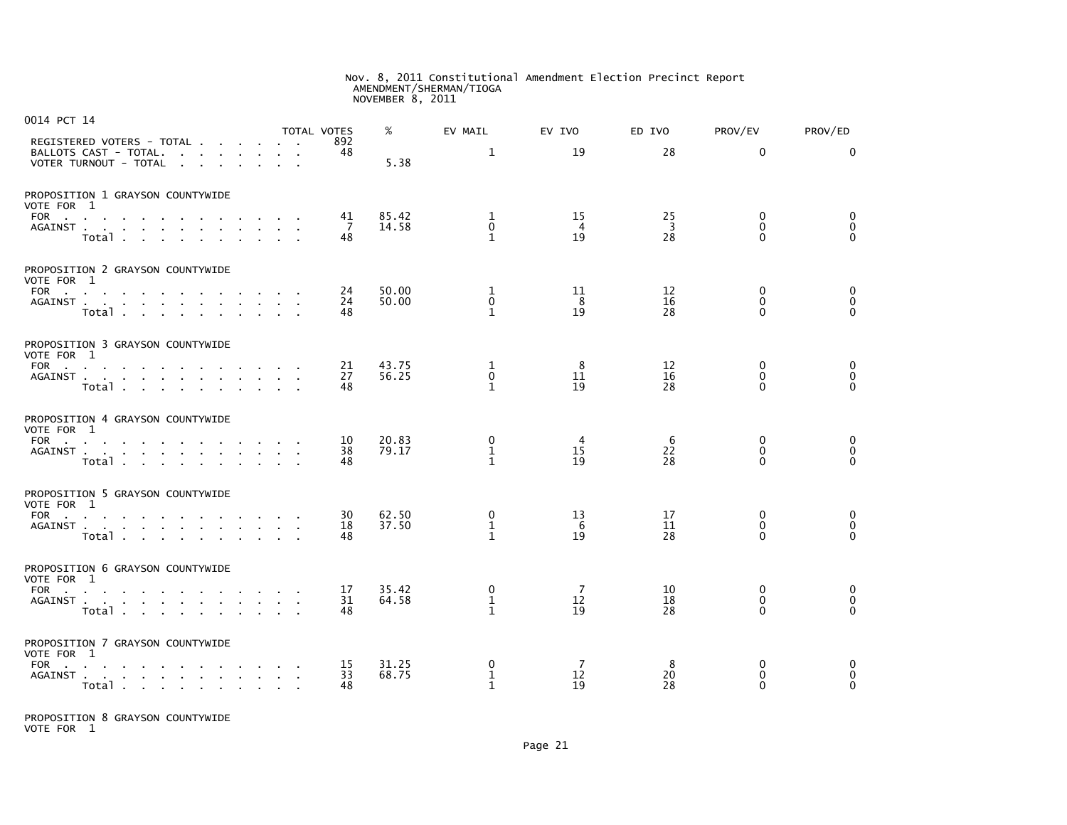# Nov. 8, 2011 Constitutional Amendment Election Precinct Report AMENDMENT/SHERMAN/TIOGA NOVEMBER 8, 2011

| 0014 PCT 14                   |                                                                                                                                            |                        |                          | TOTAL VOTES    | %              | EV MAIL                          | EV IVO         | ED IVO                              | PROV/EV                                 | PROV/ED                                 |
|-------------------------------|--------------------------------------------------------------------------------------------------------------------------------------------|------------------------|--------------------------|----------------|----------------|----------------------------------|----------------|-------------------------------------|-----------------------------------------|-----------------------------------------|
|                               | REGISTERED VOTERS - TOTAL<br>BALLOTS CAST - TOTAL.<br>VOTER TURNOUT - TOTAL<br>the contract of the contract of                             |                        |                          | 892<br>48      | 5.38           | $\mathbf{1}$                     | 19             | 28                                  | $\Omega$                                | $\Omega$                                |
| VOTE FOR 1                    | PROPOSITION 1 GRAYSON COUNTYWIDE                                                                                                           |                        |                          |                |                |                                  |                |                                     |                                         |                                         |
| AGAINST.                      | FOR<br>$\mathbf{a}$ , $\mathbf{a}$ , $\mathbf{a}$ ,<br>the contract of the contract of the<br>$\sim 10^{-11}$<br>$\sim$<br>$\sim$<br>Total | $\mathbf{r}$<br>$\sim$ |                          | 41<br>-7<br>48 | 85.42<br>14.58 | 1<br>$\Omega$<br>$\mathbf{1}$    | 15<br>4<br>19  | 25<br>$\overline{\mathbf{3}}$<br>28 | $\mathbf{0}$<br>$\Omega$<br>$\Omega$    | 0<br>$\mathbf{0}$<br>$\Omega$           |
|                               | PROPOSITION 2 GRAYSON COUNTYWIDE                                                                                                           |                        |                          |                |                |                                  |                |                                     |                                         |                                         |
| VOTE FOR 1                    | FOR<br>AGAINST<br>Total                                                                                                                    | $\sim$                 |                          | 24<br>24<br>48 | 50.00<br>50.00 | 1<br>0<br>$\mathbf{1}$           | 11<br>8<br>19  | 12<br>16<br>28                      | $\mathbf{0}$<br>$\mathbf 0$<br>$\Omega$ | $\mathbf{0}$<br>$\mathbf 0$<br>$\Omega$ |
|                               | PROPOSITION 3 GRAYSON COUNTYWIDE                                                                                                           |                        |                          |                |                |                                  |                |                                     |                                         |                                         |
| VOTE FOR 1                    | FOR $\qquad \qquad \ldots \qquad \qquad \ldots$<br>AGAINST<br>Total                                                                        |                        |                          | 21<br>27<br>48 | 43.75<br>56.25 | 1<br>$\mathbf 0$<br>$\mathbf{1}$ | 8<br>11<br>19  | 12<br>16<br>28                      | 0<br>$\Omega$<br>$\Omega$               | 0<br>$\mathbf 0$<br>$\Omega$            |
|                               | PROPOSITION 4 GRAYSON COUNTYWIDE                                                                                                           |                        |                          |                |                |                                  |                |                                     |                                         |                                         |
| VOTE FOR 1                    | FOR<br>and the contract of<br>AGAINST<br>Total                                                                                             |                        | $\sim$                   | 10<br>38<br>48 | 20.83<br>79.17 | 0<br>1<br>$\mathbf{1}$           | 4<br>15<br>19  | 6<br>22<br>28                       | 0<br>$\mathbf 0$<br>$\Omega$            | 0<br>$\mathsf 0$<br>$\Omega$            |
|                               | PROPOSITION 5 GRAYSON COUNTYWIDE                                                                                                           |                        |                          |                |                |                                  |                |                                     |                                         |                                         |
| VOTE FOR 1<br><b>FOR</b>      | the contract of the contract of the contract of<br>AGAINST<br>Total                                                                        |                        |                          | 30<br>18<br>48 | 62.50<br>37.50 | 0<br>1<br>$\mathbf{1}$           | 13<br>6<br>19  | 17<br>11<br>28                      | 0<br>$\mathbf 0$<br>$\Omega$            | 0<br>$\mathbf 0$<br>$\Omega$            |
|                               | PROPOSITION 6 GRAYSON COUNTYWIDE                                                                                                           |                        |                          |                |                |                                  |                |                                     |                                         |                                         |
| VOTE FOR 1<br>AGAINST.        | FOR<br>the contract of the contract of the con-<br>Total                                                                                   |                        | $\sim 10^{-1}$<br>$\sim$ | 17<br>31<br>48 | 35.42<br>64.58 | 0<br>1<br>$\mathbf{1}$           | 7<br>12<br>19  | 10<br>18<br>28                      | 0<br>$\mathbf{0}$<br>$\Omega$           | 0<br>0<br>$\Omega$                      |
|                               | PROPOSITION 7 GRAYSON COUNTYWIDE                                                                                                           |                        |                          |                |                |                                  |                |                                     |                                         |                                         |
| VOTE FOR 1<br>FOR<br>AGAINST. | $\sim$<br>$\sim$ 100 $\pm$<br><b>Contract Contract Service</b><br>the company of the company of the company<br>Total $\cdots$ $\cdots$     | $\sim$                 |                          | 15<br>33<br>48 | 31.25<br>68.75 | 0<br>1<br>$\mathbf{1}$           | -7<br>12<br>19 | 8<br>20<br>28                       | $\mathbf{0}$<br>0<br>$\Omega$           | $\Omega$<br>0<br>$\Omega$               |

PROPOSITION 8 GRAYSON COUNTYWIDE VOTE FOR 1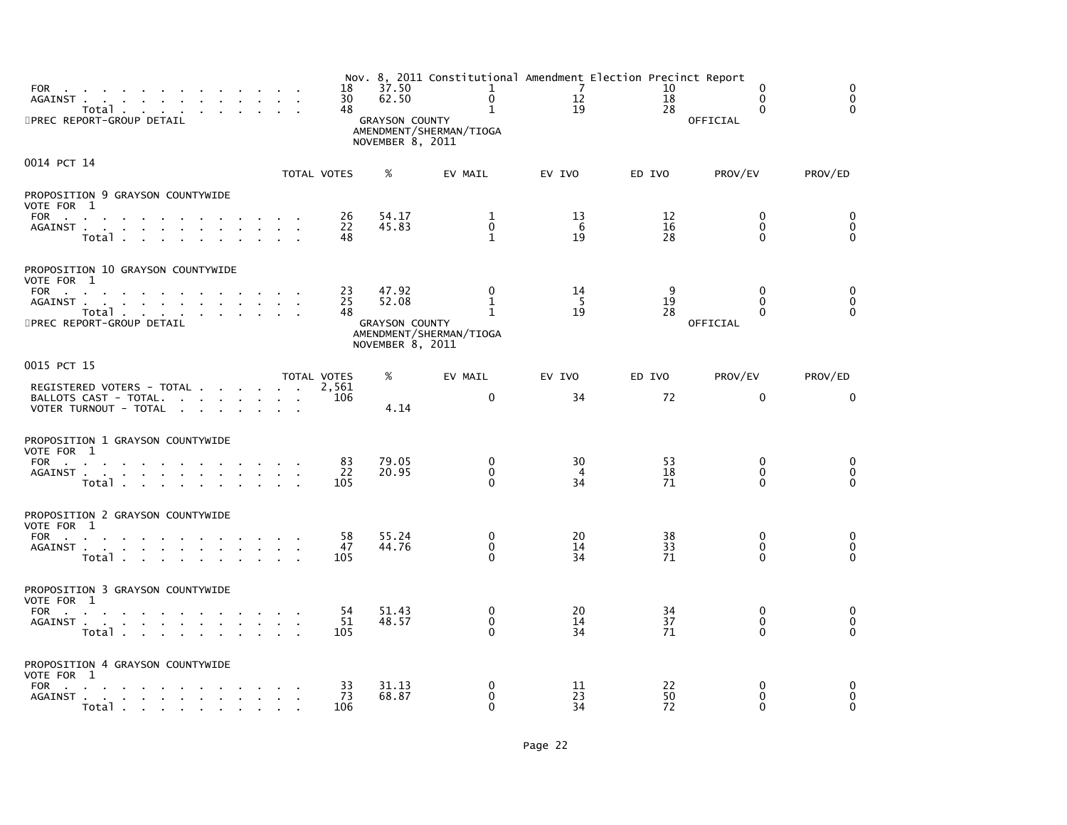| FOR<br>AGAINST<br>Total<br>5PREC REPORT-GROUP DETAIL                                                                                                                                                                                                          | 18<br>30<br>48  | 37.50<br>62.50<br><b>GRAYSON COUNTY</b><br>NOVEMBER 8, 2011 | Nov. 8, 2011 Constitutional Amendment Election Precinct Report<br>$\mathbf{1}$<br>0<br>$\mathbf{1}$<br>AMENDMENT/SHERMAN/TIOGA | $\overline{7}$<br>12<br>19 | 10<br>18<br>28 | 0<br>$\mathbf{0}$<br>$\mathbf{0}$<br>OFFICIAL    | 0<br>$\mathbf 0$<br>$\Omega$       |
|---------------------------------------------------------------------------------------------------------------------------------------------------------------------------------------------------------------------------------------------------------------|-----------------|-------------------------------------------------------------|--------------------------------------------------------------------------------------------------------------------------------|----------------------------|----------------|--------------------------------------------------|------------------------------------|
| 0014 PCT 14                                                                                                                                                                                                                                                   | TOTAL VOTES     | %                                                           | EV MAIL                                                                                                                        | EV IVO                     | ED IVO         | PROV/EV                                          | PROV/ED                            |
| PROPOSITION 9 GRAYSON COUNTYWIDE<br>VOTE FOR 1<br>FOR<br>the contract of the contract of the contract of<br>AGAINST<br>Total                                                                                                                                  | 26<br>22<br>48  | 54.17<br>45.83                                              | 1<br>$\mathbf 0$<br>$\mathbf{1}$                                                                                               | 13<br>6<br>19              | 12<br>16<br>28 | 0<br>$\mathbf 0$<br>$\Omega$                     | 0<br>$\mathbf 0$<br>$\Omega$       |
| PROPOSITION 10 GRAYSON COUNTYWIDE<br>VOTE FOR 1<br><b>FOR</b><br><b>Contract Contract</b><br>the contract of the contract of the contract of the contract of the contract of the contract of the contract of<br>AGAINST<br>Total<br>5PREC REPORT-GROUP DETAIL | 23<br>25<br>48  | 47.92<br>52.08<br><b>GRAYSON COUNTY</b><br>NOVEMBER 8, 2011 | 0<br>1<br>$\mathbf{1}$<br>AMENDMENT/SHERMAN/TIOGA                                                                              | 14<br>-5<br>19             | 9<br>19<br>28  | $\mathbf{0}$<br>$\Omega$<br>$\Omega$<br>OFFICIAL | 0<br>$\overline{0}$<br>$\Omega$    |
| 0015 PCT 15                                                                                                                                                                                                                                                   | TOTAL VOTES     | %                                                           | EV MAIL                                                                                                                        | EV IVO                     | ED IVO         | PROV/EV                                          | PROV/ED                            |
| REGISTERED VOTERS - TOTAL<br>BALLOTS CAST - TOTAL.<br>VOTER TURNOUT - TOTAL<br>the contract of the contract of<br>$\sim 10$                                                                                                                                   | 2,561<br>106    | 4.14                                                        | 0                                                                                                                              | 34                         | 72             | 0                                                | $\mathbf 0$                        |
| PROPOSITION 1 GRAYSON COUNTYWIDE<br>VOTE FOR 1<br><b>FOR</b><br>and the contract of the<br>AGAINST<br>Total                                                                                                                                                   | 83<br>22<br>105 | 79.05<br>20.95                                              | 0<br>0<br>$\Omega$                                                                                                             | 30<br>$\overline{4}$<br>34 | 53<br>18<br>71 | 0<br>$\mathbf 0$<br>$\Omega$                     | 0<br>$\mathbf 0$<br>$\Omega$       |
| PROPOSITION 2 GRAYSON COUNTYWIDE<br>VOTE FOR 1<br>FOR<br>AGAINST<br>Total                                                                                                                                                                                     | 58<br>47<br>105 | 55.24<br>44.76                                              | 0<br>0<br>$\Omega$                                                                                                             | 20<br>14<br>34             | 38<br>33<br>71 | 0<br>0<br>$\Omega$                               | 0<br>$\pmb{0}$<br>$\Omega$         |
| PROPOSITION 3 GRAYSON COUNTYWIDE<br>VOTE FOR 1<br><b>FOR</b><br>the contract of the contract of the contract of<br>AGAINST<br>Total                                                                                                                           | 54<br>51<br>105 | 51.43<br>48.57                                              | 0<br>$\Omega$<br>$\Omega$                                                                                                      | 20<br>14<br>34             | 34<br>37<br>71 | 0<br>$\mathbf{0}$<br>$\mathbf{0}$                | 0<br>$\overline{0}$<br>$\mathbf 0$ |
| PROPOSITION 4 GRAYSON COUNTYWIDE<br>VOTE FOR 1<br>FOR<br>the contract of the contract of the contract of<br>AGAINST<br>Total distribution of the state of the state of the state of the state of the state of the state of the state                          | 33<br>73<br>106 | 31.13<br>68.87                                              | $\mathbf 0$<br>$\mathbf 0$<br>$\Omega$                                                                                         | 11<br>23<br>34             | 22<br>50<br>72 | 0<br>$\mathbf{0}$<br>$\Omega$                    | 0<br>$\mathbf 0$<br>$\Omega$       |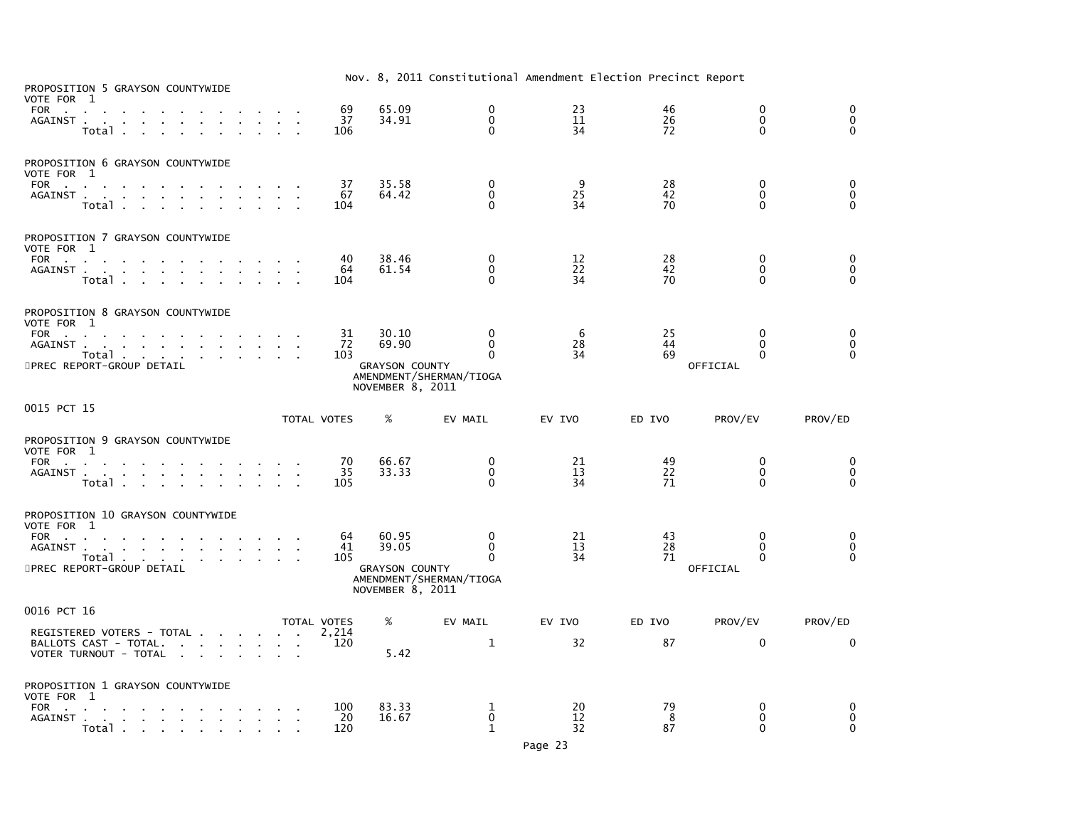| PROPOSITION 5 GRAYSON COUNTYWIDE<br>VOTE FOR 1<br>FOR                                                                      | 69               | 65.09                                     | 0                                       | 23             | 46             | 0                                    | 0                                           |
|----------------------------------------------------------------------------------------------------------------------------|------------------|-------------------------------------------|-----------------------------------------|----------------|----------------|--------------------------------------|---------------------------------------------|
| AGAINST.<br>the contract of the con-<br>$\sim$<br>$Total \cdot \cdot \cdot \cdot \cdot$                                    | 37<br>106        | 34.91                                     | $\Omega$<br>$\mathbf{0}$                | 11<br>34       | 26<br>72       | $\Omega$<br>$\Omega$                 | $\ddot{\mathbf{0}}$<br>$\Omega$             |
| PROPOSITION 6 GRAYSON COUNTYWIDE<br>VOTE FOR 1                                                                             |                  |                                           |                                         |                |                |                                      |                                             |
| FOR<br>AGAINST<br>Total                                                                                                    | 37<br>67<br>104  | 35.58<br>64.42                            | 0<br>$\mathbf 0$<br>$\Omega$            | 9<br>25<br>34  | 28<br>42<br>70 | 0<br>$\mathbf 0$<br>$\Omega$         | 0<br>$\overline{0}$<br>$\Omega$             |
| PROPOSITION 7 GRAYSON COUNTYWIDE<br>VOTE FOR 1                                                                             |                  |                                           |                                         |                |                |                                      |                                             |
| FOR<br>AGAINST<br>Total .<br>the contract of the contract of the                                                           | 40<br>64<br>104  | 38.46<br>61.54                            | $\mathbf 0$<br>$\Omega$<br>$\mathbf{0}$ | 12<br>22<br>34 | 28<br>42<br>70 | 0<br>$\Omega$<br>0                   | $\boldsymbol{0}$<br>$\mathbf 0$<br>$\Omega$ |
| PROPOSITION 8 GRAYSON COUNTYWIDE<br>VOTE FOR 1                                                                             |                  |                                           |                                         |                |                |                                      |                                             |
| FOR<br>AGAINST<br>Total                                                                                                    | 31<br>-72<br>103 | 30.10<br>69.90                            | $\Omega$<br>$\mathbf{0}$<br>$\Omega$    | 6<br>28<br>34  | 25<br>44<br>69 | $\Omega$<br>$\mathbf{0}$<br>$\Omega$ | 0<br>$\mathbf 0$<br>$\Omega$                |
| 5PREC REPORT-GROUP DETAIL                                                                                                  |                  | <b>GRAYSON COUNTY</b><br>NOVEMBER 8, 2011 | AMENDMENT/SHERMAN/TIOGA                 |                |                | OFFICIAL                             |                                             |
| 0015 PCT 15                                                                                                                | TOTAL VOTES      | %                                         | EV MAIL                                 | EV IVO         | ED IVO         | PROV/EV                              | PROV/ED                                     |
| PROPOSITION 9 GRAYSON COUNTYWIDE<br>VOTE FOR 1                                                                             |                  |                                           |                                         |                |                |                                      |                                             |
| <b>FOR</b><br><b>Contract Contract</b><br>AGAINST<br>Total<br>the contract of the contract of the                          | 70<br>35<br>105  | 66.67<br>33.33                            | 0<br>$\mathbf 0$<br>$\Omega$            | 21<br>13<br>34 | 49<br>22<br>71 | 0<br>$\mathbf{0}$<br>$\mathbf{0}$    | 0<br>$\mathbf 0$<br>$\mathbf 0$             |
| PROPOSITION 10 GRAYSON COUNTYWIDE<br>VOTE FOR 1                                                                            |                  |                                           |                                         |                |                |                                      |                                             |
| FOR<br>AGAINST.<br>the contract of the contract of the contract of                                                         | 64<br>41         | 60.95<br>39.05                            | 0<br>$\Omega$                           | 21<br>13       | 43<br>28       | 0<br>$\Omega$                        | 0<br>$\mathbf 0$                            |
| Total<br>5PREC REPORT-GROUP DETAIL                                                                                         | 105              | <b>GRAYSON COUNTY</b><br>NOVEMBER 8, 2011 | 0<br>AMENDMENT/SHERMAN/TIOGA            | 34             | 71             | $\Omega$<br>OFFICIAL                 | $\Omega$                                    |
| 0016 PCT 16                                                                                                                | TOTAL VOTES      | %                                         | EV MAIL                                 | EV IVO         | ED IVO         | PROV/EV                              | PROV/ED                                     |
| REGISTERED VOTERS - TOTAL<br>BALLOTS CAST - TOTAL.<br>VOTER TURNOUT - TOTAL<br>and the state of the state of the<br>$\sim$ | 2,214<br>120     | 5.42                                      | $\mathbf{1}$                            | 32             | 87             | $\Omega$                             | $\Omega$                                    |
| PROPOSITION 1 GRAYSON COUNTYWIDE<br>VOTE FOR 1                                                                             |                  |                                           |                                         |                |                |                                      |                                             |
| FOR<br>AGAINST.<br>the contract of the contract of the contract of<br>Total                                                | 100<br>20<br>120 | 83.33<br>16.67                            | 1<br>$\mathbf 0$<br>$\mathbf{1}$        | 20<br>12<br>32 | 79<br>8<br>87  | 0<br>$\mathbf 0$<br>$\Omega$         | 0<br>$\mathbf 0$<br>$\Omega$                |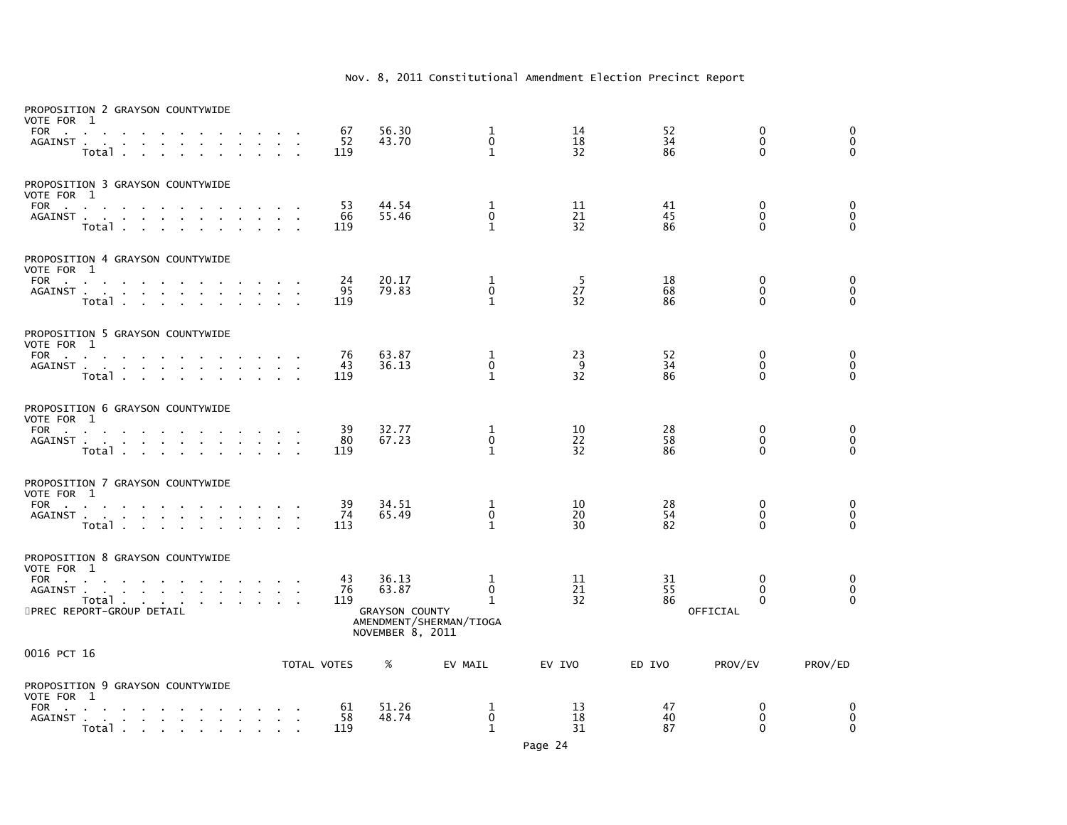| PROPOSITION 2 GRAYSON COUNTYWIDE<br>VOTE FOR 1<br><b>FOR</b><br><b>Contract</b><br>AGAINST.    | $\mathbf{r}$<br><b>Carl Carl</b><br>Total .<br>$\mathbf{r}$                                    |                                   |        |        |                             | 67<br>52<br>119 | 56.30<br>43.70                                              | 1<br>$\mathbf{0}$<br>$\mathbf{1}$                           | 14<br>18<br>32 | 52<br>34<br>86 | $\mathbf 0$<br>$\mathbf{0}$<br>$\mathbf{0}$ | 0<br>$\mathbf 0$<br>$\mathbf{0}$       |
|------------------------------------------------------------------------------------------------|------------------------------------------------------------------------------------------------|-----------------------------------|--------|--------|-----------------------------|-----------------|-------------------------------------------------------------|-------------------------------------------------------------|----------------|----------------|---------------------------------------------|----------------------------------------|
| PROPOSITION 3 GRAYSON COUNTYWIDE<br>VOTE FOR 1<br>FOR<br>AGAINST                               | Total                                                                                          | and a straight and a straight     |        | $\sim$ |                             | 53<br>66<br>119 | 44.54<br>55.46                                              | 1<br>$\Omega$<br>$\mathbf{1}$                               | 11<br>21<br>32 | 41<br>45<br>86 | $\mathbf 0$<br>$\Omega$<br>$\Omega$         | $\mathbf 0$<br>$\mathbf 0$<br>$\Omega$ |
| PROPOSITION 4 GRAYSON COUNTYWIDE<br>VOTE FOR 1<br>FOR                                          | AGAINST<br>Total                                                                               |                                   | $\sim$ | $\sim$ | $\mathcal{A}=\mathcal{A}$ . | 24<br>95<br>119 | 20.17<br>79.83                                              | 1<br>0<br>$\mathbf{1}$                                      | 5<br>27<br>32  | 18<br>68<br>86 | $\mathbf 0$<br>$\mathbf 0$<br>$\Omega$      | 0<br>0<br>$\mathbf{0}$                 |
| PROPOSITION 5 GRAYSON COUNTYWIDE<br>VOTE FOR 1<br><b>FOR</b><br><b>Carl Carl</b><br>AGAINST    | $\sim$<br>Total                                                                                | and a straight and                |        |        |                             | 76<br>43<br>119 | 63.87<br>36.13                                              | 1<br>0<br>$\mathbf{1}$                                      | 23<br>9<br>32  | 52<br>34<br>86 | $\mathbf 0$<br>$\mathbf 0$<br>$\Omega$      | 0<br>$\mathbf 0$<br>$\Omega$           |
| PROPOSITION 6 GRAYSON COUNTYWIDE<br>VOTE FOR 1<br>FOR                                          | AGAINST<br>Total                                                                               |                                   |        |        |                             | 39<br>80<br>119 | 32.77<br>67.23                                              | 1<br>$\pmb{0}$<br>$\mathbf{1}$                              | 10<br>22<br>32 | 28<br>58<br>86 | $\mathbf 0$<br>$\mathbf{0}$<br>$\Omega$     | $\mathbf 0$<br>$\mathbf 0$<br>$\Omega$ |
| PROPOSITION 7 GRAYSON COUNTYWIDE<br>VOTE FOR 1<br>FOR                                          | AGAINST<br>Total .<br>$\sim$                                                                   | $\sim$ $\sim$                     |        |        |                             | 39<br>74<br>113 | 34.51<br>65.49                                              | 1<br>0<br>$\mathbf{1}$                                      | 10<br>20<br>30 | 28<br>54<br>82 | 0<br>$\Omega$<br>$\mathbf{0}$               | 0<br>$\mathbf 0$<br>$\Omega$           |
| PROPOSITION 8 GRAYSON COUNTYWIDE<br>VOTE FOR 1<br>FOR<br>AGAINST.<br>5PREC REPORT-GROUP DETAIL | $\sim$<br>the contract of the contract of the con-<br>Total                                    |                                   |        | $\sim$ | $\sim$                      | 43<br>76<br>119 | 36.13<br>63.87<br><b>GRAYSON COUNTY</b><br>NOVEMBER 8, 2011 | 1<br>$\mathbf 0$<br>$\mathbf{1}$<br>AMENDMENT/SHERMAN/TIOGA | 11<br>21<br>32 | 31<br>55<br>86 | 0<br>$\mathbf{0}$<br>$\Omega$<br>OFFICIAL   | 0<br>$\mathbf 0$<br>$\Omega$           |
| 0016 PCT 16                                                                                    |                                                                                                |                                   |        |        |                             | TOTAL VOTES     | %                                                           | EV MAIL                                                     | EV IVO         | ED IVO         | PROV/EV                                     | PROV/ED                                |
| PROPOSITION 9 GRAYSON COUNTYWIDE<br>VOTE FOR 1<br>FOR<br>AGAINST.                              | $\mathbf{r}$<br>$\sim$<br>and a straightful contract and a straight<br>Total $\cdots$ $\cdots$ | and the state of the state of the |        |        | $\sim$<br>$\mathbf{r}$      | 61<br>58<br>119 | 51.26<br>48.74                                              | 1<br>0<br>1                                                 | 13<br>18<br>31 | 47<br>40<br>87 | 0<br>0<br>0                                 | 0<br>0<br>$\mathbf 0$                  |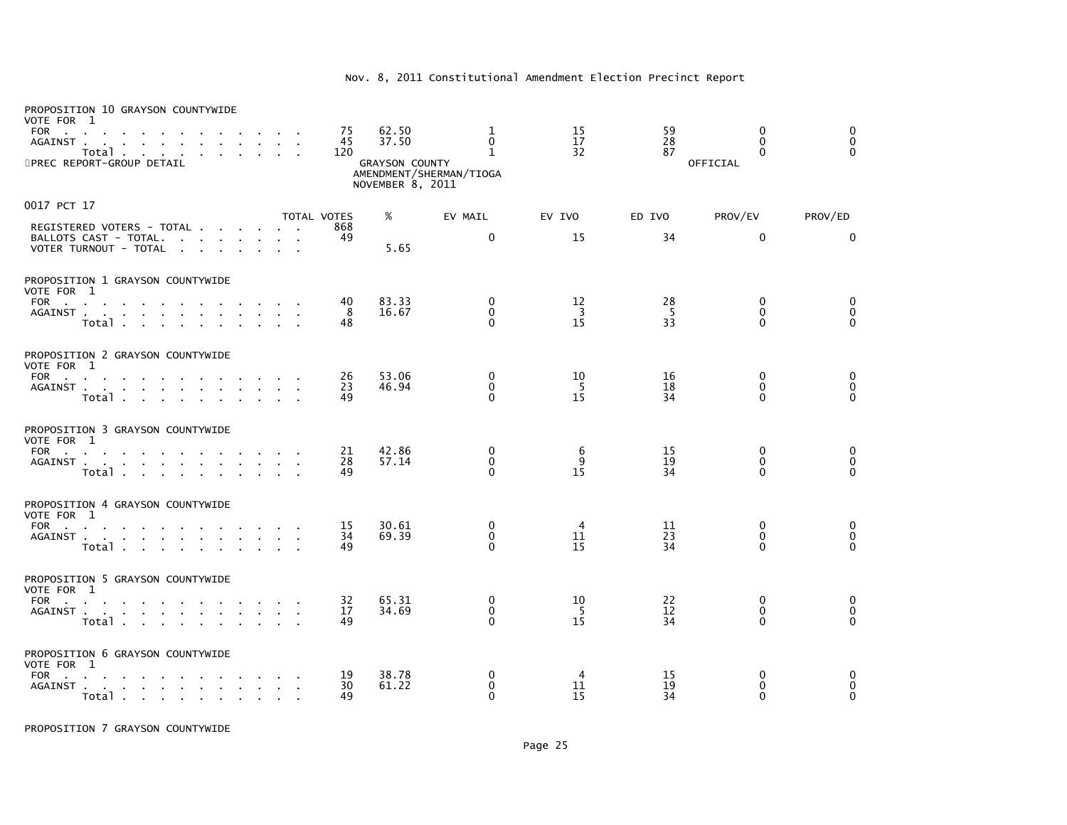| PROPOSITION 10 GRAYSON COUNTYWIDE<br>VOTE FOR 1<br><b>FOR</b><br><b>Contract Contract</b><br>AGAINST<br>Total<br>5PREC REPORT-GROUP DETAIL |                                   | 75<br>45<br>120 | 62.50<br>37.50<br><b>GRAYSON COUNTY</b><br>NOVEMBER 8, 2011 | 1<br>$\Omega$<br>$\mathbf{1}$<br>AMENDMENT/SHERMAN/TIOGA | 15<br>17<br>32             | 59<br>28<br>87       | 0<br>$\Omega$<br>$\Omega$<br>OFFICIAL | 0<br>$\mathbf{0}$<br>$\Omega$ |
|--------------------------------------------------------------------------------------------------------------------------------------------|-----------------------------------|-----------------|-------------------------------------------------------------|----------------------------------------------------------|----------------------------|----------------------|---------------------------------------|-------------------------------|
| 0017 PCT 17                                                                                                                                |                                   | TOTAL VOTES     | %                                                           | EV MAIL                                                  | EV IVO                     | ED IVO               | PROV/EV                               | PROV/ED                       |
| REGISTERED VOTERS - TOTAL<br>BALLOTS CAST - TOTAL.<br>VOTER TURNOUT - TOTAL                                                                |                                   | 868<br>49       | 5.65                                                        | $\mathbf 0$                                              | 15                         | 34                   | $\mathbf{0}$                          | $\mathbf{0}$                  |
| PROPOSITION 1 GRAYSON COUNTYWIDE<br>VOTE FOR 1                                                                                             |                                   |                 |                                                             |                                                          |                            |                      |                                       |                               |
| FOR<br>the company of the company<br>AGAINST<br>Total                                                                                      | $\sim$                            | 40<br>8<br>48   | 83.33<br>16.67                                              | 0<br>$\mathbf 0$<br>$\Omega$                             | 12<br>$\overline{3}$<br>15 | 28<br>$\frac{5}{33}$ | 0<br>$\mathbf{0}$<br>$\Omega$         | 0<br>0<br>$\Omega$            |
| PROPOSITION 2 GRAYSON COUNTYWIDE<br>VOTE FOR 1                                                                                             |                                   |                 | 53.06                                                       |                                                          | 10                         | 16                   | 0                                     |                               |
| FOR<br>Total                                                                                                                               |                                   | 26<br>23<br>49  | 46.94                                                       | 0<br>$\Omega$<br>$\Omega$                                | 5<br>15                    | 18<br>34             | $\Omega$<br>$\Omega$                  | 0<br>$\mathbf 0$<br>$\Omega$  |
| PROPOSITION 3 GRAYSON COUNTYWIDE<br>VOTE FOR 1                                                                                             |                                   |                 |                                                             |                                                          |                            |                      |                                       |                               |
| <b>FOR</b><br>the contract of the contract of the con-<br>AGAINST<br>Total                                                                 |                                   | 21<br>28<br>49  | 42.86<br>57.14                                              | 0<br>$\mathbf 0$<br>$\Omega$                             | 6<br>9<br>15               | 15<br>19<br>34       | 0<br>$\mathbf{0}$<br>$\Omega$         | 0<br>$\mathbf 0$<br>$\Omega$  |
| PROPOSITION 4 GRAYSON COUNTYWIDE<br>VOTE FOR 1                                                                                             |                                   |                 |                                                             |                                                          |                            |                      |                                       |                               |
| FOR $\cdots$ $\cdots$<br>AGAINST<br>Total                                                                                                  | $\sim 10^{-1}$ and $\sim 10^{-1}$ | 15<br>34<br>49  | 30.61<br>69.39                                              | $\mathbf{0}$<br>$\mathbf 0$<br>$\Omega$                  | $\overline{4}$<br>11<br>15 | 11<br>23<br>34       | $\mathbf{0}$<br>$\Omega$<br>$\Omega$  | 0<br>$\mathbf 0$<br>$\Omega$  |
| PROPOSITION 5 GRAYSON COUNTYWIDE<br>VOTE FOR 1                                                                                             |                                   |                 |                                                             |                                                          |                            |                      |                                       |                               |
| FOR $\qquad \qquad \ldots \qquad \qquad \ldots$<br>AGAINST<br>Total                                                                        |                                   | 32<br>17<br>49  | 65.31<br>34.69                                              | 0<br>$\mathbf 0$<br>$\Omega$                             | 10<br>- 5<br>15            | 22<br>12<br>34       | $\mathbf{0}$<br>$\Omega$<br>$\Omega$  | 0<br>0<br>$\Omega$            |
| PROPOSITION 6 GRAYSON COUNTYWIDE<br>VOTE FOR 1                                                                                             |                                   |                 |                                                             |                                                          |                            |                      |                                       |                               |
| FOR<br>the control of the control of the<br>AGAINST<br>Total                                                                               | $\sim$                            | 19<br>30<br>49  | 38.78<br>61.22                                              | $\Omega$<br>0<br>$\Omega$                                | 4<br>11<br>15              | 15<br>19<br>34       | $\Omega$<br>0<br>$\Omega$             | $\Omega$<br>0<br>$\mathbf{0}$ |

PROPOSITION 7 GRAYSON COUNTYWIDE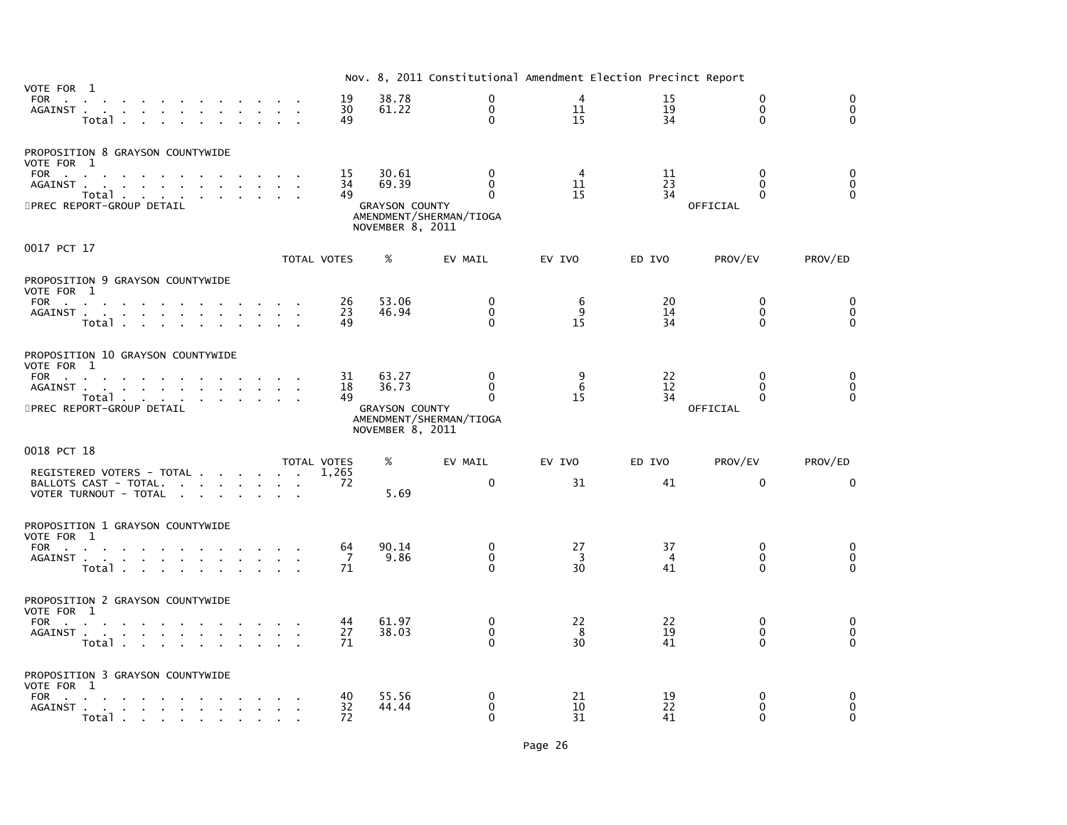| VOTE FOR 1                                                                                                                                                                                           |                            |                                                             | Nov. 8, 2011 Constitutional Amendment Election Precinct Report  |                |                            |                                           |                                             |
|------------------------------------------------------------------------------------------------------------------------------------------------------------------------------------------------------|----------------------------|-------------------------------------------------------------|-----------------------------------------------------------------|----------------|----------------------------|-------------------------------------------|---------------------------------------------|
| FOR<br>and a strong control of the strong structure.<br>AGAINST<br>Total                                                                                                                             | 19<br>30<br>49             | 38.78<br>61.22                                              | $\mathbf 0$<br>$\mathbf{0}$<br>$\Omega$                         | 4<br>11<br>15  | 15<br>19<br>34             | $\mathbf 0$<br>$\mathbf{0}$<br>$\Omega$   | $\mathbf 0$<br>$\mathbf{0}$<br>$\mathbf{0}$ |
| PROPOSITION 8 GRAYSON COUNTYWIDE<br>VOTE FOR 1<br><b>FOR</b><br><b>Contractor</b><br>$\sim$<br>AGAINST.<br>the contract of the contract of the contract of the<br>Total<br>5PREC REPORT-GROUP DETAIL | 15<br>34<br>49             | 30.61<br>69.39<br><b>GRAYSON COUNTY</b><br>NOVEMBER 8, 2011 | 0<br>$\Omega$<br>$\mathbf{0}$<br>AMENDMENT/SHERMAN/TIOGA        | 4<br>11<br>15  | 11<br>23<br>34             | $\mathbf{0}$<br>$\Omega$<br>0<br>OFFICIAL | 0<br>$\mathbf{0}$<br>$\Omega$               |
| 0017 PCT 17                                                                                                                                                                                          | TOTAL VOTES                | %                                                           | EV MAIL                                                         | EV IVO         | ED IVO                     | PROV/EV                                   | PROV/ED                                     |
| PROPOSITION 9 GRAYSON COUNTYWIDE<br>VOTE FOR 1<br>FOR<br>the contract of the contract of the contract of the<br>AGAINST<br>Total<br><b>Service</b> State                                             | 26<br>23<br>49             | 53.06<br>46.94                                              | 0<br>0<br>$\Omega$                                              | 6<br>9<br>15   | 20<br>14<br>34             | $\mathbf{0}$<br>$\mathbf{0}$<br>$\Omega$  | $\Omega$<br>$\mathbf 0$<br>$\Omega$         |
| PROPOSITION 10 GRAYSON COUNTYWIDE<br>VOTE FOR 1<br>FOR<br>the contract of the contract of the contract of the<br>AGAINST<br>Total<br>5PREC REPORT-GROUP DETAIL                                       | 31<br>18<br>49             | 63.27<br>36.73<br><b>GRAYSON COUNTY</b><br>NOVEMBER 8, 2011 | $\mathbf{0}$<br>$\Omega$<br>$\Omega$<br>AMENDMENT/SHERMAN/TIOGA | 9<br>6<br>15   | 22<br>12<br>34             | $\mathbf{0}$<br>$\Omega$<br>0<br>OFFICIAL | $\Omega$<br>0<br>$\Omega$                   |
| 0018 PCT 18<br>REGISTERED VOTERS - TOTAL<br>BALLOTS CAST - TOTAL.<br>VOTER TURNOUT - TOTAL                                                                                                           | TOTAL VOTES<br>1,265<br>72 | %<br>5.69                                                   | EV MAIL<br>$\mathbf{0}$                                         | EV IVO<br>31   | ED IVO<br>41               | PROV/EV<br>$\mathbf{0}$                   | PROV/ED<br>$\Omega$                         |
| PROPOSITION 1 GRAYSON COUNTYWIDE<br>VOTE FOR 1<br>FOR<br>AGAINST<br>Total                                                                                                                            | 64<br>7<br>71              | 90.14<br>9.86                                               | 0<br>$\mathbf{0}$<br>$\Omega$                                   | 27<br>3<br>30  | 37<br>$\overline{4}$<br>41 | $\Omega$<br>$\Omega$<br>0                 | 0<br>$\mathbf{0}$<br>$\Omega$               |
| PROPOSITION 2 GRAYSON COUNTYWIDE<br>VOTE FOR 1<br><b>FOR</b><br>the contract of the contract of<br>AGAINST<br>Total                                                                                  | 44<br>27<br>71             | 61.97<br>38.03                                              | 0<br>$\Omega$<br>$\Omega$                                       | 22<br>8<br>30  | 22<br>19<br>41             | 0<br>$\Omega$<br>0                        | 0<br>$\mathbf 0$<br>$\Omega$                |
| PROPOSITION 3 GRAYSON COUNTYWIDE<br>VOTE FOR 1<br>FOR<br>Total                                                                                                                                       | 40<br>32<br>72             | 55.56<br>44.44                                              | 0<br>$\Omega$<br>$\Omega$                                       | 21<br>10<br>31 | 19<br>22<br>41             | $\mathbf{0}$<br>0<br>$\Omega$             | 0<br>$\mathbf{0}$<br>$\Omega$               |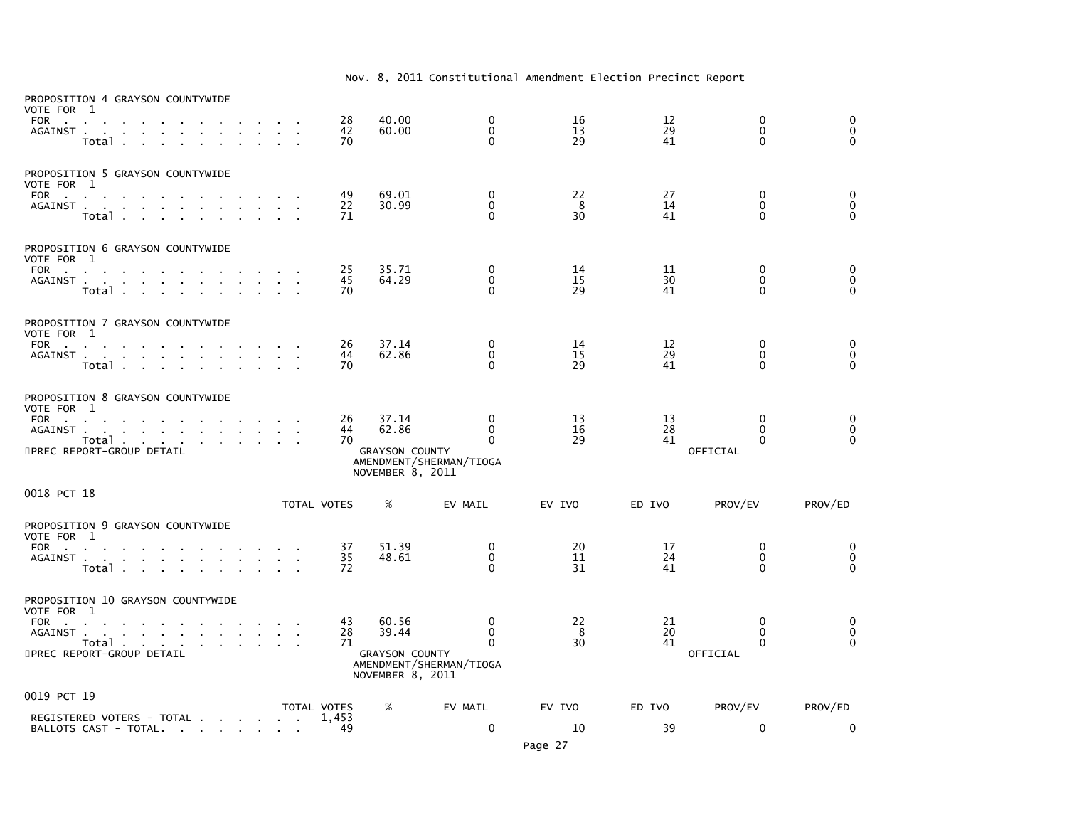| PROPOSITION 4 GRAYSON COUNTYWIDE<br>VOTE FOR 1<br><b>FOR</b><br>$\sim$ 100 $\pm$<br>AGAINST.<br>$\sim 10^{-1}$ and $\sim 10^{-1}$<br>$\sim$<br>Total.                                                                            |              |                           | 28<br>42<br>70 | 40.00<br>60.00                                              | 0<br>$\Omega$<br>$\Omega$                                               | 16<br>13<br>29  | 12<br>29<br>41 | $\mathbf 0$<br>$\mathbf{0}$<br>$\mathbf{0}$      | 0<br>$\mathbf 0$<br>$\Omega$     |
|----------------------------------------------------------------------------------------------------------------------------------------------------------------------------------------------------------------------------------|--------------|---------------------------|----------------|-------------------------------------------------------------|-------------------------------------------------------------------------|-----------------|----------------|--------------------------------------------------|----------------------------------|
| PROPOSITION 5 GRAYSON COUNTYWIDE<br>VOTE FOR 1<br><b>FOR</b><br><b>Contract Contract</b><br>$\sim 100$ km s $^{-1}$<br>AGAINST<br>$\sim$<br>$\sim 100$<br>$\sim$<br>$\sim$<br>$\sim 100$<br>Total                                | $\mathbf{r}$ |                           | 49<br>22<br>71 | 69.01<br>30.99                                              | 0<br>$\Omega$<br>$\Omega$                                               | 22<br>- 8<br>30 | 27<br>14<br>41 | 0<br>$\mathbf{0}$<br>$\Omega$                    | 0<br>$\mathbf 0$<br>$\Omega$     |
| PROPOSITION 6 GRAYSON COUNTYWIDE<br>VOTE FOR 1<br>FOR<br>$\mathbf{r}$<br>AGAINST<br>Total                                                                                                                                        |              |                           | 25<br>45<br>70 | 35.71<br>64.29                                              | 0<br>$\mathbf 0$<br>$\Omega$                                            | 14<br>15<br>29  | 11<br>30<br>41 | 0<br>$\mathbf{0}$<br>$\Omega$                    | 0<br>$\mathbf 0$<br>$\Omega$     |
| PROPOSITION 7 GRAYSON COUNTYWIDE<br>VOTE FOR 1<br><b>FOR</b><br>$\mathbf{a} = \mathbf{a} + \mathbf{a}$ , $\mathbf{a} = \mathbf{a}$<br>AGAINST<br>$\sim$<br>Total .<br>$\mathbf{r}$<br>$\mathbf{r} = \mathbf{r} \cdot \mathbf{r}$ |              |                           | 26<br>44<br>70 | 37.14<br>62.86                                              | 0<br>$\Omega$<br>$\Omega$                                               | 14<br>15<br>29  | 12<br>29<br>41 | $\mathbf{0}$<br>$\Omega$<br>$\mathbf{0}$         | 0<br>$\mathbf 0$<br>$\Omega$     |
| PROPOSITION 8 GRAYSON COUNTYWIDE<br>VOTE FOR 1<br><b>FOR</b><br><b>Contract Contract</b><br>$\sim$<br>AGAINST .<br>$\sim$<br>$\sim 10$<br><b>All Contracts</b><br>$\sim 100$<br>$\sim$<br>Total<br>5PREC REPORT-GROUP DETAIL     | $\mathbf{r}$ |                           | 26<br>44<br>70 | 37.14<br>62.86<br><b>GRAYSON COUNTY</b><br>NOVEMBER 8, 2011 | $\mathbf{0}$<br>$\Omega$<br>$\Omega$<br>AMENDMENT/SHERMAN/TIOGA         | 13<br>16<br>29  | 13<br>28<br>41 | $\mathbf{0}$<br>$\Omega$<br>0<br>OFFICIAL        | 0<br>0<br>$\Omega$               |
| 0018 PCT 18                                                                                                                                                                                                                      |              | TOTAL VOTES               |                | %                                                           | EV MAIL                                                                 | EV IVO          | ED IVO         | PROV/EV                                          | PROV/ED                          |
| PROPOSITION 9 GRAYSON COUNTYWIDE<br>VOTE FOR 1<br>FOR<br>AGAINST<br>$\sim 10^{-1}$<br>Total                                                                                                                                      | $\sim$       | $\sim 10^{11}$ km $^{-1}$ | 37<br>35<br>72 | 51.39<br>48.61                                              | 0<br>$\mathbf 0$<br>$\Omega$                                            | 20<br>11<br>31  | 17<br>24<br>41 | 0<br>$\mathbf 0$<br>$\Omega$                     | 0<br>$\mathbf 0$<br>$\Omega$     |
| PROPOSITION 10 GRAYSON COUNTYWIDE<br>VOTE FOR 1<br><b>FOR</b><br>$\sim 100$<br>AGAINST.<br><b>All Carried Control</b><br><b>Contract</b><br>$\sim 10^{-11}$<br>Total<br>and a state of<br>5PREC REPORT-GROUP DETAIL              |              |                           | 43<br>28<br>71 | 60.56<br>39.44<br><b>GRAYSON COUNTY</b><br>NOVEMBER 8, 2011 | $\mathbf{0}$<br>$\mathbf{0}$<br>$\mathbf{0}$<br>AMENDMENT/SHERMAN/TIOGA | 22<br>8<br>30   | 21<br>20<br>41 | $\Omega$<br>$\Omega$<br>$\mathbf{0}$<br>OFFICIAL | 0<br>$\mathbf 0$<br>$\mathbf{0}$ |
| 0019 PCT 19                                                                                                                                                                                                                      |              | <b>TOTAL VOTES</b>        |                | %                                                           | EV MAIL                                                                 | EV IVO          | ED IVO         | PROV/EV                                          | PROV/ED                          |
| REGISTERED VOTERS - TOTAL<br>BALLOTS CAST - TOTAL.                                                                                                                                                                               |              |                           | 1,453<br>49    |                                                             | $\mathbf 0$                                                             | 10              | 39             | $\mathbf 0$                                      | 0                                |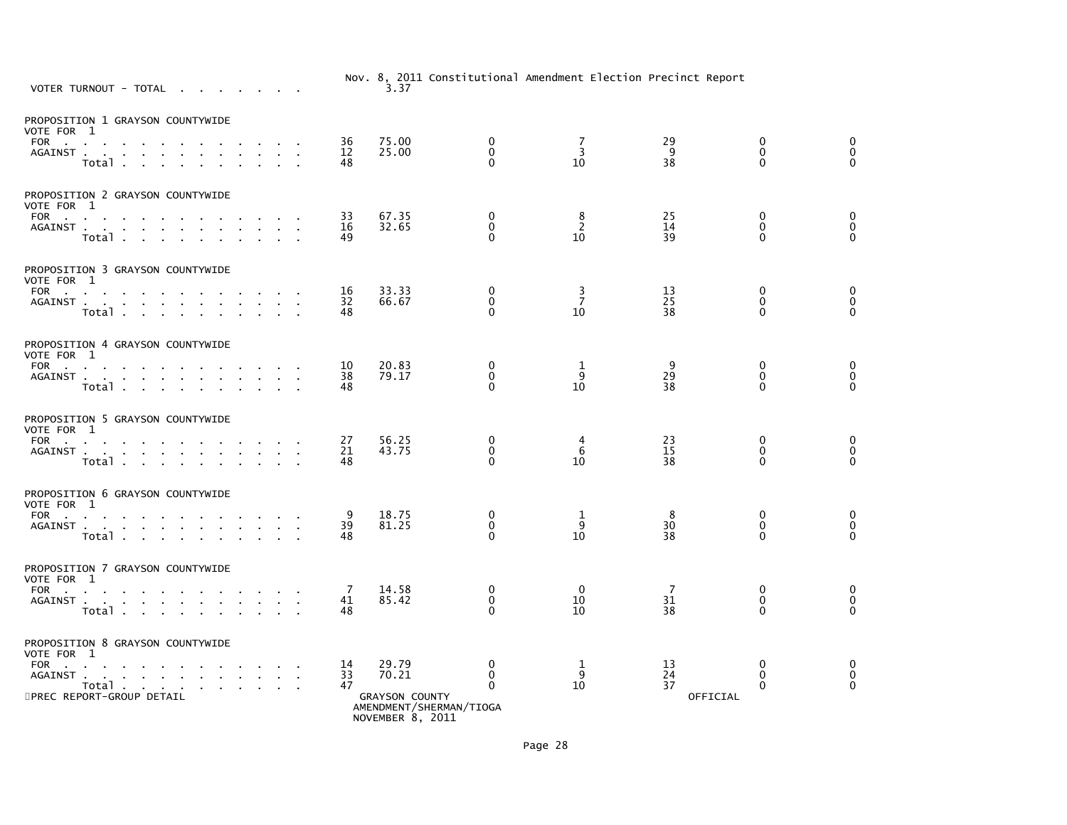| VOTER TURNOUT - TOTAL                                                                                                                                                                                                                                                           |                | 3.37                                                                 |                                        |                            | Nov. 8, 2011 Constitutional Amendment Election Precinct Report |                                         |                                            |
|---------------------------------------------------------------------------------------------------------------------------------------------------------------------------------------------------------------------------------------------------------------------------------|----------------|----------------------------------------------------------------------|----------------------------------------|----------------------------|----------------------------------------------------------------|-----------------------------------------|--------------------------------------------|
| PROPOSITION 1 GRAYSON COUNTYWIDE<br>VOTE FOR 1                                                                                                                                                                                                                                  |                |                                                                      |                                        |                            |                                                                |                                         |                                            |
| FOR<br>$\sim 10$<br>AGAINST<br>Total                                                                                                                                                                                                                                            | 36<br>12<br>48 | 75.00<br>25.00                                                       | $\mathbf 0$<br>$\mathbf 0$<br>$\Omega$ | 7<br>3<br>10               | 29<br>9<br>38                                                  | $\mathbf 0$<br>$\mathbf 0$<br>$\Omega$  | $\mathbf 0$<br>$\mathbf 0$<br>$\mathbf{0}$ |
| PROPOSITION 2 GRAYSON COUNTYWIDE<br>VOTE FOR 1                                                                                                                                                                                                                                  |                |                                                                      |                                        |                            |                                                                |                                         |                                            |
| FOR<br>the contract of the contract of the con-<br>AGAINST<br>Total                                                                                                                                                                                                             | 33<br>16<br>49 | 67.35<br>32.65                                                       | $\mathbf 0$<br>$\mathbf 0$<br>$\Omega$ | 8<br>2<br>10               | 25<br>14<br>39                                                 | $\mathbf 0$<br>$\mathbf{0}$<br>$\Omega$ | $\mathbf 0$<br>$\mathbf 0$<br>$\Omega$     |
| PROPOSITION 3 GRAYSON COUNTYWIDE<br>VOTE FOR 1                                                                                                                                                                                                                                  |                |                                                                      |                                        |                            |                                                                |                                         |                                            |
| FOR<br>AGAINST<br>$\sim$<br>$\mathbf{r}$<br>Total                                                                                                                                                                                                                               | 16<br>32<br>48 | 33.33<br>66.67                                                       | 0<br>$\mathbf 0$<br>$\Omega$           | $\frac{3}{7}$<br>10        | 13<br>25<br>38                                                 | 0<br>$\mathbf 0$<br>$\Omega$            | 0<br>0<br>$\Omega$                         |
| PROPOSITION 4 GRAYSON COUNTYWIDE<br>VOTE FOR 1                                                                                                                                                                                                                                  |                |                                                                      |                                        |                            |                                                                |                                         |                                            |
| FOR<br><b>Contract Contract</b><br>AGAINST<br>Total                                                                                                                                                                                                                             | 10<br>38<br>48 | 20.83<br>79.17                                                       | 0<br>$\mathbf 0$<br>$\Omega$           | 1<br>9<br>10               | 9<br>29<br>38                                                  | 0<br>$\mathbf{0}$<br>$\Omega$           | 0<br>$\mathbf 0$<br>$\Omega$               |
| PROPOSITION 5 GRAYSON COUNTYWIDE<br>VOTE FOR 1                                                                                                                                                                                                                                  |                |                                                                      |                                        |                            |                                                                |                                         |                                            |
| FOR PORT PORT OF THE STATE OF THE STATE OF THE STATE OF THE STATE OF THE STATE OF THE STATE OF THE STATE OF THE STATE OF THE STATE OF THE STATE OF THE STATE OF THE STATE OF THE STATE OF THE STATE OF THE STATE OF THE STATE<br>the company of the company<br>AGAINST<br>Total | 27<br>21<br>48 | 56.25<br>43.75                                                       | 0<br>$\mathbf 0$<br>$\mathbf{0}$       | 4<br>$6\phantom{1}6$<br>10 | 23<br>15<br>38                                                 | 0<br>$\mathbf{0}$<br>0                  | 0<br>$\mathbf 0$<br>$\Omega$               |
| PROPOSITION 6 GRAYSON COUNTYWIDE<br>VOTE FOR 1                                                                                                                                                                                                                                  |                |                                                                      |                                        |                            |                                                                |                                         |                                            |
| FOR $\qquad \qquad \ldots \qquad \qquad \ldots$<br>AGAINST<br>$\sim$<br>$\mathbf{r} = \mathbf{r}$ .<br>Total<br>$\sim$<br>$\sim$                                                                                                                                                | 9<br>39<br>48  | 18.75<br>81.25                                                       | $\mathbf 0$<br>$\mathbf 0$<br>$\Omega$ | 1<br>9<br>10               | 8<br>30<br>38                                                  | 0<br>$\mathbf{0}$<br>$\Omega$           | 0<br>$\mathbf 0$<br>$\mathbf{0}$           |
| PROPOSITION 7 GRAYSON COUNTYWIDE<br>VOTE FOR 1                                                                                                                                                                                                                                  |                |                                                                      |                                        |                            |                                                                |                                         |                                            |
| FOR<br>AGAINST<br>Total                                                                                                                                                                                                                                                         | 7<br>41<br>48  | 14.58<br>85.42                                                       | 0<br>$\mathbf 0$<br>$\Omega$           | $\Omega$<br>10<br>10       | -7<br>31<br>38                                                 | 0<br>$\mathbf 0$<br>$\mathbf{0}$        | 0<br>$\pmb{0}$<br>$\Omega$                 |
| PROPOSITION 8 GRAYSON COUNTYWIDE<br>VOTE FOR 1                                                                                                                                                                                                                                  |                |                                                                      |                                        |                            |                                                                |                                         |                                            |
| FOR $\cdots$ $\cdots$<br>the contract of the contract<br>AGAINST<br>$\mathbf{r}$<br>Total<br>$\sim$                                                                                                                                                                             | 14<br>33<br>47 | 29.79<br>70.21                                                       | 0<br>$\Omega$<br>$\mathbf{0}$          | 1<br>9<br>10               | 13<br>24<br>37                                                 | 0<br>$\mathbf{0}$<br>$\Omega$           | 0<br>$\mathbf 0$<br>$\Omega$               |
| 5PREC REPORT-GROUP DETAIL                                                                                                                                                                                                                                                       |                | <b>GRAYSON COUNTY</b><br>AMENDMENT/SHERMAN/TIOGA<br>NOVEMBER 8, 2011 |                                        |                            | OFFICIAL                                                       |                                         |                                            |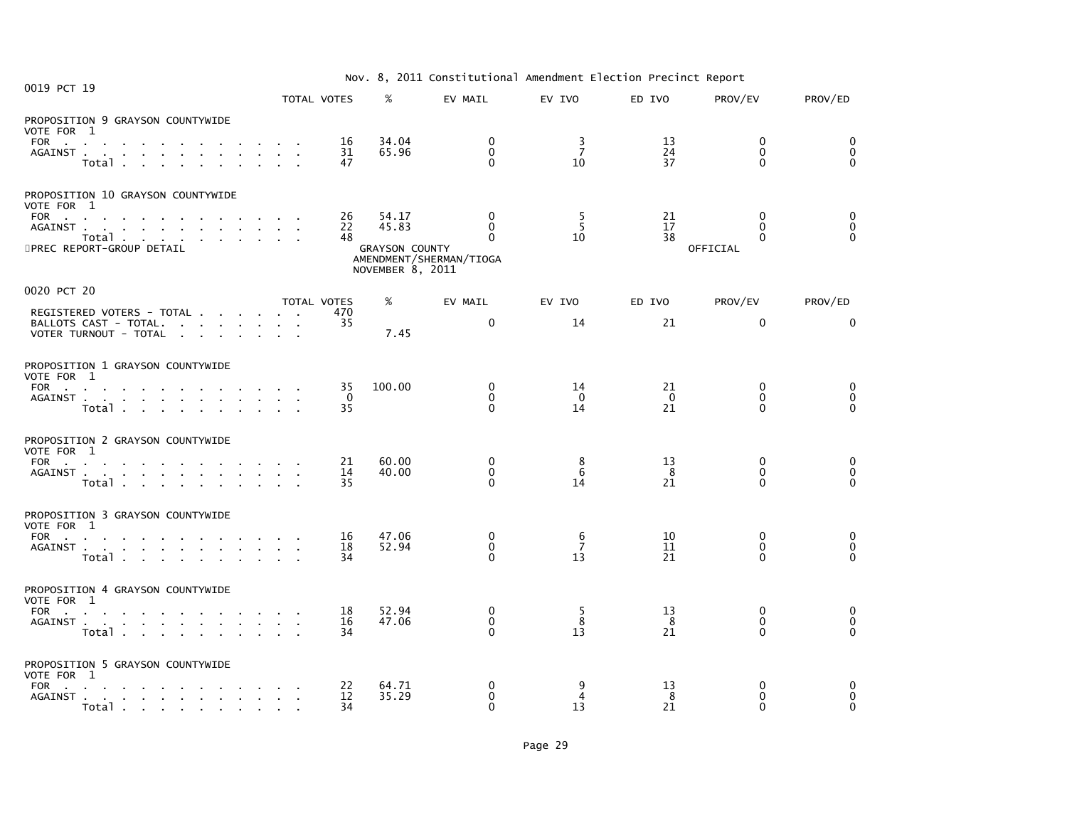|  |  | Nov. 8, 2011 Constitutional Amendment Election Precinct Report |  |  |  |  |
|--|--|----------------------------------------------------------------|--|--|--|--|
|--|--|----------------------------------------------------------------|--|--|--|--|

| 0019 PCT 19                                                                                                                                                                       | .<br>ZUII CONSCITUTIONAL AMCHAMENTE ETCCETUM TITCCINCE REPOLIC |                      |                                                             |                                                                 |                           |                      |                                                  |                                  |  |
|-----------------------------------------------------------------------------------------------------------------------------------------------------------------------------------|----------------------------------------------------------------|----------------------|-------------------------------------------------------------|-----------------------------------------------------------------|---------------------------|----------------------|--------------------------------------------------|----------------------------------|--|
|                                                                                                                                                                                   | TOTAL VOTES                                                    |                      | %                                                           | EV MAIL                                                         | EV IVO                    | ED IVO               | PROV/EV                                          | PROV/ED                          |  |
| PROPOSITION 9 GRAYSON COUNTYWIDE<br>VOTE FOR 1<br>FOR a series and a series and a series of a<br>AGAINST<br>Total                                                                 |                                                                | 16<br>31<br>47       | 34.04<br>65.96                                              | $\mathbf 0$<br>$\mathbf{0}$<br>$\mathbf{0}$                     | 3<br>$\overline{7}$<br>10 | 13<br>24<br>37       | $\mathbf{0}$<br>$\Omega$<br>$\mathbf{0}$         | 0<br>$\mathbf 0$<br>$\Omega$     |  |
| PROPOSITION 10 GRAYSON COUNTYWIDE<br>VOTE FOR 1<br>FOR $\qquad \qquad \ldots \qquad \qquad \ldots \qquad \qquad \ldots$<br>AGAINST<br>Total<br>5PREC REPORT-GROUP DETAIL          |                                                                | 26<br>22<br>48       | 54.17<br>45.83<br><b>GRAYSON COUNTY</b><br>NOVEMBER 8, 2011 | $\mathbf{0}$<br>$\Omega$<br>$\Omega$<br>AMENDMENT/SHERMAN/TIOGA | -5<br>5<br>10             | 21<br>17<br>38       | $\mathbf{0}$<br>$\Omega$<br>$\Omega$<br>OFFICIAL | 0<br>$\mathbf 0$<br>$\mathbf{0}$ |  |
| 0020 PCT 20                                                                                                                                                                       |                                                                |                      |                                                             |                                                                 |                           |                      |                                                  |                                  |  |
| REGISTERED VOTERS - TOTAL<br>BALLOTS CAST - TOTAL.<br>VOTER TURNOUT - TOTAL                                                                                                       | TOTAL VOTES                                                    | 470<br>35            | %<br>7.45                                                   | EV MAIL<br>$\mathbf{0}$                                         | EV IVO<br>14              | ED IVO<br>21         | PROV/EV<br>$\mathbf{0}$                          | PROV/ED<br>$\mathbf{0}$          |  |
| PROPOSITION 1 GRAYSON COUNTYWIDE<br>VOTE FOR 1<br>FOR<br>AGAINST<br>Total                                                                                                         |                                                                | 35<br>$\Omega$<br>35 | 100.00                                                      | $\mathbf{0}$<br>$\mathbf 0$<br>$\Omega$                         | 14<br>$\Omega$<br>14      | 21<br>$\Omega$<br>21 | $\mathbf{0}$<br>$\Omega$<br>$\Omega$             | 0<br>$\mathbf 0$<br>$\Omega$     |  |
| PROPOSITION 2 GRAYSON COUNTYWIDE<br>VOTE FOR 1<br>FOR<br>AGAINST<br>Total                                                                                                         |                                                                | 21<br>14<br>35       | 60.00<br>40.00                                              | 0<br>$\mathbf{0}$<br>$\Omega$                                   | 8<br>6<br>14              | 13<br>8<br>21        | $\mathbf 0$<br>$\mathbf{0}$<br>$\Omega$          | 0<br>0<br>$\mathbf{0}$           |  |
| PROPOSITION 3 GRAYSON COUNTYWIDE<br>VOTE FOR 1<br>FOR<br>AGAINST<br>Total                                                                                                         |                                                                | 16<br>18<br>34       | 47.06<br>52.94                                              | 0<br>$\mathbf{0}$<br>$\Omega$                                   | 6<br>$\overline{7}$<br>13 | 10<br>11<br>21       | $\mathbf 0$<br>$\Omega$<br>0                     | 0<br>$\mathbf 0$<br>$\Omega$     |  |
| PROPOSITION 4 GRAYSON COUNTYWIDE<br>VOTE FOR 1<br>FOR<br>AGAINST<br>Total                                                                                                         |                                                                | 18<br>16<br>34       | 52.94<br>47.06                                              | 0<br>$\mathbf 0$<br>$\Omega$                                    | -5<br>8<br>13             | 13<br>8<br>21        | $\mathbf{0}$<br>$\mathbf{0}$<br>$\Omega$         | 0<br>0<br>$\mathbf{0}$           |  |
| PROPOSITION 5 GRAYSON COUNTYWIDE<br>VOTE FOR 1<br>FOR<br>AGAINST<br>e a conta la contra la contra la contra la contra la contra la contra la contra la contra la contra la contra |                                                                | 22<br>12<br>34       | 64.71<br>35.29                                              | 0<br>$\mathbf 0$<br>$\Omega$                                    | 9<br>4<br>13              | 13<br>8<br>21        | $\mathbf{0}$<br>$\mathbf{0}$<br>$\Omega$         | 0<br>$\mathbf 0$<br>$\Omega$     |  |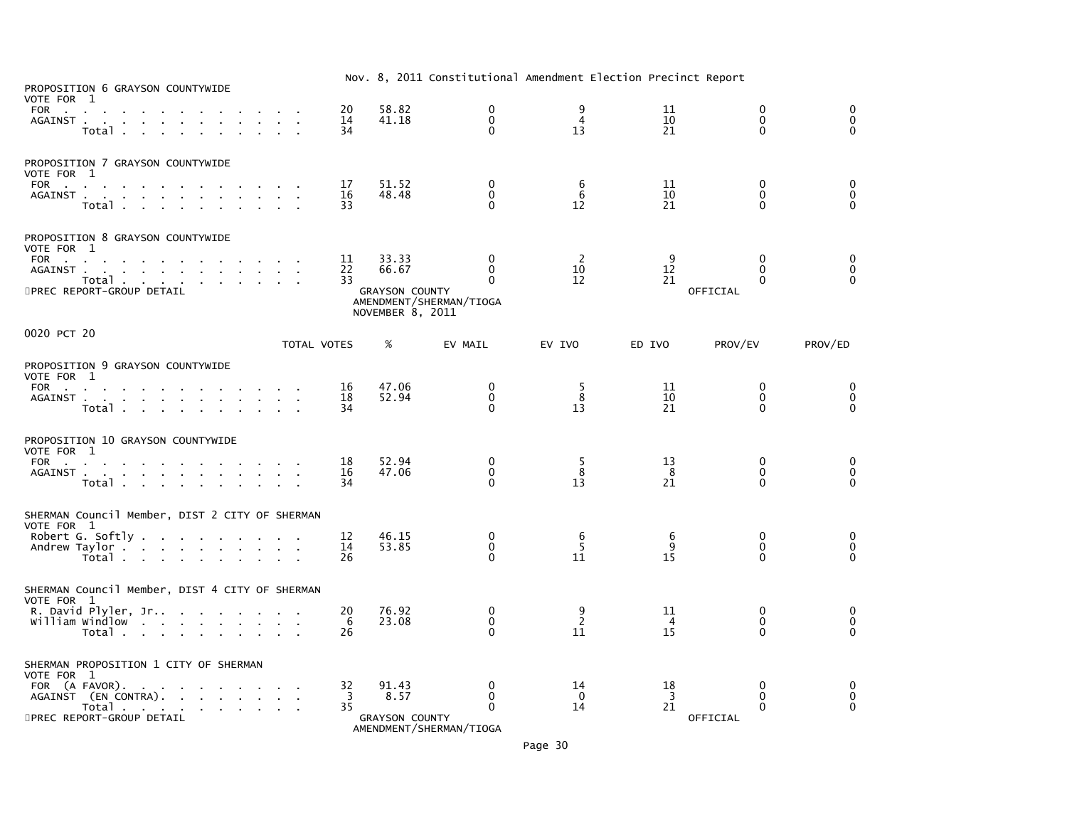| PROPOSITION 6 GRAYSON COUNTYWIDE                                                                                                                                                                                 |                |                                                             | Nov. 8, 2011 Constitutional Amendment Election Precinct Report |                           |                            |                                                  |                                  |
|------------------------------------------------------------------------------------------------------------------------------------------------------------------------------------------------------------------|----------------|-------------------------------------------------------------|----------------------------------------------------------------|---------------------------|----------------------------|--------------------------------------------------|----------------------------------|
| VOTE FOR 1<br>FOR<br>AGAINST<br>Total                                                                                                                                                                            | 20<br>14<br>34 | 58.82<br>41.18                                              | 0<br>$\mathbf 0$<br>$\Omega$                                   | 9<br>$\overline{4}$<br>13 | 11<br>10<br>21             | $\mathbf{0}$<br>0<br>$\Omega$                    | $\mathbf{0}$<br>0<br>$\Omega$    |
| PROPOSITION 7 GRAYSON COUNTYWIDE<br>VOTE FOR 1<br>FOR<br>AGAINST<br>$\sim$<br>Total<br>$\sim$                                                                                                                    | 17<br>16<br>33 | 51.52<br>48.48                                              | 0<br>0<br>$\Omega$                                             | 6<br>6<br>12              | 11<br>10<br>21             | $\mathbf{0}$<br>$\mathbf{0}$<br>$\Omega$         | 0<br>0<br>$\Omega$               |
| PROPOSITION 8 GRAYSON COUNTYWIDE<br>VOTE FOR 1<br>FOR<br><b>Contract Contract</b><br>Total<br>5PREC REPORT-GROUP DETAIL                                                                                          | 11<br>22<br>33 | 33.33<br>66.67<br><b>GRAYSON COUNTY</b><br>NOVEMBER 8, 2011 | $\Omega$<br>$\mathbf{0}$<br>0<br>AMENDMENT/SHERMAN/TIOGA       | -2<br>10<br>12            | q<br>12<br>21              | $\Omega$<br>$\Omega$<br>$\bf{0}$<br>OFFICIAL     | 0<br>$\mathbf 0$<br>$\Omega$     |
| 0020 PCT 20<br>TOTAL VOTES                                                                                                                                                                                       |                | %                                                           | EV MAIL                                                        | EV IVO                    | ED IVO                     | PROV/EV                                          | PROV/ED                          |
| PROPOSITION 9 GRAYSON COUNTYWIDE<br>VOTE FOR 1<br>FOR<br>AGAINST<br>Total .<br>the contract of the contract of                                                                                                   | 16<br>18<br>34 | 47.06<br>52.94                                              | 0<br>$\mathbf 0$<br>$\mathbf 0$                                | 5<br>8<br>13              | 11<br>10<br>21             | 0<br>$\mathbf{0}$<br>$\Omega$                    | 0<br>$\mathbf 0$<br>$\mathbf{0}$ |
| PROPOSITION 10 GRAYSON COUNTYWIDE<br>VOTE FOR 1<br>FOR<br>the company of the company<br>AGAINST<br>Total                                                                                                         | 18<br>16<br>34 | 52.94<br>47.06                                              | 0<br>$\mathbf 0$<br>$\Omega$                                   | 5<br>8<br>13              | 13<br>8<br>21              | 0<br>$\mathbf{0}$<br>$\Omega$                    | 0<br>$\mathbf 0$<br>$\Omega$     |
| SHERMAN Council Member, DIST 2 CITY OF SHERMAN<br>VOTE FOR 1<br>Robert G. Softly<br>Andrew Taylor<br>Total                                                                                                       | 12<br>14<br>26 | 46.15<br>53.85                                              | 0<br>$\mathbf 0$<br>0                                          | 6<br>5<br>11              | 6<br>9<br>15               | 0<br>$\mathbf 0$<br>$\Omega$                     | 0<br>0<br>$\mathbf{0}$           |
| SHERMAN Council Member, DIST 4 CITY OF SHERMAN<br>VOTE FOR 1<br>R. David Plyler, Jr<br>William Windlow<br>Total                                                                                                  | 20<br>6<br>26  | 76.92<br>23.08                                              | $\mathbf 0$<br>$\mathbf 0$<br>$\Omega$                         | 9<br>$\overline{2}$<br>11 | 11<br>4<br>15              | $\Omega$<br>$\mathbf 0$<br>$\Omega$              | 0<br>$\mathbf 0$<br>$\mathbf{0}$ |
| SHERMAN PROPOSITION 1 CITY OF SHERMAN<br>VOTE FOR 1<br>FOR (A FAVOR).<br>the contract of the contract of the contract of<br>AGAINST (EN CONTRA).<br>Total<br><b>Service Control</b><br>5PREC REPORT-GROUP DETAIL | 32<br>3<br>35  | 91.43<br>8.57<br><b>GRAYSON COUNTY</b>                      | 0<br>0<br>$\Omega$                                             | 14<br>$\Omega$<br>14      | 18<br>$\overline{3}$<br>21 | $\mathbf{0}$<br>$\Omega$<br>$\Omega$<br>OFFICIAL | 0<br>0<br>$\Omega$               |

AMENDMENT/SHERMAN/TIOGA

Page 30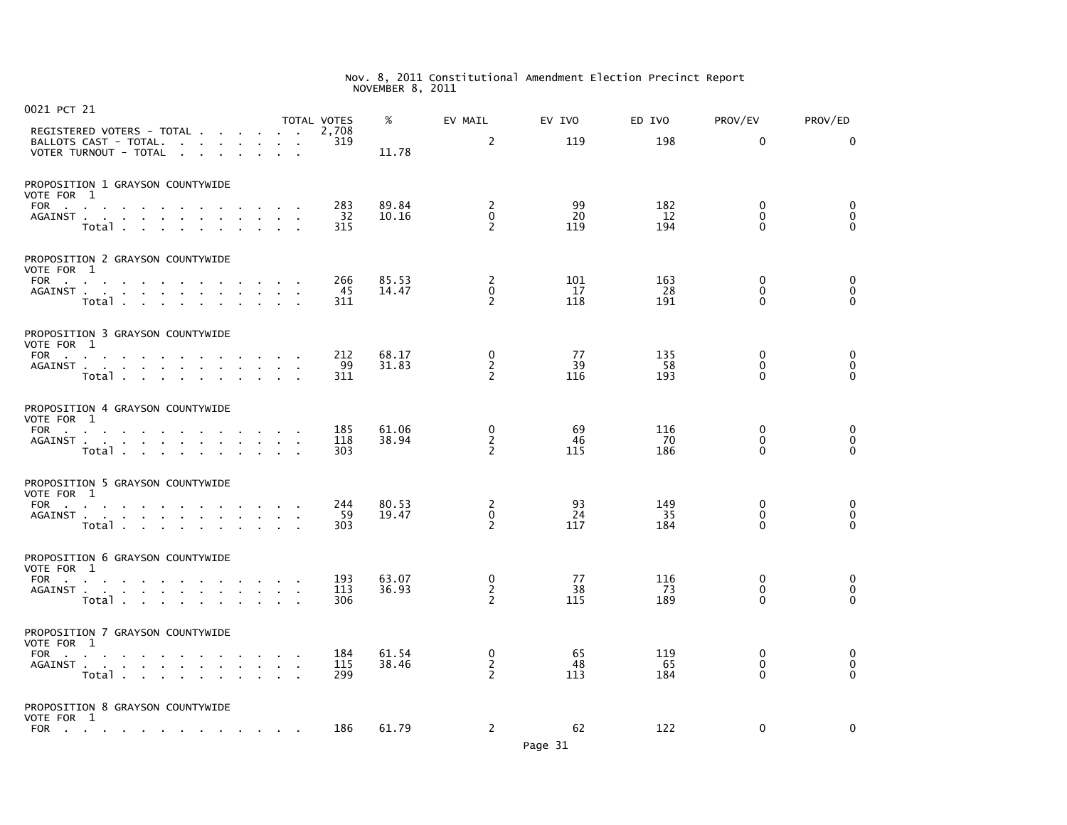| 0021 PCT 21              |                                                                                                                                                                             |              | <b>TOTAL VOTES</b>     |                   | %              | EV MAIL                                         | EV IVO           | ED IVO            | PROV/EV                                 | PROV/ED                                    |
|--------------------------|-----------------------------------------------------------------------------------------------------------------------------------------------------------------------------|--------------|------------------------|-------------------|----------------|-------------------------------------------------|------------------|-------------------|-----------------------------------------|--------------------------------------------|
|                          | REGISTERED VOTERS - TOTAL<br>BALLOTS CAST - TOTAL.<br>VOTER TURNOUT - TOTAL                                                                                                 |              |                        | 2.708<br>319      | 11.78          | 2                                               | 119              | 198               | 0                                       | $\Omega$                                   |
| VOTE FOR 1<br><b>FOR</b> | PROPOSITION 1 GRAYSON COUNTYWIDE<br>and the company of the<br>$\sim$<br>AGAINST<br>Total .<br>$\sim 10^{-1}$<br>$\mathbf{L} = \mathbf{L}$                                   |              |                        | 283<br>32<br>315  | 89.84<br>10.16 | 2<br>$\mathbf 0$<br>2                           | 99<br>20<br>119  | 182<br>12<br>194  | 0<br>$\mathbf{0}$<br>$\Omega$           | 0<br>$\mathbf 0$<br>$\Omega$               |
| VOTE FOR 1               | PROPOSITION 2 GRAYSON COUNTYWIDE<br>FOR<br>the company of the company<br><b>Contractor</b><br>AGAINST<br>$\mathbf{r}$<br>Total                                              |              | $\sim$<br>$\mathbf{r}$ | 266<br>45<br>311  | 85.53<br>14.47 | $\overline{c}$<br>$\mathbf 0$<br>$\overline{2}$ | 101<br>17<br>118 | 163<br>28<br>191  | 0<br>$\mathbf{0}$<br>$\Omega$           | 0<br>$\mathbf 0$<br>$\Omega$               |
| VOTE FOR 1               | PROPOSITION 3 GRAYSON COUNTYWIDE<br>FOR<br>AGAINST<br>Total                                                                                                                 |              |                        | 212<br>99<br>311  | 68.17<br>31.83 | $\mathbf 0$<br>$\overline{2}$<br>$\overline{2}$ | 77<br>39<br>116  | 135<br>58<br>193  | 0<br>$\mathbf 0$<br>$\Omega$            | $_{\rm 0}^{\rm 0}$<br>$\Omega$             |
| VOTE FOR 1<br>FOR        | PROPOSITION 4 GRAYSON COUNTYWIDE<br>the contract of the contract of<br>$\sim$<br>AGAINST<br>$\mathbf{a}$ , and $\mathbf{a}$ , and $\mathbf{a}$<br>Total                     |              |                        | 185<br>118<br>303 | 61.06<br>38.94 | 0<br>$\frac{2}{2}$                              | 69<br>46<br>115  | 116<br>70<br>186  | $\mathbf 0$<br>$\mathbf 0$<br>$\Omega$  | 0<br>$\check{\mathbf{0}}$<br>$\tilde{0}$   |
| VOTE FOR 1<br><b>FOR</b> | PROPOSITION 5 GRAYSON COUNTYWIDE<br>the company of the company<br><b>Contract Contract</b><br>AGAINST<br>$\sim$<br>Total .<br><b>Service</b><br>$\sim 10^{-1}$<br>$\sim 10$ |              |                        | 244<br>59<br>303  | 80.53<br>19.47 | 2<br>$\Omega$<br>2                              | 93<br>24<br>117  | 149<br>35<br>184  | 0<br>$\mathbf{0}$<br>$\Omega$           | 0<br>$\ddot{\mathbf{0}}$<br>$\overline{O}$ |
| VOTE FOR 1<br><b>FOR</b> | PROPOSITION 6 GRAYSON COUNTYWIDE<br>the contract of the contract<br>AGAINST<br>Total                                                                                        | $\sim$       | $\sim$<br>$\sim$       | 193<br>113<br>306 | 63.07<br>36.93 | 0<br>$\overline{2}$<br>2                        | 77<br>38<br>115  | 116<br>-73<br>189 | $\mathbf 0$<br>$\Omega$<br>$\mathbf{0}$ | $_{\rm 0}^{\rm 0}$<br>$\Omega$             |
| VOTE FOR 1<br>FOR        | PROPOSITION 7 GRAYSON COUNTYWIDE<br>$\sim$<br>$\mathbf{r}$<br>AGAINST<br>Total<br>$\sim$<br>$\mathbf{r}$                                                                    | $\mathbf{r}$ | $\sim 10^{-1}$         | 184<br>115<br>299 | 61.54<br>38.46 | 0<br>$\frac{2}{2}$                              | 65<br>48<br>113  | 119<br>65<br>184  | 0<br>0<br>$\Omega$                      | 0<br>$\ddot{\mathbf{0}}$<br>$\Omega$       |
| VOTE FOR 1<br><b>FOR</b> | PROPOSITION 8 GRAYSON COUNTYWIDE<br>the contract of the contract of the contract of the contract of                                                                         |              |                        | 186               | 61.79          | 2                                               | 62               | 122               | 0                                       | 0                                          |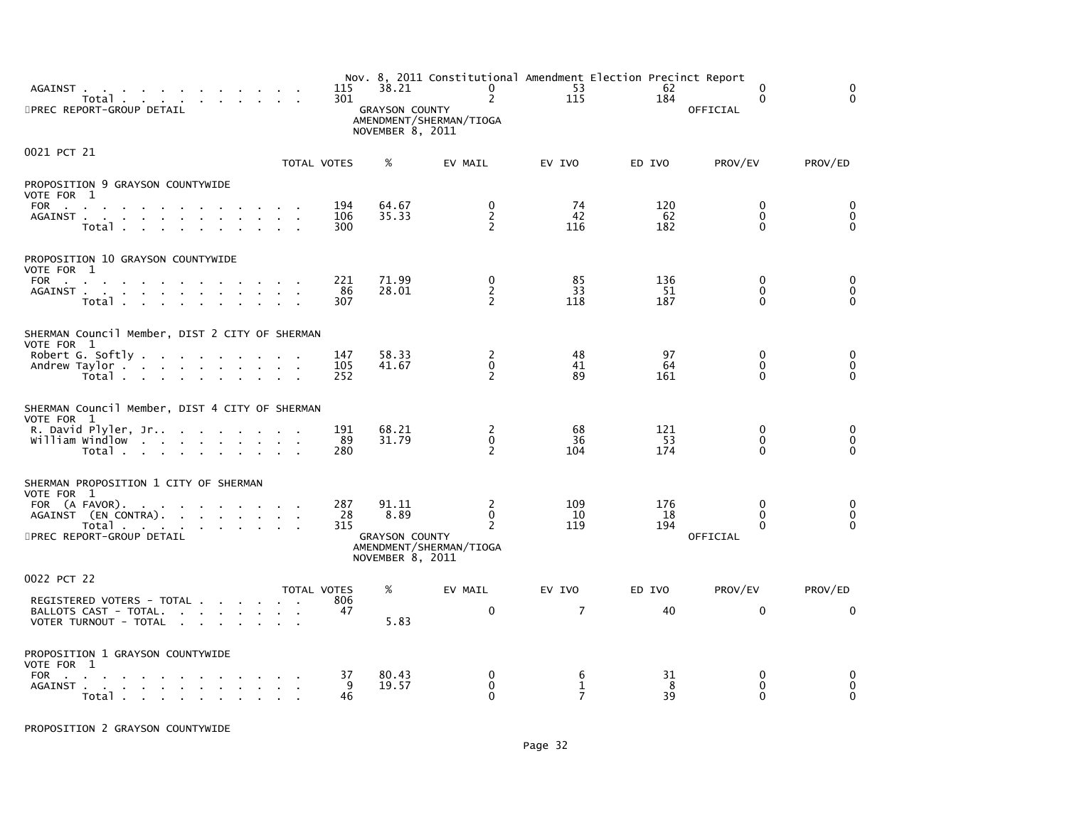| AGAINST<br>Total<br>5PREC REPORT-GROUP DETAIL                                                                                                                       |                                    | 115<br>301               | 38.21<br><b>GRAYSON COUNTY</b><br>NOVEMBER 8, 2011         | Nov. 8, 2011 Constitutional Amendment Election Precinct Report<br>$\mathbf 0$<br>$\overline{2}$<br>AMENDMENT/SHERMAN/TIOGA | 53<br>115                           | 62<br>184        | 0<br>$\Omega$<br><b>OFFICIAL</b>          | $\Omega$<br>$\Omega$            |
|---------------------------------------------------------------------------------------------------------------------------------------------------------------------|------------------------------------|--------------------------|------------------------------------------------------------|----------------------------------------------------------------------------------------------------------------------------|-------------------------------------|------------------|-------------------------------------------|---------------------------------|
| 0021 PCT 21                                                                                                                                                         |                                    | TOTAL VOTES              | %                                                          | EV MAIL                                                                                                                    | EV IVO                              | ED IVO           | PROV/EV                                   | PROV/ED                         |
| PROPOSITION 9 GRAYSON COUNTYWIDE<br>VOTE FOR 1<br>FOR<br>AGAINST<br>Total                                                                                           |                                    | 194<br>106<br>300        | 64.67<br>35.33                                             | 0<br>$\frac{2}{2}$                                                                                                         | 74<br>42<br>116                     | 120<br>62<br>182 | 0<br>$\mathbf 0$<br>$\Omega$              | 0<br>$\overline{0}$<br>$\Omega$ |
| PROPOSITION 10 GRAYSON COUNTYWIDE<br>VOTE FOR 1<br>FOR<br><b>Contract Contract</b><br>Total<br><b>Carl Carl</b>                                                     | $\sim$                             | 221<br>86<br>307         | 71.99<br>28.01                                             | 0<br>$\overline{c}$<br>$\overline{2}$                                                                                      | 85<br>33<br>118                     | 136<br>51<br>187 | $\mathbf{0}$<br>$\mathbf{0}$<br>$\Omega$  | 0<br>$\mathbf 0$<br>$\Omega$    |
| SHERMAN Council Member, DIST 2 CITY OF SHERMAN<br>VOTE FOR 1<br>Robert G. Softly $\ldots$ $\ldots$ $\ldots$<br>Andrew Taylor<br>Total                               |                                    | 147<br>105<br>252        | 58.33<br>41.67                                             | 2<br>$\mathbf 0$<br>$\overline{2}$                                                                                         | 48<br>41<br>89                      | 97<br>64<br>161  | 0<br>0<br>$\Omega$                        | 0<br>$\pmb{0}$<br>$\Omega$      |
| SHERMAN Council Member, DIST 4 CITY OF SHERMAN<br>VOTE FOR 1<br>R. David Plyler, Jr<br>william windlow<br>Total                                                     |                                    | 191<br>89<br>280         | 68.21<br>31.79                                             | 2<br>$\mathbf 0$<br>2                                                                                                      | 68<br>36<br>104                     | 121<br>53<br>174 | 0<br>$\Omega$<br>$\Omega$                 | 0<br>$\mathbf 0$<br>$\Omega$    |
| SHERMAN PROPOSITION 1 CITY OF SHERMAN<br>VOTE FOR 1<br>FOR $(A$ FAVOR). $\ldots$<br>AGAINST (EN CONTRA).<br>Total<br>and a strain and<br>5PREC REPORT-GROUP DETAIL  |                                    | 287<br>28<br>315         | 91.11<br>8.89<br><b>GRAYSON COUNTY</b><br>NOVEMBER 8, 2011 | 2<br>$\Omega$<br>2<br>AMENDMENT/SHERMAN/TIOGA                                                                              | 109<br>10<br>119                    | 176<br>18<br>194 | 0<br>$\Omega$<br>$\mathbf{0}$<br>OFFICIAL | 0<br>$\mathbf 0$<br>$\Omega$    |
| 0022 PCT 22<br>REGISTERED VOTERS - TOTAL<br>BALLOTS CAST - TOTAL.<br>the contract of the contract of<br>VOTER TURNOUT - TOTAL<br>$\sim$<br><b>Contract Contract</b> | <b>Contract Contract</b><br>$\sim$ | TOTAL VOTES<br>806<br>47 | %<br>5.83                                                  | EV MAIL<br>0                                                                                                               | EV IVO<br>7                         | ED IVO<br>40     | PROV/EV<br>$\Omega$                       | PROV/ED<br>$\Omega$             |
| PROPOSITION 1 GRAYSON COUNTYWIDE<br>VOTE FOR 1<br><b>FOR</b><br>the contract of the contract of the contract of the<br>AGAINST<br>Total                             |                                    | 37<br>9<br>46            | 80.43<br>19.57                                             | $\Omega$<br>0<br>$\mathbf{0}$                                                                                              | 6<br>$\mathbf{1}$<br>$\overline{7}$ | 31<br>8<br>39    | 0<br>0<br>$\mathbf{0}$                    | 0<br>0<br>$\Omega$              |

PROPOSITION 2 GRAYSON COUNTYWIDE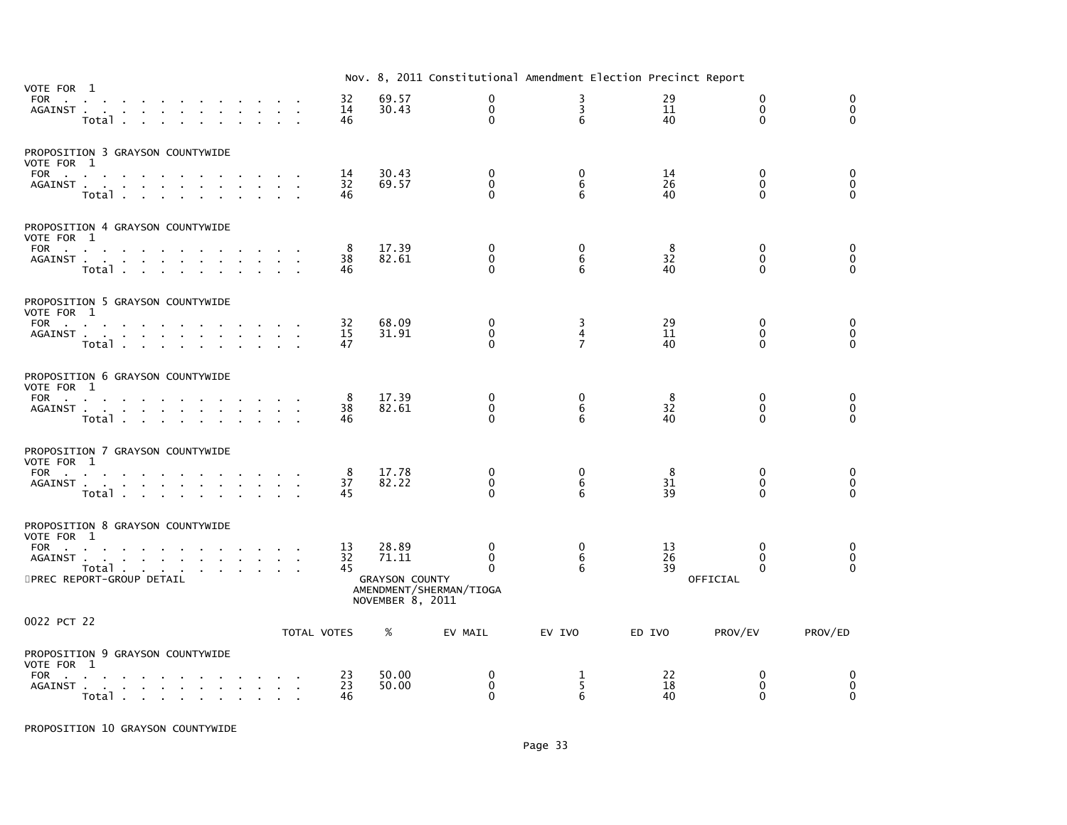|                                                                                                                                                                                                                      |                |                                                             | Nov. 8, 2011 Constitutional Amendment Election Precinct Report |                                       |                            |                                              |                                         |
|----------------------------------------------------------------------------------------------------------------------------------------------------------------------------------------------------------------------|----------------|-------------------------------------------------------------|----------------------------------------------------------------|---------------------------------------|----------------------------|----------------------------------------------|-----------------------------------------|
| VOTE FOR 1<br>FOR .<br>and the contract of the contract of the contract of the<br>AGAINST<br>Total                                                                                                                   | 32<br>14<br>46 | 69.57<br>30.43                                              | 0<br>$\mathbf 0$<br>$\mathbf{0}$                               | 3<br>3<br>6                           | 29<br>11<br>40             | $\Omega$<br>$\mathbf{0}$<br>$\mathbf{0}$     | $\mathbf{0}$<br>$\mathbf 0$<br>$\Omega$ |
| PROPOSITION 3 GRAYSON COUNTYWIDE<br>VOTE FOR 1<br>FOR<br>AGAINST<br>Total .<br><b>Service Control</b>                                                                                                                | 14<br>32<br>46 | 30.43<br>69.57                                              | 0<br>$\mathbf 0$<br>$\Omega$                                   | 0<br>6<br>6                           | 14<br>26<br>40             | 0<br>$\Omega$<br>$\Omega$                    | 0<br>0<br>$\Omega$                      |
| PROPOSITION 4 GRAYSON COUNTYWIDE<br>VOTE FOR 1<br>FOR<br>AGAINST<br>Total                                                                                                                                            | 8<br>38<br>46  | 17.39<br>82.61                                              | 0<br>$\Omega$<br>$\Omega$                                      | 0<br>6<br>6                           | 8<br>$3\overline{2}$<br>40 | 0<br>$\mathbf{0}$<br>$\Omega$                | 0<br>0<br>$\Omega$                      |
| PROPOSITION 5 GRAYSON COUNTYWIDE<br>VOTE FOR 1<br>FOR<br>AGAINST<br>Total                                                                                                                                            | 32<br>15<br>47 | 68.09<br>31.91                                              | $\mathbf 0$<br>$\mathbf 0$<br>0                                | 3<br>$\overline{4}$<br>$\overline{7}$ | 29<br>11<br>40             | $\mathbf 0$<br>$\mathbf{0}$<br>$\Omega$      | 0<br>$\mathbf 0$<br>$\mathbf{0}$        |
| PROPOSITION 6 GRAYSON COUNTYWIDE<br>VOTE FOR 1<br>$FOR$<br>AGAINST<br>$\mathbf{r} = \mathbf{r}$ .<br>Total<br>$\sim 10^{-11}$                                                                                        | 8<br>38<br>46  | 17.39<br>82.61                                              | $\mathbf 0$<br>0<br>$\Omega$                                   | 0<br>6<br>6                           | 8<br>32<br>40              | $\Omega$<br>$\mathbf 0$<br>$\Omega$          | 0<br>0<br>$\Omega$                      |
| PROPOSITION 7 GRAYSON COUNTYWIDE<br>VOTE FOR 1<br>FOR<br>AGAINST<br>Total                                                                                                                                            | 8<br>37<br>45  | 17.78<br>82.22                                              | 0<br>$\mathbf 0$<br>$\Omega$                                   | 0<br>6<br>6                           | 8<br>31<br>39              | $\mathbf{0}$<br>$\mathbf{0}$<br>$\Omega$     | $\mathbf{0}$<br>$\mathbf 0$<br>$\Omega$ |
| PROPOSITION 8 GRAYSON COUNTYWIDE<br>VOTE FOR 1<br>FOR<br>the contract of the contract of the con-<br>AGAINST .<br>and a series of the contract and a series of<br>Total<br>$\mathbf{r}$<br>5PREC REPORT-GROUP DETAIL | 13<br>32<br>45 | 28.89<br>71.11<br><b>GRAYSON COUNTY</b><br>NOVEMBER 8, 2011 | $\Omega$<br>0<br>$\Omega$<br>AMENDMENT/SHERMAN/TIOGA           | 0<br>6<br>6                           | 13<br>26<br>39             | $\Omega$<br>$\Omega$<br>$\Omega$<br>OFFICIAL | 0<br>$\mathbf 0$<br>$\Omega$            |
| 0022 PCT 22                                                                                                                                                                                                          | TOTAL VOTES    | %                                                           | EV MAIL                                                        | EV IVO                                | ED IVO                     | PROV/EV                                      | PROV/ED                                 |
| PROPOSITION 9 GRAYSON COUNTYWIDE<br>VOTE FOR 1<br>FOR<br>AGAINST<br>$\mathbf{a}=\mathbf{a}$                                                                                                                          | 23<br>23<br>46 | 50.00<br>50.00                                              | 0<br>$\mathbf 0$<br>$\Omega$                                   | 1<br>5<br>6                           | 22<br>18<br>40             | $\Omega$<br>0<br>$\Omega$                    | 0<br>0<br>$\Omega$                      |

PROPOSITION 10 GRAYSON COUNTYWIDE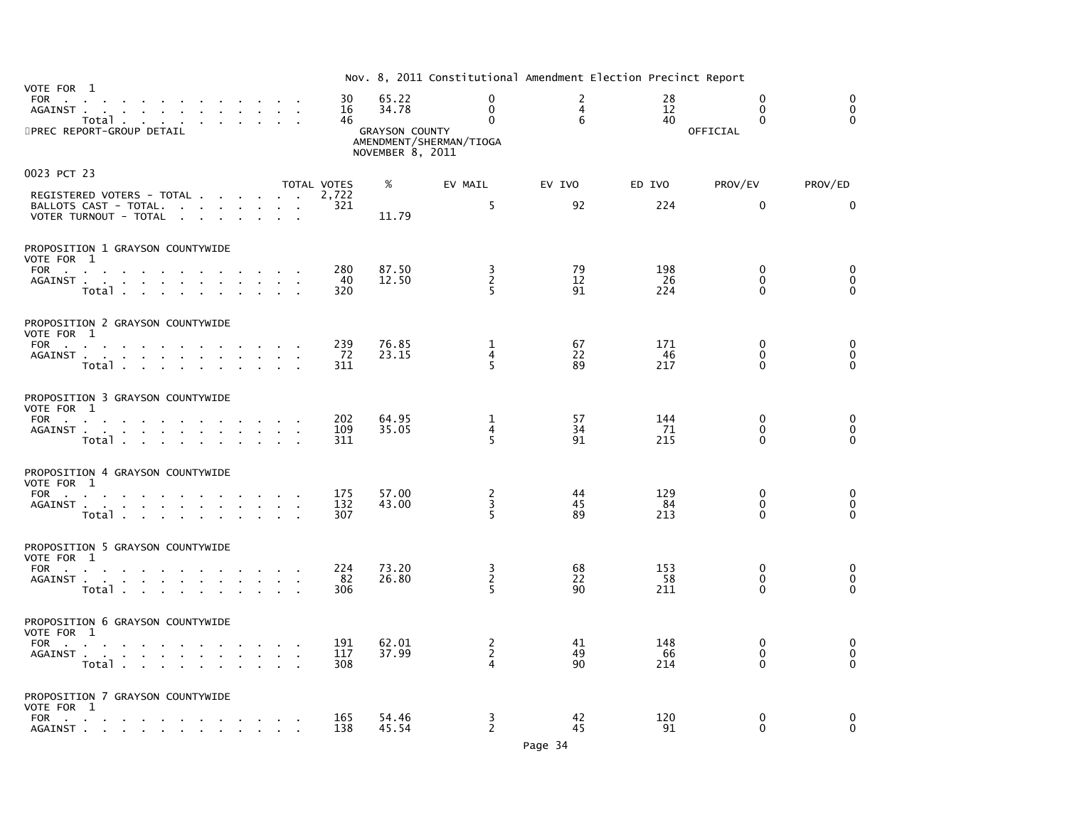| VOTE FOR 1                                                                                                                                                                                                                                                                                                        |                   |                                                             | Nov. 8, 2011 Constitutional Amendment Election Precinct Report        |                          |                   |                                              |                                             |
|-------------------------------------------------------------------------------------------------------------------------------------------------------------------------------------------------------------------------------------------------------------------------------------------------------------------|-------------------|-------------------------------------------------------------|-----------------------------------------------------------------------|--------------------------|-------------------|----------------------------------------------|---------------------------------------------|
| FOR<br>the contract of the contract<br>AGAINST.<br>$\sim 10^{-11}$<br>and the contract of the contract of<br>Total<br>5PREC REPORT-GROUP DETAIL                                                                                                                                                                   | 30<br>16<br>46    | 65.22<br>34.78<br><b>GRAYSON COUNTY</b><br>NOVEMBER 8, 2011 | $\mathbf 0$<br>$\mathbf 0$<br>$\mathbf{0}$<br>AMENDMENT/SHERMAN/TIOGA | 2<br>$\overline{4}$<br>6 | 28<br>12<br>40    | $\Omega$<br>$\Omega$<br>$\Omega$<br>OFFICIAL | $\mathbf 0$<br>0<br>$\Omega$                |
| 0023 PCT 23                                                                                                                                                                                                                                                                                                       | TOTAL VOTES       | %                                                           | EV MAIL                                                               | EV IVO                   | ED IVO            | PROV/EV                                      | PROV/ED                                     |
| REGISTERED VOTERS - TOTAL<br>BALLOTS CAST - TOTAL.<br>the contract of the con-<br>VOTER TURNOUT - TOTAL<br>the contract of the contract of the con-                                                                                                                                                               | 2,722<br>321      | 11.79                                                       | 5                                                                     | 92                       | 224               | $\mathbf{0}$                                 | $\Omega$                                    |
| PROPOSITION 1 GRAYSON COUNTYWIDE                                                                                                                                                                                                                                                                                  |                   |                                                             |                                                                       |                          |                   |                                              |                                             |
| VOTE FOR 1<br>FOR PORT PORT PRODUCTS<br><b>Contract Contract</b><br>the contract of the con-<br>AGAINST<br>$\sim$<br>$\sim 10^{-1}$<br>$\sim$<br>Total<br>$\mathbf{r}$                                                                                                                                            | 280<br>-40<br>320 | 87.50<br>12.50                                              | $\frac{3}{2}$<br>5                                                    | 79<br>12<br>91           | 198<br>-26<br>224 | $\mathbf{0}$<br>$\Omega$<br>$\Omega$         | $\mathbf{0}$<br>$\mathbf 0$<br>$\mathbf{0}$ |
| PROPOSITION 2 GRAYSON COUNTYWIDE                                                                                                                                                                                                                                                                                  |                   |                                                             |                                                                       |                          |                   |                                              |                                             |
| VOTE FOR 1<br>FOR<br>the contract of the contract of the con-<br>$\sim$<br>AGAINST<br>$\sim$<br>the contract of the contract<br>$\sim$<br>$\sim$<br>Total                                                                                                                                                         | 239<br>72<br>311  | 76.85<br>23.15                                              | 1<br>$\overline{4}$<br>5                                              | 67<br>22<br>89           | 171<br>46<br>217  | $\Omega$<br>$\mathbf{0}$<br>0                | 0<br>$\mathbf 0$<br>$\Omega$                |
| PROPOSITION 3 GRAYSON COUNTYWIDE                                                                                                                                                                                                                                                                                  |                   |                                                             |                                                                       |                          |                   |                                              |                                             |
| VOTE FOR 1<br>FOR $\qquad \qquad \ldots \qquad \qquad \ldots \qquad \qquad \ldots$<br>AGAINST<br>$\sim 10^{-1}$<br>$\sim 10^{-1}$ m $^{-1}$<br>Total                                                                                                                                                              | 202<br>109<br>311 | 64.95<br>35.05                                              | 1<br>4<br>5                                                           | 57<br>34<br>91           | 144<br>-71<br>215 | $\mathbf 0$<br>$\Omega$<br>$\Omega$          | 0<br>0<br>$\Omega$                          |
| PROPOSITION 4 GRAYSON COUNTYWIDE                                                                                                                                                                                                                                                                                  |                   |                                                             |                                                                       |                          |                   |                                              |                                             |
| VOTE FOR 1<br>FOR $\cdots$<br>the company of the company<br>AGAINST<br>Total .<br>$\sim$<br><b>Contract Contract</b>                                                                                                                                                                                              | 175<br>132<br>307 | 57.00<br>43.00                                              | $\frac{2}{3}$<br>5                                                    | 44<br>45<br>89           | 129<br>84<br>213  | 0<br>$\Omega$<br>$\mathbf{0}$                | $\mathbf 0$<br>$\mathbf 0$<br>$\Omega$      |
| PROPOSITION 5 GRAYSON COUNTYWIDE<br>VOTE FOR 1                                                                                                                                                                                                                                                                    |                   |                                                             |                                                                       |                          |                   |                                              |                                             |
| FOR<br>AGAINST<br>the contract of the contract of the<br>Total                                                                                                                                                                                                                                                    | 224<br>82<br>306  | 73.20<br>26.80                                              | $\frac{3}{2}$<br>5                                                    | 68<br>22<br>90           | 153<br>58<br>211  | $\mathbf 0$<br>$\mathbf{0}$<br>$\Omega$      | 0<br>$\mathbf 0$<br>$\mathbf{0}$            |
| PROPOSITION 6 GRAYSON COUNTYWIDE                                                                                                                                                                                                                                                                                  |                   |                                                             |                                                                       |                          |                   |                                              |                                             |
| VOTE FOR 1<br>FOR PORT PORT OF THE STATE OF THE STATE OF THE STATE OF THE STATE OF THE STATE OF THE STATE OF THE STATE OF THE STATE OF THE STATE OF THE STATE OF THE STATE OF THE STATE OF THE STATE OF THE STATE OF THE STATE OF THE STATE<br>AGAINST .<br>and a series of the contract and a series of<br>Total | 191<br>117<br>308 | 62.01<br>37.99                                              | $\frac{2}{2}$<br>4                                                    | 41<br>49<br>90           | 148<br>66<br>214  | 0<br>$\Omega$<br>$\Omega$                    | 0<br>$\mathbf 0$<br>$\Omega$                |
| PROPOSITION 7 GRAYSON COUNTYWIDE<br>VOTE FOR 1                                                                                                                                                                                                                                                                    |                   |                                                             |                                                                       |                          |                   |                                              |                                             |
| FOR<br>AGAINST                                                                                                                                                                                                                                                                                                    | 165<br>138        | 54.46<br>45.54                                              | 3<br>2                                                                | 42<br>45                 | 120<br>91         | $\Omega$<br>0                                | 0<br>$\mathbf 0$                            |

Page 34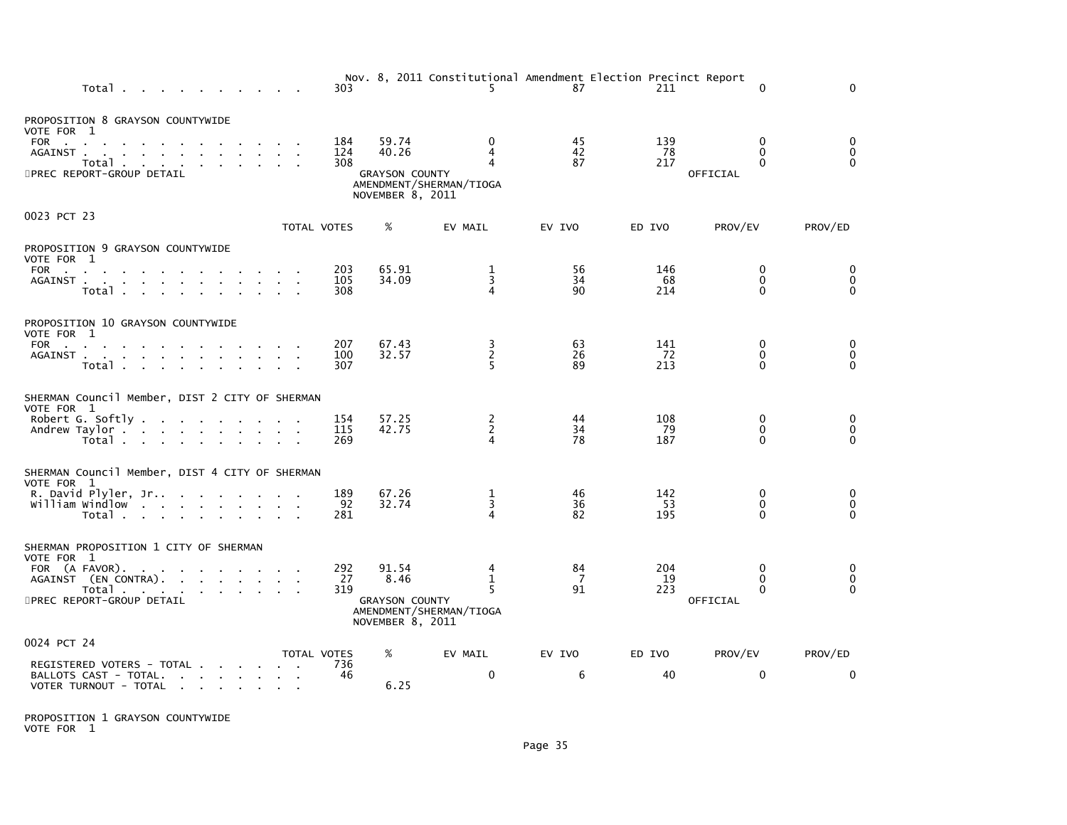| Total                                                                                                                                                                                 | 303               |                                                             | Nov. 8, 2011 Constitutional Amendment Election Precinct Report<br>5. | 87             | 211              | $\Omega$                                         | $\Omega$                                |
|---------------------------------------------------------------------------------------------------------------------------------------------------------------------------------------|-------------------|-------------------------------------------------------------|----------------------------------------------------------------------|----------------|------------------|--------------------------------------------------|-----------------------------------------|
| PROPOSITION 8 GRAYSON COUNTYWIDE<br>VOTE FOR 1<br>FOR<br>AGAINST.<br>and a strain and a strain and a strain<br>Total<br>5PREC REPORT-GROUP DETAIL                                     | 184<br>124<br>308 | 59.74<br>40.26<br><b>GRAYSON COUNTY</b><br>NOVEMBER 8, 2011 | $\Omega$<br>4<br>4<br>AMENDMENT/SHERMAN/TIOGA                        | 45<br>42<br>87 | 139<br>78<br>217 | $\mathbf{0}$<br>$\Omega$<br>$\Omega$<br>OFFICIAL | $\mathbf 0$<br>$\mathbf{0}$<br>$\Omega$ |
| 0023 PCT 23                                                                                                                                                                           | TOTAL VOTES       | %                                                           | EV MAIL                                                              | EV IVO         | ED IVO           | PROV/EV                                          | PROV/ED                                 |
| PROPOSITION 9 GRAYSON COUNTYWIDE<br>VOTE FOR 1<br>FOR<br>AGAINST                                                                                                                      | 203<br>105        | 65.91<br>34.09                                              | 1<br>$\overline{3}$                                                  | 56<br>34       | 146<br>68        | 0<br>$\Omega$                                    | $\Omega$<br>$\mathbf 0$                 |
| Total                                                                                                                                                                                 | 308               |                                                             | 4                                                                    | 90             | 214              | $\Omega$                                         | $\Omega$                                |
| PROPOSITION 10 GRAYSON COUNTYWIDE<br>VOTE FOR 1<br>FOR<br>AGAINST<br>$\sim$<br>$\sim$<br>Total                                                                                        | 207<br>100<br>307 | 67.43<br>32.57                                              | 3<br>$\overline{c}$<br>5                                             | 63<br>26<br>89 | 141<br>72<br>213 | 0<br>$\Omega$<br>$\Omega$                        | 0<br>$\mathbf 0$<br>$\Omega$            |
| SHERMAN Council Member, DIST 2 CITY OF SHERMAN<br>VOTE FOR 1<br>Robert G. Softly<br>Andrew Taylor<br>Total                                                                            | 154<br>115<br>269 | 57.25<br>42.75                                              | $\frac{2}{2}$<br>4                                                   | 44<br>34<br>78 | 108<br>79<br>187 | 0<br>$\Omega$<br>$\Omega$                        | 0<br>$\mathbf{0}$<br>$\Omega$           |
| SHERMAN Council Member, DIST 4 CITY OF SHERMAN<br>VOTE FOR 1<br>R. David Plyler, Jr<br>william windlow<br>Total                                                                       | 189<br>92<br>281  | 67.26<br>32.74                                              | 1<br>3<br>4                                                          | 46<br>36<br>82 | 142<br>53<br>195 | $\mathbf 0$<br>$\Omega$<br>$\Omega$              | 0<br>$\mathbf{0}$<br>$\Omega$           |
| SHERMAN PROPOSITION 1 CITY OF SHERMAN<br>VOTE FOR 1<br>FOR (A FAVOR).<br>the contract of the contract of<br>AGAINST (EN CONTRA).<br>Total<br>5PREC REPORT-GROUP DETAIL                | 292<br>27<br>319  | 91.54<br>8.46<br><b>GRAYSON COUNTY</b><br>NOVEMBER 8, 2011  | 4<br>$\mathbf{1}$<br>5<br>AMENDMENT/SHERMAN/TIOGA                    | 84<br>-7<br>91 | 204<br>19<br>223 | $\Omega$<br>$\mathbf{0}$<br>$\Omega$<br>OFFICIAL | 0<br>$\mathbf 0$<br>$\Omega$            |
| 0024 PCT 24                                                                                                                                                                           | TOTAL VOTES       | %                                                           | EV MAIL                                                              | EV IVO         | ED IVO           | PROV/EV                                          | PROV/ED                                 |
| REGISTERED VOTERS - TOTAL<br>BALLOTS CAST - TOTAL.<br>the contract of the contract of the con-<br>VOTER TURNOUT - TOTAL<br><b>College</b><br>the contract of the contract of the con- | 736<br>46         | 6.25                                                        | $\Omega$                                                             | 6              | 40               | $\Omega$                                         | $\Omega$                                |

PROPOSITION 1 GRAYSON COUNTYWIDE VOTE FOR 1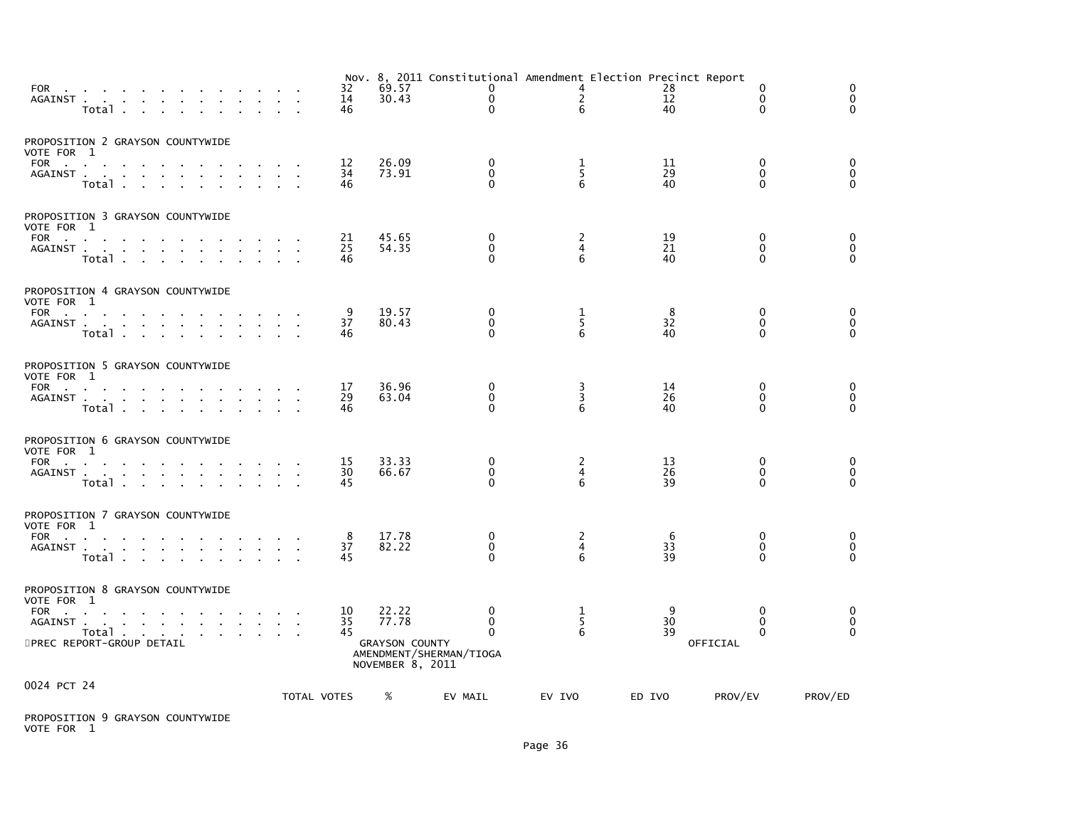|                                                                                                                                                                          |        | 14<br>46       | 30.43                                                                                  | 0<br>$\Omega$                        | $\mathbf{2}$<br>6  | 28<br>12<br>40            | 0<br>$\mathbf 0$<br>$\Omega$        | 0<br>$\mathbf 0$<br>$\Omega$         |
|--------------------------------------------------------------------------------------------------------------------------------------------------------------------------|--------|----------------|----------------------------------------------------------------------------------------|--------------------------------------|--------------------|---------------------------|-------------------------------------|--------------------------------------|
| PROPOSITION 2 GRAYSON COUNTYWIDE<br>VOTE FOR 1<br>FOR<br>AGAINST.<br><b>Contract Contract</b><br>Total                                                                   |        | 12<br>34<br>46 | 26.09<br>73.91                                                                         | $\Omega$<br>$\mathbf{0}$<br>$\Omega$ | 1<br>5<br>6        | 11<br>29<br>40            | $\mathbf 0$<br>$\Omega$<br>$\Omega$ | 0<br>$\ddot{\mathbf{0}}$<br>$\Omega$ |
| PROPOSITION 3 GRAYSON COUNTYWIDE<br>VOTE FOR 1<br>FOR<br>AGAINST<br>$\mathbf{r}$ and $\mathbf{r}$ and $\mathbf{r}$<br>Total                                              |        | 21<br>25<br>46 | 45.65<br>54.35                                                                         | $\bf{0}$<br>$\mathbf{0}$<br>0        | 2<br>4<br>6        | 19<br>21<br>40            | 0<br>$\mathbf 0$<br>$\Omega$        | 0<br>$\pmb{0}$<br>$\Omega$           |
| PROPOSITION 4 GRAYSON COUNTYWIDE<br>VOTE FOR 1<br>FOR<br>$\sim$<br>AGAINST<br>$\sim 10^{-11}$<br>the contract of the contract of the<br>$\sim 10^{-1}$<br>Total          | $\sim$ | 9<br>37<br>46  | 19.57<br>80.43                                                                         | 0<br>$\mathbf{0}$<br>$\Omega$        | $\frac{1}{5}$<br>6 | 8<br>32<br>40             | 0<br>$\Omega$<br>$\Omega$           | 0<br>$\mathbf 0$<br>$\Omega$         |
| PROPOSITION 5 GRAYSON COUNTYWIDE<br>VOTE FOR 1<br>FOR<br>$\sim$<br>the company of the company of<br>AGAINST<br>Total                                                     |        | 17<br>29<br>46 | 36.96<br>63.04                                                                         | 0<br>0<br>0                          | 3<br>3<br>6        | 14<br>26<br>40            | $\mathbf 0$<br>0<br>$\mathbf{0}$    | 0<br>0<br>$\Omega$                   |
| PROPOSITION 6 GRAYSON COUNTYWIDE<br>VOTE FOR 1<br>FOR<br><b>Contract Contract</b><br>AGAINST<br>Total                                                                    |        | 15<br>30<br>45 | 33.33<br>66.67                                                                         | 0<br>0<br>$\Omega$                   | 2<br>4<br>6        | 13<br>26<br>39            | 0<br>0<br>$\Omega$                  | 0<br>$\mathbf 0$<br>$\Omega$         |
| PROPOSITION 7 GRAYSON COUNTYWIDE<br>VOTE FOR 1<br>FOR<br>AGAINST<br>the contract of the contract of the<br>Total                                                         |        | 8<br>37<br>45  | 17.78<br>82.22                                                                         | 0<br>$\Omega$<br>0                   | 2<br>4<br>6        | 6<br>33<br>39             | 0<br>$\Omega$<br>$\Omega$           | 0<br>$\mathbf 0$<br>$\Omega$         |
| PROPOSITION 8 GRAYSON COUNTYWIDE<br>VOTE FOR 1<br>FOR<br>AGAINST.<br>and a straightful contract and a straight<br>Total<br>and a strain and<br>5PREC REPORT-GROUP DETAIL |        | 10<br>35<br>45 | 22.22<br>77.78<br><b>GRAYSON COUNTY</b><br>AMENDMENT/SHERMAN/TIOGA<br>NOVEMBER 8, 2011 | 0<br>0<br>0                          | 1<br>5<br>6        | 9<br>30<br>39<br>OFFICIAL | 0<br>0<br>$\mathbf{0}$              | 0<br>$\mathbf 0$<br>$\Omega$         |
| 0024 PCT 24                                                                                                                                                              |        | TOTAL VOTES    | %<br>EV MAIL                                                                           |                                      | EV IVO             | ED IVO                    | PROV/EV                             | PROV/ED                              |

PROPOSITION 9 GRAYSON COUNTYWIDE VOTE FOR 1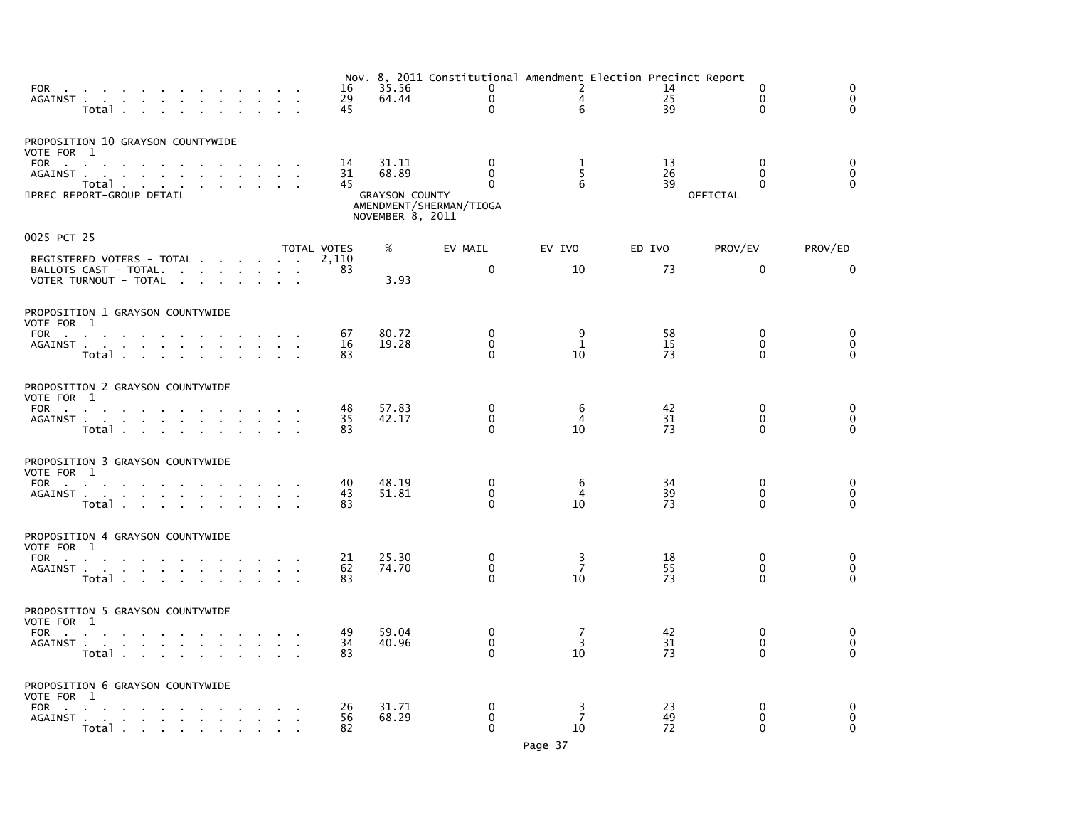| FOR the contract of the contract of the contract of the contract of the contract of the contract of the contract of the contract of the contract of the contract of the contract of the contract of the contract of the contra<br>AGAINST<br>Total<br><b>Contract Contract</b>              |  | 16<br>29<br>45 | 35.56<br>64.44                                              | Nov. 8, 2011 Constitutional Amendment Election Precinct Report<br>$\Omega$<br>$\mathbf 0$<br>$\Omega$ | $\overline{2}$<br>4<br>6  | 14<br>25<br>39 | $\Omega$<br>$\mathbf{0}$<br>$\Omega$             | $\Omega$<br>$\Omega$<br>$\Omega$        |
|---------------------------------------------------------------------------------------------------------------------------------------------------------------------------------------------------------------------------------------------------------------------------------------------|--|----------------|-------------------------------------------------------------|-------------------------------------------------------------------------------------------------------|---------------------------|----------------|--------------------------------------------------|-----------------------------------------|
| PROPOSITION 10 GRAYSON COUNTYWIDE<br>VOTE FOR 1<br>FOR<br>and a strong control of the strong strong and the strong strong strong strong strong strong strong strong strong<br>AGAINST.<br>and a series of the control of the control of the<br>Total<br>$\sim$<br>5PREC REPORT-GROUP DETAIL |  | 14<br>31<br>45 | 31.11<br>68.89<br><b>GRAYSON COUNTY</b><br>NOVEMBER 8, 2011 | $\mathbf{0}$<br>$\Omega$<br>$\Omega$<br>AMENDMENT/SHERMAN/TIOGA                                       | 1<br>5<br>6               | 13<br>26<br>39 | $\mathbf{0}$<br>$\Omega$<br>$\Omega$<br>OFFICIAL | $\mathbf{0}$<br>$\mathbf 0$<br>$\Omega$ |
| 0025 PCT 25                                                                                                                                                                                                                                                                                 |  | TOTAL VOTES    | %                                                           | EV MAIL                                                                                               | EV IVO                    | ED IVO         | PROV/EV                                          | PROV/ED                                 |
| REGISTERED VOTERS - TOTAL<br>BALLOTS CAST - TOTAL.<br>VOTER TURNOUT - TOTAL                                                                                                                                                                                                                 |  | 2,110<br>83    | 3.93                                                        | $\Omega$                                                                                              | 10                        | 73             | $\mathbf{0}$                                     | $\mathbf{0}$                            |
| PROPOSITION 1 GRAYSON COUNTYWIDE<br>VOTE FOR 1                                                                                                                                                                                                                                              |  |                | 80.72                                                       | $\mathbf{0}$                                                                                          | 9                         | 58             | $\Omega$                                         | $\mathbf{0}$                            |
| FOR<br><b>Contract Contract</b><br>AGAINST<br><b>Carl Carl</b><br>Total<br>the contract of the contract                                                                                                                                                                                     |  | 67<br>16<br>83 | 19.28                                                       | 0<br>$\mathbf{0}$                                                                                     | 1<br>10                   | 15<br>73       | $\Omega$<br>0                                    | 0<br>$\Omega$                           |
| PROPOSITION 2 GRAYSON COUNTYWIDE<br>VOTE FOR 1                                                                                                                                                                                                                                              |  |                |                                                             | 0                                                                                                     |                           |                | $\mathbf{0}$                                     | 0                                       |
| FOR<br>AGAINST<br>Total                                                                                                                                                                                                                                                                     |  | 48<br>35<br>83 | 57.83<br>42.17                                              | $\mathbf 0$<br>$\Omega$                                                                               | 6<br>4<br>10              | 42<br>31<br>73 | $\mathbf{0}$<br>$\Omega$                         | 0<br>$\Omega$                           |
| PROPOSITION 3 GRAYSON COUNTYWIDE<br>VOTE FOR 1                                                                                                                                                                                                                                              |  |                |                                                             |                                                                                                       |                           |                |                                                  |                                         |
| FOR<br>AGAINST<br>Total                                                                                                                                                                                                                                                                     |  | 40<br>43<br>83 | 48.19<br>51.81                                              | 0<br>$\mathbf 0$<br>$\Omega$                                                                          | 6<br>4<br>10              | 34<br>39<br>73 | $\mathbf{0}$<br>$\Omega$<br>$\Omega$             | 0<br>$\mathbf 0$<br>$\Omega$            |
| PROPOSITION 4 GRAYSON COUNTYWIDE<br>VOTE FOR 1                                                                                                                                                                                                                                              |  |                |                                                             |                                                                                                       |                           |                |                                                  |                                         |
| FOR<br>the contract of<br>AGAINST<br>Total<br>$\sim 10^{-11}$<br>$\sim$<br>$\sim$                                                                                                                                                                                                           |  | 21<br>62<br>83 | 25.30<br>74.70                                              | $\mathbf 0$<br>$\mathbf 0$<br>$\Omega$                                                                | 3<br>$\overline{7}$<br>10 | 18<br>55<br>73 | $\Omega$<br>$\Omega$<br>$\Omega$                 | $\mathbf 0$<br>0<br>$\Omega$            |
| PROPOSITION 5 GRAYSON COUNTYWIDE<br>VOTE FOR 1                                                                                                                                                                                                                                              |  |                |                                                             |                                                                                                       |                           |                |                                                  |                                         |
| FOR<br>AGAINST<br>Total.<br><b>Contract</b><br>$\sim$<br>$\sim$<br><b>Contract</b>                                                                                                                                                                                                          |  | 49<br>34<br>83 | 59.04<br>40.96                                              | 0<br>$\Omega$<br>$\Omega$                                                                             | 7<br>3<br>10              | 42<br>31<br>73 | 0<br>$\Omega$<br>0                               | 0<br>$\mathbf 0$<br>$\Omega$            |
| PROPOSITION 6 GRAYSON COUNTYWIDE<br>VOTE FOR 1                                                                                                                                                                                                                                              |  |                |                                                             |                                                                                                       |                           |                |                                                  |                                         |
| FOR<br>AGAINST<br>Total .<br>the contract of the contract of                                                                                                                                                                                                                                |  | 26<br>56<br>82 | 31.71<br>68.29                                              | 0<br>0<br>$\Omega$                                                                                    | 3<br>$\overline{7}$<br>10 | 23<br>49<br>72 | $\Omega$<br>$\Omega$<br>0                        | $\mathbf{0}$<br>0<br>$\mathbf{0}$       |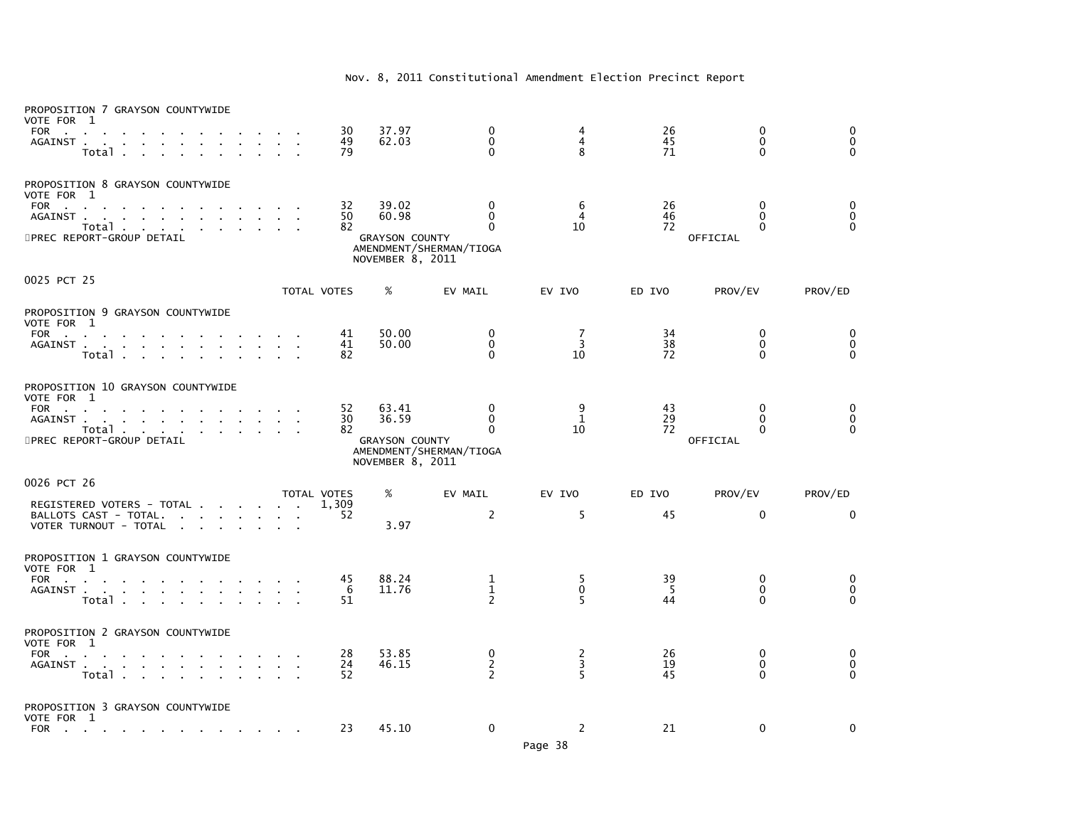| PROPOSITION 7 GRAYSON COUNTYWIDE<br>VOTE FOR 1<br><b>FOR</b><br>$\mathcal{L}_{\mathbf{r}}$                                                                                                   |                                       | 30                         | 37.97                                                       | 0                                                        | 4                         | 26              | 0                                     | $\mathbf 0$                                              |
|----------------------------------------------------------------------------------------------------------------------------------------------------------------------------------------------|---------------------------------------|----------------------------|-------------------------------------------------------------|----------------------------------------------------------|---------------------------|-----------------|---------------------------------------|----------------------------------------------------------|
| AGAINST.<br><b>Contract</b><br>Total .                                                                                                                                                       |                                       | 49<br>79                   | 62.03                                                       | 0<br>$\mathbf 0$                                         | 4<br>8                    | 45<br>71        | $\mathbf 0$<br>$\mathbf{0}$           | $\ddot{\mathbf{0}}$<br>$\mathbf 0$                       |
| PROPOSITION 8 GRAYSON COUNTYWIDE<br>VOTE FOR 1<br><b>FOR</b><br><b>Contract Contract</b><br>AGAINST.<br>$\mathbf{r}$ and $\mathbf{r}$ and $\mathbf{r}$<br>Total<br>5PREC REPORT-GROUP DETAIL |                                       | 32<br>50<br>82             | 39.02<br>60.98<br><b>GRAYSON COUNTY</b><br>NOVEMBER 8, 2011 | 0<br>$\mathbf{0}$<br>$\Omega$<br>AMENDMENT/SHERMAN/TIOGA | 6<br>$\overline{4}$<br>10 | 26<br>46<br>72  | 0<br>$\Omega$<br>$\Omega$<br>OFFICIAL | 0<br>$\overline{0}$<br>$\overline{0}$                    |
| 0025 PCT 25                                                                                                                                                                                  |                                       | TOTAL VOTES                | %                                                           | EV MAIL                                                  | EV IVO                    | ED IVO          | PROV/EV                               | PROV/ED                                                  |
| PROPOSITION 9 GRAYSON COUNTYWIDE<br>VOTE FOR 1                                                                                                                                               |                                       |                            |                                                             |                                                          |                           |                 |                                       |                                                          |
| FOR<br>the control of the con-<br>AGAINST.<br>the company of the company of<br><b>College</b><br>Total.                                                                                      |                                       | 41<br>41<br>82             | 50.00<br>50.00                                              | 0<br>$\mathbf 0$<br>$\Omega$                             | 7<br>3<br>10              | 34<br>38<br>72  | 0<br>0<br>0                           | 0<br>0<br>$\mathbf 0$                                    |
| PROPOSITION 10 GRAYSON COUNTYWIDE<br>VOTE FOR 1                                                                                                                                              |                                       |                            |                                                             |                                                          |                           |                 |                                       |                                                          |
| FOR<br>$\mathbf{r}$<br>AGAINST.<br>and a straight and<br>$\sim$<br>$\sim$<br>$\sim 10^{-11}$<br>Total<br><b>Carl Carl</b><br>5PREC REPORT-GROUP DETAIL                                       |                                       | 52<br>30<br>82             | 63.41<br>36.59<br><b>GRAYSON COUNTY</b><br>NOVEMBER 8, 2011 | 0<br>$\Omega$<br>$\Omega$<br>AMENDMENT/SHERMAN/TIOGA     | 9<br>$\mathbf{1}$<br>10   | 43<br>29<br>72  | 0<br>$\Omega$<br>$\Omega$<br>OFFICIAL | 0<br>0<br>$\Omega$                                       |
| 0026 PCT 26                                                                                                                                                                                  |                                       |                            |                                                             |                                                          |                           |                 |                                       |                                                          |
| REGISTERED VOTERS - TOTAL<br>BALLOTS CAST - TOTAL.<br>the contract of the contract of<br>$\sim$<br>VOTER TURNOUT - TOTAL<br>$\sim$<br>$\mathbf{r} = \mathbf{r}$<br>$\sim$                    |                                       | TOTAL VOTES<br>1.309<br>52 | %<br>3.97                                                   | EV MAIL<br>$\overline{2}$                                | EV IVO<br>5               | ED IVO<br>45    | PROV/EV<br>$\Omega$                   | PROV/ED<br>$\Omega$                                      |
| PROPOSITION 1 GRAYSON COUNTYWIDE<br>VOTE FOR 1                                                                                                                                               |                                       |                            |                                                             |                                                          |                           |                 |                                       |                                                          |
| FOR<br><b>Contract Contract</b><br>AGAINST.<br>the company of the company<br>$\sim$<br>$\sim$<br>Total .<br>$\sim 100$ km s $^{-1}$                                                          |                                       | 45<br>6<br>51              | 88.24<br>11.76                                              | 1<br>$\mathbf{1}$<br>$\overline{2}$                      | 5<br>$\mathbf 0$<br>5     | 39<br>- 5<br>44 | 0<br>$\Omega$<br>$\Omega$             | 0<br>$\mathbf 0$<br>$\Omega$                             |
| PROPOSITION 2 GRAYSON COUNTYWIDE<br>VOTE FOR 1                                                                                                                                               |                                       |                            |                                                             |                                                          |                           |                 |                                       |                                                          |
| <b>FOR</b><br><b>Contractor</b><br>AGAINST<br>$\sim 10^{-1}$<br>$\sim$<br>$\sim$<br>Total                                                                                                    | $\mathcal{A}=\mathcal{A}$ .<br>$\sim$ | 28<br>24<br>52             | 53.85<br>46.15                                              | 0<br>$\overline{c}$<br>$\overline{2}$                    | $\frac{2}{3}$<br>5        | 26<br>19<br>45  | 0<br>0<br>$\Omega$                    | $\begin{smallmatrix} 0\\0 \end{smallmatrix}$<br>$\Omega$ |
| PROPOSITION 3 GRAYSON COUNTYWIDE<br>VOTE FOR 1                                                                                                                                               |                                       |                            |                                                             |                                                          |                           |                 |                                       |                                                          |
| FOR<br>the contract of the contract of the                                                                                                                                                   |                                       | 23                         | 45.10                                                       | $\mathbf 0$                                              | 2                         | 21              | $\mathbf 0$                           | 0                                                        |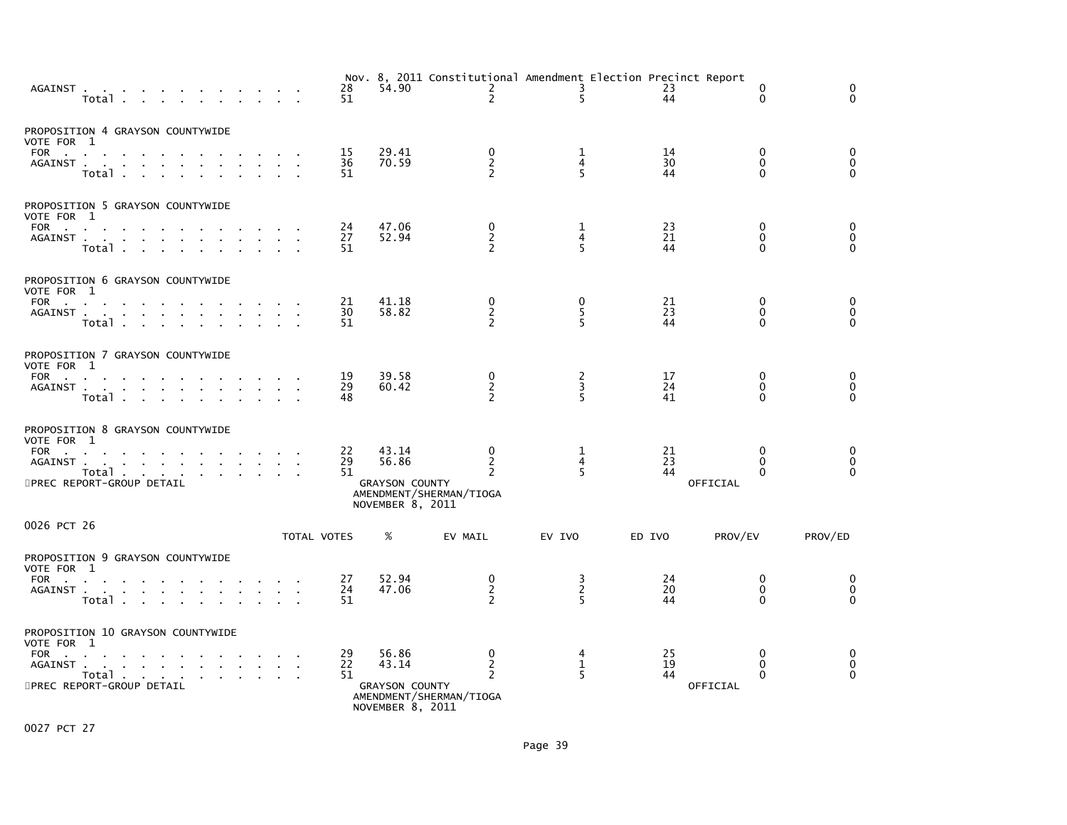| AGAINST<br>Total                                                                                                                                                                  | 28<br>51       | 54.90                                                       | $\mathbf{2}$<br>$\overline{2}$                                   | Nov. 8, 2011 Constitutional Amendment Election Precinct Report<br>3<br>5 | 23<br>44       | 0<br>$\Omega$                             | 0<br>$\Omega$                            |
|-----------------------------------------------------------------------------------------------------------------------------------------------------------------------------------|----------------|-------------------------------------------------------------|------------------------------------------------------------------|--------------------------------------------------------------------------|----------------|-------------------------------------------|------------------------------------------|
| PROPOSITION 4 GRAYSON COUNTYWIDE<br>VOTE FOR 1<br>FOR<br>$\sim$<br>AGAINST<br>$\sim$<br>Total .                                                                                   | 15<br>36<br>51 | 29.41<br>70.59                                              | 0<br>$\frac{2}{2}$                                               | 1<br>$\overline{4}$<br>5                                                 | 14<br>30<br>44 | 0<br>$\mathbf{0}$<br>$\Omega$             | 0<br>$\check{\mathbf{0}}$<br>$\tilde{0}$ |
| PROPOSITION 5 GRAYSON COUNTYWIDE<br>VOTE FOR 1<br>FOR<br>AGAINST<br>Total                                                                                                         | 24<br>27<br>51 | 47.06<br>52.94                                              | 0<br>$\overline{2}$                                              | 1<br>$\overline{4}$<br>5                                                 | 23<br>21<br>44 | 0<br>$\mathbf{0}$<br>$\Omega$             | 0<br>$\pmb{0}$<br>$\Omega$               |
| PROPOSITION 6 GRAYSON COUNTYWIDE<br>VOTE FOR 1<br>FOR<br><b>Contract Contract Street</b><br>AGAINST<br>Total<br>$\sim$                                                            | 21<br>30<br>51 | 41.18<br>58.82                                              | 0<br>$\frac{2}{2}$                                               | 0<br>$\frac{5}{5}$                                                       | 21<br>23<br>44 | 0<br>$\mathbf 0$<br>$\Omega$              | 0<br>$\overline{0}$                      |
| PROPOSITION 7 GRAYSON COUNTYWIDE<br>VOTE FOR 1<br><b>FOR</b><br><b>All Cards</b><br>AGAINST<br>Total<br>$\mathbf{r} = \mathbf{r}$                                                 | 19<br>29<br>48 | 39.58<br>60.42                                              | 0<br>$\overline{c}$<br>$\overline{2}$                            | $\frac{2}{3}$<br>5                                                       | 17<br>24<br>41 | 0<br>0<br>$\mathbf{0}$                    | 0<br>$\overline{0}$<br>$\overline{0}$    |
| PROPOSITION 8 GRAYSON COUNTYWIDE<br>VOTE FOR 1<br>FOR<br>AGAINST.<br>and a straightful contract and a straight and<br>Total<br>5PREC REPORT-GROUP DETAIL                          | 22<br>29<br>51 | 43.14<br>56.86<br><b>GRAYSON COUNTY</b><br>NOVEMBER 8, 2011 | 0<br>$\overline{c}$<br>2<br>AMENDMENT/SHERMAN/TIOGA              | 1<br>4<br>5                                                              | 21<br>23<br>44 | 0<br>$\Omega$<br>$\Omega$<br>OFFICIAL     | 0<br>$\pmb{0}$<br>$\Omega$               |
| 0026 PCT 26                                                                                                                                                                       | TOTAL VOTES    | %                                                           | EV MAIL                                                          | EV IVO                                                                   | ED IVO         | PROV/EV                                   | PROV/ED                                  |
| PROPOSITION 9 GRAYSON COUNTYWIDE<br>VOTE FOR 1<br><b>FOR</b><br><b>Contract Contract</b><br>$\sim$<br>AGAINST<br>Total.                                                           | 27<br>24<br>51 | 52.94<br>47.06                                              | 0<br>$\overline{2}$<br>$\overline{2}$                            | $\frac{3}{2}$<br>5                                                       | 24<br>20<br>44 | 0<br>$\mathbf 0$<br>$\mathbf{0}$          | 0<br>$\overline{0}$<br>$\Omega$          |
| PROPOSITION 10 GRAYSON COUNTYWIDE<br>VOTE FOR 1<br><b>FOR</b><br><b>Contract Contract</b><br>AGAINST<br>the contract of the contract of the<br>Total<br>5PREC REPORT-GROUP DETAIL | 29<br>22<br>51 | 56.86<br>43.14<br><b>GRAYSON COUNTY</b><br>NOVEMBER 8, 2011 | 0<br>$\overline{c}$<br>$\overline{2}$<br>AMENDMENT/SHERMAN/TIOGA | 4<br>$\mathbf 1$<br>5                                                    | 25<br>19<br>44 | 0<br>$\mathbf{0}$<br>$\Omega$<br>OFFICIAL | $_{0}^{0}$<br>$\Omega$                   |

0027 PCT 27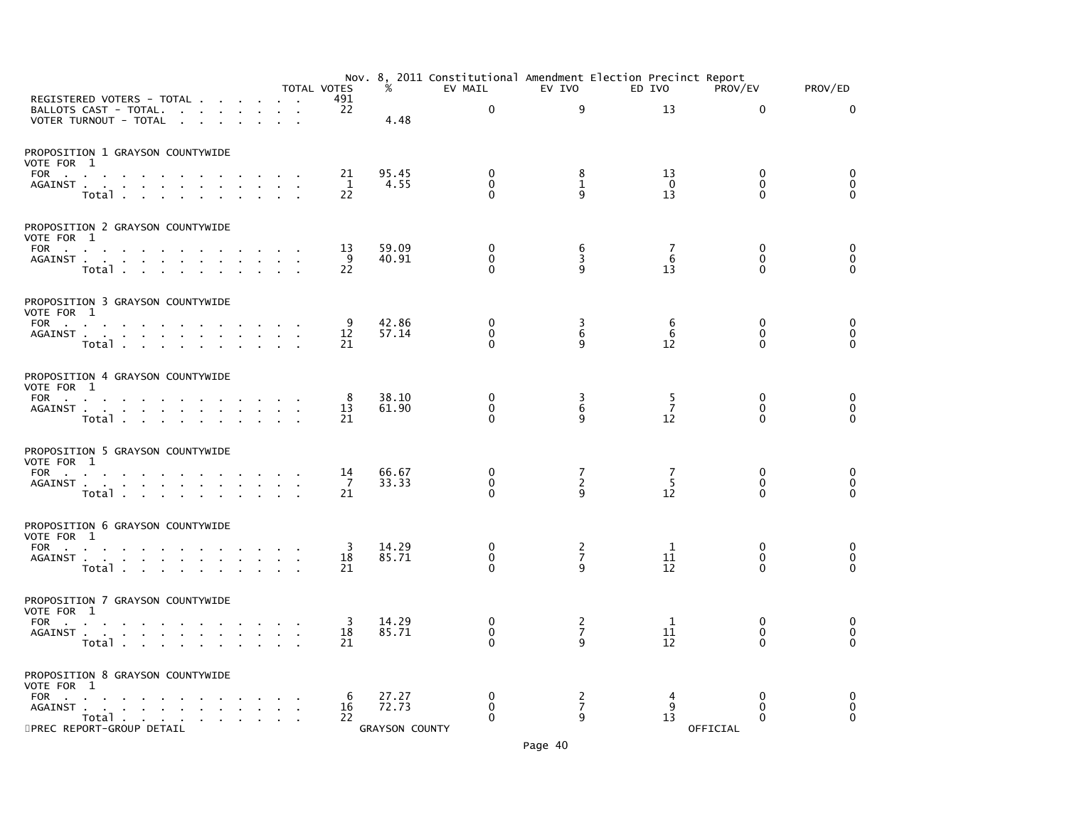|                                                                                                                                                                                                                                           |                                                   |                                                                                                                 |                                    |                                   |                        |                                     | TOTAL VOTES              | %                                       | EV MAIL                                      | EV IVO                                | Nov. 8, 2011 Constitutional Amendment Election Precinct Report<br>ED IVO | PROV/EV                                     | PROV/ED                                 |
|-------------------------------------------------------------------------------------------------------------------------------------------------------------------------------------------------------------------------------------------|---------------------------------------------------|-----------------------------------------------------------------------------------------------------------------|------------------------------------|-----------------------------------|------------------------|-------------------------------------|--------------------------|-----------------------------------------|----------------------------------------------|---------------------------------------|--------------------------------------------------------------------------|---------------------------------------------|-----------------------------------------|
| REGISTERED VOTERS - TOTAL<br>BALLOTS CAST - TOTAL.<br>VOTER TURNOUT - TOTAL                                                                                                                                                               |                                                   | $\sim$                                                                                                          | $\sim$<br><b>Contract Contract</b> | $\sim 10^{-1}$<br>$\sim 10^{-11}$ | $\sim$<br>$\mathbf{r}$ | $\sim$<br>$\sim$                    | 491<br>22                | 4.48                                    | $\mathbf 0$                                  | 9                                     | 13                                                                       | $\Omega$                                    | $\mathbf{0}$                            |
| PROPOSITION 1 GRAYSON COUNTYWIDE<br>VOTE FOR 1                                                                                                                                                                                            |                                                   |                                                                                                                 |                                    |                                   |                        |                                     |                          |                                         |                                              |                                       |                                                                          |                                             |                                         |
| <b>FOR</b><br><b>Contract Contract</b><br>$\sim$<br>AGAINST<br>Total .                                                                                                                                                                    | $\sim$                                            | $\mathcal{L}^{\text{max}}$ .                                                                                    |                                    |                                   |                        |                                     | 21<br>$\mathbf{1}$<br>22 | 95.45<br>4.55                           | 0<br>$\mathbf 0$<br>$\Omega$                 | 8<br>$\mathbf{1}$<br>9                | 13<br>$\Omega$<br>13                                                     | $\Omega$<br>$\mathbf{0}$<br>$\Omega$        | 0<br>$\mathbf 0$<br>$\mathbf{0}$        |
| PROPOSITION 2 GRAYSON COUNTYWIDE<br>VOTE FOR 1                                                                                                                                                                                            |                                                   |                                                                                                                 |                                    |                                   |                        |                                     |                          |                                         |                                              |                                       |                                                                          |                                             |                                         |
| FOR<br>AGAINST                                                                                                                                                                                                                            | Total                                             |                                                                                                                 |                                    |                                   |                        | $\sim 10^{-11}$<br>$\sim$<br>$\sim$ | 13<br>-9<br>22           | 59.09<br>40.91                          | 0<br>$\mathbf{0}$<br>$\Omega$                | 6<br>$\overline{\mathbf{3}}$<br>9     | 7<br>6<br>13                                                             | $\mathbf 0$<br>$\Omega$<br>$\Omega$         | 0<br>$\mathbf 0$<br>$\mathbf{0}$        |
| PROPOSITION 3 GRAYSON COUNTYWIDE<br>VOTE FOR 1                                                                                                                                                                                            |                                                   |                                                                                                                 |                                    |                                   |                        |                                     |                          |                                         |                                              |                                       |                                                                          |                                             |                                         |
| FOR PORT AND PORT AND RESIDENCE OF A STRUCK CONTROL CONTROL CONTROL CONTROL CONTROL CONTROL CONTROL CONTROL CONTROL CONTROL CONTROL CONTROL CONTROL CONTROL CONTROL CONTROL CONTROL CONTROL CONTROL CONTROL CONTROL CONTROL CO<br>AGAINST | Total                                             |                                                                                                                 | the contract of the contract of    |                                   |                        |                                     | 9<br>12<br>21            | 42.86<br>57.14                          | $\mathbf{0}$<br>$\mathbf{0}$<br>$\mathbf{0}$ | 3<br>6<br>9                           | 6<br>6<br>12                                                             | $\mathbf{0}$<br>$\Omega$<br>$\Omega$        | $\mathbf{0}$<br>$\mathbf 0$<br>$\Omega$ |
| PROPOSITION 4 GRAYSON COUNTYWIDE<br>VOTE FOR 1                                                                                                                                                                                            |                                                   |                                                                                                                 |                                    |                                   |                        |                                     |                          |                                         |                                              |                                       |                                                                          |                                             |                                         |
| FOR<br>AGAINST                                                                                                                                                                                                                            | Total                                             | the contract of the contract of the contract of the contract of the contract of the contract of the contract of | <b>Contract Contract Contract</b>  | the company of the company of     |                        |                                     | 8<br>13<br>21            | 38.10<br>61.90                          | 0<br>$\mathbf 0$<br>$\Omega$                 | 3<br>$\overline{6}$<br>q              | 5<br>$\overline{7}$<br>12                                                | $\mathbf{0}$<br>$\mathbf{0}$<br>$\Omega$    | 0<br>$\mathbf 0$<br>$\Omega$            |
| PROPOSITION 5 GRAYSON COUNTYWIDE<br>VOTE FOR 1                                                                                                                                                                                            |                                                   |                                                                                                                 |                                    |                                   |                        |                                     |                          |                                         |                                              |                                       |                                                                          |                                             |                                         |
| FOR<br>AGAINST                                                                                                                                                                                                                            | the contract of the contract of<br>Total          |                                                                                                                 |                                    | $\sim$                            |                        |                                     | 14<br>7<br>21            | 66.67<br>33.33                          | 0<br>$\Omega$<br>$\mathbf{0}$                | $\frac{7}{2}$<br>$\mathbf{q}$         | 7<br>$\overline{5}$<br>12                                                | $\mathbf 0$<br>$\mathbf{0}$<br>$\mathbf{0}$ | 0<br>$\mathbf 0$<br>$\Omega$            |
| PROPOSITION 6 GRAYSON COUNTYWIDE<br>VOTE FOR 1                                                                                                                                                                                            |                                                   |                                                                                                                 |                                    |                                   |                        |                                     |                          |                                         |                                              |                                       |                                                                          |                                             |                                         |
| FOR<br>AGAINST                                                                                                                                                                                                                            | Total                                             | and a straightful contract and a                                                                                |                                    |                                   |                        | <b>Contract</b>                     | 3<br>18<br>21            | 14.29<br>85.71                          | 0<br>$\mathbf 0$<br>$\Omega$                 | 2<br>$\overline{7}$<br>9              | 1<br>11<br>12                                                            | $\mathbf{0}$<br>$\mathbf{0}$<br>$\Omega$    | 0<br>$\mathbf 0$<br>$\mathbf 0$         |
| PROPOSITION 7 GRAYSON COUNTYWIDE<br>VOTE FOR 1                                                                                                                                                                                            |                                                   |                                                                                                                 |                                    |                                   |                        |                                     |                          |                                         |                                              |                                       |                                                                          |                                             |                                         |
| FOR                                                                                                                                                                                                                                       | $Total \cdot \cdot \cdot \cdot \cdot \cdot \cdot$ |                                                                                                                 |                                    |                                   | $\sim$                 | $\sim 100$<br>$\mathbf{r}$          | 3<br>18<br>21            | 14.29<br>85.71                          | 0<br>$\mathbf 0$<br>0                        | $\frac{2}{7}$<br>q                    | 1<br>11<br>12                                                            | $\mathbf{0}$<br>$\Omega$<br>0               | 0<br>0<br>$\Omega$                      |
| PROPOSITION 8 GRAYSON COUNTYWIDE<br>VOTE FOR 1                                                                                                                                                                                            |                                                   |                                                                                                                 |                                    |                                   |                        |                                     |                          |                                         |                                              |                                       |                                                                          |                                             |                                         |
| FOR<br>AGAINST .<br>5PREC REPORT-GROUP DETAIL                                                                                                                                                                                             | and a straight and a straight<br>Total            | the contract of the contract of                                                                                 |                                    |                                   |                        |                                     | 6<br>16<br>22            | 27.27<br>72.73<br><b>GRAYSON COUNTY</b> | 0<br>$\mathbf{0}$<br>$\Omega$                | $\overline{c}$<br>$\overline{7}$<br>9 | 4<br>9<br>13                                                             | $\mathbf{0}$<br>0<br>$\Omega$<br>OFFICIAL   | 0<br>0<br>$\mathbf{0}$                  |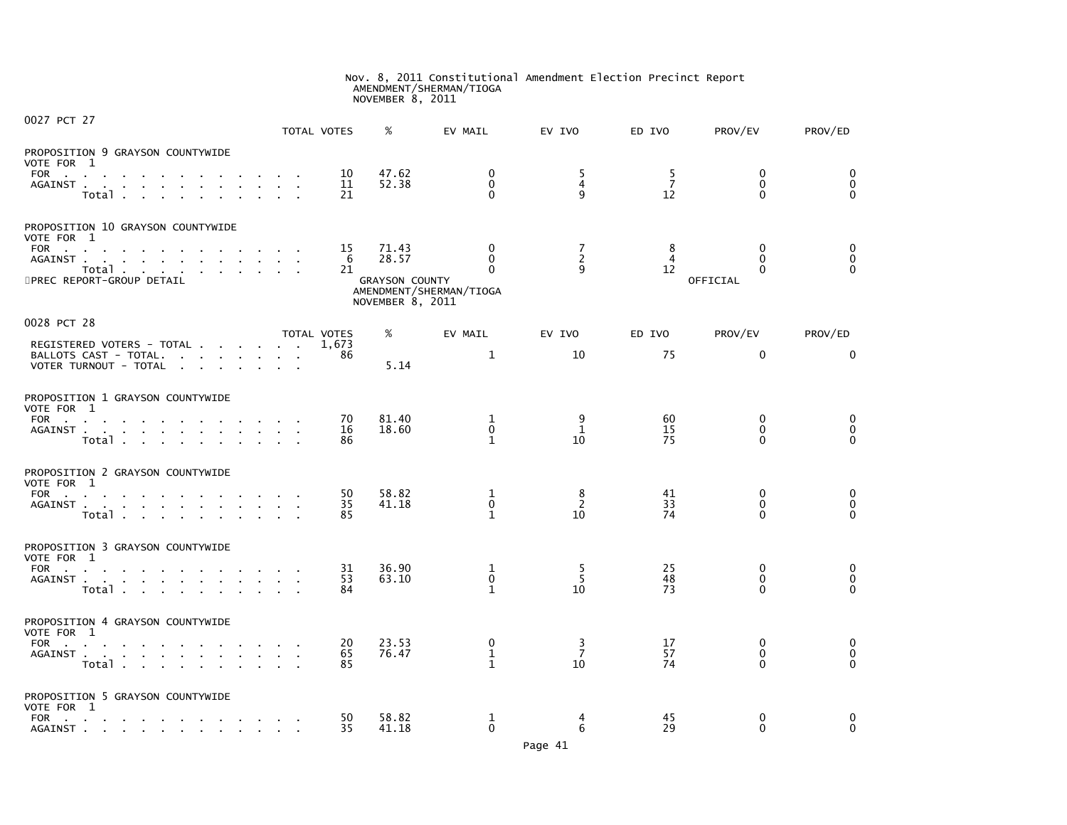# Nov. 8, 2011 Constitutional Amendment Election Precinct Report AMENDMENT/SHERMAN/TIOGA NOVEMBER 8, 2011

| 0027 PCT 27                                                                                                                                                                                                                                                                                                |                                                           | TOTAL VOTES    | %                                                           | EV MAIL                                       | EV IVO                    | ED IVO                     | PROV/EV                              | PROV/ED                          |
|------------------------------------------------------------------------------------------------------------------------------------------------------------------------------------------------------------------------------------------------------------------------------------------------------------|-----------------------------------------------------------|----------------|-------------------------------------------------------------|-----------------------------------------------|---------------------------|----------------------------|--------------------------------------|----------------------------------|
| PROPOSITION 9 GRAYSON COUNTYWIDE<br>VOTE FOR 1<br>FOR<br>the company of the company of<br>AGAINST<br>$\sim$<br>Total.<br>$\sim$                                                                                                                                                                            |                                                           | 10<br>11<br>21 | 47.62<br>52.38                                              | $\mathbf{0}$<br>$\mathbf{0}$<br>$\Omega$      | 5<br>4<br>9               | -5<br>$\overline{7}$<br>12 | $\mathbf{0}$<br>$\Omega$<br>$\Omega$ | 0<br>$\mathbf 0$<br>$\Omega$     |
| PROPOSITION 10 GRAYSON COUNTYWIDE<br>VOTE FOR 1<br><b>FOR</b><br><b>Contract Contract</b><br>the contract of the contract of the con-<br>AGAINST.<br>the contract of the contract of the contract of the contract of the contract of the contract of the contract of<br>Total<br>5PREC REPORT-GROUP DETAIL |                                                           | 15<br>6<br>21  | 71.43<br>28.57<br><b>GRAYSON COUNTY</b><br>NOVEMBER 8, 2011 | 0<br>$\Omega$<br>0<br>AMENDMENT/SHERMAN/TIOGA | 7<br>2<br>9               | 8<br>$\overline{4}$<br>12  | 0<br>$\Omega$<br>0<br>OFFICIAL       | 0<br>$\mathbf 0$<br>$\Omega$     |
| 0028 PCT 28                                                                                                                                                                                                                                                                                                |                                                           | TOTAL VOTES    | %                                                           | EV MAIL                                       | EV IVO                    | ED IVO                     | PROV/EV                              | PROV/ED                          |
| REGISTERED VOTERS - TOTAL<br>BALLOTS CAST - TOTAL.<br>the contract of the contract of<br>VOTER TURNOUT - TOTAL<br>the contract of the contract of                                                                                                                                                          |                                                           | 1.673<br>86    | 5.14                                                        | $\mathbf{1}$                                  | 10                        | 75                         | $\mathbf 0$                          | 0                                |
| PROPOSITION 1 GRAYSON COUNTYWIDE<br>VOTE FOR 1<br>FOR<br>$\sim$<br>Total<br>$\mathbf{r}$ .                                                                                                                                                                                                                 | <b>Contract Contract</b><br>$\mathbf{a}$ and $\mathbf{a}$ | 70<br>16<br>86 | 81.40<br>18.60                                              | 1<br>$\mathbf 0$<br>$\mathbf{1}$              | 9<br>$\mathbf{1}$<br>10   | 60<br>15<br>75             | $\mathbf{0}$<br>$\Omega$<br>$\Omega$ | 0<br>$\mathbf 0$<br>$\mathbf{0}$ |
| PROPOSITION 2 GRAYSON COUNTYWIDE<br>VOTE FOR 1<br>FOR<br>$\sim$<br>$\sim$<br>AGAINST<br>Total                                                                                                                                                                                                              |                                                           | 50<br>35<br>85 | 58.82<br>41.18                                              | 1<br>$\mathbf 0$<br>$\mathbf{1}$              | 8<br>2<br>10              | 41<br>33<br>74             | $\Omega$<br>$\mathbf{0}$<br>$\Omega$ | 0<br>$\mathbf 0$<br>$\mathbf{0}$ |
| PROPOSITION 3 GRAYSON COUNTYWIDE<br>VOTE FOR 1<br>FOR<br>$\sim$<br>$\sim$<br>AGAINST.<br>the contract of the contract of the<br>Total<br>$\sim$<br>$\mathbf{r}$                                                                                                                                            | $\sim$                                                    | 31<br>53<br>84 | 36.90<br>63.10                                              | 1<br>$\mathbf 0$<br>$\mathbf{1}$              | -5<br>5<br>10             | 25<br>48<br>73             | $\mathbf{0}$<br>$\mathbf{0}$<br>0    | 0<br>$\mathbf 0$<br>$\Omega$     |
| PROPOSITION 4 GRAYSON COUNTYWIDE<br>VOTE FOR 1<br><b>FOR</b><br>$\sim$<br><b>Contract</b><br>$\sim$<br>AGAINST<br>Total                                                                                                                                                                                    |                                                           | 20<br>65<br>85 | 23.53<br>76.47                                              | 0<br>$\mathbf 1$<br>$\mathbf{1}$              | 3<br>$\overline{7}$<br>10 | 17<br>57<br>74             | $\Omega$<br>$\mathbf{0}$<br>$\Omega$ | 0<br>$\mathbf 0$<br>$\Omega$     |
| PROPOSITION 5 GRAYSON COUNTYWIDE<br>VOTE FOR 1<br><b>FOR</b><br><b>Contract Contract</b><br>the contract of the contract of<br>$\sim 10^{-1}$<br>AGAINST                                                                                                                                                   |                                                           | 50<br>35       | 58.82<br>41.18                                              | 1<br>$\Omega$                                 | 4<br>6                    | 45<br>29                   | $\mathbf{0}$<br>$\Omega$             | 0<br>$\mathbf{0}$                |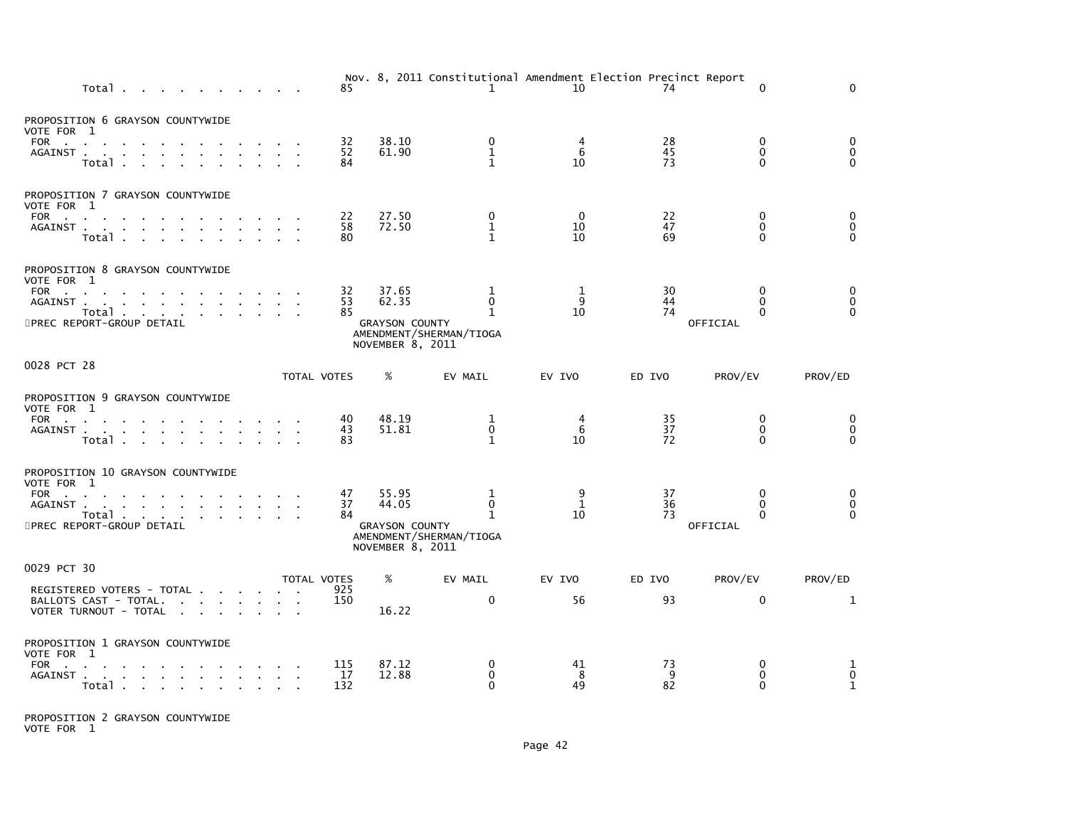| Total                                                                                                                                                                                 |             | 85               |                                                             | $\mathbf{1}$                                      | Nov. 8, 2011 Constitutional Amendment Election Precinct Report<br>10 | 74             | $\mathbf{0}$                              | 0                            |
|---------------------------------------------------------------------------------------------------------------------------------------------------------------------------------------|-------------|------------------|-------------------------------------------------------------|---------------------------------------------------|----------------------------------------------------------------------|----------------|-------------------------------------------|------------------------------|
| PROPOSITION 6 GRAYSON COUNTYWIDE<br>VOTE FOR 1<br>FOR<br>$\mathbf{r}$<br>AGAINST.<br>$\sim$ $\sim$<br>Total.<br><b>Contract Contract</b>                                              |             | 32<br>52<br>84   | 38.10<br>61.90                                              | 0<br>$\mathbf{1}$<br>$\mathbf{1}$                 | 6<br>10                                                              | 28<br>45<br>73 | 0<br>$\Omega$<br>$\Omega$                 | 0<br>0<br>$\Omega$           |
| PROPOSITION 7 GRAYSON COUNTYWIDE<br>VOTE FOR 1<br>FOR<br>$\sim$ 100 $\pm$<br>the contract of the contract<br>AGAINST<br>$\sim 10^{-1}$<br>Total                                       |             | 22<br>58<br>80   | 27.50<br>72.50                                              | 0<br>$\mathbf{1}$<br>$\mathbf{1}$                 | 0<br>10<br>10                                                        | 22<br>47<br>69 | 0<br>$\mathbf{0}$<br>0                    | 0<br>0<br>$\mathbf{0}$       |
| PROPOSITION 8 GRAYSON COUNTYWIDE<br>VOTE FOR 1<br>FOR<br>$\sim$<br>AGAINST.<br>$\sim 100$<br>the contract of the contract of the contract of<br>Total<br>5PREC REPORT-GROUP DETAIL    |             | 32<br>53<br>85   | 37.65<br>62.35<br><b>GRAYSON COUNTY</b><br>NOVEMBER 8, 2011 | 1<br>$\Omega$<br>1<br>AMENDMENT/SHERMAN/TIOGA     | 1<br>9<br>10                                                         | 30<br>44<br>74 | $\mathbf{0}$<br>$\Omega$<br>0<br>OFFICIAL | 0<br>0<br>$\Omega$           |
| 0028 PCT 28                                                                                                                                                                           | TOTAL VOTES |                  | %                                                           | EV MAIL                                           | EV IVO                                                               | ED IVO         | PROV/EV                                   | PROV/ED                      |
| PROPOSITION 9 GRAYSON COUNTYWIDE<br>VOTE FOR 1<br><b>FOR</b><br>the company of the company of the company of<br>AGAINST<br>Total                                                      |             | 40<br>43<br>83   | 48.19<br>51.81                                              | 1<br>0<br>$\mathbf{1}$                            | 4<br>6<br>10                                                         | 35<br>37<br>72 | $\mathbf{0}$<br>$\mathbf{0}$<br>$\Omega$  | 0<br>$\mathbf 0$<br>$\Omega$ |
| PROPOSITION 10 GRAYSON COUNTYWIDE<br>VOTE FOR 1<br><b>FOR</b><br><b>Contract</b><br>AGAINST.<br>the contract of the contract of the contract of<br>Total<br>5PREC REPORT-GROUP DETAIL |             | 47<br>37<br>84   | 55.95<br>44.05<br><b>GRAYSON COUNTY</b><br>NOVEMBER 8, 2011 | 1<br>0<br>$\mathbf{1}$<br>AMENDMENT/SHERMAN/TIOGA | 9<br>1<br>10                                                         | 37<br>36<br>73 | $\Omega$<br>0<br>0<br>OFFICIAL            | 0<br>0<br>$\Omega$           |
| 0029 PCT 30                                                                                                                                                                           | TOTAL VOTES |                  | %                                                           | EV MAIL                                           | EV IVO                                                               | ED IVO         | PROV/EV                                   | PROV/ED                      |
| REGISTERED VOTERS - TOTAL<br>BALLOTS CAST - TOTAL.<br>VOTER TURNOUT - TOTAL<br>the control of the control of                                                                          |             | 925<br>150       | 16.22                                                       | 0                                                 | 56                                                                   | 93             | $\mathbf{0}$                              | 1                            |
| PROPOSITION 1 GRAYSON COUNTYWIDE<br>VOTE FOR 1<br>FOR<br>المتابعة المتابعة المتابعة المتابعة والمتواردة<br>AGAINST.<br>Total                                                          |             | 115<br>17<br>132 | 87.12<br>12.88                                              | 0<br>0<br>$\Omega$                                | 41<br>8<br>49                                                        | 73<br>9<br>82  | 0<br>$\mathbf{0}$<br>$\mathbf{0}$         | 1<br>0<br>1                  |

PROPOSITION 2 GRAYSON COUNTYWIDE VOTE FOR 1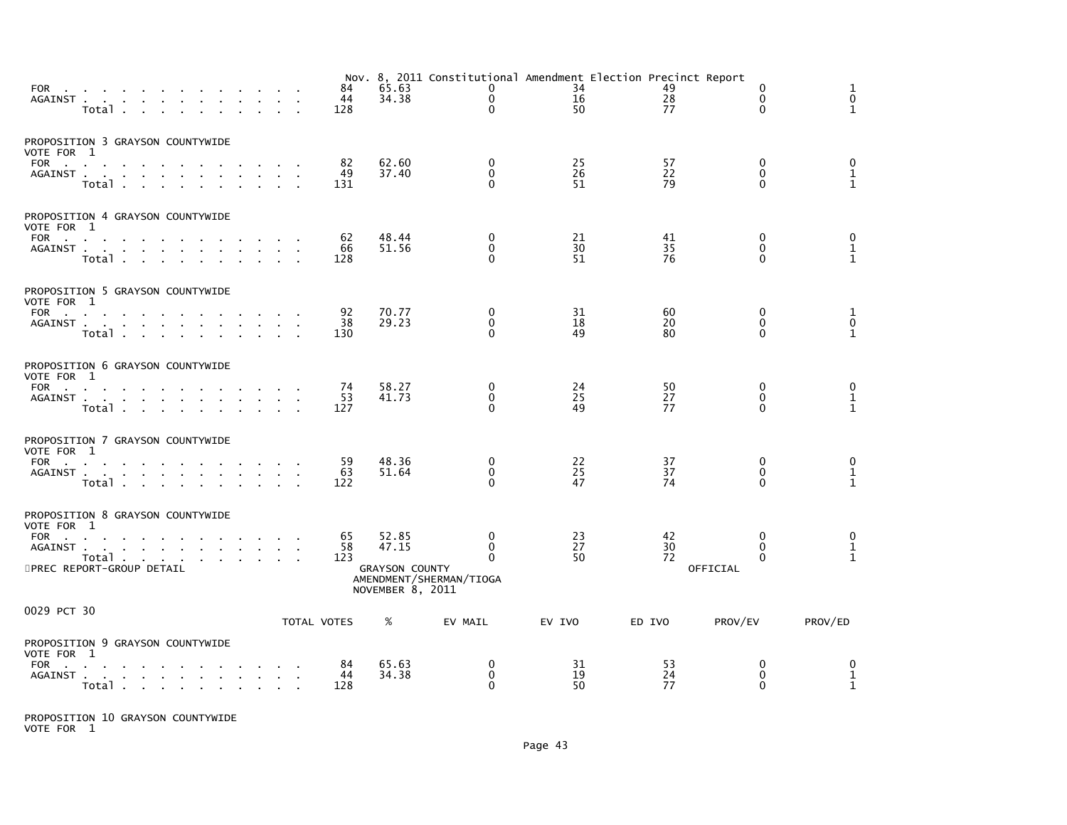| FOR<br>AGAINST                                 | Total .                                  | $\sim$                                          | <b>Contract Contract</b>                 |  |  |                                          | 84<br>44<br>128 | 65.63<br>34.38        |                                             | 0<br>$\mathbf 0$<br>$\Omega$             | Nov. 8, 2011 Constitutional Amendment Election Precinct Report<br>34<br>16<br>50 | 49<br>28<br>77 |          | 0<br>$\Omega$<br>$\Omega$                | 1<br>$\mathbf 0$<br>$\mathbf{1}$    |  |
|------------------------------------------------|------------------------------------------|-------------------------------------------------|------------------------------------------|--|--|------------------------------------------|-----------------|-----------------------|---------------------------------------------|------------------------------------------|----------------------------------------------------------------------------------|----------------|----------|------------------------------------------|-------------------------------------|--|
| PROPOSITION 3 GRAYSON COUNTYWIDE<br>VOTE FOR 1 |                                          |                                                 |                                          |  |  |                                          |                 |                       |                                             |                                          |                                                                                  |                |          |                                          |                                     |  |
| FOR<br>AGAINST.                                | the contract of the contract of<br>Total |                                                 |                                          |  |  | $\sim$                                   | 82<br>49<br>131 | 62.60<br>37.40        |                                             | $\mathbf{0}$<br>$\Omega$<br>$\Omega$     | 25<br>26<br>51                                                                   | 57<br>22<br>79 |          | $\mathbf{0}$<br>$\mathbf{0}$<br>$\Omega$ | 0<br>$\mathbf{1}$<br>$\mathbf{1}$   |  |
| PROPOSITION 4 GRAYSON COUNTYWIDE<br>VOTE FOR 1 |                                          |                                                 |                                          |  |  |                                          |                 |                       |                                             |                                          |                                                                                  |                |          |                                          |                                     |  |
| FOR<br>AGAINST                                 | Total                                    |                                                 | the contract of the contract of the con- |  |  |                                          | 62<br>66<br>128 | 48.44<br>51.56        |                                             | 0<br>$\Omega$<br>$\Omega$                | 21<br>30<br>51                                                                   | 41<br>35<br>76 |          | 0<br>$\Omega$<br>$\Omega$                | 0<br>$\frac{1}{1}$                  |  |
| PROPOSITION 5 GRAYSON COUNTYWIDE<br>VOTE FOR 1 |                                          |                                                 |                                          |  |  |                                          |                 |                       |                                             |                                          |                                                                                  |                |          |                                          |                                     |  |
| FOR<br>AGAINST.                                | the company of the company of<br>Total   | the contract of the contract of the contract of |                                          |  |  |                                          | 92<br>38<br>130 | 70.77<br>29.23        |                                             | $\mathbf{0}$<br>$\mathbf{0}$<br>$\Omega$ | 31<br>18<br>49                                                                   | 60<br>20<br>80 |          | 0<br>$\Omega$<br>$\Omega$                | 1<br>$\overline{0}$<br>$\mathbf{1}$ |  |
| PROPOSITION 6 GRAYSON COUNTYWIDE<br>VOTE FOR 1 |                                          |                                                 |                                          |  |  |                                          |                 |                       |                                             |                                          |                                                                                  |                |          |                                          |                                     |  |
| FOR<br>AGAINST                                 | $\sim$<br>Total                          |                                                 |                                          |  |  |                                          | 74<br>53<br>127 | 58.27<br>41.73        |                                             | 0<br>$\mathbf 0$<br>$\Omega$             | 24<br>$\overline{25}$<br>49                                                      | 50<br>27<br>77 |          | 0<br>$\mathbf{0}$<br>O                   | 0<br>$\frac{1}{1}$                  |  |
| PROPOSITION 7 GRAYSON COUNTYWIDE<br>VOTE FOR 1 |                                          |                                                 |                                          |  |  |                                          |                 |                       |                                             |                                          |                                                                                  |                |          |                                          |                                     |  |
| FOR<br>AGAINST                                 | Total                                    |                                                 |                                          |  |  |                                          | 59<br>63<br>122 | 48.36<br>51.64        |                                             | $\mathbf{0}$<br>$\mathbf{0}$<br>$\Omega$ | 22<br>25<br>47                                                                   | 37<br>37<br>74 |          | 0<br>0<br>$\Omega$                       | 0<br>$\mathbf{1}$<br>$\mathbf{1}$   |  |
| PROPOSITION 8 GRAYSON COUNTYWIDE<br>VOTE FOR 1 |                                          |                                                 |                                          |  |  |                                          |                 |                       |                                             |                                          |                                                                                  |                |          |                                          |                                     |  |
| FOR<br>AGAINST                                 |                                          |                                                 |                                          |  |  |                                          | 65<br>58        | 52.85<br>47.15        |                                             | $\mathbf{0}$<br>$\mathbf{0}$<br>$\Omega$ | 23<br>27<br>50                                                                   | 42<br>30<br>72 |          | $\Omega$<br>$\Omega$<br>$\Omega$         | 0<br>$\mathbf{1}$<br>$\mathbf{1}$   |  |
| 5PREC REPORT-GROUP DETAIL                      | Total                                    |                                                 |                                          |  |  |                                          | 123             | <b>GRAYSON COUNTY</b> | AMENDMENT/SHERMAN/TIOGA<br>NOVEMBER 8, 2011 |                                          |                                                                                  |                | OFFICIAL |                                          |                                     |  |
| 0029 PCT 30                                    |                                          |                                                 |                                          |  |  |                                          | TOTAL VOTES     | %                     | EV MAIL                                     |                                          | EV IVO                                                                           | ED IVO         | PROV/EV  |                                          | PROV/ED                             |  |
| PROPOSITION 9 GRAYSON COUNTYWIDE               |                                          |                                                 |                                          |  |  |                                          |                 |                       |                                             |                                          |                                                                                  |                |          |                                          |                                     |  |
| VOTE FOR 1<br>FOR<br>AGAINST                   | Total                                    |                                                 |                                          |  |  | the contract of the contract of the con- | 84<br>44<br>128 | 65.63<br>34.38        |                                             | 0<br>$\mathbf{0}$<br>$\Omega$            | 31<br>19<br>50                                                                   | 53<br>24<br>77 |          | 0<br>$\mathbf{0}$<br>$\Omega$            | 0<br>1<br>$\mathbf{1}$              |  |

PROPOSITION 10 GRAYSON COUNTYWIDE VOTE FOR 1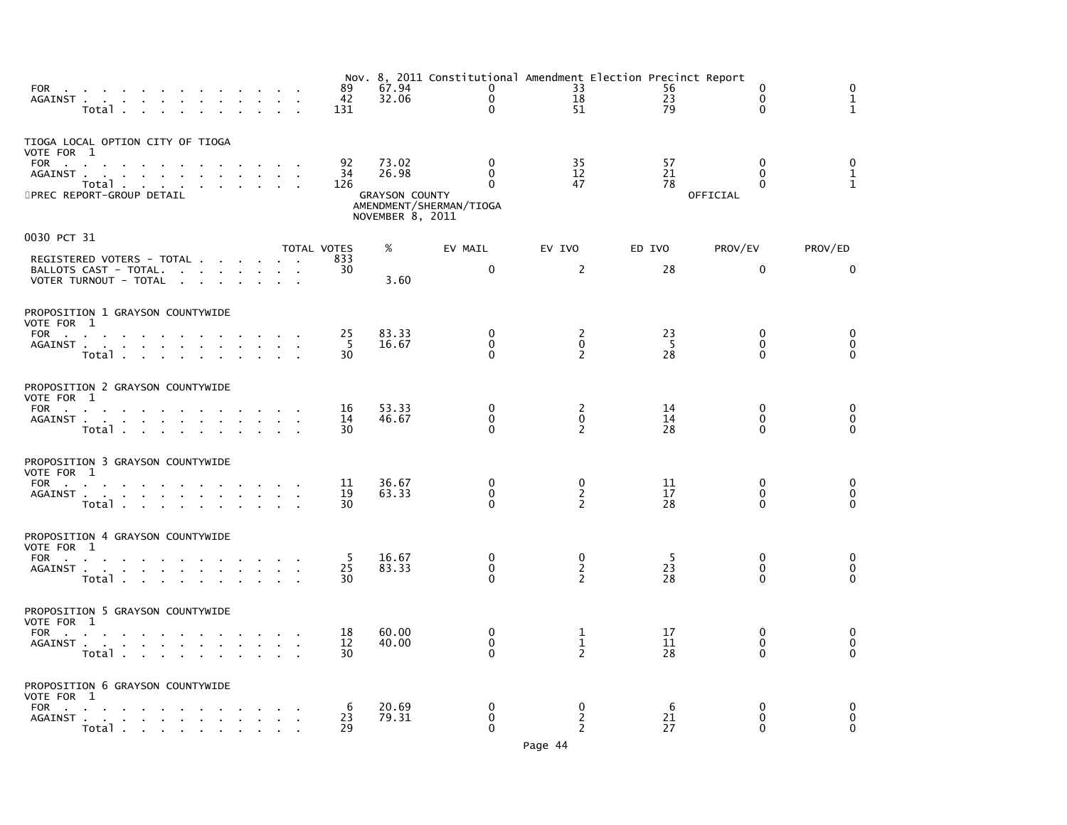| FOR<br>AGAINST                                                                                | Total                            |  |                                                                                             |  |  | 89<br>42<br>131 | 67.94<br>32.06                                              | Nov. 8, 2011 Constitutional Amendment Election Precinct Report<br>$\Omega$<br>$\mathbf 0$<br>$\mathbf{0}$ | 33<br>18<br>51                        | 56<br>23<br>79 | $\Omega$<br>$\mathbf{0}$<br>$\mathbf{0}$  | $\Omega$<br>1<br>$\mathbf{1}$        |
|-----------------------------------------------------------------------------------------------|----------------------------------|--|---------------------------------------------------------------------------------------------|--|--|-----------------|-------------------------------------------------------------|-----------------------------------------------------------------------------------------------------------|---------------------------------------|----------------|-------------------------------------------|--------------------------------------|
| TIOGA LOCAL OPTION CITY OF TIOGA<br>VOTE FOR 1<br>FOR<br>AGAINST<br>5PREC REPORT-GROUP DETAIL | Total $\cdots$ $\cdots$ $\cdots$ |  | the company of the company of the company of                                                |  |  | 92<br>34<br>126 | 73.02<br>26.98<br><b>GRAYSON COUNTY</b><br>NOVEMBER 8, 2011 | $\mathbf{0}$<br>$\Omega$<br>$\Omega$<br>AMENDMENT/SHERMAN/TIOGA                                           | 35<br>12<br>47                        | 57<br>21<br>78 | $\mathbf{0}$<br>$\Omega$<br>0<br>OFFICIAL | $\mathbf 0$<br>$\frac{1}{1}$         |
| 0030 PCT 31                                                                                   |                                  |  |                                                                                             |  |  | TOTAL VOTES     | %                                                           | EV MAIL                                                                                                   | EV IVO                                | ED IVO         | PROV/EV                                   | PROV/ED                              |
| REGISTERED VOTERS - TOTAL<br>BALLOTS CAST - TOTAL.<br>VOTER TURNOUT - TOTAL                   |                                  |  |                                                                                             |  |  | 833<br>30       | 3.60                                                        | $\Omega$                                                                                                  | 2                                     | 28             | $\mathbf{0}$                              | $\Omega$                             |
| PROPOSITION 1 GRAYSON COUNTYWIDE<br>VOTE FOR 1                                                |                                  |  |                                                                                             |  |  |                 |                                                             |                                                                                                           |                                       |                |                                           |                                      |
| FOR<br>AGAINST                                                                                | Total                            |  | the contract of the contract of the con-                                                    |  |  | 25<br>-5<br>30  | 83.33<br>16.67                                              | $\Omega$<br>$\mathbf{0}$<br>$\Omega$                                                                      | 2<br>$\mathbf{0}$<br>2                | 23<br>-5<br>28 | $\Omega$<br>$\Omega$<br>0                 | 0<br>$\mathbf 0$<br>$\mathbf{0}$     |
| PROPOSITION 2 GRAYSON COUNTYWIDE<br>VOTE FOR 1                                                |                                  |  |                                                                                             |  |  |                 |                                                             |                                                                                                           |                                       |                |                                           |                                      |
| AGAINST                                                                                       | Total                            |  |                                                                                             |  |  | 16<br>14<br>30  | 53.33<br>46.67                                              | 0<br>$\Omega$<br>$\Omega$                                                                                 | 2<br>$\mathbf{0}$<br>2                | 14<br>14<br>28 | $\mathbf{0}$<br>$\mathbf{0}$<br>0         | $\mathbf 0$<br>0<br>$\Omega$         |
| PROPOSITION 3 GRAYSON COUNTYWIDE<br>VOTE FOR 1                                                |                                  |  |                                                                                             |  |  |                 |                                                             |                                                                                                           |                                       |                |                                           |                                      |
| FOR<br>AGAINST                                                                                | Total                            |  | the contract of the contract of the con-                                                    |  |  | 11<br>19<br>30  | 36.67<br>63.33                                              | 0<br>$\mathbf 0$<br>$\Omega$                                                                              | 0<br>$\overline{2}$<br>$\mathcal{P}$  | 11<br>17<br>28 | $\Omega$<br>$\Omega$<br>0                 | $\mathbf 0$<br>$\pmb{0}$<br>$\Omega$ |
| PROPOSITION 4 GRAYSON COUNTYWIDE<br>VOTE FOR 1                                                |                                  |  |                                                                                             |  |  |                 |                                                             |                                                                                                           |                                       |                |                                           |                                      |
| FOR<br>AGAINST                                                                                | Total                            |  |                                                                                             |  |  | 5<br>25<br>30   | 16.67<br>83.33                                              | 0<br>$\Omega$<br>$\Omega$                                                                                 | 0<br>$\overline{2}$<br>$\overline{z}$ | -5<br>23<br>28 | $\mathbf{0}$<br>0<br>$\Omega$             | 0<br>$\mathbf 0$<br>$\Omega$         |
| PROPOSITION 5 GRAYSON COUNTYWIDE<br>VOTE FOR 1                                                |                                  |  |                                                                                             |  |  |                 |                                                             |                                                                                                           |                                       |                |                                           |                                      |
| FOR<br>AGAINST                                                                                | Total .                          |  | the contract of the contract of the con-                                                    |  |  | 18<br>12<br>30  | 60.00<br>40.00                                              | $\mathbf{0}$<br>$\Omega$<br>$\Omega$                                                                      | 1<br>$\mathbf{1}$<br>2                | 17<br>11<br>28 | $\mathbf{0}$<br>0<br>$\mathbf{0}$         | 0<br>$\mathbf 0$<br>$\mathbf{0}$     |
| PROPOSITION 6 GRAYSON COUNTYWIDE<br>VOTE FOR 1                                                |                                  |  |                                                                                             |  |  |                 |                                                             |                                                                                                           |                                       |                |                                           |                                      |
| FOR<br>AGAINST                                                                                | Total                            |  | the contract of the contract of the con-<br>the contract of the contract of the contract of |  |  | 6<br>23<br>29   | 20.69<br>79.31                                              | $\Omega$<br>$\Omega$<br>$\Omega$                                                                          | 0<br>$\mathbf{2}$<br>$\overline{2}$   | 6<br>21<br>27  | $\Omega$<br>$\mathbf{0}$<br>$\Omega$      | 0<br>$\Omega$<br>$\mathbf{0}$        |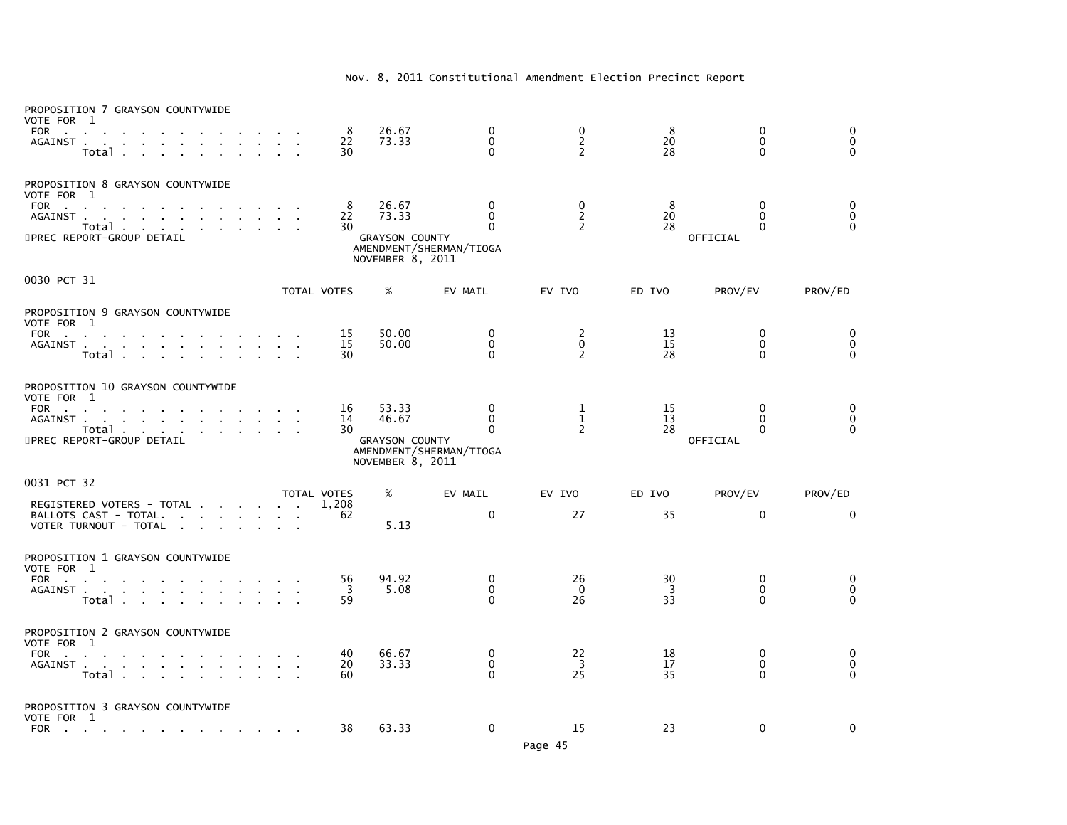| PROPOSITION 7 GRAYSON COUNTYWIDE<br>VOTE FOR 1<br><b>FOR</b><br>$\sim$ 10 $\pm$<br>AGAINST<br>Total .                                                                        |        | 8<br>22<br>30  | 26.67<br>73.33                                              | 0<br>0<br>$\mathbf{0}$                                      | 0<br>$\overline{2}$<br>$\overline{2}$ | 8<br>20<br>28  | $\mathbf 0$<br>$\mathbf 0$<br>$\mathbf{0}$ | 0<br>$\overline{0}$<br>$\mathbf 0$ |
|------------------------------------------------------------------------------------------------------------------------------------------------------------------------------|--------|----------------|-------------------------------------------------------------|-------------------------------------------------------------|---------------------------------------|----------------|--------------------------------------------|------------------------------------|
| PROPOSITION 8 GRAYSON COUNTYWIDE<br>VOTE FOR 1<br><b>FOR</b><br><b>Contract Contract</b><br>AGAINST.<br>and the company of the company<br>Total<br>5PREC REPORT-GROUP DETAIL |        | 8<br>22<br>30  | 26.67<br>73.33<br><b>GRAYSON COUNTY</b><br>NOVEMBER 8, 2011 | 0<br>$\mathbf 0$<br>$\mathbf{0}$<br>AMENDMENT/SHERMAN/TIOGA | 0<br>$\frac{2}{2}$                    | 8<br>20<br>28  | 0<br>$\Omega$<br>$\Omega$<br>OFFICIAL      | 0<br>$\overline{0}$<br>$\ddot{0}$  |
| 0030 PCT 31                                                                                                                                                                  |        | TOTAL VOTES    | %                                                           | EV MAIL                                                     | EV IVO                                | ED IVO         | PROV/EV                                    | PROV/ED                            |
| PROPOSITION 9 GRAYSON COUNTYWIDE<br>VOTE FOR 1<br>FOR<br><b>Contract Contract</b><br>AGAINST<br>$\sim$<br>Total .                                                            |        | 15<br>15<br>30 | 50.00<br>50.00                                              | 0<br>$\mathbf 0$<br>$\Omega$                                | 2<br>$\mathbf 0$<br>$\overline{c}$    | 13<br>15<br>28 | 0<br>0<br>$\mathbf{0}$                     | 0<br>0<br>$\Omega$                 |
| PROPOSITION 10 GRAYSON COUNTYWIDE<br>VOTE FOR 1<br>FOR<br>$\sim$<br>AGAINST.<br>and a straight and<br>$\sim$<br>$\sim$<br><b>Contract Contract</b>                           |        | 16<br>14       | 53.33<br>46.67                                              | 0<br>$\mathbf{0}$                                           | 1<br>$\mathbf{1}$                     | 15<br>13       | $\Omega$<br>$\Omega$                       | 0<br>0                             |
| Total<br>5PREC REPORT-GROUP DETAIL                                                                                                                                           |        | 30             | <b>GRAYSON COUNTY</b><br>NOVEMBER 8, 2011                   | 0<br>AMENDMENT/SHERMAN/TIOGA                                | $\overline{2}$                        | 28             | $\Omega$<br>OFFICIAL                       | $\Omega$                           |
| 0031 PCT 32                                                                                                                                                                  |        | TOTAL VOTES    | %                                                           | EV MAIL                                                     | EV IVO                                | ED IVO         | PROV/EV                                    | PROV/ED                            |
| REGISTERED VOTERS - TOTAL<br>BALLOTS CAST - TOTAL.<br>$\sim$<br><b>Contract Contract</b><br>$\sim$<br>VOTER TURNOUT - TOTAL<br>$\sim$<br>$\mathbf{r}$<br>$\sim$              |        | 1,208<br>62    | 5.13                                                        | $\mathbf 0$                                                 | 27                                    | 35             | $\mathbf 0$                                | $\Omega$                           |
| PROPOSITION 1 GRAYSON COUNTYWIDE<br>VOTE FOR 1<br>FOR<br>AGAINST.<br>$\mathbf{r} = \mathbf{r} \cdot \mathbf{r}$<br>$\sim$<br>the control of the control of<br>Total          | $\sim$ | 56<br>-3<br>59 | 94.92<br>5.08                                               | 0<br>0<br>$\Omega$                                          | 26<br>0<br>26                         | 30<br>3<br>33  | 0<br>0<br>$\Omega$                         | 0<br>0<br>$\Omega$                 |
| PROPOSITION 2 GRAYSON COUNTYWIDE<br>VOTE FOR 1<br>FOR<br>AGAINST<br>Total<br>$\sim 10^{-11}$<br>$\sim$<br>$\sim$                                                             |        | 40<br>20<br>60 | 66.67<br>33.33                                              | $\Omega$<br>$\mathbf 0$<br>$\Omega$                         | 22<br>$\overline{\mathbf{3}}$<br>25   | 18<br>17<br>35 | $\Omega$<br>$\mathbf{0}$<br>$\Omega$       | 0<br>$\mathbf 0$<br>$\Omega$       |
| PROPOSITION 3 GRAYSON COUNTYWIDE<br>VOTE FOR 1<br>FOR<br>the company of the company of the company of<br><b>Contract Contract</b>                                            |        | 38             | 63.33                                                       | $\mathbf 0$                                                 | 15                                    | 23             | $\mathbf 0$                                | 0                                  |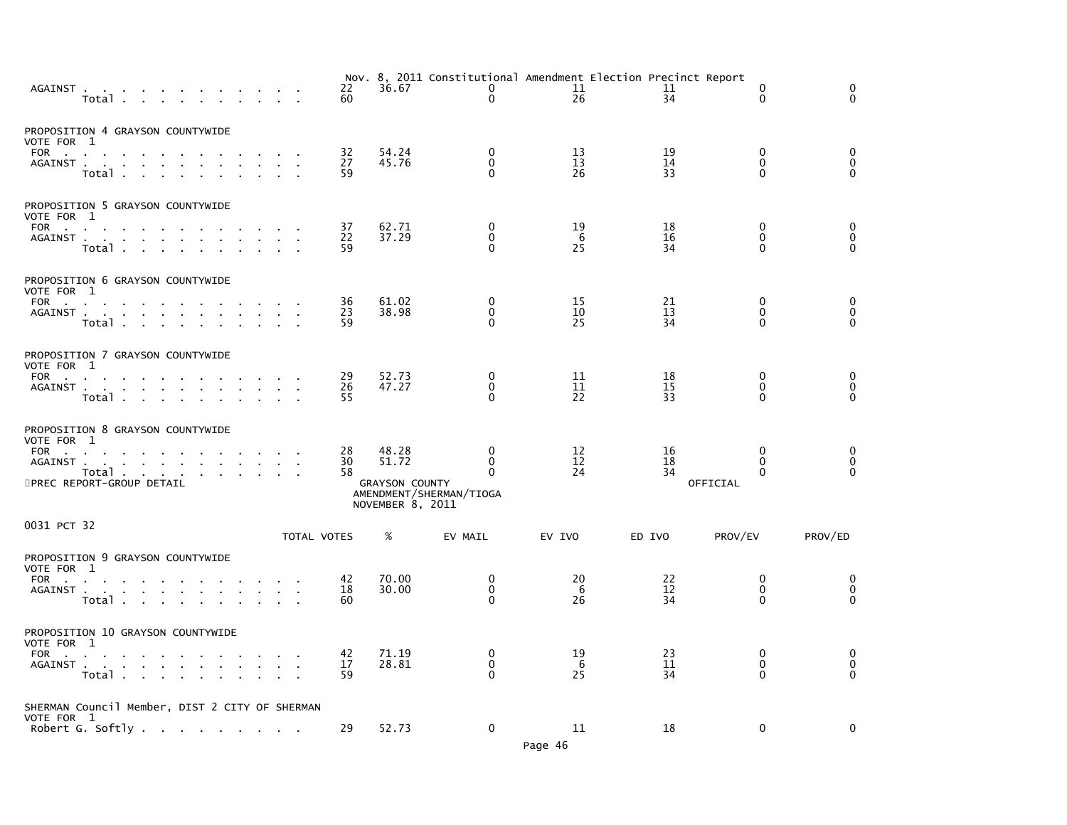|                   | AGAINST<br>Total .                                                                |              |             | 22<br>60       | 36.67                                                       | 0<br>$\Omega$                                                           | Nov. 8, 2011 Constitutional Amendment Election Precinct Report<br>11<br>26 | 11<br>34       | 0<br>$\Omega$                                    | 0<br>$\Omega$                                                    |
|-------------------|-----------------------------------------------------------------------------------|--------------|-------------|----------------|-------------------------------------------------------------|-------------------------------------------------------------------------|----------------------------------------------------------------------------|----------------|--------------------------------------------------|------------------------------------------------------------------|
| VOTE FOR 1<br>FOR | PROPOSITION 4 GRAYSON COUNTYWIDE<br>AGAINST<br>Total<br>$\sim$<br>$\sim$          |              |             | 32<br>27<br>59 | 54.24<br>45.76                                              | $\mathbf{0}$<br>0<br>$\Omega$                                           | 13<br>13<br>26                                                             | 19<br>14<br>33 | $\mathbf{0}$<br>$\mathbf 0$<br>$\Omega$          | $\begin{matrix} 0 \\ 0 \\ 0 \end{matrix}$                        |
| VOTE FOR 1<br>FOR | PROPOSITION 5 GRAYSON COUNTYWIDE<br>AGAINST<br>Total                              |              |             | 37<br>22<br>59 | 62.71<br>37.29                                              | 0<br>$\mathbf{0}$<br>$\Omega$                                           | 19<br>6<br>25                                                              | 18<br>16<br>34 | 0<br>$\mathbf{0}$<br>$\mathbf{0}$                | 0<br>$\pmb{0}$<br>$\mathbf{0}$                                   |
| VOTE FOR 1<br>FOR | PROPOSITION 6 GRAYSON COUNTYWIDE<br>AGAINST<br>Total<br>$\sim$                    |              |             | 36<br>23<br>59 | 61.02<br>38.98                                              | 0<br>0<br>$\Omega$                                                      | 15<br>10<br>25                                                             | 21<br>13<br>34 | $\mathbf 0$<br>$\mathbf 0$<br>$\mathbf{0}$       | $\begin{smallmatrix}0\0\end{smallmatrix}$<br>$\ddot{\mathbf{0}}$ |
| VOTE FOR 1        | PROPOSITION 7 GRAYSON COUNTYWIDE<br>FOR<br>AGAINST<br>Total                       |              |             | 29<br>26<br>55 | 52.73<br>47.27                                              | 0<br>$\mathbf 0$<br>$\Omega$                                            | 11<br>11<br>22                                                             | 18<br>15<br>33 | 0<br>$\mathbf 0$<br>$\Omega$                     | 0<br>$\ddot{\mathbf{0}}$<br>$\Omega$                             |
| VOTE FOR 1<br>FOR | PROPOSITION 8 GRAYSON COUNTYWIDE<br>AGAINST<br>Total<br>5PREC REPORT-GROUP DETAIL |              |             | 28<br>30<br>58 | 48.28<br>51.72<br><b>GRAYSON COUNTY</b><br>NOVEMBER 8, 2011 | $\mathbf{0}$<br>$\mathbf{0}$<br>$\mathbf{0}$<br>AMENDMENT/SHERMAN/TIOGA | 12<br>12<br>24                                                             | 16<br>18<br>34 | $\mathbf{0}$<br>$\Omega$<br>$\Omega$<br>OFFICIAL | $\begin{smallmatrix}0\0\end{smallmatrix}$<br>$\tilde{0}$         |
| 0031 PCT 32       |                                                                                   |              | TOTAL VOTES |                | %                                                           | EV MAIL                                                                 | EV IVO                                                                     | ED IVO         | PROV/EV                                          | PROV/ED                                                          |
| VOTE FOR 1<br>FOR | PROPOSITION 9 GRAYSON COUNTYWIDE<br>$\sim 10^{-11}$<br>Total                      | $\mathbf{r}$ |             | 42<br>18<br>60 | 70.00<br>30.00                                              | 0<br>$\mathbf 0$<br>$\Omega$                                            | 20<br>-6<br>26                                                             | 22<br>12<br>34 | $\mathbf{0}$<br>$\mathbf 0$<br>$\Omega$          | 0<br>$\ddot{\mathbf{0}}$<br>$\mathbf{0}$                         |
| VOTE FOR 1        | PROPOSITION 10 GRAYSON COUNTYWIDE<br>FOR<br>AGAINST<br>Total                      | $\mathbf{r}$ | $\sim$      | 42<br>17<br>59 | 71.19<br>28.81                                              | 0<br>$\mathbf 0$<br>$\Omega$                                            | 19<br>6<br>25                                                              | 23<br>11<br>34 | 0<br>$\mathbf 0$<br>$\Omega$                     | $\begin{smallmatrix} 0 \\ 0 \end{smallmatrix}$<br>$\mathbf{0}$   |
| VOTE FOR 1        | SHERMAN Council Member, DIST 2 CITY OF SHERMAN<br>Robert G. Softly                |              |             | 29             | 52.73                                                       | $\mathbf 0$                                                             | 11                                                                         | 18             | $\mathbf 0$                                      | $\mathbf 0$                                                      |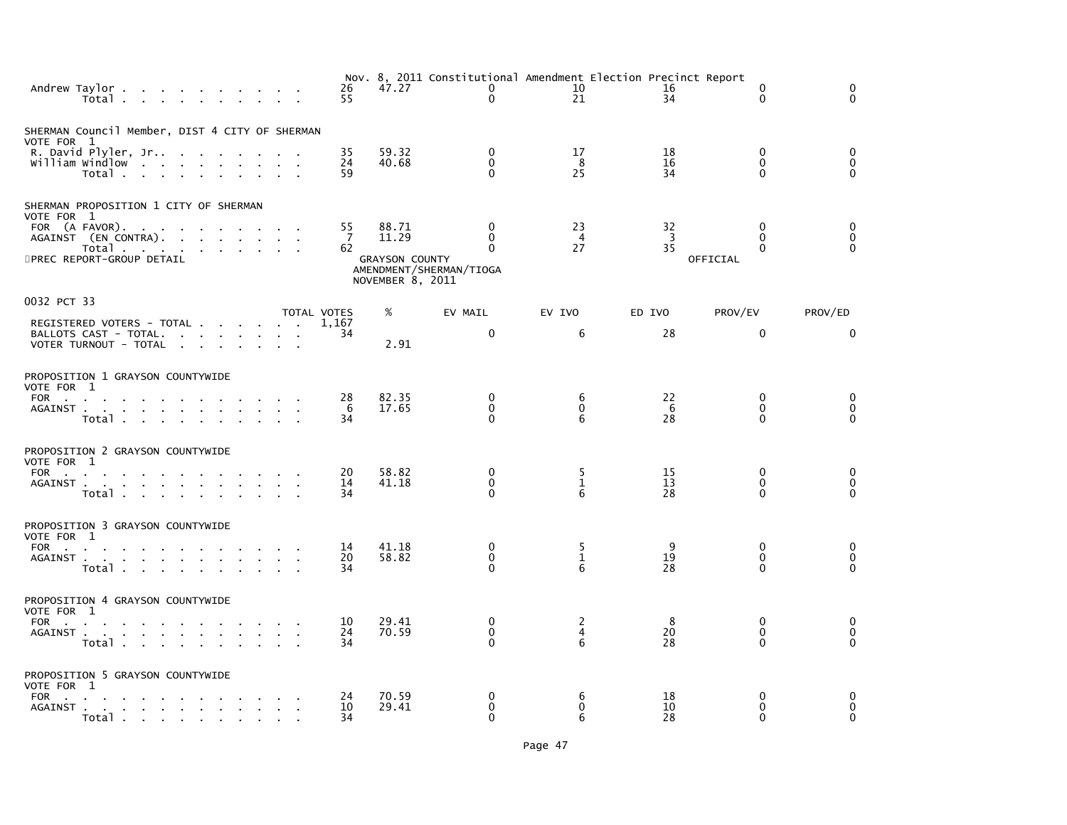|                                                                                  | Andrew Taylor<br>Total                                                      |                                                                            |                                     |        |              |                                                           | 26<br>55                   | 47.27                                                       | Nov. 8, 2011 Constitutional Amendment Election Precinct Report<br>$\mathbf{0}$<br>$\mathbf{0}$ | 10<br>21               | 16<br>34                   | 0<br>$\Omega$                                | $\Omega$<br>$\Omega$                     |
|----------------------------------------------------------------------------------|-----------------------------------------------------------------------------|----------------------------------------------------------------------------|-------------------------------------|--------|--------------|-----------------------------------------------------------|----------------------------|-------------------------------------------------------------|------------------------------------------------------------------------------------------------|------------------------|----------------------------|----------------------------------------------|------------------------------------------|
| SHERMAN Council Member, DIST 4 CITY OF SHERMAN<br>VOTE FOR 1                     | R. David Plyler, Jr<br>william windlow<br>Total                             |                                                                            |                                     |        |              | the company of the company of<br><b>Contract Contract</b> | 35<br>24<br>59             | 59.32<br>40.68                                              | 0<br>$\Omega$<br>$\Omega$                                                                      | 17<br>- 8<br>25        | 18<br>16<br>34             | $\Omega$<br>$\Omega$<br>0                    | $\mathbf 0$<br>$\Omega$<br>$\mathbf{0}$  |
| SHERMAN PROPOSITION 1 CITY OF SHERMAN<br>VOTE FOR 1<br>5PREC REPORT-GROUP DETAIL | FOR (A FAVOR).<br>AGAINST (EN CONTRA).<br>Total                             |                                                                            | the contract of the contract of the |        |              |                                                           | 55<br>7<br>62              | 88.71<br>11.29<br><b>GRAYSON COUNTY</b><br>NOVEMBER 8, 2011 | $\mathbf{0}$<br>$\mathbf{0}$<br>$\Omega$<br>AMENDMENT/SHERMAN/TIOGA                            | 23<br>4<br>27          | 32<br>$\overline{3}$<br>35 | $\Omega$<br>0<br>$\Omega$<br>OFFICIAL        | $\Omega$<br>0<br>$\mathbf 0$             |
| 0032 PCT 33                                                                      | REGISTERED VOTERS - TOTAL<br>BALLOTS CAST - TOTAL.<br>VOTER TURNOUT - TOTAL |                                                                            |                                     |        |              | <b>Contract Contract</b>                                  | TOTAL VOTES<br>1.167<br>34 | %<br>2.91                                                   | EV MAIL<br>$\mathbf 0$                                                                         | EV IVO<br>6            | ED IVO<br>28               | PROV/EV<br>0                                 | PROV/ED<br>0                             |
| PROPOSITION 1 GRAYSON COUNTYWIDE<br>VOTE FOR 1                                   | FOR $\qquad \qquad \ldots \qquad \qquad \ldots$<br>AGAINST<br>Total         |                                                                            |                                     | $\sim$ |              | <b>Contract Contract</b><br>$\sim$                        | 28<br>-6<br>34             | 82.35<br>17.65                                              | 0<br>$\mathbf{0}$<br>$\Omega$                                                                  | 6<br>$\mathbf{0}$<br>6 | 22<br>6<br>28              | 0<br>$\mathbf{0}$<br>$\Omega$                | 0<br>$\mathbf 0$<br>$\mathbf{0}$         |
| PROPOSITION 2 GRAYSON COUNTYWIDE<br>VOTE FOR 1<br>FOR                            | AGAINST<br>Total                                                            |                                                                            | <b>All Contract Contracts</b>       |        |              |                                                           | 20<br>14<br>34             | 58.82<br>41.18                                              | $\mathbf{0}$<br>0<br>$\Omega$                                                                  | 5<br>$\mathbf{1}$<br>6 | 15<br>13<br>28             | $\Omega$<br>0<br>$\Omega$                    | $\mathbf{0}$<br>0<br>$\mathbf 0$         |
| PROPOSITION 3 GRAYSON COUNTYWIDE<br>VOTE FOR 1                                   | FOR<br>Total                                                                |                                                                            |                                     |        |              |                                                           | 14<br>20<br>34             | 41.18<br>58.82                                              | 0<br>$\mathbf{0}$<br>$\Omega$                                                                  | 5<br>$\mathbf{1}$<br>6 | 9<br>19<br>28              | $\mathbf{0}$<br>$\Omega$<br>0                | 0<br>$\mathbf{0}$<br>$\Omega$            |
| PROPOSITION 4 GRAYSON COUNTYWIDE<br>VOTE FOR 1<br>FOR                            | $\sim$ 10 $\pm$<br>AGAINST<br>Total                                         |                                                                            | <b>Contract Contract</b>            | $\sim$ |              |                                                           | 10<br>24<br>34             | 29.41<br>70.59                                              | $\mathbf{0}$<br>$\mathbf{0}$<br>$\Omega$                                                       | 2<br>4<br>6            | 8<br>20<br>28              | $\Omega$<br>$\mathbf{0}$<br>0                | 0<br>$\mathbf 0$<br>$\mathbf{0}$         |
| PROPOSITION 5 GRAYSON COUNTYWIDE<br>VOTE FOR 1<br>FOR<br>AGAINST.                | Total                                                                       | the contract of the contract of the<br>the contract of the contract of the |                                     |        | $\mathbf{r}$ | $\mathbf{r}$                                              | 24<br>10<br>34             | 70.59<br>29.41                                              | 0<br>$\mathbf{0}$<br>$\Omega$                                                                  | 6<br>$\mathbf{0}$<br>6 | 18<br>10<br>28             | $\mathbf{0}$<br>$\mathbf{0}$<br>$\mathbf{0}$ | $\mathbf{0}$<br>$\mathbf{0}$<br>$\Omega$ |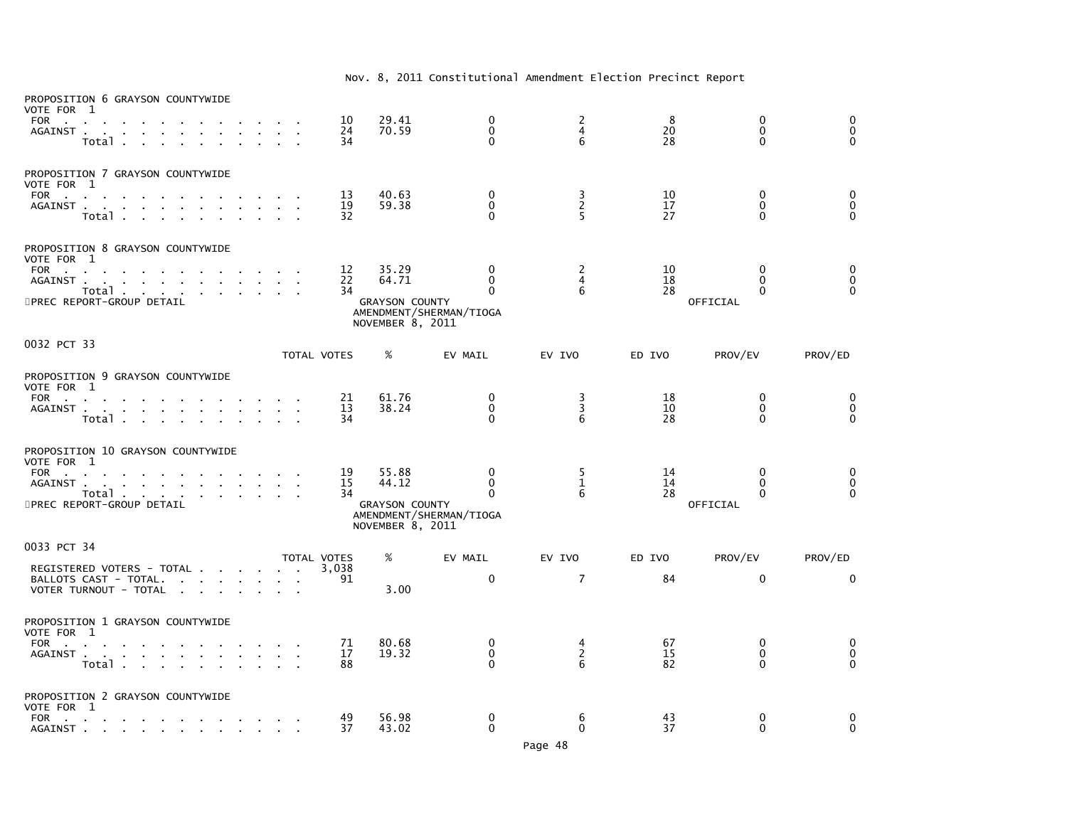| PROPOSITION 6 GRAYSON COUNTYWIDE<br>VOTE FOR 1<br>FOR<br>$\sim$<br>AGAINST.<br><b>Service</b><br>$\sim$<br><b>College</b><br>$\sim$<br>$\sim$<br>$\mathbf{r}$<br>Total                                                                                                                                                                                                   |                                               | 10<br>24<br>34                   | 29.41<br>70.59                                                                | 0<br>$\mathbf{0}$<br>$\Omega$                                                                                  | $\frac{2}{4}$<br>6                    | 8<br>20<br>28                    | $\mathbf 0$<br>$\mathbf{0}$<br>$\Omega$                                       | $\mathbf 0$<br>$\mathbf 0$<br>$\Omega$             |
|--------------------------------------------------------------------------------------------------------------------------------------------------------------------------------------------------------------------------------------------------------------------------------------------------------------------------------------------------------------------------|-----------------------------------------------|----------------------------------|-------------------------------------------------------------------------------|----------------------------------------------------------------------------------------------------------------|---------------------------------------|----------------------------------|-------------------------------------------------------------------------------|----------------------------------------------------|
| PROPOSITION 7 GRAYSON COUNTYWIDE<br>VOTE FOR 1<br><b>FOR</b><br><b>Carl Carl</b><br>AGAINST<br>Total<br>$\mathbf{r}$<br><b>College</b>                                                                                                                                                                                                                                   |                                               | 13<br>19<br>32                   | 40.63<br>59.38                                                                | 0<br>$\mathbf 0$<br>$\Omega$                                                                                   | $\frac{3}{2}$<br>5                    | 10<br>17<br>27                   | $\mathbf{0}$<br>0<br>$\Omega$                                                 | 0<br>$\overline{0}$<br>$\Omega$                    |
| PROPOSITION 8 GRAYSON COUNTYWIDE<br>VOTE FOR 1<br><b>FOR</b><br><b>Contract Contract</b><br>AGAINST.<br>and a straightful contract and a straight<br>Total<br>5PREC REPORT-GROUP DETAIL                                                                                                                                                                                  |                                               | 12<br>22<br>34                   | 35.29<br>64.71<br><b>GRAYSON COUNTY</b><br>NOVEMBER 8, 2011                   | 0<br>$\Omega$<br>$\Omega$<br>AMENDMENT/SHERMAN/TIOGA                                                           | 2<br>$\overline{4}$<br>6              | 10<br>18<br>28                   | $\mathbf{0}$<br>0<br>0<br>OFFICIAL                                            | 0<br>$\pmb{0}$<br>$\Omega$                         |
| 0032 PCT 33                                                                                                                                                                                                                                                                                                                                                              |                                               | TOTAL VOTES                      | %                                                                             | EV MAIL                                                                                                        | EV IVO                                | ED IVO                           | PROV/EV                                                                       | PROV/ED                                            |
| PROPOSITION 9 GRAYSON COUNTYWIDE<br>VOTE FOR 1<br><b>FOR</b><br><b>Contract Contract</b><br>AGAINST<br>$\sim$<br>$\mathbf{r} = \mathbf{r} \cdot \mathbf{r}$<br>Total .<br>$\mathbf{r}$<br>PROPOSITION 10 GRAYSON COUNTYWIDE<br>VOTE FOR 1<br>FOR<br><b>College</b><br>AGAINST.<br>and a strain and a strain and<br><b>Contract</b><br>Total<br>5PREC REPORT-GROUP DETAIL |                                               | 21<br>13<br>34<br>19<br>15<br>34 | 61.76<br>38.24<br>55.88<br>44.12<br><b>GRAYSON COUNTY</b><br>NOVEMBER 8, 2011 | $\mathbf{0}$<br>$\mathbf 0$<br>$\mathbf{0}$<br>$\mathbf{0}$<br>$\Omega$<br>$\Omega$<br>AMENDMENT/SHERMAN/TIOGA | 3<br>3<br>6<br>5<br>$\mathbf{1}$<br>6 | 18<br>10<br>28<br>14<br>14<br>28 | $\Omega$<br>$\Omega$<br>$\Omega$<br>$\mathbf{0}$<br>$\Omega$<br>0<br>OFFICIAL | 0<br>$\mathbf 0$<br>$\Omega$<br>0<br>0<br>$\Omega$ |
| 0033 PCT 34<br>REGISTERED VOTERS - TOTAL<br>BALLOTS CAST - TOTAL.<br>the contract of the contract of the<br>VOTER TURNOUT - TOTAL                                                                                                                                                                                                                                        |                                               | TOTAL VOTES<br>3.038<br>91       | %<br>3.00                                                                     | EV MAIL<br>$\mathbf 0$                                                                                         | EV IVO<br>$\overline{7}$              | ED IVO<br>84                     | PROV/EV<br>$\mathbf{0}$                                                       | PROV/ED<br>$\Omega$                                |
| PROPOSITION 1 GRAYSON COUNTYWIDE<br>VOTE FOR 1<br><b>FOR</b><br><b>Contract Contract</b><br>$\sim 10^{-10}$ km s $^{-1}$<br>AGAINST.<br>the contract of the contract of the con-<br>Total                                                                                                                                                                                | $\mathcal{L}^{\pm}$<br>$\sim$<br>$\mathbf{r}$ | 71<br>17<br>88                   | 80.68<br>19.32                                                                | 0<br>0<br>$\Omega$                                                                                             | 4<br>$\overline{2}$<br>6              | 67<br>15<br>82                   | $\mathbf{0}$<br>$\mathbf 0$<br>0                                              | $\mathbf 0$<br>$\mathbf 0$<br>$\mathbf{0}$         |
| PROPOSITION 2 GRAYSON COUNTYWIDE<br>VOTE FOR 1<br><b>FOR</b><br><b>Contract Contract</b><br><b>Contract Contract</b><br>$\mathbf{r}$<br>the company of the company<br>$\sim$<br>AGAINST .<br>the contract of the contract of the                                                                                                                                         |                                               | 49<br>37                         | 56.98<br>43.02                                                                | 0<br>$\mathbf{0}$                                                                                              | 6<br>$\mathbf{0}$                     | 43<br>37                         | 0<br>$\Omega$                                                                 | 0<br>$\mathbf 0$                                   |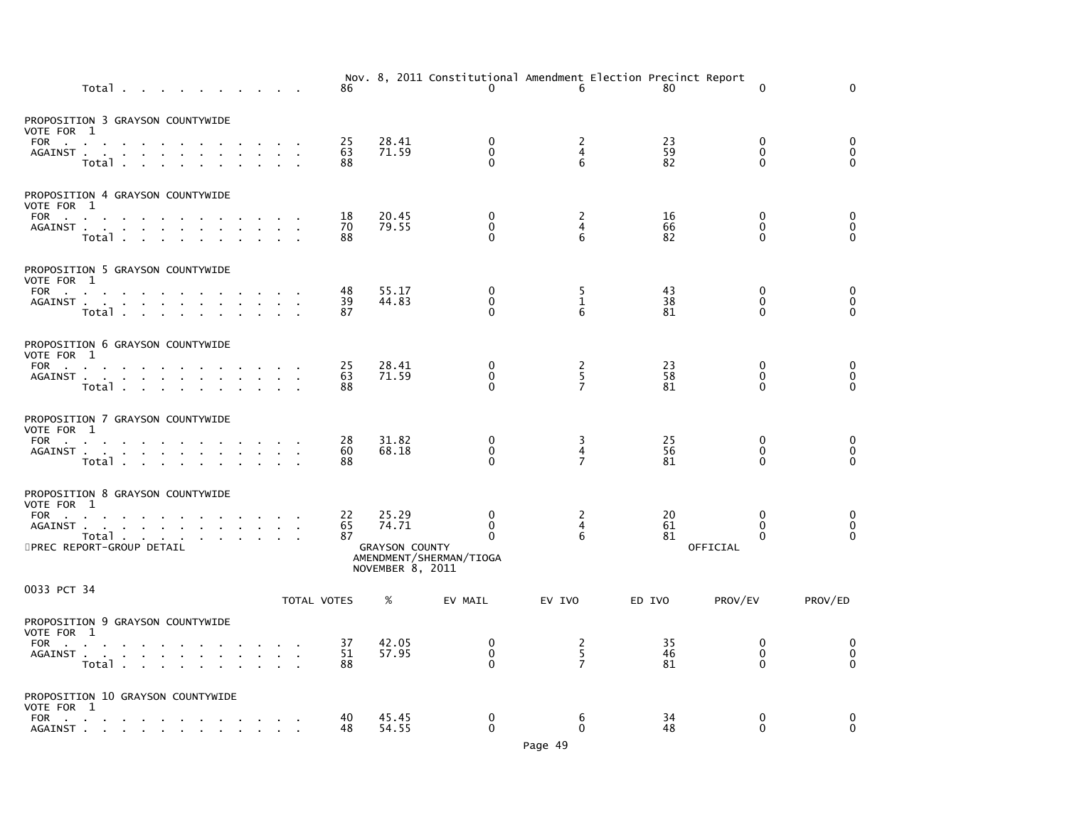|                                                                                                        | Total           |                           |                                   |                                                     |  |        |             | 86             |                                         | $\mathbf{0}$                                                             | Nov. 8, 2011 Constitutional Amendment Election Precinct Report<br>6 | 80             |          | $\Omega$                                 | $\Omega$                                                  |
|--------------------------------------------------------------------------------------------------------|-----------------|---------------------------|-----------------------------------|-----------------------------------------------------|--|--------|-------------|----------------|-----------------------------------------|--------------------------------------------------------------------------|---------------------------------------------------------------------|----------------|----------|------------------------------------------|-----------------------------------------------------------|
| PROPOSITION 3 GRAYSON COUNTYWIDE<br>VOTE FOR 1<br>FOR<br>AGAINST                                       | Total .         | $\sim 10^{-11}$<br>$\sim$ |                                   |                                                     |  |        |             | 25<br>63<br>88 | 28.41<br>71.59                          | $\mathbf 0$<br>$\mathbf 0$<br>$\Omega$                                   | 2<br>4<br>6                                                         | 23<br>59<br>82 |          | $\mathbf{0}$<br>$\mathbf{0}$<br>$\Omega$ | 0<br>$\pmb{0}$<br>$\Omega$                                |
| PROPOSITION 4 GRAYSON COUNTYWIDE<br>VOTE FOR 1<br>FOR<br>AGAINST                                       | $\sim$<br>Total |                           |                                   | and a straightful contract and a straight           |  |        |             | 18<br>70<br>88 | 20.45<br>79.55                          | $\mathbf{0}$<br>$\mathbf 0$<br>$\Omega$                                  | 2<br>4<br>6                                                         | 16<br>66<br>82 |          | $\mathbf{0}$<br>$\Omega$<br>$\Omega$     | 0<br>$\check{\mathrm{o}}$<br>$\Omega$                     |
| PROPOSITION 5 GRAYSON COUNTYWIDE<br>VOTE FOR 1<br>FOR<br>AGAINST                                       | Total           |                           |                                   | the contract of the contract of the con-            |  | $\sim$ |             | 48<br>39<br>87 | 55.17<br>44.83                          | 0<br>$\mathbf 0$<br>$\Omega$                                             | 5<br>$\mathbf{1}$<br>6                                              | 43<br>38<br>81 |          | 0<br>0<br>$\mathbf{0}$                   | 0<br>$_{\rm 0}^{\rm 0}$                                   |
| PROPOSITION 6 GRAYSON COUNTYWIDE<br>VOTE FOR 1<br>FOR<br>AGAINST                                       | Total           |                           |                                   |                                                     |  |        |             | 25<br>63<br>88 | 28.41<br>71.59                          | 0<br>$\mathbf 0$<br>$\mathbf{0}$                                         | 2<br>5<br>$\overline{7}$                                            | 23<br>58<br>81 |          | 0<br>0<br>$\Omega$                       | $\begin{smallmatrix}0\0\end{smallmatrix}$<br>$\mathbf{0}$ |
| PROPOSITION 7 GRAYSON COUNTYWIDE<br>VOTE FOR 1<br>FOR<br>AGAINST                                       | Total           |                           | <b>Contract Contract Contract</b> |                                                     |  |        |             | 28<br>60<br>88 | 31.82<br>68.18                          | $\mathbf{0}$<br>0<br>$\Omega$                                            | 3<br>4<br>$\overline{7}$                                            | 25<br>56<br>81 |          | $\mathbf{0}$<br>0<br>$\Omega$            | $\begin{smallmatrix} 0\\0 \end{smallmatrix}$<br>$\Omega$  |
| PROPOSITION 8 GRAYSON COUNTYWIDE<br>VOTE FOR 1<br>FOR<br>AGAINST<br>Total<br>5PREC REPORT-GROUP DETAIL |                 | $\sim 10^{-11}$           |                                   |                                                     |  |        |             | 22<br>65<br>87 | 25.29<br>74.71<br><b>GRAYSON COUNTY</b> | 0<br>$\Omega$<br>$\Omega$<br>AMENDMENT/SHERMAN/TIOGA<br>NOVEMBER 8, 2011 | 2<br>4<br>6                                                         | 20<br>61<br>81 | OFFICIAL | 0<br>$\Omega$<br>$\mathbf{0}$            | 0<br>$\ddot{\mathbf{0}}$<br>$\Omega$                      |
| 0033 PCT 34                                                                                            |                 |                           |                                   |                                                     |  |        | TOTAL VOTES |                | %                                       | EV MAIL                                                                  | EV IVO                                                              | ED IVO         | PROV/EV  |                                          | PROV/ED                                                   |
| PROPOSITION 9 GRAYSON COUNTYWIDE<br>VOTE FOR 1<br>FOR<br>AGAINST                                       | Total           |                           |                                   | the contract of the contract of the con-            |  |        |             | 37<br>51<br>88 | 42.05<br>57.95                          | 0<br>$\mathbf 0$<br>$\Omega$                                             | $\frac{2}{5}$<br>$\overline{7}$                                     | 35<br>46<br>81 |          | 0<br>$\mathbf{0}$<br>$\Omega$            | 0<br>$\ddot{\mathbf{0}}$<br>$\Omega$                      |
| PROPOSITION 10 GRAYSON COUNTYWIDE<br>VOTE FOR 1<br>FOR<br>AGAINST                                      |                 |                           |                                   | the contract of the contract of the contract of the |  |        |             | 40<br>48       | 45.45<br>54.55                          | $\mathbf 0$<br>$\mathbf 0$                                               | 6<br>$\mathbf 0$                                                    | 34<br>48       |          | 0<br>0                                   | 0<br>$\mathbf 0$                                          |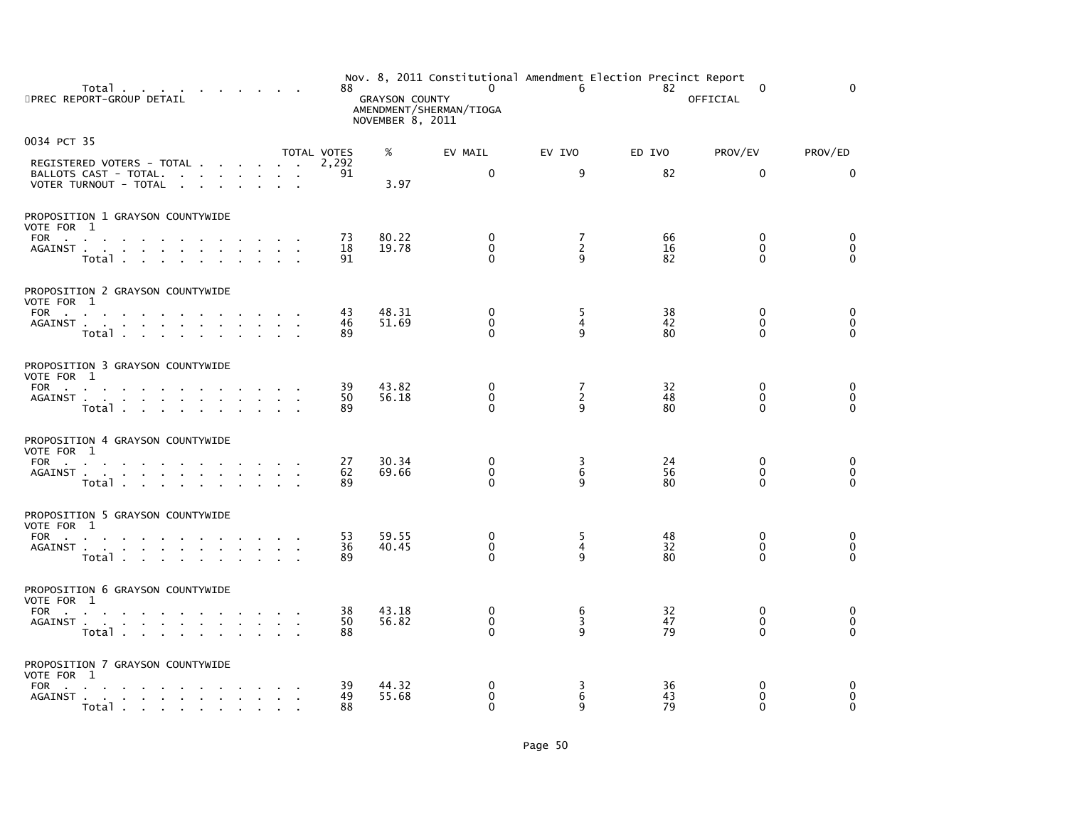| Total<br>5PREC REPORT-GROUP DETAIL                                                                              | 88.            | <b>GRAYSON COUNTY</b><br>NOVEMBER 8, 2011 | Nov. 8, 2011 Constitutional Amendment Election Precinct Report<br>$\mathbf 0$<br>AMENDMENT/SHERMAN/TIOGA | 6                                          | 82             | 0<br>OFFICIAL                       | $\Omega$                                              |
|-----------------------------------------------------------------------------------------------------------------|----------------|-------------------------------------------|----------------------------------------------------------------------------------------------------------|--------------------------------------------|----------------|-------------------------------------|-------------------------------------------------------|
| 0034 PCT 35                                                                                                     | TOTAL VOTES    | %                                         | EV MAIL                                                                                                  | EV IVO                                     | ED IVO         | PROV/EV                             | PROV/ED                                               |
| REGISTERED VOTERS - TOTAL<br>BALLOTS CAST - TOTAL.<br>VOTER TURNOUT - TOTAL<br>$\sim$ $\sim$                    | 2.292<br>91    | 3.97                                      | $\mathbf{0}$                                                                                             | 9                                          | 82             | $\mathbf{0}$                        | $\Omega$                                              |
| PROPOSITION 1 GRAYSON COUNTYWIDE                                                                                |                |                                           |                                                                                                          |                                            |                |                                     |                                                       |
| VOTE FOR 1<br>FOR<br>AGAINST<br>Total                                                                           | 73<br>18<br>91 | 80.22<br>19.78                            | $\Omega$<br>$\Omega$<br>$\Omega$                                                                         | 7<br>$\overline{2}$<br>q                   | 66<br>16<br>82 | 0<br>$\mathbf{0}$<br>$\Omega$       | 0<br>$\check{\mathrm{o}}$<br>$\tilde{0}$              |
| PROPOSITION 2 GRAYSON COUNTYWIDE                                                                                |                |                                           |                                                                                                          |                                            |                |                                     |                                                       |
| VOTE FOR 1<br>FOR<br>AGAINST<br>Total                                                                           | 43<br>46<br>89 | 48.31<br>51.69                            | $\mathbf 0$<br>$\mathbf 0$<br>$\Omega$                                                                   | 5<br>$\overline{4}$<br>9                   | 38<br>42<br>80 | $\mathbf 0$<br>$\Omega$<br>$\Omega$ | $_{\rm 0}^{\rm 0}$<br>$\Omega$                        |
| PROPOSITION 3 GRAYSON COUNTYWIDE                                                                                |                |                                           |                                                                                                          |                                            |                |                                     |                                                       |
| VOTE FOR 1<br>FOR<br>AGAINST<br>Total                                                                           | 39<br>50<br>89 | 43.82<br>56.18                            | $\mathbf 0$<br>$\mathbf 0$<br>$\Omega$                                                                   | 7<br>$\overline{2}$<br>$\mathsf{q}$        | 32<br>48<br>80 | 0<br>$\mathbf 0$<br>$\Omega$        | 0<br>$\overline{0}$<br>$\overline{0}$                 |
| PROPOSITION 4 GRAYSON COUNTYWIDE                                                                                |                |                                           |                                                                                                          |                                            |                |                                     |                                                       |
| VOTE FOR 1<br><b>FOR</b><br>the contract of the contract of the contract of the contract of<br>AGAINST<br>Total | 27<br>62<br>89 | 30.34<br>69.66                            | 0<br>0<br>$\Omega$                                                                                       | 3<br>6<br>9                                | 24<br>56<br>80 | 0<br>0<br>$\mathbf{0}$              | $_{\rm 0}^{\rm 0}$<br>$\overline{0}$                  |
| PROPOSITION 5 GRAYSON COUNTYWIDE                                                                                |                |                                           |                                                                                                          |                                            |                |                                     |                                                       |
| VOTE FOR 1<br>FOR<br>AGAINST<br>Total                                                                           | 53<br>36<br>89 | 59.55<br>40.45                            | 0<br>$\mathbf 0$<br>0                                                                                    | 5<br>4<br>9                                | 48<br>32<br>80 | 0<br>$\mathbf 0$<br>$\Omega$        | 0<br>$\overline{0}$<br>$\Omega$                       |
| PROPOSITION 6 GRAYSON COUNTYWIDE                                                                                |                |                                           |                                                                                                          |                                            |                |                                     |                                                       |
| VOTE FOR 1<br>FOR<br>AGAINST<br>Total                                                                           | 38<br>50<br>88 | 43.18<br>56.82                            | 0<br>$\Omega$<br>$\Omega$                                                                                | $\begin{array}{c} 6 \\ 3 \end{array}$<br>q | 32<br>47<br>79 | $\mathbf 0$<br>$\Omega$<br>$\Omega$ | $\begin{smallmatrix}0\0\end{smallmatrix}$<br>$\Omega$ |
| PROPOSITION 7 GRAYSON COUNTYWIDE<br>VOTE FOR 1                                                                  |                |                                           |                                                                                                          |                                            |                |                                     |                                                       |
| FOR<br>the contract of the contract of the con-<br>AGAINST<br>Total                                             | 39<br>49<br>88 | 44.32<br>55.68                            | $\mathbf 0$<br>$\mathbf 0$<br>$\Omega$                                                                   | 3<br>6<br>q                                | 36<br>43<br>79 | 0<br>$\mathbf 0$<br>$\Omega$        | 0<br>$\mathbf 0$<br>$\Omega$                          |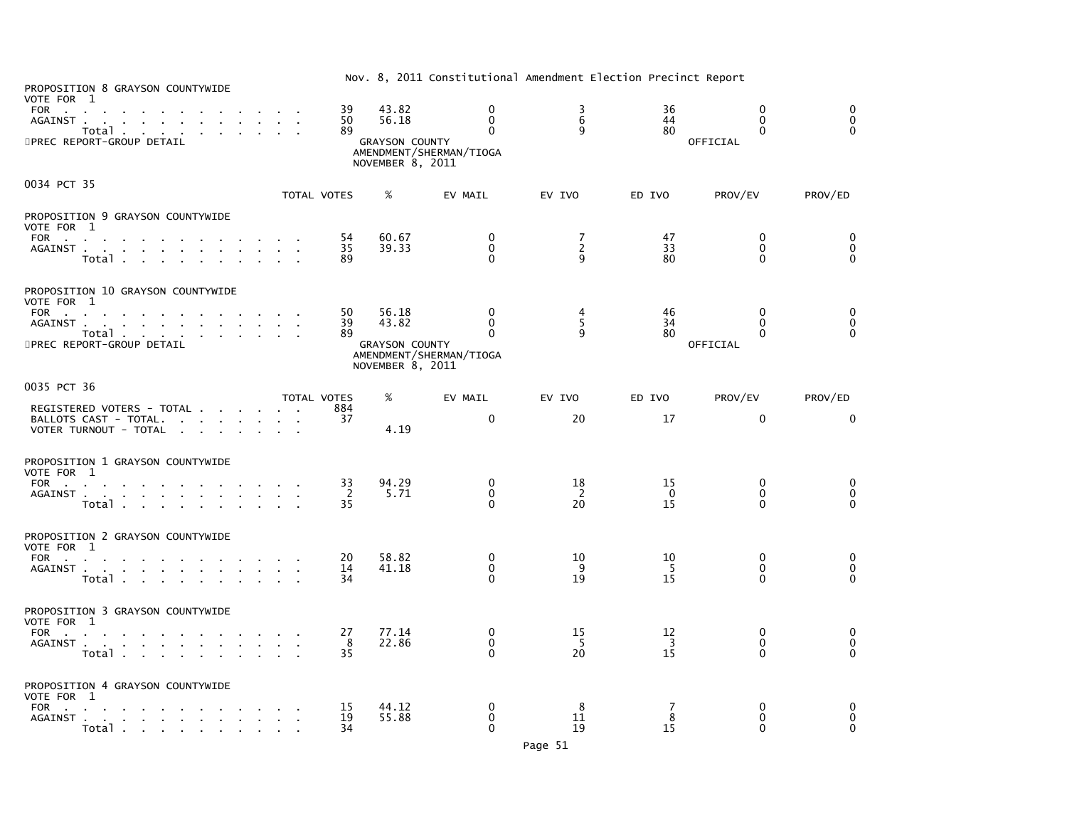| PROPOSITION 8 GRAYSON COUNTYWIDE<br>VOTE FOR 1<br>FOR<br>AGAINST<br>Total<br>5PREC REPORT-GROUP DETAIL                                                   |                             | 39<br>50<br>89 | 43.82<br>56.18<br><b>GRAYSON COUNTY</b><br>NOVEMBER 8, 2011 | $\Omega$<br>$\mathbf 0$<br>$\Omega$<br>AMENDMENT/SHERMAN/TIOGA | $\frac{3}{6}$<br>9       | 36<br>44<br>80       | $\Omega$<br>$\mathbf{0}$<br>$\Omega$<br>OFFICIAL | $\Omega$<br>$\mathbf 0$<br>$\Omega$ |
|----------------------------------------------------------------------------------------------------------------------------------------------------------|-----------------------------|----------------|-------------------------------------------------------------|----------------------------------------------------------------|--------------------------|----------------------|--------------------------------------------------|-------------------------------------|
| 0034 PCT 35                                                                                                                                              |                             | TOTAL VOTES    | %                                                           | EV MAIL                                                        | EV IVO                   | ED IVO               | PROV/EV                                          | PROV/ED                             |
| PROPOSITION 9 GRAYSON COUNTYWIDE<br>VOTE FOR 1<br>FOR<br><b>Contract Contract</b><br>AGAINST<br>Total                                                    |                             | 54<br>35<br>89 | 60.67<br>39.33                                              | 0<br>$\Omega$<br>$\Omega$                                      | 7<br>$\overline{2}$<br>9 | 47<br>33<br>80       | $\Omega$<br>$\mathbf{0}$<br>$\mathbf{0}$         | 0<br>$\mathbf 0$<br>$\mathbf{0}$    |
| PROPOSITION 10 GRAYSON COUNTYWIDE<br>VOTE FOR 1<br>FOR<br>AGAINST.<br>and a series of the contract and a series of<br>Total<br>5PREC REPORT-GROUP DETAIL |                             | 50<br>39<br>89 | 56.18<br>43.82<br><b>GRAYSON COUNTY</b><br>NOVEMBER 8, 2011 | 0<br>$\Omega$<br>0<br>AMENDMENT/SHERMAN/TIOGA                  | 4<br>5<br>9              | 46<br>34<br>80       | 0<br>$\Omega$<br>$\Omega$<br>OFFICIAL            | 0<br>$\mathbf{0}$<br>$\Omega$       |
| 0035 PCT 36                                                                                                                                              |                             | TOTAL VOTES    | %                                                           | EV MAIL                                                        | EV IVO                   | ED IVO               | PROV/EV                                          | PROV/ED                             |
| REGISTERED VOTERS - TOTAL<br>BALLOTS CAST - TOTAL.<br>VOTER TURNOUT - TOTAL<br><b>Sales Advised Service</b><br>$\sim$<br>$\sim$                          |                             | 884<br>37      | 4.19                                                        | $\mathbf 0$                                                    | 20                       | 17                   | $\mathbf{0}$                                     | $\Omega$                            |
| PROPOSITION 1 GRAYSON COUNTYWIDE<br>VOTE FOR 1<br>AGAINST<br>Total                                                                                       |                             | 33<br>-2<br>35 | 94.29<br>5.71                                               | 0<br>$\mathbf 0$<br>$\Omega$                                   | 18<br>2<br>20            | 15<br>$\Omega$<br>15 | $\Omega$<br>$\mathbf{0}$<br>$\Omega$             | 0<br>$\mathbf{0}$<br>$\mathbf{0}$   |
| PROPOSITION 2 GRAYSON COUNTYWIDE<br>VOTE FOR 1<br>FOR<br>the contract of the contract of the con-<br>AGAINST<br>Total                                    |                             | 20<br>14<br>34 | 58.82<br>41.18                                              | 0<br>$\mathbf 0$<br>$\Omega$                                   | 10<br>9<br>19            | 10<br>-5<br>15       | $\mathbf 0$<br>$\mathbf{0}$<br>$\Omega$          | 0<br>0<br>$\Omega$                  |
| PROPOSITION 3 GRAYSON COUNTYWIDE<br>VOTE FOR 1<br>FOR<br>AGAINST<br>Total                                                                                | $\mathcal{A}=\mathcal{A}$ . | 27<br>8<br>35  | 77.14<br>22.86                                              | 0<br>0<br>0                                                    | 15<br>-5<br>20           | 12<br>3<br>15        | 0<br>0<br>$\Omega$                               | 0<br>0<br>$\mathbf{0}$              |
| PROPOSITION 4 GRAYSON COUNTYWIDE<br>VOTE FOR 1<br>FOR<br>AGAINST<br>Total                                                                                |                             | 15<br>19<br>34 | 44.12<br>55.88                                              | 0<br>0<br>$\Omega$                                             | 8<br>11<br>19            | 7<br>8<br>15         | 0<br>0<br>$\Omega$                               | 0<br>0<br>$\mathbf{0}$              |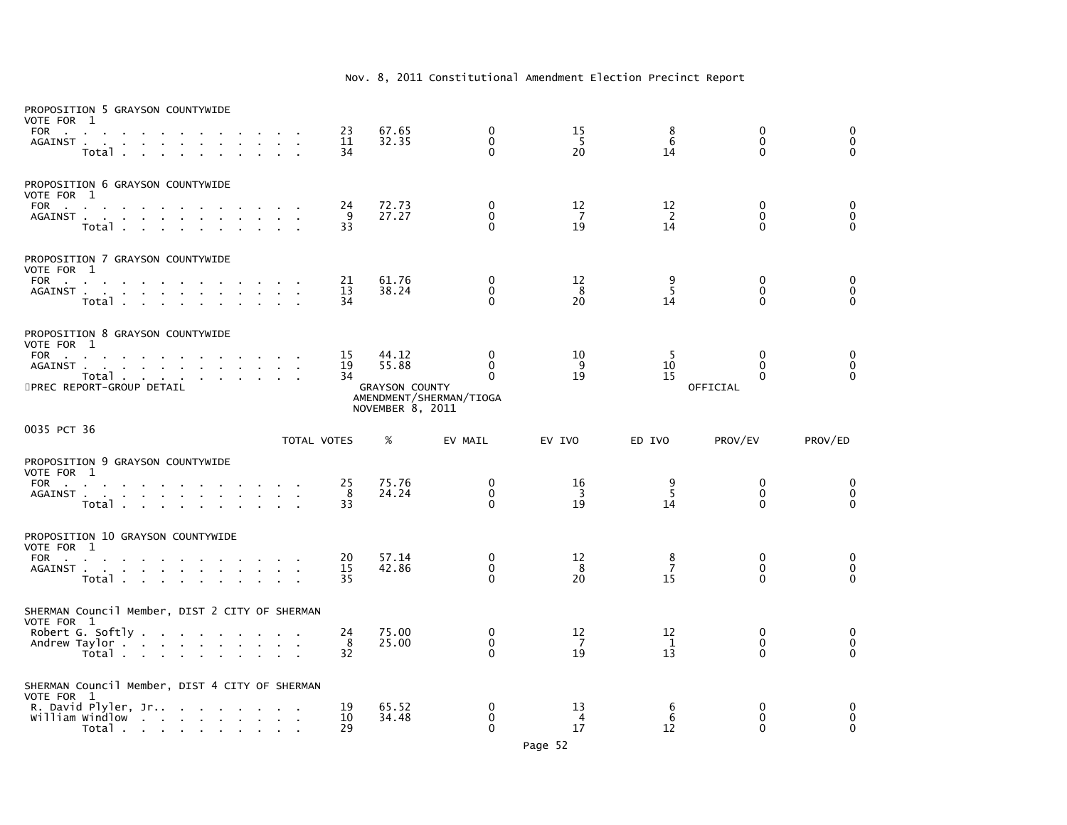| PROPOSITION 5 GRAYSON COUNTYWIDE<br>VOTE FOR 1<br><b>FOR</b><br><b>Contract</b><br>$\sim$<br>AGAINST<br>Total .<br><b>Contract Contract</b>    |              | 23<br>11<br>34 | 67.65<br>32.35                                              | $\mathbf 0$<br>$\mathbf{0}$<br>$\Omega$                         | 15<br>- 5<br>20                     | 8<br>6<br>14               | $\mathbf 0$<br>$\mathbf{0}$<br>$\mathbf{0}$      | $\Omega$<br>$\mathbf 0$<br>$\mathbf{0}$ |
|------------------------------------------------------------------------------------------------------------------------------------------------|--------------|----------------|-------------------------------------------------------------|-----------------------------------------------------------------|-------------------------------------|----------------------------|--------------------------------------------------|-----------------------------------------|
| PROPOSITION 6 GRAYSON COUNTYWIDE<br>VOTE FOR 1<br>FOR<br>AGAINST<br>Total                                                                      |              | 24<br>9<br>33  | 72.73<br>27.27                                              | 0<br>$\Omega$<br>$\Omega$                                       | 12<br>$\overline{7}$<br>19          | 12<br>$\overline{2}$<br>14 | 0<br>$\Omega$<br>$\Omega$                        | 0<br>$\pmb{0}$<br>$\Omega$              |
| PROPOSITION 7 GRAYSON COUNTYWIDE<br>VOTE FOR 1<br>FOR<br>AGAINST<br>$\sim$<br>$\sim$<br>Total                                                  | $\mathbf{r}$ | 21<br>13<br>34 | 61.76<br>38.24                                              | 0<br>$\Omega$<br>$\Omega$                                       | 12<br>8<br>20                       | 9<br>5<br>14               | 0<br>$\Omega$<br>$\Omega$                        | 0<br>$\mathbf{0}$<br>$\Omega$           |
| PROPOSITION 8 GRAYSON COUNTYWIDE<br>VOTE FOR 1<br>FOR<br>AGAINST<br>Total<br>5PREC REPORT-GROUP DETAIL                                         |              | 15<br>19<br>34 | 44.12<br>55.88<br><b>GRAYSON COUNTY</b><br>NOVEMBER 8, 2011 | $\Omega$<br>$\mathbf{0}$<br>$\Omega$<br>AMENDMENT/SHERMAN/TIOGA | 10<br>9<br>19                       | -5<br>10<br>15             | $\mathbf{0}$<br>$\Omega$<br>$\Omega$<br>OFFICIAL | 0<br>$\mathbf 0$<br>$\Omega$            |
| 0035 PCT 36                                                                                                                                    | TOTAL VOTES  |                | %                                                           | EV MAIL                                                         | EV IVO                              | ED IVO                     | PROV/EV                                          | PROV/ED                                 |
| PROPOSITION 9 GRAYSON COUNTYWIDE<br>VOTE FOR 1<br>FOR<br>AGAINST<br>Total                                                                      |              | 25<br>8<br>33  | 75.76<br>24.24                                              | 0<br>$\Omega$<br>$\Omega$                                       | 16<br>$\overline{\mathbf{3}}$<br>19 | 9<br>-5<br>14              | 0<br>$\mathbf{0}$<br>$\Omega$                    | 0<br>$\pmb{0}$<br>$\Omega$              |
| PROPOSITION 10 GRAYSON COUNTYWIDE<br>VOTE FOR 1<br>FOR<br>the contract of the contract of the contract of the                                  |              |                |                                                             |                                                                 |                                     |                            |                                                  |                                         |
| AGAINST<br>Total                                                                                                                               | $\sim$       | 20<br>15<br>35 | 57.14<br>42.86                                              | 0<br>$\mathbf{0}$<br>$\Omega$                                   | 12<br>8<br>20                       | 8<br>$\overline{7}$<br>15  | 0<br>$\mathbf{0}$<br>$\Omega$                    | 0<br>$\mathbf 0$<br>$\Omega$            |
| SHERMAN Council Member, DIST 2 CITY OF SHERMAN<br>VOTE FOR 1<br>Robert G. Softly $\ldots$ $\ldots$ $\ldots$ $\ldots$<br>Andrew Taylor<br>Total |              | 24<br>8<br>32  | 75.00<br>25.00                                              | $\Omega$<br>$\mathbf 0$<br>$\Omega$                             | 12<br>7<br>19                       | 12<br>1<br>13              | $\mathbf 0$<br>$\mathbf 0$<br>$\Omega$           | 0<br>$\pmb{0}$<br>$\Omega$              |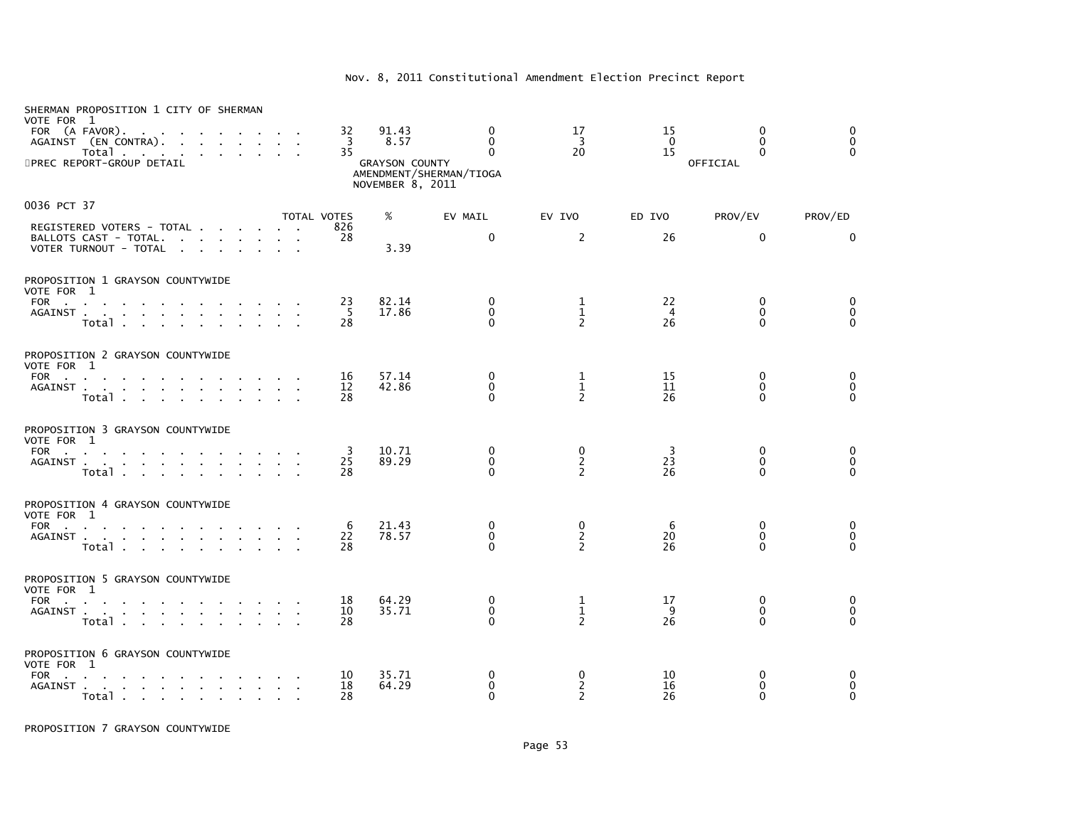| SHERMAN PROPOSITION 1 CITY OF SHERMAN<br>VOTE FOR 1<br>FOR (A FAVOR).<br>AGAINST (EN CONTRA).<br>Total<br>5PREC REPORT-GROUP DETAIL               | 32<br>3<br>35  | 91.43<br>8.57<br><b>GRAYSON COUNTY</b><br>NOVEMBER 8, 2011 | 0<br>$\Omega$<br>$\Omega$<br>AMENDMENT/SHERMAN/TIOGA | 17<br>3<br>20                       | 15<br>$\Omega$<br>15       | 0<br>$\Omega$<br>$\Omega$<br>OFFICIAL       | $\mathbf{0}$<br>$\mathbf{0}$<br>$\Omega$    |
|---------------------------------------------------------------------------------------------------------------------------------------------------|----------------|------------------------------------------------------------|------------------------------------------------------|-------------------------------------|----------------------------|---------------------------------------------|---------------------------------------------|
| 0036 PCT 37                                                                                                                                       | TOTAL VOTES    | %                                                          | EV MAIL                                              | EV IVO                              | ED IVO                     | PROV/EV                                     | PROV/ED                                     |
| REGISTERED VOTERS - TOTAL<br>BALLOTS CAST - TOTAL.<br>VOTER TURNOUT - TOTAL<br>the contract of the contract of                                    | 826<br>28      | 3.39                                                       | $\Omega$                                             | 2                                   | 26                         | $\mathbf{0}$                                | $\mathbf{0}$                                |
| PROPOSITION 1 GRAYSON COUNTYWIDE<br>VOTE FOR 1                                                                                                    |                |                                                            |                                                      |                                     |                            |                                             |                                             |
| FOR<br>AGAINST<br>Total                                                                                                                           | 23<br>-5<br>28 | 82.14<br>17.86                                             | 0<br>$\mathbf 0$<br>$\Omega$                         | 1<br>$\frac{1}{2}$                  | 22<br>$\overline{4}$<br>26 | $\mathbf{0}$<br>$\mathbf 0$<br>$\Omega$     | 0<br>$\mathbf 0$<br>$\Omega$                |
| PROPOSITION 2 GRAYSON COUNTYWIDE<br>VOTE FOR 1                                                                                                    |                |                                                            |                                                      |                                     |                            |                                             |                                             |
| FOR<br>AGAINST .<br>design and a state of the state of the state of<br>Total                                                                      | 16<br>12<br>28 | 57.14<br>42.86                                             | 0<br>$\Omega$<br>$\Omega$                            | 1<br>$\mathbf{1}$<br>$\overline{2}$ | 15<br>11<br>26             | $\mathbf{0}$<br>$\mathbf{0}$<br>$\Omega$    | 0<br>$\mathbf 0$<br>$\Omega$                |
| PROPOSITION 3 GRAYSON COUNTYWIDE<br>VOTE FOR 1                                                                                                    |                |                                                            |                                                      |                                     |                            |                                             |                                             |
| <b>FOR</b><br>the contract of the contract of the<br>AGAINST<br>Total                                                                             | 3<br>25<br>28  | 10.71<br>89.29                                             | 0<br>$\mathbf 0$<br>$\mathbf{0}$                     | 0<br>$\frac{2}{2}$                  | 3<br>23<br>26              | $\mathbf{0}$<br>$\mathbf 0$<br>$\mathbf{0}$ | 0<br>$\mathbf 0$<br>$\mathbf{0}$            |
| PROPOSITION 4 GRAYSON COUNTYWIDE<br>VOTE FOR 1                                                                                                    |                |                                                            |                                                      |                                     |                            |                                             |                                             |
| FOR $\cdots$ $\cdots$ $\cdots$<br>AGAINST<br>Total                                                                                                | 6<br>22<br>28  | 21.43<br>78.57                                             | $\mathbf{0}$<br>0<br>$\Omega$                        | 0<br>$\overline{2}$<br>2            | 6<br>20<br>26              | $\mathbf{0}$<br>$\mathbf{0}$<br>$\Omega$    | $\mathbf{0}$<br>$\mathbf 0$<br>$\mathbf{0}$ |
| PROPOSITION 5 GRAYSON COUNTYWIDE<br>VOTE FOR 1                                                                                                    |                |                                                            |                                                      |                                     |                            |                                             |                                             |
| FOR<br>AGAINST .<br>the contract of the contract of the con-<br>Total                                                                             | 18<br>10<br>28 | 64.29<br>35.71                                             | 0<br>0<br>$\Omega$                                   | 1<br>$\mathbf 1$<br>$\overline{2}$  | 17<br>9<br>26              | 0<br>$\Omega$<br>0                          | 0<br>$\mathbf 0$<br>$\Omega$                |
| PROPOSITION 6 GRAYSON COUNTYWIDE<br>VOTE FOR 1                                                                                                    |                |                                                            |                                                      |                                     |                            |                                             |                                             |
| <b>FOR</b><br>the contract of the contract of the contract of the contract of the contract of the contract of the contract of<br>AGAINST<br>Total | 10<br>18<br>28 | 35.71<br>64.29                                             | 0<br>0<br>$\Omega$                                   | 0<br>2<br>2                         | 10<br>16<br>26             | $\Omega$<br>0<br>$\Omega$                   | $\Omega$<br>0<br>$\mathbf{0}$               |

PROPOSITION 7 GRAYSON COUNTYWIDE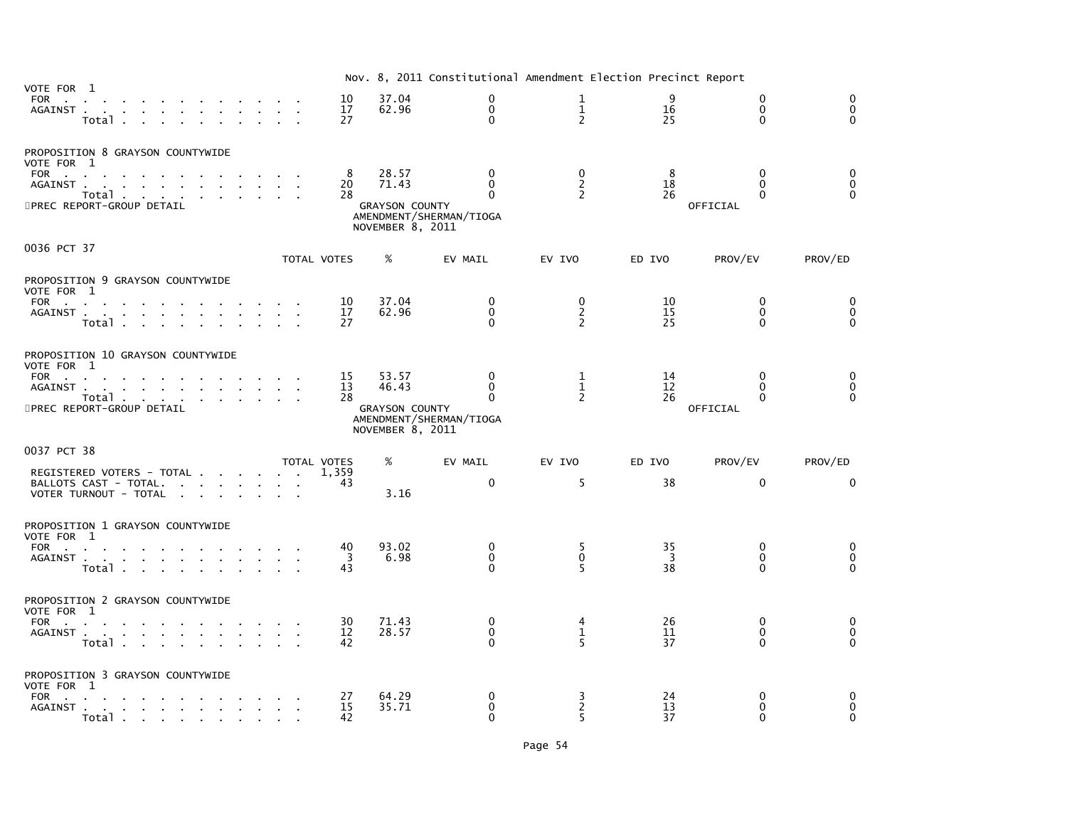|                                       |                                                                                                                                           |                                            |                         |                |                                                             | Nov. 8, 2011 Constitutional Amendment Election Precinct Report  |                                             |                            |                                              |                                          |
|---------------------------------------|-------------------------------------------------------------------------------------------------------------------------------------------|--------------------------------------------|-------------------------|----------------|-------------------------------------------------------------|-----------------------------------------------------------------|---------------------------------------------|----------------------------|----------------------------------------------|------------------------------------------|
| VOTE FOR 1<br>FOR                     | AGAINST<br>Total                                                                                                                          |                                            |                         | 10<br>17<br>27 | 37.04<br>62.96                                              | $\mathbf{0}$<br>$\mathbf{0}$<br>$\mathbf{0}$                    | 1<br>$\overline{1}$<br>$\overline{2}$       | q<br>16<br>25              | $\Omega$<br>$\mathbf{0}$<br>$\Omega$         | $\Omega$<br>$\mathbf{0}$<br>$\mathbf{0}$ |
| VOTE FOR 1<br><b>FOR</b><br>AGAINST . | PROPOSITION 8 GRAYSON COUNTYWIDE<br><b>Contract Contract</b><br>the contract of the contract of the<br>Total<br>5PREC REPORT-GROUP DETAIL | $\sim$                                     |                         | 8<br>20<br>28  | 28.57<br>71.43<br><b>GRAYSON COUNTY</b><br>NOVEMBER 8, 2011 | $\mathbf{0}$<br>$\Omega$<br>$\Omega$<br>AMENDMENT/SHERMAN/TIOGA | $\Omega$<br>$\overline{2}$<br>$\mathcal{P}$ | 8<br>18<br>26              | $\Omega$<br>$\Omega$<br>$\Omega$<br>OFFICIAL | $\Omega$<br>$\Omega$<br>$\Omega$         |
| 0036 PCT 37                           |                                                                                                                                           |                                            |                         | TOTAL VOTES    | %                                                           | EV MAIL                                                         | EV IVO                                      | ED IVO                     | PROV/EV                                      | PROV/ED                                  |
| VOTE FOR 1<br>FOR                     | PROPOSITION 9 GRAYSON COUNTYWIDE<br><b>Contract Contract Contract</b><br>AGAINST<br>Total                                                 | $\mathbf{r} = \mathbf{r} \cdot \mathbf{r}$ |                         | 10<br>17<br>27 | 37.04<br>62.96                                              | 0<br>$\Omega$<br>$\Omega$                                       | 0<br>$\frac{2}{2}$                          | 10<br>15<br>25             | $\Omega$<br>$\Omega$<br>$\Omega$             | $\Omega$<br>$\mathbf 0$<br>$\Omega$      |
| VOTE FOR 1<br>FOR<br>AGAINST.         | PROPOSITION 10 GRAYSON COUNTYWIDE<br>and a series of the contract of the con-<br>Total<br>5PREC REPORT-GROUP DETAIL                       |                                            |                         | 15<br>13<br>28 | 53.57<br>46.43<br><b>GRAYSON COUNTY</b><br>NOVEMBER 8, 2011 | 0<br>$\Omega$<br>$\Omega$<br>AMENDMENT/SHERMAN/TIOGA            | 1<br>$\mathbf{1}$<br>$\mathcal{P}$          | 14<br>12<br>26             | $\mathbf{0}$<br>$\Omega$<br>0<br>OFFICIAL    | 0<br>$\mathbf 0$<br>$\Omega$             |
| 0037 PCT 38                           | REGISTERED VOTERS - TOTAL<br>BALLOTS CAST - TOTAL.<br>VOTER TURNOUT - TOTAL                                                               |                                            | TOTAL VOTES             | 1.359<br>43    | %<br>3.16                                                   | EV MAIL<br>$\mathbf{0}$                                         | EV IVO<br>5                                 | ED IVO<br>38               | PROV/EV<br>$\mathbf{0}$                      | PROV/ED<br>$\Omega$                      |
| VOTE FOR 1<br>FOR                     | PROPOSITION 1 GRAYSON COUNTYWIDE<br>AGAINST<br>Total                                                                                      |                                            | and the contract of the | 40<br>3<br>43  | 93.02<br>6.98                                               | $\mathbf{0}$<br>$\mathbf{0}$<br>$\Omega$                        | 5<br>$\Omega$<br>5                          | 35<br>$\overline{3}$<br>38 | $\Omega$<br>$\Omega$<br>$\Omega$             | $\mathbf{0}$<br>$\mathbf 0$<br>$\Omega$  |
| VOTE FOR 1                            | PROPOSITION 2 GRAYSON COUNTYWIDE<br>FOR<br>AGAINST<br>Total                                                                               |                                            |                         | 30<br>12<br>42 | 71.43<br>28.57                                              | 0<br>$\Omega$<br>$\Omega$                                       | 4<br>$\mathbf{1}$<br>5                      | 26<br>11<br>37             | 0<br>$\Omega$<br>$\Omega$                    | 0<br>$\mathbf 0$<br>$\Omega$             |
| VOTE FOR 1<br>FOR                     | PROPOSITION 3 GRAYSON COUNTYWIDE<br>Total                                                                                                 |                                            |                         | 27<br>15<br>42 | 64.29<br>35.71                                              | 0<br>$\Omega$<br>$\Omega$                                       | 3<br>$\overline{2}$<br>5                    | 24<br>13<br>37             | $\mathbf{0}$<br>0<br>$\Omega$                | 0<br>$\mathbf{0}$<br>$\Omega$            |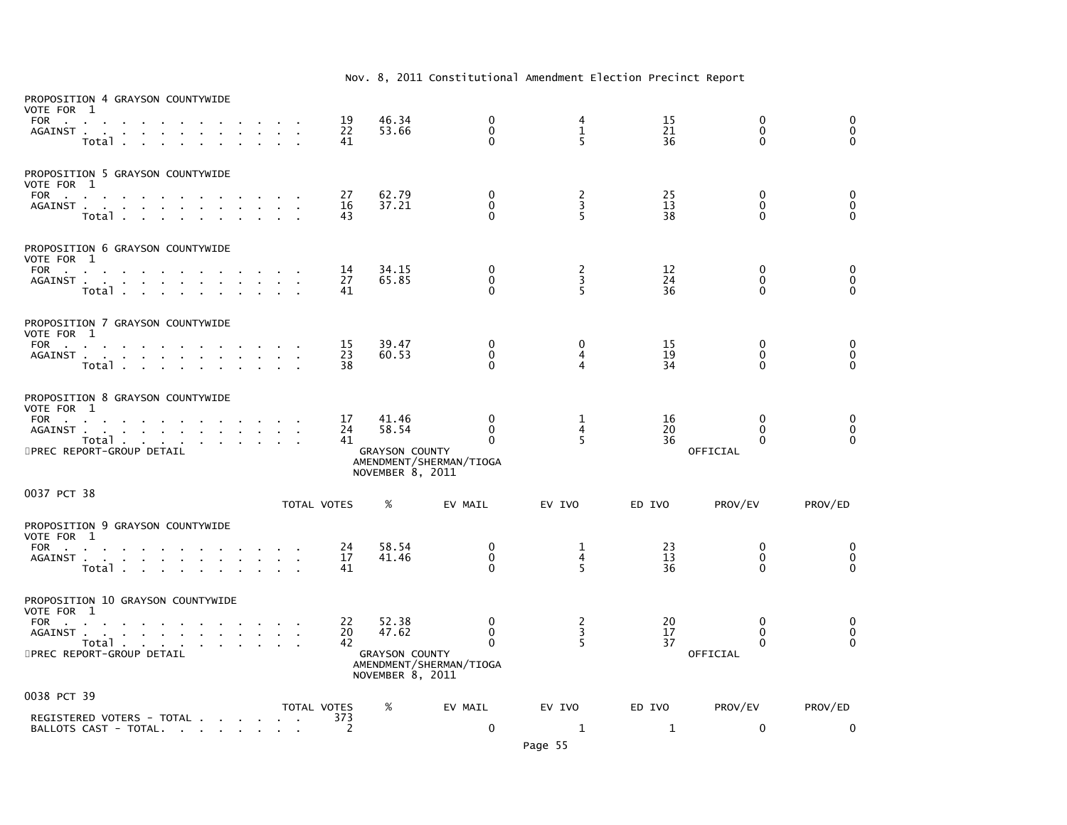| PROPOSITION 4 GRAYSON COUNTYWIDE<br>VOTE FOR 1<br>FOR<br>AGAINST<br>the contract of the contract of<br>Total .<br>$\sim$                                                                                    |                 | 19<br>22<br>41 | 46.34<br>53.66                                              | 0<br>$\mathbf 0$<br>$\Omega$                     | 4<br>$\mathbf{1}$<br>5                     | 15<br>21<br>36 | 0<br>$\mathbf 0$<br>$\Omega$              | 0<br>0<br>$\Omega$              |
|-------------------------------------------------------------------------------------------------------------------------------------------------------------------------------------------------------------|-----------------|----------------|-------------------------------------------------------------|--------------------------------------------------|--------------------------------------------|----------------|-------------------------------------------|---------------------------------|
| PROPOSITION 5 GRAYSON COUNTYWIDE<br>VOTE FOR 1<br><b>FOR</b><br><b>Contractor</b><br>AGAINST<br>Total<br>$\sim$ $\sim$<br>$\sim$<br>$\sim$<br>$\mathbf{r}$                                                  |                 | 27<br>16<br>43 | 62.79<br>37.21                                              | 0<br>0<br>$\Omega$                               | $\begin{array}{c} 2 \\ 3 \\ 5 \end{array}$ | 25<br>13<br>38 | 0<br>0<br>$\Omega$                        | 0<br>$\mathbf 0$<br>$\Omega$    |
| PROPOSITION 6 GRAYSON COUNTYWIDE<br>VOTE FOR 1<br><b>FOR</b><br>the contract of the<br>AGAINST<br>Total.                                                                                                    |                 | 14<br>27<br>41 | 34.15<br>65.85                                              | 0<br>$\mathbf 0$<br>$\Omega$                     | $\frac{2}{3}$<br>5                         | 12<br>24<br>36 | 0<br>$\Omega$<br>$\Omega$                 | 0<br>0<br>$\Omega$              |
| PROPOSITION 7 GRAYSON COUNTYWIDE<br>VOTE FOR 1<br>FOR<br><b>Contract Contract Contract</b><br>AGAINST<br>$\sim$<br>$\mathbf{r}$<br>Total                                                                    |                 | 15<br>23<br>38 | 39.47<br>60.53                                              | 0<br>$\mathbf 0$<br>$\Omega$                     | 0<br>4<br>4                                | 15<br>19<br>34 | 0<br>$\mathbf{0}$<br>$\Omega$             | 0<br>0<br>$\Omega$              |
| PROPOSITION 8 GRAYSON COUNTYWIDE<br>VOTE FOR 1<br>FOR<br>AGAINST<br>Total<br><b>Service State</b><br>$\sim$<br>5PREC REPORT-GROUP DETAIL                                                                    |                 | 17<br>24<br>41 | 41.46<br>58.54<br><b>GRAYSON COUNTY</b><br>NOVEMBER 8, 2011 | 0<br>$\mathbf 0$<br>0<br>AMENDMENT/SHERMAN/TIOGA | 1<br>4<br>5                                | 16<br>20<br>36 | 0<br>$\mathbf{0}$<br>$\Omega$<br>OFFICIAL | 0<br>$\mathbf 0$<br>$\Omega$    |
| 0037 PCT 38                                                                                                                                                                                                 |                 | TOTAL VOTES    | %                                                           | EV MAIL                                          | EV IVO                                     | ED IVO         | PROV/EV                                   | PROV/ED                         |
| PROPOSITION 9 GRAYSON COUNTYWIDE<br>VOTE FOR 1<br>FOR<br>$\mathbf{r}$<br>AGAINST<br>Total                                                                                                                   | $\sim 10^{-11}$ | 24<br>17<br>41 | 58.54<br>41.46                                              | 0<br>$\mathbf 0$<br>$\Omega$                     | 1<br>4<br>5                                | 23<br>13<br>36 | 0<br>$\mathbf 0$<br>$\Omega$              | 0<br>$\overline{0}$<br>$\Omega$ |
| PROPOSITION 10 GRAYSON COUNTYWIDE<br>VOTE FOR 1<br><b>FOR</b><br>$\sim$<br>AGAINST .<br><b>Contract Contract</b><br><b>Service</b><br>Total<br>the contract of the contract of<br>5PREC REPORT-GROUP DETAIL |                 | 22<br>20<br>42 | 52.38<br>47.62<br><b>GRAYSON COUNTY</b><br>NOVEMBER 8, 2011 | 0<br>0<br>$\mathbf 0$<br>AMENDMENT/SHERMAN/TIOGA | $\frac{2}{3}$<br>5                         | 20<br>17<br>37 | 0<br>0<br>$\mathbf{0}$<br>OFFICIAL        | 0<br>$\pmb{0}$<br>$\mathbf{0}$  |
| 0038 PCT 39                                                                                                                                                                                                 |                 | TOTAL VOTES    | %                                                           | EV MAIL                                          | EV IVO                                     | ED IVO         | PROV/EV                                   | PROV/ED                         |
| REGISTERED VOTERS - TOTAL<br>BALLOTS CAST - TOTAL                                                                                                                                                           | $\sim$ $\sim$   | 373<br>2       |                                                             | $\mathbf 0$                                      | 1                                          | $\mathbf{1}$   | $\mathbf 0$                               | 0                               |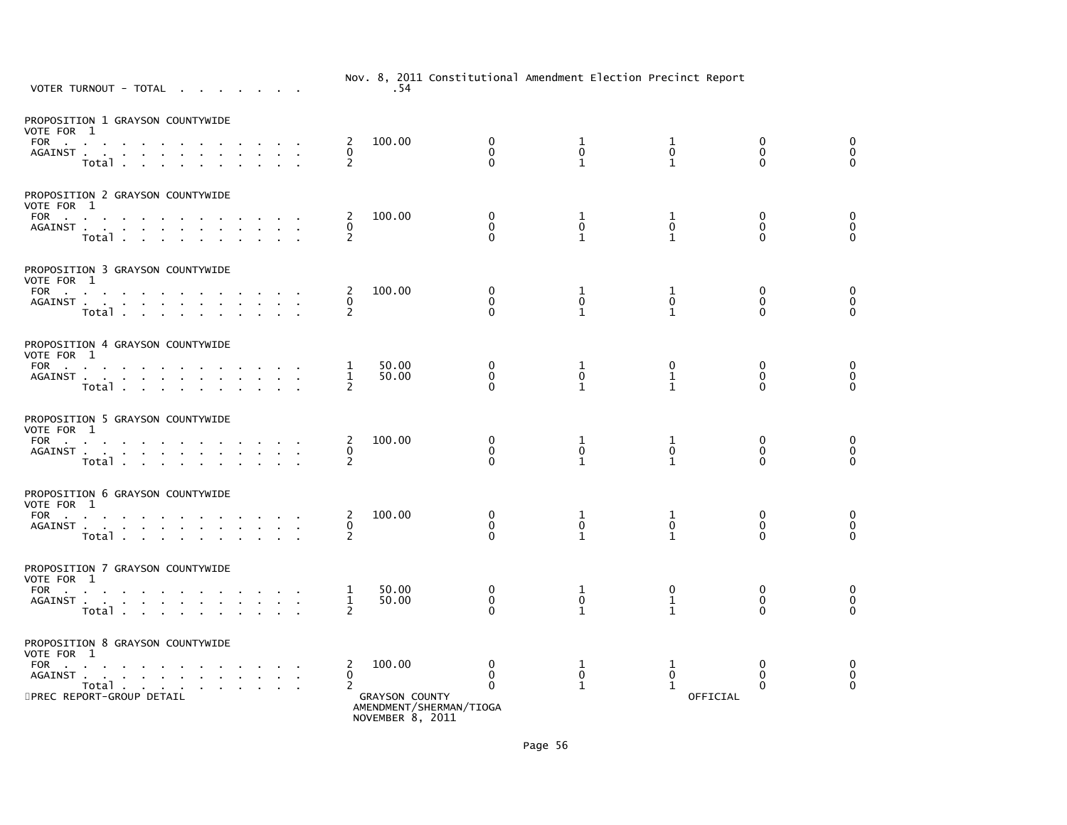| VOTER TURNOUT - TOTAL                                                                                                                                                                                                                                                                                                                        | $\cdots$<br>.54                                                                                                  | conservational functionality creation in certice incorre |                                   |                                         |                                  |
|----------------------------------------------------------------------------------------------------------------------------------------------------------------------------------------------------------------------------------------------------------------------------------------------------------------------------------------------|------------------------------------------------------------------------------------------------------------------|----------------------------------------------------------|-----------------------------------|-----------------------------------------|----------------------------------|
| PROPOSITION 1 GRAYSON COUNTYWIDE<br>VOTE FOR 1<br>FOR<br>AGAINST<br>Total                                                                                                                                                                                                                                                                    | 100.00<br>0<br>2<br>0<br>0<br>$\Omega$<br>2                                                                      | 1<br>$\mathbf 0$<br>$\mathbf{1}$                         | 1<br>$\mathbf 0$<br>$\mathbf{1}$  | 0<br>$\mathbf 0$<br>$\mathbf{0}$        | 0<br>$\mathbf 0$<br>$\mathbf 0$  |
| PROPOSITION 2 GRAYSON COUNTYWIDE<br>VOTE FOR 1<br>FOR<br>AGAINST<br>$\sim$<br>$\sim$<br>Total                                                                                                                                                                                                                                                | 100.00<br>$\mathbf 0$<br>2<br>$\Omega$<br>0<br>2<br>$\Omega$                                                     | 1<br>$\mathbf{0}$<br>$\mathbf{1}$                        | 1<br>$\mathbf 0$<br>$\mathbf{1}$  | $\mathbf 0$<br>$\mathbf{0}$<br>$\Omega$ | 0<br>$\mathbf 0$<br>$\mathbf{0}$ |
| PROPOSITION 3 GRAYSON COUNTYWIDE<br>VOTE FOR 1<br>FOR PORT CONTROL CONTROL CONTROL CONTROL CONTROL CONTROL CONTROL CONTROL CONTROL CONTROL CONTROL CONTROL CONTROL CONTROL CONTROL CONTROL CONTROL CONTROL CONTROL CONTROL CONTROL CONTROL CONTROL CONTROL CONTROL CONTROL CONTR<br>AGAINST<br>$\sim$<br>$\sim$<br>$\sim$<br>Total<br>$\sim$ | $\mathbf 0$<br>100.00<br>2<br>$\mathbf 0$<br>0<br>$\overline{2}$<br>$\Omega$                                     | 1<br>$\pmb{0}$<br>$\mathbf{1}$                           | 1<br>$\pmb{0}$<br>$\mathbf{1}$    | $\mathbf 0$<br>$\mathbf 0$<br>$\Omega$  | 0<br>$\mathbf 0$<br>$\Omega$     |
| PROPOSITION 4 GRAYSON COUNTYWIDE<br>VOTE FOR 1<br>FOR<br>$\sim$ 100 $\sim$<br>AGAINST<br>Total                                                                                                                                                                                                                                               | 0<br>1<br>50.00<br>$\mathbf 0$<br>1<br>50.00<br>2<br>$\Omega$                                                    | 1<br>$\mathbf 0$<br>$\mathbf{1}$                         | 0<br>1<br>$\mathbf{1}$            | 0<br>0<br>$\Omega$                      | 0<br>$\mathbf 0$<br>$\mathbf{0}$ |
| PROPOSITION 5 GRAYSON COUNTYWIDE<br>VOTE FOR 1<br>FOR<br>$\mathbf{r}$<br><b>Contract Contract Street</b><br>AGAINST<br>Total<br>$\sim$                                                                                                                                                                                                       | 100.00<br>$\mathbf{0}$<br>2<br>$\Omega$<br>0<br>$\Omega$<br>2                                                    | 1<br>0<br>$\mathbf{1}$                                   | 1<br>0<br>$\mathbf{1}$            | $\mathbf{0}$<br>0<br>$\Omega$           | 0<br>0<br>$\Omega$               |
| PROPOSITION 6 GRAYSON COUNTYWIDE<br>VOTE FOR 1<br>FOR<br><b>Contract Contract Contract</b><br>AGAINST<br>$\sim 10^{-11}$<br>Total                                                                                                                                                                                                            | 100.00<br>0<br>2<br>0<br>0<br>$\Omega$<br>2                                                                      | 1<br>0<br>$\mathbf{1}$                                   | 1<br>0<br>$\mathbf{1}$            | 0<br>$\mathbf{0}$<br>$\Omega$           | 0<br>0<br>$\mathbf{0}$           |
| PROPOSITION 7 GRAYSON COUNTYWIDE<br>VOTE FOR 1<br>FOR PORT PORT OF STRUCK<br>AGAINST<br>Total                                                                                                                                                                                                                                                | 50.00<br>0<br>1<br>$\mathbf 0$<br>1<br>50.00<br>2<br>$\Omega$                                                    | 1<br>$\mathbf 0$<br>$\mathbf{1}$                         | 0<br>$\mathbf{1}$<br>$\mathbf{1}$ | $\mathbf 0$<br>$\mathbf{0}$<br>$\Omega$ | 0<br>0<br>$\Omega$               |
| PROPOSITION 8 GRAYSON COUNTYWIDE<br>VOTE FOR 1<br>FOR<br>$\sim$<br>$\sim 10^{-11}$<br>AGAINST.<br>the company of the company of<br>Total<br>5PREC REPORT-GROUP DETAIL                                                                                                                                                                        | 100.00<br>0<br>2<br>$\Omega$<br>$\Omega$<br>$\mathbf 0$<br>2<br><b>GRAYSON COUNTY</b><br>AMENDMENT/SHERMAN/TIOGA | 1<br>$\pmb{0}$<br>1                                      | 1<br>$\mathbf 0$<br>1<br>OFFICIAL | 0<br>$\Omega$<br>$\Omega$               | 0<br>$\pmb{0}$<br>$\mathbf 0$    |

NOVEMBER 8, 2011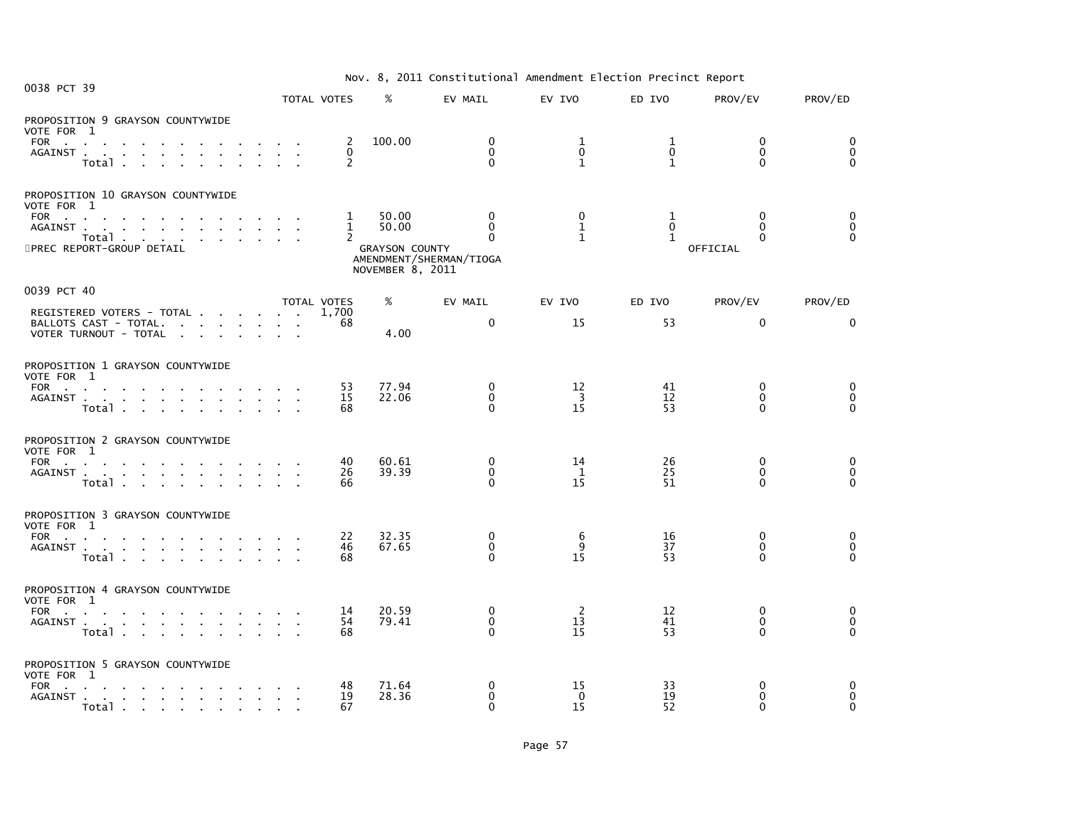| Nov. 8, 2011 Constitutional Amendment Election Precinct Report |  |
|----------------------------------------------------------------|--|
|----------------------------------------------------------------|--|

| 0038 PCT 39                                                                                                                                                                                                                                                                                          | ZUII CONSCITUTIONAL AMCHAMENTE ETCCETUM TITCCINCE REPOLIC |                                                       |                                                             |                                                                     |                                   |                                   |                                                  |                                  |  |  |
|------------------------------------------------------------------------------------------------------------------------------------------------------------------------------------------------------------------------------------------------------------------------------------------------------|-----------------------------------------------------------|-------------------------------------------------------|-------------------------------------------------------------|---------------------------------------------------------------------|-----------------------------------|-----------------------------------|--------------------------------------------------|----------------------------------|--|--|
|                                                                                                                                                                                                                                                                                                      | TOTAL VOTES                                               |                                                       | %                                                           | EV MAIL                                                             | EV IVO                            | ED IVO                            | PROV/EV                                          | PROV/ED                          |  |  |
| PROPOSITION 9 GRAYSON COUNTYWIDE<br>VOTE FOR 1<br>FOR a series and a series and a series of the series of the series of the series of the series of the series of the series of the series of the series of the series of the series of the series of the series of the series o<br>AGAINST<br>Total |                                                           | 2<br>$\mathbf{0}$<br>2                                | 100.00                                                      | $\mathbf 0$<br>$\mathbf{0}$<br>$\mathbf{0}$                         | 1<br>$\mathbf{0}$<br>$\mathbf{1}$ | 1<br>$\mathbf{0}$<br>$\mathbf{1}$ | $\mathbf{0}$<br>$\Omega$<br>$\mathbf{0}$         | 0<br>$\mathbf 0$<br>$\Omega$     |  |  |
| PROPOSITION 10 GRAYSON COUNTYWIDE<br>VOTE FOR 1<br>FOR $\qquad \qquad \ldots \qquad \qquad \ldots \qquad \qquad \ldots$<br>AGAINST<br>Total<br>5PREC REPORT-GROUP DETAIL                                                                                                                             |                                                           | $\mathbf{1}$<br>$\mathbf{1}$<br>$\mathbf{2}^{\prime}$ | 50.00<br>50.00<br><b>GRAYSON COUNTY</b><br>NOVEMBER 8, 2011 | $\mathbf{0}$<br>$\Omega$<br>$\mathbf{0}$<br>AMENDMENT/SHERMAN/TIOGA | 0<br>$\mathbf{1}$<br>$\mathbf{1}$ | 1<br>$\Omega$<br>$\mathbf{1}$     | $\mathbf{0}$<br>$\Omega$<br>$\Omega$<br>OFFICIAL | 0<br>$\mathbf 0$<br>$\mathbf{0}$ |  |  |
| 0039 PCT 40                                                                                                                                                                                                                                                                                          | TOTAL VOTES                                               |                                                       | %                                                           | EV MAIL                                                             | EV IVO                            | ED IVO                            | PROV/EV                                          | PROV/ED                          |  |  |
| REGISTERED VOTERS - TOTAL<br>BALLOTS CAST - TOTAL.<br>VOTER TURNOUT - TOTAL                                                                                                                                                                                                                          |                                                           | 1.700<br>68                                           | 4.00                                                        | $\mathbf{0}$                                                        | 15                                | 53                                | $\mathbf{0}$                                     | $\mathbf{0}$                     |  |  |
| PROPOSITION 1 GRAYSON COUNTYWIDE<br>VOTE FOR 1<br>FOR<br>AGAINST<br>Total                                                                                                                                                                                                                            |                                                           | 53<br>15<br>68                                        | 77.94<br>22.06                                              | $\mathbf 0$<br>$\mathbf 0$<br>$\Omega$                              | $\frac{12}{3}$<br>15              | 41<br>12<br>53                    | $\mathbf{0}$<br>$\Omega$<br>$\Omega$             | 0<br>0<br>$\Omega$               |  |  |
| PROPOSITION 2 GRAYSON COUNTYWIDE<br>VOTE FOR 1<br>FOR<br>AGAINST<br>Total                                                                                                                                                                                                                            |                                                           | 40<br>26<br>66                                        | 60.61<br>39.39                                              | 0<br>$\mathbf{0}$<br>$\Omega$                                       | 14<br>$\mathbf{1}$<br>15          | 26<br>25<br>51                    | $\mathbf 0$<br>$\mathbf{0}$<br>$\Omega$          | 0<br>0<br>$\mathbf{0}$           |  |  |
| PROPOSITION 3 GRAYSON COUNTYWIDE<br>VOTE FOR 1<br>FOR<br>AGAINST<br>Total                                                                                                                                                                                                                            |                                                           | 22<br>46<br>68                                        | 32.35<br>67.65                                              | 0<br>$\mathbf{0}$<br>$\Omega$                                       | 6<br>$\mathbf{q}$<br>15           | 16<br>37<br>53                    | $\mathbf 0$<br>$\Omega$<br>0                     | 0<br>$\mathbf 0$<br>$\Omega$     |  |  |
| PROPOSITION 4 GRAYSON COUNTYWIDE<br>VOTE FOR 1<br>FOR<br>AGAINST<br>Total                                                                                                                                                                                                                            |                                                           | 14<br>54<br>68                                        | 20.59<br>79.41                                              | $\mathbf 0$<br>$\mathbf{0}$<br>$\Omega$                             | $\overline{2}$<br>13<br>15        | 12<br>41<br>53                    | $\mathbf{0}$<br>$\mathbf{0}$<br>$\Omega$         | 0<br>0<br>$\mathbf{0}$           |  |  |
| PROPOSITION 5 GRAYSON COUNTYWIDE<br>VOTE FOR 1<br>FOR<br>AGAINST<br><b>Example 2019 Contract Contract 2019</b>                                                                                                                                                                                       |                                                           | 48<br>19<br>67                                        | 71.64<br>28.36                                              | $\mathbf{0}$<br>$\mathbf 0$<br>$\Omega$                             | 15<br>$\Omega$<br>15              | 33<br>19<br>52                    | $\mathbf{0}$<br>$\mathbf{0}$<br>$\Omega$         | 0<br>$\mathbf 0$<br>$\Omega$     |  |  |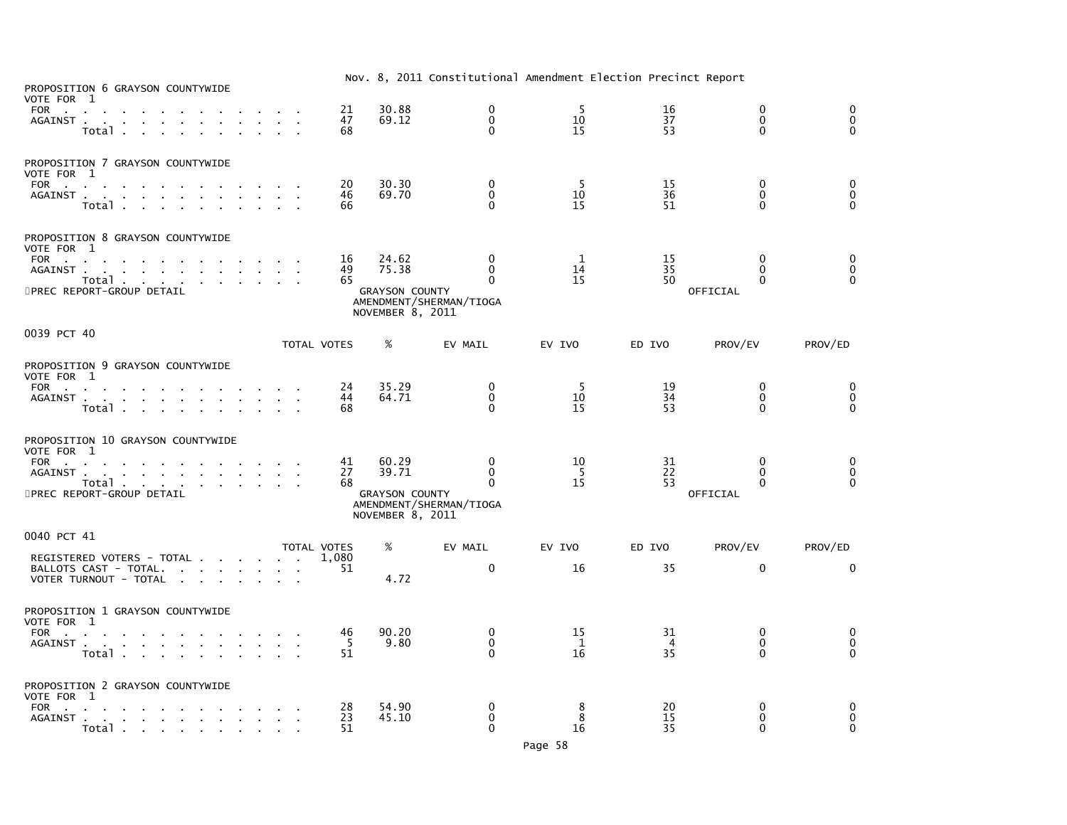| PROPOSITION 6 GRAYSON COUNTYWIDE                                                                                                                                                               |             |                 |                                                             | ZOII CONSTITUTIONAL AMCHAMCHE LICCETON TICCINCE REPOLE             |                |                            |                                               |                                                          |
|------------------------------------------------------------------------------------------------------------------------------------------------------------------------------------------------|-------------|-----------------|-------------------------------------------------------------|--------------------------------------------------------------------|----------------|----------------------------|-----------------------------------------------|----------------------------------------------------------|
| VOTE FOR 1<br>FOR<br>the company of the company of the<br>AGAINST<br>Total .<br><b>Carl Carl</b>                                                                                               |             | 21<br>47<br>68  | 30.88<br>69.12                                              | $\Omega$<br>$\mathbf{0}$<br>$\Omega$                               | -5<br>10<br>15 | 16<br>37<br>53             | $\Omega$<br>$\mathbf{0}$<br>$\Omega$          | 0<br>$\mathbf 0$<br>$\Omega$                             |
| PROPOSITION 7 GRAYSON COUNTYWIDE<br>VOTE FOR 1<br>FOR<br>AGAINST<br>Total                                                                                                                      |             | 20<br>46<br>66  | 30.30<br>69.70                                              | 0<br>0<br>$\Omega$                                                 | 5<br>10<br>15  | 15<br>36<br>51             | $\mathbf{0}$<br>$\mathbf{0}$<br>$\Omega$      | $\begin{smallmatrix} 0\\0 \end{smallmatrix}$<br>$\Omega$ |
| PROPOSITION 8 GRAYSON COUNTYWIDE<br>VOTE FOR 1<br>FOR<br>and a series of the series of the series of the<br>AGAINST<br>Total<br>5PREC REPORT-GROUP DETAIL                                      |             | 16<br>49<br>65  | 24.62<br>75.38<br><b>GRAYSON COUNTY</b><br>NOVEMBER 8, 2011 | $\mathbf{0}$<br>$\Omega$<br>$\Omega$<br>AMENDMENT/SHERMAN/TIOGA    | 1<br>14<br>15  | 15<br>35<br>50             | $\bf{0}$<br>$\Omega$<br>$\Omega$<br>OFFICIAL  | 0<br>$\pmb{0}$<br>$\overline{O}$                         |
| 0039 PCT 40                                                                                                                                                                                    | TOTAL VOTES |                 | $\%$                                                        | EV MAIL                                                            | EV IVO         | ED IVO                     | PROV/EV                                       | PROV/ED                                                  |
| PROPOSITION 9 GRAYSON COUNTYWIDE<br>VOTE FOR 1<br>FOR<br>the contract of the contract of the contract of<br>AGAINST<br>Total<br>PROPOSITION 10 GRAYSON COUNTYWIDE                              |             | 24<br>44<br>68  | 35.29<br>64.71                                              | 0<br>$\mathbf{0}$<br>$\Omega$                                      | -5<br>10<br>15 | 19<br>34<br>53             | 0<br>$\mathbf{0}$<br>$\Omega$                 | 0<br>$\overline{0}$<br>$\Omega$                          |
| VOTE FOR 1<br>FOR<br>AGAINST<br>Total<br>5PREC REPORT-GROUP DETAIL                                                                                                                             |             | 41<br>27<br>68  | 60.29<br>39.71<br><b>GRAYSON COUNTY</b><br>NOVEMBER 8, 2011 | $\mathbf{0}$<br>$\mathbf 0$<br>$\Omega$<br>AMENDMENT/SHERMAN/TIOGA | 10<br>-5<br>15 | 31<br>22<br>53             | $\mathbf{0}$<br>$\mathbf{0}$<br>O<br>OFFICIAL | 0<br>$\check{\mathrm{o}}$<br>$\Omega$                    |
| 0040 PCT 41<br>REGISTERED VOTERS - TOTAL<br>BALLOTS CAST - TOTAL.<br>VOTER TURNOUT - TOTAL                                                                                                     | TOTAL VOTES | 1,080<br>51     | %<br>4.72                                                   | EV MAIL<br>$\mathbf 0$                                             | EV IVO<br>16   | ED IVO<br>35               | PROV/EV<br>$\mathbf{0}$                       | PROV/ED<br>$\Omega$                                      |
| PROPOSITION 1 GRAYSON COUNTYWIDE<br>VOTE FOR 1<br>FOR<br>AGAINST<br>Total .<br>the contract of the contract of the contract of the contract of the contract of the contract of the contract of |             | 46<br>- 5<br>51 | 90.20<br>9.80                                               | 0<br>$\mathbf{0}$<br>$\mathbf{0}$                                  | 15<br>1<br>16  | 31<br>$\overline{4}$<br>35 | 0<br>$\mathbf{0}$<br>$\mathbf{0}$             | 0<br>$\mathbf 0$<br>$\Omega$                             |
| PROPOSITION 2 GRAYSON COUNTYWIDE<br>VOTE FOR 1<br>FOR<br>the contract of the contract of the contract of<br>AGAINST<br>Total                                                                   |             | 28<br>23<br>51  | 54.90<br>45.10                                              | 0<br>$\mathbf 0$<br>$\Omega$                                       | 8<br>8<br>16   | 20<br>15<br>35             | 0<br>$\mathbf 0$<br>$\Omega$                  | 0<br>$\mathbf 0$<br>$\Omega$                             |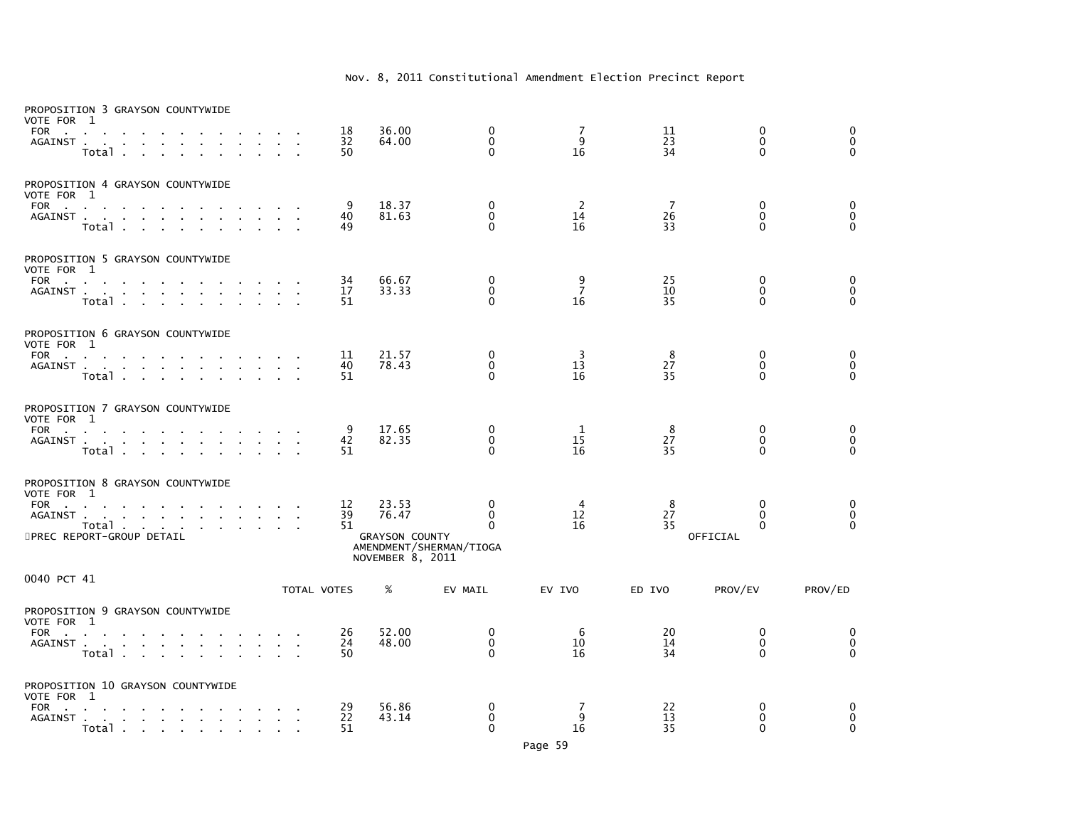| VOTE FOR 1<br>FOR<br>AGAINST .                                   | PROPOSITION 3 GRAYSON COUNTYWIDE<br>$\sim$<br>$\sim 100$<br>$\sim$<br>Total .                                                                              |                                        |                                    | 18<br>32<br>50                 | 36.00<br>64.00                                              | 0<br>$\mathbf 0$<br>$\Omega$                         | 7<br>9<br>16              | 11<br>23<br>34             | 0<br>$\Omega$<br>$\mathbf{0}$                        | 0<br>$\overline{0}$<br>$\Omega$       |
|------------------------------------------------------------------|------------------------------------------------------------------------------------------------------------------------------------------------------------|----------------------------------------|------------------------------------|--------------------------------|-------------------------------------------------------------|------------------------------------------------------|---------------------------|----------------------------|------------------------------------------------------|---------------------------------------|
| VOTE FOR 1                                                       | PROPOSITION 4 GRAYSON COUNTYWIDE<br>FOR<br>AGAINST<br>$\sim 100$<br>$\sim$<br>$\sim$<br>$\sim 10^{-11}$<br>Total                                           | $\sim 10^{-1}$<br>$\sim$               | $\mathbf{r}$                       | 9<br>40<br>49                  | 18.37<br>81.63                                              | $\mathbf 0$<br>$\mathbf 0$<br>$\Omega$               | 2<br>14<br>16             | $\overline{7}$<br>26<br>33 | 0<br>$\mathbf{0}$<br>$\Omega$                        | 0<br>$\mathbf 0$<br>$\Omega$          |
| VOTE FOR 1                                                       | PROPOSITION 5 GRAYSON COUNTYWIDE<br>FOR<br><b>Contract Contract Contract</b><br>AGAINST<br>Total                                                           |                                        | $\sim 10^{-11}$<br><b>Contract</b> | 34<br>17<br>$\mathbf{r}$<br>51 | 66.67<br>33.33                                              | 0<br>$\mathbf 0$<br>$\Omega$                         | 9<br>$\overline{7}$<br>16 | 25<br>10<br>35             | $\mathbf{0}$<br>$\mathbf{0}$<br>$\Omega$             | 0<br>$\ddot{\mathbf{0}}$<br>$\Omega$  |
| VOTE FOR 1<br><b>FOR</b><br><b>Contract</b>                      | PROPOSITION 6 GRAYSON COUNTYWIDE<br>AGAINST<br>Total                                                                                                       |                                        | $\mathbf{r}$                       | 11<br>40<br>51                 | 21.57<br>78.43                                              | 0<br>$\mathbf 0$<br>$\Omega$                         | 3<br>13<br>16             | 8<br>27<br>35              | 0<br>$\mathbf 0$<br>$\Omega$                         | 0<br>$\ddot{\mathbf{0}}$<br>$\Omega$  |
| VOTE FOR 1<br>FOR                                                | PROPOSITION 7 GRAYSON COUNTYWIDE<br>$\sim$<br>AGAINST<br>$\sim$<br>$\sim$<br>Total                                                                         |                                        |                                    | 9<br>42<br>51                  | 17.65<br>82.35                                              | $\mathbf 0$<br>$\mathbf 0$<br>$\Omega$               | -1<br>15<br>16            | 8<br>27<br>35              | 0<br>$\mathbf 0$<br>$\Omega$                         | 0<br>$\pmb{0}$<br>$\overline{0}$      |
| VOTE FOR 1<br><b>FOR</b><br><b>Carl Carl</b><br>AGAINST.         | PROPOSITION 8 GRAYSON COUNTYWIDE<br>and a straightful contract and a straight<br>the contract of the contract of the<br>Total<br>5PREC REPORT-GROUP DETAIL | $\mathbf{z} = \mathbf{z} + \mathbf{z}$ |                                    | 12<br>39<br>51                 | 23.53<br>76.47<br><b>GRAYSON COUNTY</b><br>NOVEMBER 8, 2011 | 0<br>$\Omega$<br>$\Omega$<br>AMENDMENT/SHERMAN/TIOGA | 4<br>12<br>16             | 8<br>27<br>35              | $\mathbf{0}$<br>$\Omega$<br>$\mathbf{0}$<br>OFFICIAL | 0<br>0<br>$\Omega$                    |
| 0040 PCT 41                                                      |                                                                                                                                                            |                                        |                                    | TOTAL VOTES                    | %                                                           | EV MAIL                                              | EV IVO                    | ED IVO                     | PROV/EV                                              | PROV/ED                               |
| VOTE FOR 1<br><b>FOR</b><br><b>Contract Contract</b><br>AGAINST  | PROPOSITION 9 GRAYSON COUNTYWIDE<br>$\sim$<br>$\sim$<br><b>Contract Contract</b><br>Total                                                                  | <b>Contract Contract</b>               |                                    | 26<br>24<br>50                 | 52.00<br>48.00                                              | $\mathbf 0$<br>$\mathbf 0$<br>$\Omega$               | 6<br>10<br>16             | 20<br>14<br>34             | 0<br>$\mathbf 0$<br>$\Omega$                         | 0<br>$\overline{0}$<br>$\overline{O}$ |
| VOTE FOR 1<br><b>FOR</b><br><b>Contract Contract</b><br>AGAINST. | PROPOSITION 10 GRAYSON COUNTYWIDE<br>the contract of the contract of the<br>the contract of the contract of the<br>Total                                   |                                        |                                    | 29<br>22<br>51                 | 56.86<br>43.14                                              | 0<br>$\mathbf 0$<br>$\Omega$                         | 7<br>9<br>16              | 22<br>13<br>35             | 0<br>0<br>$\mathbf{0}$                               | 0<br>$\mathbf 0$<br>$\Omega$          |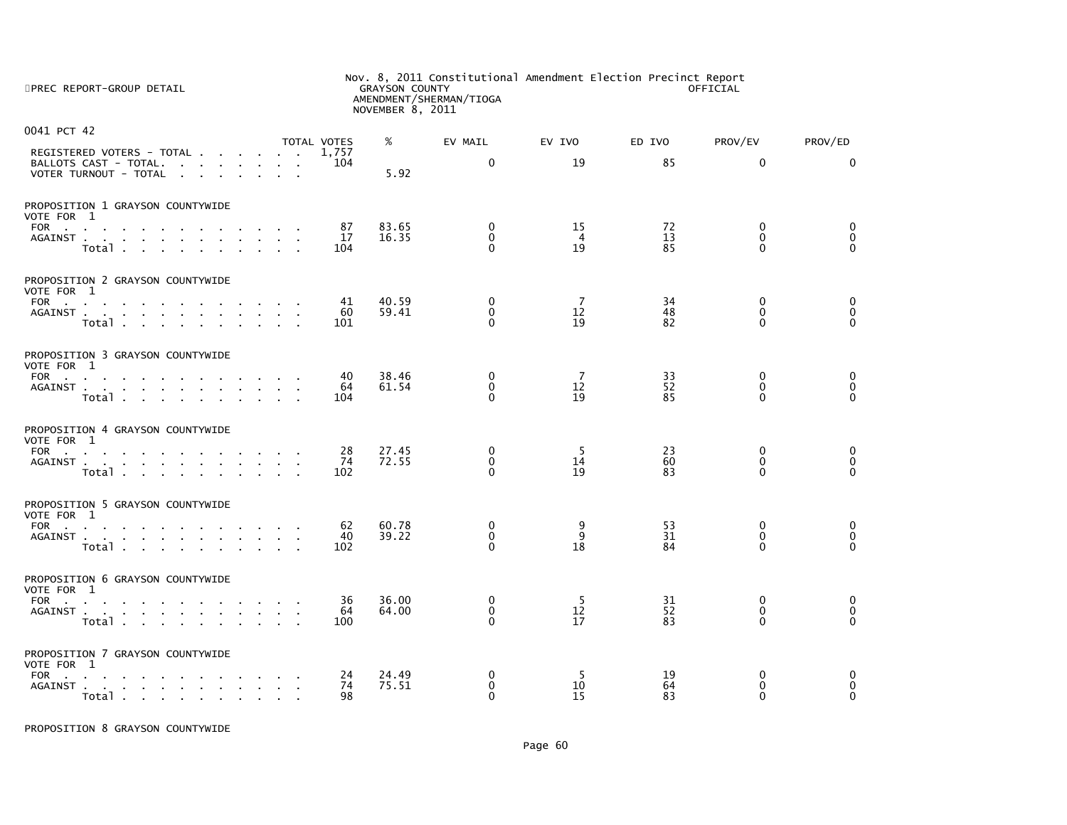| 5PREC REPORT-GROUP DETAIL                          |                             | Nov. 8, 2011 Constitutional Amendment Election Precinct Report<br><b>GRAYSON COUNTY</b><br>OFFICIAL<br>AMENDMENT/SHERMAN/TIOGA<br>NOVEMBER 8, 2011 |                              |                      |              |                             |                                            |  |  |
|----------------------------------------------------|-----------------------------|----------------------------------------------------------------------------------------------------------------------------------------------------|------------------------------|----------------------|--------------|-----------------------------|--------------------------------------------|--|--|
| 0041 PCT 42                                        |                             |                                                                                                                                                    |                              |                      |              |                             |                                            |  |  |
| REGISTERED VOTERS - TOTAL<br>BALLOTS CAST - TOTAL. | TOTAL VOTES<br>1,757<br>104 | %                                                                                                                                                  | EV MAIL<br>$\mathbf{0}$      | EV IVO<br>19         | ED IVO<br>85 | PROV/EV<br>$\Omega$         | PROV/ED<br>0                               |  |  |
| VOTER TURNOUT - TOTAL                              |                             | 5.92                                                                                                                                               |                              |                      |              |                             |                                            |  |  |
| PROPOSITION 1 GRAYSON COUNTYWIDE<br>VOTE FOR 1     |                             |                                                                                                                                                    |                              |                      |              |                             |                                            |  |  |
| FOR                                                | 87<br>17                    | 83.65<br>16.35                                                                                                                                     | 0<br>$\mathbf{0}$            | 15<br>$\overline{4}$ | 72<br>13     | 0<br>$\Omega$               | 0<br>$\pmb{0}$                             |  |  |
| AGAINST<br>Total                                   | 104                         |                                                                                                                                                    | $\Omega$                     | 19                   | 85           | $\Omega$                    | $\Omega$                                   |  |  |
| PROPOSITION 2 GRAYSON COUNTYWIDE<br>VOTE FOR 1     |                             |                                                                                                                                                    |                              |                      |              |                             |                                            |  |  |
| FOR                                                | 41<br>60                    | 40.59<br>59.41                                                                                                                                     | 0<br>$\mathbf{0}$            | 7<br>12              | 34<br>48     | 0<br>$\Omega$               | 0<br>$\pmb{0}$                             |  |  |
| AGAINST<br>Total                                   | 101                         |                                                                                                                                                    | 0                            | 19                   | 82           | $\Omega$                    | $\mathbf 0$                                |  |  |
| PROPOSITION 3 GRAYSON COUNTYWIDE<br>VOTE FOR 1     |                             |                                                                                                                                                    |                              |                      |              |                             |                                            |  |  |
| FOR<br>AGAINST                                     | 40<br>64                    | 38.46<br>61.54                                                                                                                                     | 0<br>$\Omega$                | 7<br>12              | 33<br>52     | 0<br>$\Omega$               | $\pmb{0}$<br>$\ddot{\mathbf{0}}$           |  |  |
| Total                                              | 104                         |                                                                                                                                                    | 0                            | 19                   | 85           | $\Omega$                    | $\mathbf 0$                                |  |  |
| PROPOSITION 4 GRAYSON COUNTYWIDE<br>VOTE FOR 1     |                             |                                                                                                                                                    |                              |                      |              |                             |                                            |  |  |
| FOR<br>AGAINST                                     | 28<br>74                    | 27.45<br>72.55                                                                                                                                     | $\mathbf{0}$<br>$\mathbf{0}$ | -5<br>14             | 23<br>60     | $\mathbf{0}$<br>$\Omega$    | 0<br>$\mathbf 0$                           |  |  |
| Total                                              | 102                         |                                                                                                                                                    | $\Omega$                     | 19                   | 83           | $\Omega$                    | $\mathbf 0$                                |  |  |
| PROPOSITION 5 GRAYSON COUNTYWIDE<br>VOTE FOR 1     |                             |                                                                                                                                                    |                              |                      |              |                             |                                            |  |  |
| FOR                                                | 62<br>40                    | 60.78<br>39.22                                                                                                                                     | $\mathbf{0}$<br>$\mathbf 0$  | 9<br>$\overline{9}$  | 53<br>31     | $\mathbf{0}$<br>$\mathbf 0$ | $\begin{smallmatrix}0\\0\end{smallmatrix}$ |  |  |
| AGAINST<br>Total                                   | 102                         |                                                                                                                                                    | 0                            | 18                   | 84           | 0                           | $\Omega$                                   |  |  |
| PROPOSITION 6 GRAYSON COUNTYWIDE<br>VOTE FOR 1     |                             |                                                                                                                                                    |                              |                      |              |                             |                                            |  |  |
| FOR<br>AGAINST                                     | 36<br>64                    | 36.00<br>64.00                                                                                                                                     | $\Omega$<br>$\mathbf{0}$     | -5<br>12             | 31<br>52     | $\mathbf{0}$<br>$\Omega$    | 0<br>$\mathbf 0$                           |  |  |
| Total                                              | 100                         |                                                                                                                                                    | $\Omega$                     | 17                   | 83           | $\Omega$                    | $\Omega$                                   |  |  |
| PROPOSITION 7 GRAYSON COUNTYWIDE<br>VOTE FOR 1     |                             |                                                                                                                                                    |                              |                      |              |                             |                                            |  |  |
| FOR<br>the contract of the contract of the         | 24<br>74                    | 24.49<br>75.51                                                                                                                                     | 0<br>$\mathbf 0$             | 5<br>10              | 19<br>64     | 0<br>0                      | $\pmb{0}$<br>$\overline{0}$                |  |  |
| AGAINST<br>Total.                                  | 98                          |                                                                                                                                                    | 0                            | 15                   | 83           | $\Omega$                    | $\Omega$                                   |  |  |

PROPOSITION 8 GRAYSON COUNTYWIDE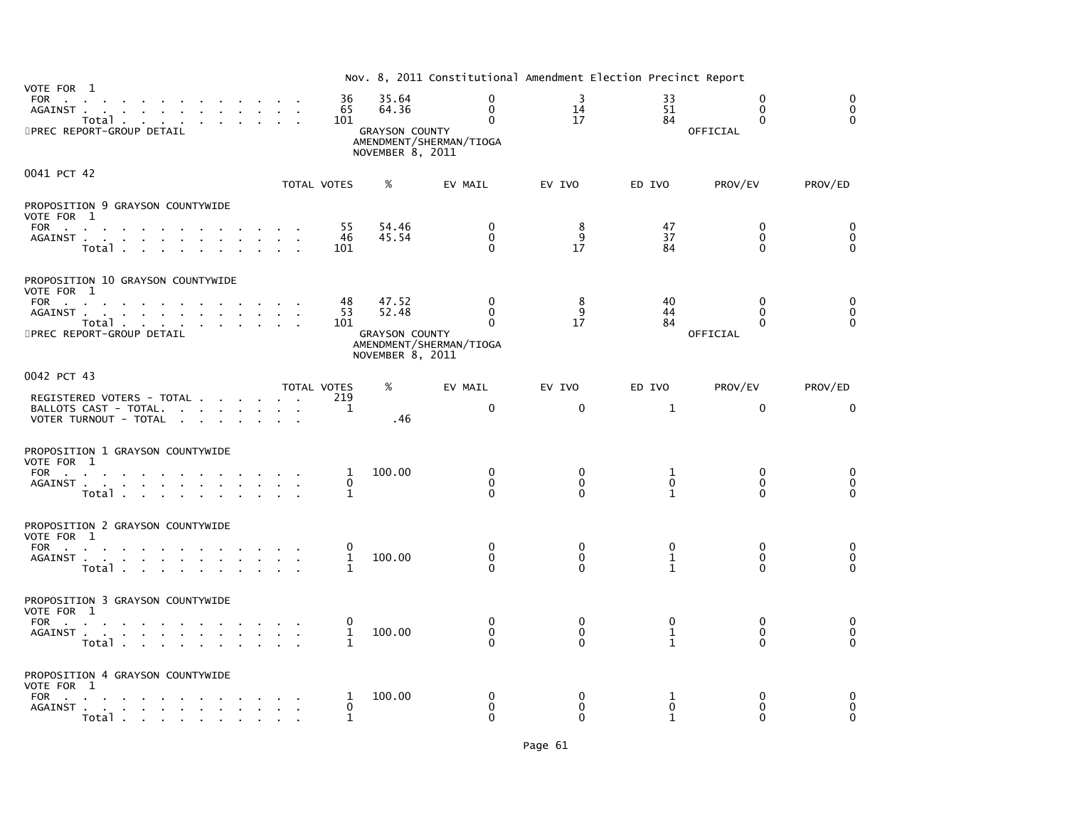| VOTE FOR 1                                                                                                                                                                                                                                                                                      |                               |                                         | Nov. 8, 2011 Constitutional Amendment Election Precinct Report |                                      |                                              |                                              |                                      |
|-------------------------------------------------------------------------------------------------------------------------------------------------------------------------------------------------------------------------------------------------------------------------------------------------|-------------------------------|-----------------------------------------|----------------------------------------------------------------|--------------------------------------|----------------------------------------------|----------------------------------------------|--------------------------------------|
| FOR<br>the company of the company of the company<br>AGAINST<br>Total<br>and a strategic and<br>5PREC REPORT-GROUP DETAIL                                                                                                                                                                        | 36<br>65<br>101               | 35.64<br>64.36<br><b>GRAYSON COUNTY</b> | $\mathbf 0$<br>$\mathbf{0}$<br>$\mathbf{0}$                    | 3<br>14<br>17                        | 33<br>51<br>84                               | 0<br>$\Omega$<br>$\Omega$<br>OFFICIAL        | $\Omega$<br>$\mathbf{0}$<br>$\Omega$ |
|                                                                                                                                                                                                                                                                                                 |                               | NOVEMBER 8, 2011                        | AMENDMENT/SHERMAN/TIOGA                                        |                                      |                                              |                                              |                                      |
| 0041 PCT 42                                                                                                                                                                                                                                                                                     | TOTAL VOTES                   | %                                       | EV MAIL                                                        | EV IVO                               | ED IVO                                       | PROV/EV                                      | PROV/ED                              |
| PROPOSITION 9 GRAYSON COUNTYWIDE<br>VOTE FOR 1                                                                                                                                                                                                                                                  |                               |                                         |                                                                |                                      |                                              |                                              |                                      |
| FOR<br>AGAINST<br>Total                                                                                                                                                                                                                                                                         | 55<br>46<br>101               | 54.46<br>45.54                          | 0<br>$\mathbf{0}$<br>$\Omega$                                  | 8<br>9<br>17                         | 47<br>37<br>84                               | 0<br>$\Omega$<br>0                           | $\Omega$<br>$\mathbf{0}$<br>$\Omega$ |
| PROPOSITION 10 GRAYSON COUNTYWIDE<br>VOTE FOR 1                                                                                                                                                                                                                                                 |                               |                                         |                                                                |                                      |                                              |                                              |                                      |
| FOR<br>the contract of the contract of the con-<br>AGAINST<br>Total<br>$\sim$<br>5PREC REPORT-GROUP DETAIL                                                                                                                                                                                      | 48<br>53<br>101               | 47.52<br>52.48<br><b>GRAYSON COUNTY</b> | $\mathbf{0}$<br>$\Omega$<br>$\Omega$                           | 8<br>9<br>17                         | 40<br>44<br>84                               | $\Omega$<br>$\Omega$<br>$\Omega$<br>OFFICIAL | 0<br>$\mathbf 0$<br>$\Omega$         |
|                                                                                                                                                                                                                                                                                                 |                               | NOVEMBER 8, 2011                        | AMENDMENT/SHERMAN/TIOGA                                        |                                      |                                              |                                              |                                      |
| 0042 PCT 43                                                                                                                                                                                                                                                                                     | TOTAL VOTES                   | %                                       | EV MAIL                                                        | EV IVO                               | ED IVO                                       | PROV/EV                                      | PROV/ED                              |
| REGISTERED VOTERS - TOTAL<br>BALLOTS CAST - TOTAL.<br>VOTER TURNOUT - TOTAL                                                                                                                                                                                                                     | 219<br>1                      | .46                                     | $\Omega$                                                       | $\mathbf{0}$                         | $\mathbf{1}$                                 | $\Omega$                                     | $\Omega$                             |
| PROPOSITION 1 GRAYSON COUNTYWIDE<br>VOTE FOR 1                                                                                                                                                                                                                                                  |                               |                                         |                                                                |                                      |                                              |                                              |                                      |
| FOR<br>the company of the company of the<br>AGAINST<br>Total                                                                                                                                                                                                                                    | $\mathbf{1}$<br>$\Omega$<br>1 | 100.00                                  | $\Omega$<br>$\Omega$<br>$\Omega$                               | 0<br>$\Omega$<br>$\Omega$            | 1<br>$\Omega$<br>$\mathbf{1}$                | $\mathbf{0}$<br>$\Omega$<br>$\Omega$         | 0<br>$\mathbf{0}$<br>$\Omega$        |
| PROPOSITION 2 GRAYSON COUNTYWIDE<br>VOTE FOR 1                                                                                                                                                                                                                                                  |                               |                                         |                                                                |                                      |                                              |                                              |                                      |
| FOR<br>AGAINST<br>Total                                                                                                                                                                                                                                                                         | $\mathbf{1}$<br>1             | 100.00                                  | 0<br>$\mathbf 0$<br>$\Omega$                                   | $\Omega$<br>$\mathbf 0$<br>$\Omega$  | $\mathbf{0}$<br>$\mathbf{1}$<br>$\mathbf{1}$ | $\mathbf{0}$<br>$\mathbf{0}$<br>$\Omega$     | $\Omega$<br>$\mathbf 0$<br>$\Omega$  |
| PROPOSITION 3 GRAYSON COUNTYWIDE<br>VOTE FOR 1                                                                                                                                                                                                                                                  |                               |                                         |                                                                |                                      |                                              |                                              |                                      |
| FOR the contract of the contract of the contract of the contract of the contract of the contract of the contract of the contract of the contract of the contract of the contract of the contract of the contract of the contra<br>$\sim 10^{-1}$<br><b>Carl Carl</b><br>$\sim 10^{-1}$<br>Total | 0<br>1<br>$\mathbf 1$         | 100.00                                  | 0<br>$\mathbf{0}$<br>$\Omega$                                  | 0<br>$\mathbf{0}$<br>$\Omega$        | 0<br>$\mathbf{1}$<br>$\mathbf{1}$            | $\mathbf{0}$<br>$\mathbf{0}$<br>$\mathbf{0}$ | $\Omega$<br>0<br>$\mathbf{0}$        |
| PROPOSITION 4 GRAYSON COUNTYWIDE<br>VOTE FOR 1                                                                                                                                                                                                                                                  |                               |                                         |                                                                |                                      |                                              |                                              |                                      |
| FOR .<br><b>Contractor</b><br>AGAINST<br>Total                                                                                                                                                                                                                                                  | 1<br>0<br>1                   | 100.00                                  | $\Omega$<br>$\mathbf{0}$<br>$\Omega$                           | $\Omega$<br>$\mathbf{0}$<br>$\Omega$ | 1<br>0<br>1                                  | $\Omega$<br>$\mathbf{0}$<br>$\mathbf{0}$     | $\Omega$<br>0<br>$\mathbf{0}$        |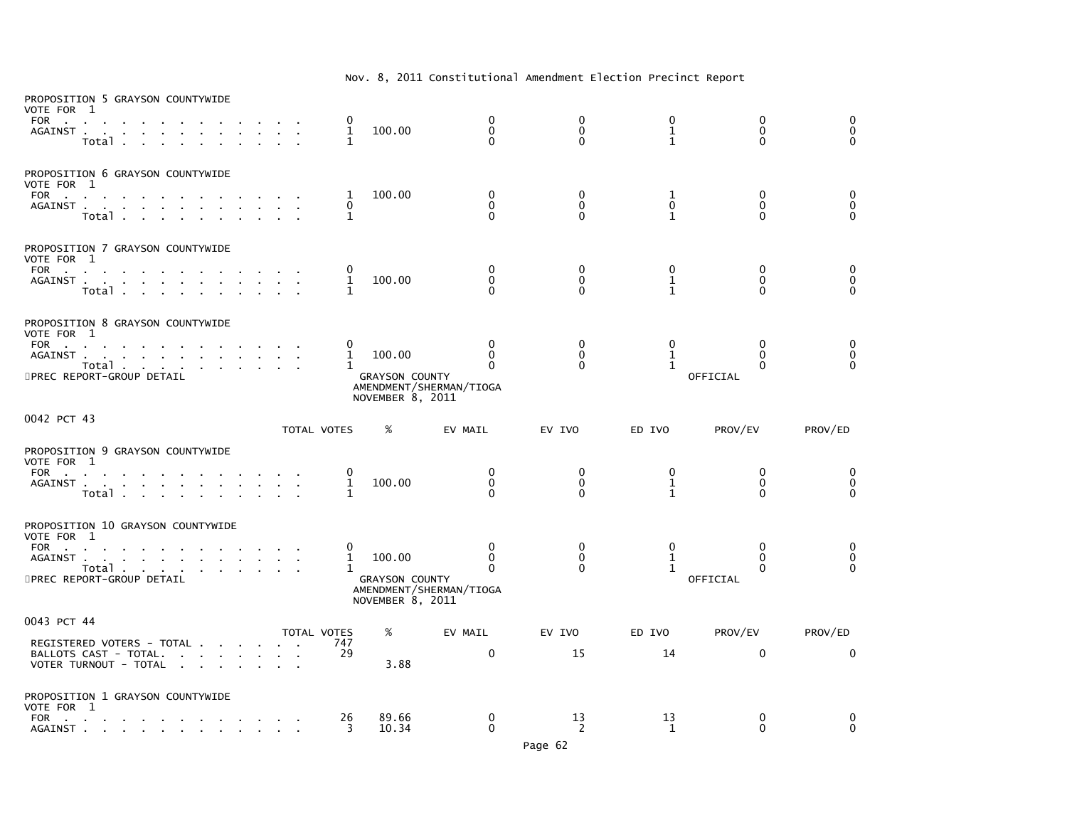| PROPOSITION 5 GRAYSON COUNTYWIDE<br>VOTE FOR 1<br>FOR<br>AGAINST .<br><b>Contract Contract</b><br>$\mathbf{r}$<br>$\sim$<br>Total .<br>$\sim 100$                                                    | 0<br>1<br>1              | 100.00                                              | $\mathbf{0}$<br>0<br>$\Omega$                                   | 0<br>$\mathbf 0$<br>$\Omega$  | 0<br>$1\,$<br>$\mathbf{1}$        | 0<br>$\mathbf 0$<br>$\Omega$                     | $\mathbf{0}$<br>0<br>$\mathbf{0}$ |
|------------------------------------------------------------------------------------------------------------------------------------------------------------------------------------------------------|--------------------------|-----------------------------------------------------|-----------------------------------------------------------------|-------------------------------|-----------------------------------|--------------------------------------------------|-----------------------------------|
| PROPOSITION 6 GRAYSON COUNTYWIDE<br>VOTE FOR 1<br><b>FOR</b><br><b>Contract Contract</b><br>AGAINST<br>Total<br><b>Contract Contract</b>                                                             | 1<br>0<br>1              | 100.00                                              | 0<br>0<br>$\Omega$                                              | 0<br>$\mathbf 0$<br>$\Omega$  | 1<br>$\mathbf 0$<br>$\mathbf{1}$  | 0<br>$\mathbf 0$<br>$\Omega$                     | 0<br>$\mathbf 0$<br>$\mathbf{0}$  |
| PROPOSITION 7 GRAYSON COUNTYWIDE<br>VOTE FOR 1<br><b>FOR</b><br><b>Contract Contract</b><br>AGAINST<br>Total                                                                                         | 1<br>1                   | 100.00                                              | 0<br>0<br>$\mathbf{0}$                                          | 0<br>0<br>$\Omega$            | $\mathbf{0}$<br>1<br>$\mathbf{1}$ | $\mathbf{0}$<br>0<br>$\Omega$                    | $\mathbf{0}$<br>0<br>$\Omega$     |
| PROPOSITION 8 GRAYSON COUNTYWIDE<br>VOTE FOR 1<br>FOR<br>$\sim$<br><b>Contract Contract</b><br>AGAINST.<br>the contract of the contract of the con-<br>Total<br>5PREC REPORT-GROUP DETAIL            | 0<br>1<br>1              | 100.00<br><b>GRAYSON COUNTY</b><br>NOVEMBER 8, 2011 | $\mathbf{0}$<br>$\Omega$<br>$\Omega$<br>AMENDMENT/SHERMAN/TIOGA | 0<br>$\mathbf{0}$<br>$\Omega$ | 0<br>$\mathbf{1}$<br>$\mathbf{1}$ | $\mathbf{0}$<br>$\Omega$<br>$\Omega$<br>OFFICIAL | 0<br>0<br>$\Omega$                |
| 0042 PCT 43                                                                                                                                                                                          | TOTAL VOTES              | %                                                   | EV MAIL                                                         | EV IVO                        | ED IVO                            | PROV/EV                                          | PROV/ED                           |
| PROPOSITION 9 GRAYSON COUNTYWIDE<br>VOTE FOR 1<br>FOR<br>AGAINST<br>Total .<br>$\sim$                                                                                                                | 1<br>1                   | 100.00                                              | $\mathbf 0$<br>$\mathbf 0$<br>$\Omega$                          | 0<br>$\mathbf{0}$<br>$\Omega$ | 0<br>$\mathbf{1}$<br>$\mathbf{1}$ | $\mathbf 0$<br>$\mathbf{0}$<br>$\Omega$          | 0<br>0<br>$\Omega$                |
| PROPOSITION 10 GRAYSON COUNTYWIDE<br>VOTE FOR 1<br>FOR<br>the control of the con-<br>$\mathbf{r}$<br>AGAINST .<br>the company of the company of the company of<br>Total<br>5PREC REPORT-GROUP DETAIL | 0<br>1<br>1              | 100.00<br><b>GRAYSON COUNTY</b><br>NOVEMBER 8, 2011 | 0<br>0<br>0<br>AMENDMENT/SHERMAN/TIOGA                          | 0<br>$\Omega$<br>$\Omega$     | 0<br>$\mathbf{1}$<br>$\mathbf{1}$ | 0<br>$\Omega$<br>$\Omega$<br>OFFICIAL            | 0<br>0<br>$\Omega$                |
| 0043 PCT 44<br>REGISTERED VOTERS - TOTAL<br>BALLOTS CAST - TOTAL.<br>VOTER TURNOUT - TOTAL<br>$\sim$<br>$\sim$                                                                                       | TOTAL VOTES<br>747<br>29 | %<br>3.88                                           | EV MAIL<br>$\mathbf 0$                                          | EV IVO<br>15                  | ED IVO<br>14                      | PROV/EV<br>$\mathbf 0$                           | PROV/ED<br>0                      |
| PROPOSITION 1 GRAYSON COUNTYWIDE<br>VOTE FOR 1<br>FOR<br>the contract of the contract of the contract of<br>$\sim$<br>$\sim$                                                                         | 26<br>3                  | 89.66<br>10.34                                      | 0<br>$\Omega$                                                   | 13<br>2                       | 13<br>1                           | 0<br>$\Omega$                                    | 0<br>$\Omega$                     |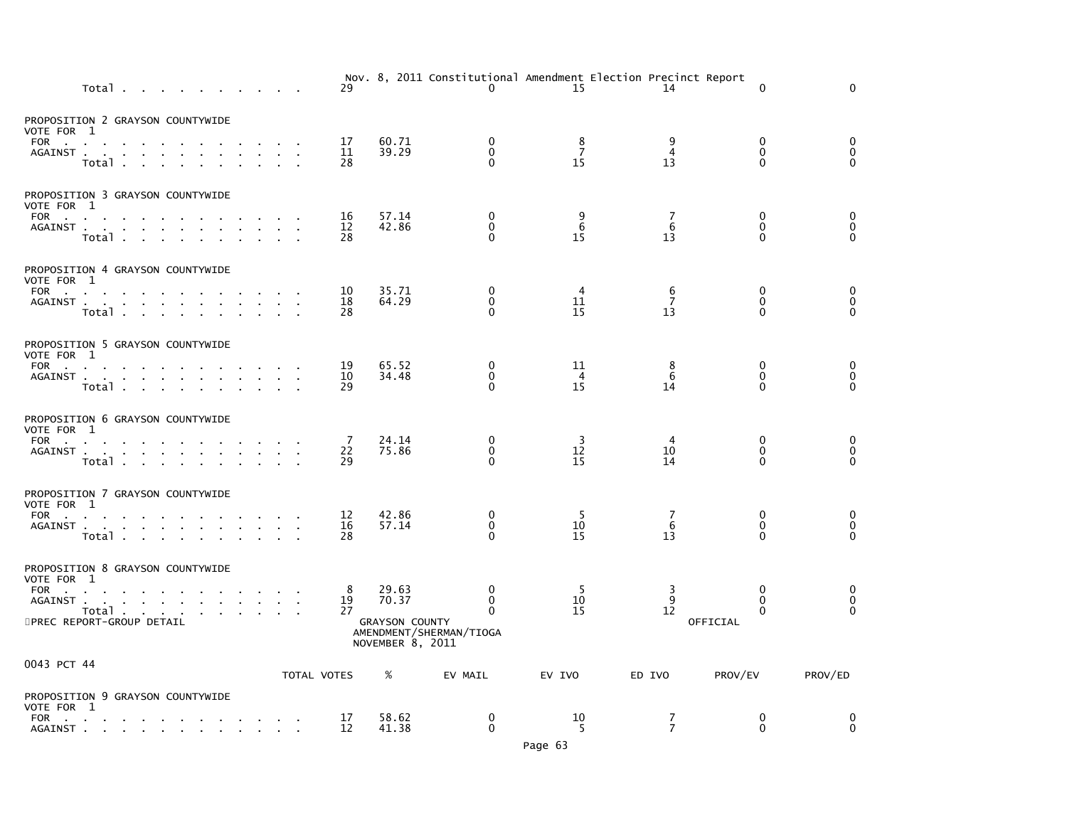|                                                                                                                                                                                                                                           | Total |        |  |                                                                                                             |              |                         |        |        | 29             |                                           | $\mathbf{0}$                        | Nov. 8, 2011 Constitutional Amendment Election Precinct Report<br>15 | 14                        | $\mathbf 0$                       | $\mathbf 0$                                                      |
|-------------------------------------------------------------------------------------------------------------------------------------------------------------------------------------------------------------------------------------------|-------|--------|--|-------------------------------------------------------------------------------------------------------------|--------------|-------------------------|--------|--------|----------------|-------------------------------------------|-------------------------------------|----------------------------------------------------------------------|---------------------------|-----------------------------------|------------------------------------------------------------------|
| PROPOSITION 2 GRAYSON COUNTYWIDE<br>VOTE FOR 1                                                                                                                                                                                            |       |        |  |                                                                                                             |              |                         |        |        |                |                                           |                                     |                                                                      |                           |                                   |                                                                  |
| FOR<br>AGAINST                                                                                                                                                                                                                            | Total |        |  | $\sim$                                                                                                      |              |                         |        |        | 17<br>11<br>28 | 60.71<br>39.29                            | 0<br>$\Omega$<br>$\Omega$           | 8<br>$\overline{7}$<br>15                                            | 9<br>$\overline{4}$<br>13 | 0<br>$\Omega$<br>$\Omega$         | 0<br>$\pmb{0}$<br>$\Omega$                                       |
| PROPOSITION 3 GRAYSON COUNTYWIDE<br>VOTE FOR 1                                                                                                                                                                                            |       |        |  |                                                                                                             |              |                         |        |        |                |                                           |                                     |                                                                      |                           |                                   |                                                                  |
| FOR PORT AND PORT AND RESIDENCE OF A STRUCK CONTROL CONTROL CONTROL CONTROL CONTROL CONTROL CONTROL CONTROL CONTROL CONTROL CONTROL CONTROL CONTROL CONTROL CONTROL CONTROL CONTROL CONTROL CONTROL CONTROL CONTROL CONTROL CO<br>AGAINST | Total |        |  | the contract of the contract of the                                                                         |              |                         |        |        | 16<br>12<br>28 | 57.14<br>42.86                            | 0<br>$\mathbf 0$<br>$\Omega$        | 9<br>6<br>15                                                         | 7<br>6<br>13              | 0<br>$\Omega$<br>$\Omega$         | 0<br>$\pmb{0}$<br>$\mathbf 0$                                    |
| PROPOSITION 4 GRAYSON COUNTYWIDE<br>VOTE FOR 1                                                                                                                                                                                            |       |        |  |                                                                                                             |              |                         |        |        |                |                                           |                                     |                                                                      |                           |                                   |                                                                  |
| FOR<br>AGAINST                                                                                                                                                                                                                            | Total | $\sim$ |  |                                                                                                             |              | the company of the com- |        |        | 10<br>18<br>28 | 35.71<br>64.29                            | $\Omega$<br>0<br>$\Omega$           | 4<br>11<br>15                                                        | 6<br>$\overline{7}$<br>13 | $\mathbf{0}$<br>0<br>$\mathbf{0}$ | $\boldsymbol{0}$<br>$\begin{smallmatrix}0\\0\end{smallmatrix}$   |
| PROPOSITION 5 GRAYSON COUNTYWIDE<br>VOTE FOR 1                                                                                                                                                                                            |       |        |  |                                                                                                             |              |                         |        |        |                |                                           |                                     |                                                                      |                           |                                   |                                                                  |
| FOR<br>$AGAINST$                                                                                                                                                                                                                          | Total |        |  | the contract of the contract of the                                                                         | $\mathbf{r}$ |                         | $\sim$ | $\sim$ | 19<br>10<br>29 | 65.52<br>34.48                            | 0<br>0<br>0                         | 11<br>4<br>15                                                        | 8<br>6<br>14              | 0<br>$\mathbf 0$<br>$\Omega$      | $\begin{smallmatrix}0\0\end{smallmatrix}$<br>$\overline{0}$      |
| PROPOSITION 6 GRAYSON COUNTYWIDE<br>VOTE FOR 1                                                                                                                                                                                            |       |        |  |                                                                                                             |              |                         |        |        |                |                                           |                                     |                                                                      |                           |                                   |                                                                  |
| FOR<br>AGAINST                                                                                                                                                                                                                            | Total |        |  |                                                                                                             |              |                         |        |        | -7<br>22<br>29 | 24.14<br>75.86                            | 0<br>0<br>$\Omega$                  | 3<br>12<br>15                                                        | 4<br>10<br>14             | 0<br>0<br>$\mathbf{0}$            | $\begin{smallmatrix}0\0\end{smallmatrix}$<br>$\ddot{\mathbf{0}}$ |
| PROPOSITION 7 GRAYSON COUNTYWIDE<br>VOTE FOR 1                                                                                                                                                                                            |       |        |  |                                                                                                             |              |                         |        |        |                |                                           |                                     |                                                                      |                           |                                   |                                                                  |
| FOR<br>AGAINST                                                                                                                                                                                                                            | Total |        |  |                                                                                                             |              |                         |        |        | 12<br>16<br>28 | 42.86<br>57.14                            | 0<br>0<br>$\Omega$                  | 5<br>10<br>15                                                        | 7<br>6<br>13              | 0<br>$\mathbf{0}$<br>$\Omega$     | $\begin{smallmatrix}0\0\end{smallmatrix}$<br>$\Omega$            |
| PROPOSITION 8 GRAYSON COUNTYWIDE<br>VOTE FOR 1                                                                                                                                                                                            |       |        |  |                                                                                                             |              |                         |        |        |                |                                           |                                     |                                                                      |                           |                                   |                                                                  |
| FOR<br>AGAINST                                                                                                                                                                                                                            |       |        |  |                                                                                                             |              |                         |        |        | 8<br>19        | 29.63<br>70.37                            | $\mathbf 0$<br>$\Omega$             | -5<br>10                                                             | 3<br>9                    | $\mathbf{0}$<br>$\mathbf{0}$      | 0<br>$\pmb{0}$                                                   |
| 5PREC REPORT-GROUP DETAIL                                                                                                                                                                                                                 | Total |        |  | $\mathbf{a}$ , $\mathbf{a}$ , $\mathbf{a}$ , $\mathbf{a}$ , $\mathbf{a}$                                    |              |                         |        |        | 27             | <b>GRAYSON COUNTY</b><br>NOVEMBER 8, 2011 | $\Omega$<br>AMENDMENT/SHERMAN/TIOGA | 15                                                                   | 12                        | $\Omega$<br>OFFICIAL              | $\mathbf{0}$                                                     |
| 0043 PCT 44                                                                                                                                                                                                                               |       |        |  |                                                                                                             |              |                         |        |        | TOTAL VOTES    | %                                         | EV MAIL                             | EV IVO                                                               | ED IVO                    | PROV/EV                           | PROV/ED                                                          |
| PROPOSITION 9 GRAYSON COUNTYWIDE<br>VOTE FOR 1                                                                                                                                                                                            |       |        |  |                                                                                                             |              |                         |        |        |                |                                           |                                     |                                                                      |                           |                                   |                                                                  |
| FOR<br>AGAINST.                                                                                                                                                                                                                           |       |        |  | the contract of the contract of the contract of<br>the contract of the contract of the contract of the con- |              |                         |        |        | 17<br>12       | 58.62<br>41.38                            | $\mathbf 0$<br>$\mathbf{0}$         | 10<br>5                                                              | 7<br>$\overline{7}$       | 0<br>$\Omega$                     | 0<br>$\Omega$                                                    |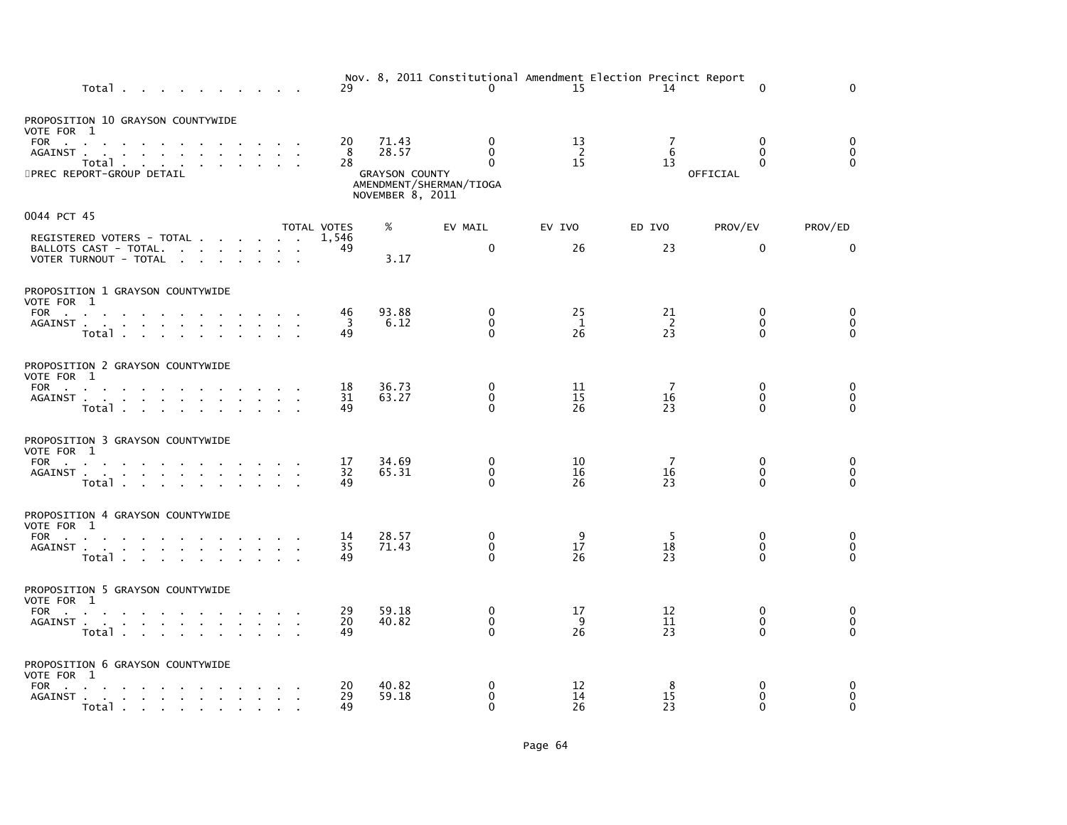| Total                                                                                                                                                                                        |                |                             |                                                   | 29                 |                                                             | Nov. 8, 2011 Constitutional Amendment Election Precinct Report<br>$\Omega$ | 15                         | 14             | $\Omega$                                     | $\Omega$                               |
|----------------------------------------------------------------------------------------------------------------------------------------------------------------------------------------------|----------------|-----------------------------|---------------------------------------------------|--------------------|-------------------------------------------------------------|----------------------------------------------------------------------------|----------------------------|----------------|----------------------------------------------|----------------------------------------|
| PROPOSITION 10 GRAYSON COUNTYWIDE<br>VOTE FOR 1<br>FOR<br>$\sim$<br>AGAINST<br>Total<br>5PREC REPORT-GROUP DETAIL                                                                            |                |                             | <b>Contract Contract Contract</b>                 | 20<br>8<br>28      | 71.43<br>28.57<br><b>GRAYSON COUNTY</b><br>NOVEMBER 8, 2011 | $\mathbf{0}$<br>$\mathbf{0}$<br>$\Omega$<br>AMENDMENT/SHERMAN/TIOGA        | 13<br>$\overline{2}$<br>15 | 7<br>6<br>13   | $\Omega$<br>$\Omega$<br>$\Omega$<br>OFFICIAL | $\Omega$<br>$\mathbf 0$<br>$\Omega$    |
| 0044 PCT 45                                                                                                                                                                                  |                |                             |                                                   | <b>TOTAL VOTES</b> | %                                                           | EV MAIL                                                                    | EV IVO                     | ED IVO         | PROV/EV                                      | PROV/ED                                |
| REGISTERED VOTERS - TOTAL<br>BALLOTS CAST - TOTAL.<br>VOTER TURNOUT - TOTAL                                                                                                                  |                |                             |                                                   | 1.546<br>49        | 3.17                                                        | 0                                                                          | 26                         | 23             | 0                                            | 0                                      |
| PROPOSITION 1 GRAYSON COUNTYWIDE<br>VOTE FOR 1<br>FOR<br>the contract of the contract of the contract of<br>AGAINST<br>Total                                                                 |                |                             |                                                   | 46<br>3<br>49      | 93.88<br>6.12                                               | $\Omega$<br>$\mathbf 0$<br>$\Omega$                                        | 25<br>1<br>26              | 21<br>2<br>23  | $\Omega$<br>0<br>$\Omega$                    | $\Omega$<br>$\mathbf 0$<br>$\Omega$    |
| PROPOSITION 2 GRAYSON COUNTYWIDE<br>VOTE FOR 1<br>AGAINST<br>$\sim$<br>Total                                                                                                                 |                | $\mathcal{L}^{\mathcal{L}}$ | $\mathbf{r}$                                      | 18<br>31<br>49     | 36.73<br>63.27                                              | 0<br>$\mathbf{0}$<br>$\Omega$                                              | 11<br>15<br>26             | -7<br>16<br>23 | $\mathbf{0}$<br>$\Omega$<br>$\Omega$         | 0<br>$\mathbf 0$<br>$\Omega$           |
| PROPOSITION 3 GRAYSON COUNTYWIDE<br>VOTE FOR 1<br>FOR<br>AGAINST<br>Total                                                                                                                    |                |                             |                                                   | 17<br>32<br>49     | 34.69<br>65.31                                              | 0<br>$\mathbf 0$<br>$\Omega$                                               | 10<br>16<br>26             | 7<br>16<br>23  | $\mathbf{0}$<br>$\Omega$<br>$\Omega$         | 0<br>$\mathbf 0$<br>$\Omega$           |
| PROPOSITION 4 GRAYSON COUNTYWIDE<br>VOTE FOR 1<br>FOR<br>the contract of the contract of the contract of the contract of the contract of the contract of the contract of<br>AGAINST<br>Total |                |                             |                                                   | 14<br>35<br>49     | 28.57<br>71.43                                              | 0<br>$\mathbf 0$<br>$\Omega$                                               | 9<br>17<br>26              | -5<br>18<br>23 | $\mathbf{0}$<br>0<br>$\Omega$                | $\mathbf 0$<br>$\mathbf 0$<br>$\Omega$ |
| PROPOSITION 5 GRAYSON COUNTYWIDE<br>VOTE FOR 1<br>FOR<br>AGAINST<br>Total                                                                                                                    | $\sim 10^{-1}$ | $\sim$                      | $\Delta \sim 10^4$<br>$\mathcal{L}_{\mathcal{A}}$ | 29<br>20<br>49     | 59.18<br>40.82                                              | 0<br>$\mathbf{0}$<br>$\Omega$                                              | 17<br>9<br>26              | 12<br>11<br>23 | $\Omega$<br>$\mathbf{0}$<br>$\Omega$         | 0<br>$\mathbf 0$<br>$\Omega$           |
| PROPOSITION 6 GRAYSON COUNTYWIDE<br>VOTE FOR 1<br>FOR<br>the contract of the contract of the<br>AGAINST<br>Total                                                                             |                |                             |                                                   | 20<br>29<br>49     | 40.82<br>59.18                                              | 0<br>$\mathbf{0}$<br>$\Omega$                                              | 12<br>14<br>26             | 8<br>15<br>23  | 0<br>$\Omega$<br>$\Omega$                    | 0<br>$\Omega$<br>$\Omega$              |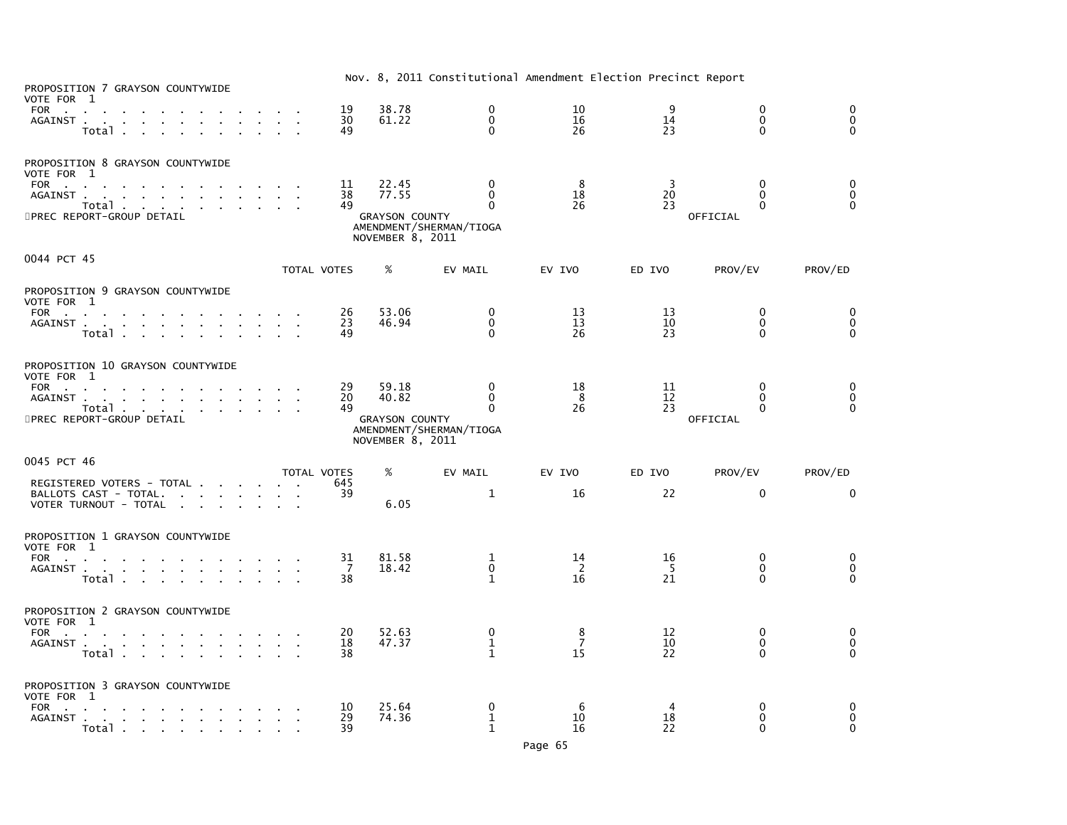| PROPOSITION 7 GRAYSON COUNTYWIDE<br>VOTE FOR 1                                                                                                                                                                                                                                                                    |                          |                                                             |                                                                 |                           | Nov. 8, 2011 Constitutional Amendment Election Precinct Report |                                       |                                         |
|-------------------------------------------------------------------------------------------------------------------------------------------------------------------------------------------------------------------------------------------------------------------------------------------------------------------|--------------------------|-------------------------------------------------------------|-----------------------------------------------------------------|---------------------------|----------------------------------------------------------------|---------------------------------------|-----------------------------------------|
| FOR<br>AGAINST<br>the company of the company of the<br>$\sim 10^{-1}$<br>Total                                                                                                                                                                                                                                    | 19<br>30<br>49           | 38.78<br>61.22                                              | $\mathbf{0}$<br>$\mathbf{0}$<br>$\Omega$                        | 10<br>16<br>26            | 9<br>14<br>23                                                  | $\mathbf{0}$<br>$\Omega$<br>$\Omega$  | $\mathbf{0}$<br>$\mathbf 0$<br>$\Omega$ |
| PROPOSITION 8 GRAYSON COUNTYWIDE<br>VOTE FOR 1<br>FOR<br>the contract of the contract of the contract of<br>AGAINST<br>Total<br>5PREC REPORT-GROUP DETAIL                                                                                                                                                         | 11<br>38<br>49           | 22.45<br>77.55<br><b>GRAYSON COUNTY</b><br>NOVEMBER 8, 2011 | $\Omega$<br>$\mathbf{0}$<br>$\Omega$<br>AMENDMENT/SHERMAN/TIOGA | 8<br>18<br>26             | 3<br>20<br>23                                                  | $\Omega$<br>$\Omega$<br>0<br>OFFICIAL | $\Omega$<br>$\mathbf 0$<br>$\Omega$     |
| 0044 PCT 45                                                                                                                                                                                                                                                                                                       | TOTAL VOTES              | $\%$                                                        | EV MAIL                                                         | EV IVO                    | ED IVO                                                         | PROV/EV                               | PROV/ED                                 |
| PROPOSITION 9 GRAYSON COUNTYWIDE<br>VOTE FOR 1<br>FOR<br>AGAINST<br>Total                                                                                                                                                                                                                                         | 26<br>23<br>49           | 53.06<br>46.94                                              | $\Omega$<br>$\mathbf{0}$<br>$\Omega$                            | 13<br>13<br>26            | 13<br>10<br>23                                                 | $\mathbf{0}$<br>0<br>$\Omega$         | $\mathbf{0}$<br>0<br>$\mathbf{0}$       |
| PROPOSITION 10 GRAYSON COUNTYWIDE<br>VOTE FOR 1<br>FOR<br>the contract of the contract of the contract of<br>AGAINST<br>Total<br>5PREC REPORT-GROUP DETAIL                                                                                                                                                        | 29<br>20<br>49           | 59.18<br>40.82<br><b>GRAYSON COUNTY</b><br>NOVEMBER 8, 2011 | $\mathbf{0}$<br>$\mathbf{0}$<br>0<br>AMENDMENT/SHERMAN/TIOGA    | 18<br>- 8<br>26           | 11<br>12<br>23                                                 | $\Omega$<br>0<br>0<br>OFFICIAL        | $\Omega$<br>$\mathbf 0$<br>$\Omega$     |
| 0045 PCT 46<br>REGISTERED VOTERS - TOTAL<br>BALLOTS CAST - TOTAL.<br>VOTER TURNOUT - TOTAL                                                                                                                                                                                                                        | TOTAL VOTES<br>645<br>39 | %<br>6.05                                                   | EV MAIL<br>1                                                    | EV IVO<br>16              | ED IVO<br>22                                                   | PROV/EV<br>$\mathbf 0$                | PROV/ED<br>0                            |
| PROPOSITION 1 GRAYSON COUNTYWIDE<br>VOTE FOR 1<br>FOR<br>AGAINST<br>Total                                                                                                                                                                                                                                         | 31<br>7<br>38            | 81.58<br>18.42                                              | 1<br>$\mathbf 0$<br>$\mathbf{1}$                                | 14<br>- 2<br>16           | 16<br>-5<br>21                                                 | 0<br>$\Omega$<br>$\Omega$             | $\mathbf 0$<br>0<br>$\Omega$            |
| PROPOSITION 2 GRAYSON COUNTYWIDE<br>VOTE FOR 1<br><b>FOR</b><br>the company of the company of the company of the company of the company of the company of the company of the company of the company of the company of the company of the company of the company of the company of the company<br>AGAINST<br>Total | 20<br>18<br>38           | 52.63<br>47.37                                              | 0<br>1<br>$\mathbf{1}$                                          | 8<br>$\overline{7}$<br>15 | 12<br>10<br>22                                                 | $\mathbf{0}$<br>0<br>$\Omega$         | 0<br>$\mathbf 0$<br>$\Omega$            |
| PROPOSITION 3 GRAYSON COUNTYWIDE<br>VOTE FOR 1<br>FOR<br>the contract of the contract of the con-<br>AGAINST<br>the contract of the contract of the<br>Total                                                                                                                                                      | 10<br>29<br>39           | 25.64<br>74.36                                              | 0<br>$\mathbf{1}$<br>$\mathbf{1}$                               | 6<br>10<br>16             | 18<br>22                                                       | $\mathbf{0}$<br>$\Omega$<br>$\Omega$  | 0<br>$\Omega$<br>$\Omega$               |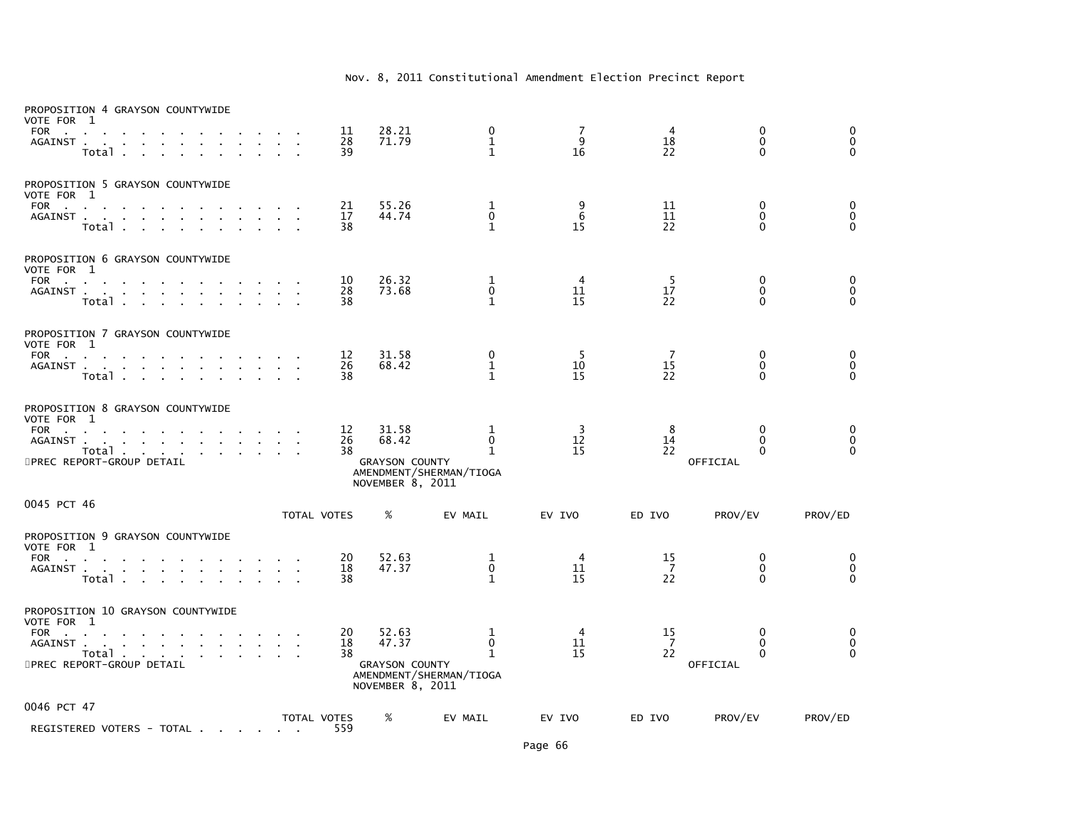| PROPOSITION 4 GRAYSON COUNTYWIDE<br>VOTE FOR 1<br><b>FOR</b><br>$\mathbf{r} = \mathbf{r} \cdot \mathbf{r}$<br>AGAINST<br>Total.                                                                                             |        | 11<br>28<br>39     | 28.21<br>71.79                                              | 0<br>1<br>$\mathbf{1}$                                      | 7<br>9<br>16               | 4<br>18<br>22  | 0<br>$\mathbf{0}$<br>$\mathbf{0}$                    | 0<br>$\pmb{0}$<br>$\mathbf{0}$        |
|-----------------------------------------------------------------------------------------------------------------------------------------------------------------------------------------------------------------------------|--------|--------------------|-------------------------------------------------------------|-------------------------------------------------------------|----------------------------|----------------|------------------------------------------------------|---------------------------------------|
| PROPOSITION 5 GRAYSON COUNTYWIDE<br>VOTE FOR 1<br><b>FOR</b><br>the contract of the<br>$\sim$<br>AGAINST<br>Total .<br>$\sim$                                                                                               |        | 21<br>17<br>38     | 55.26<br>44.74                                              | 1<br>$\mathbf 0$<br>1                                       | 9<br>6<br>15               | 11<br>11<br>22 | 0<br>$\mathbf 0$<br>$\Omega$                         | 0<br>$\overline{0}$<br>$\overline{0}$ |
| PROPOSITION 6 GRAYSON COUNTYWIDE<br>VOTE FOR 1<br>FOR<br>AGAINST<br>$\sim$<br>$\mathbf{r}$<br>Total<br>$\sim$                                                                                                               |        | 10<br>28<br>38     | 26.32<br>73.68                                              | 1<br>$\Omega$<br>$\mathbf{1}$                               | 4<br>11<br>15              | 5<br>17<br>22  | 0<br>$\mathbf{0}$<br>$\Omega$                        | 0<br>$\pmb{0}$<br>$\Omega$            |
| PROPOSITION 7 GRAYSON COUNTYWIDE<br>VOTE FOR 1<br><b>FOR</b><br><b>Contract Contract</b><br>AGAINST<br><b>Contract Contract</b><br><b>Contract Contract</b><br>Total                                                        |        | 12<br>26<br>38     | 31.58<br>68.42                                              | 0<br>1<br>$\mathbf{1}$                                      | 5<br>10<br>15              | 7<br>15<br>22  | 0<br>$\mathbf{0}$<br>$\Omega$                        | $_{\rm 0}^{\rm 0}$<br>$\overline{O}$  |
| PROPOSITION 8 GRAYSON COUNTYWIDE<br>VOTE FOR 1<br>FOR<br>AGAINST .<br>the contract of the contract of the contract of the contract of the contract of the contract of the contract of<br>Total<br>5PREC REPORT-GROUP DETAIL |        | 12<br>26<br>38     | 31.58<br>68.42<br><b>GRAYSON COUNTY</b><br>NOVEMBER 8, 2011 | 1<br>0<br>$\mathbf{1}$<br>AMENDMENT/SHERMAN/TIOGA           | 3<br>12<br>15              | 8<br>14<br>22  | $\mathbf{0}$<br>$\mathbf{0}$<br>$\Omega$<br>OFFICIAL | 0<br>$\ddot{\mathbf{0}}$<br>$\Omega$  |
| 0045 PCT 46                                                                                                                                                                                                                 |        | TOTAL VOTES        | %                                                           | EV MAIL                                                     | EV IVO                     | ED IVO         | PROV/EV                                              | PROV/ED                               |
| PROPOSITION 9 GRAYSON COUNTYWIDE<br>VOTE FOR 1<br><b>FOR</b><br><b>Contract Contract</b><br>AGAINST<br>the contract of the contract of<br>$\sim$<br>Total                                                                   | $\sim$ | 20<br>18<br>38     | 52.63<br>47.37                                              | 1<br>$\pmb{0}$<br>$\mathbf{1}$                              | $\overline{4}$<br>11<br>15 | 15<br>7<br>22  | 0<br>$\mathbf 0$<br>$\Omega$                         | 0<br>$\pmb{0}$<br>$\Omega$            |
| PROPOSITION 10 GRAYSON COUNTYWIDE<br>VOTE FOR 1<br>FOR<br>AGAINST<br>Total<br>the contract of the con-<br>5PREC REPORT-GROUP DETAIL                                                                                         |        | 20<br>18<br>38     | 52.63<br>47.37<br><b>GRAYSON COUNTY</b><br>NOVEMBER 8, 2011 | 1<br>$\mathbf 0$<br>$\mathbf{1}$<br>AMENDMENT/SHERMAN/TIOGA | 4<br>11<br>15              | 15<br>7<br>22  | $\mathbf{0}$<br>$\mathbf{0}$<br>$\Omega$<br>OFFICIAL | 0<br>$\overline{0}$<br>$\Omega$       |
| 0046 PCT 47<br>REGISTERED VOTERS - TOTAL                                                                                                                                                                                    |        | TOTAL VOTES<br>559 | %                                                           | EV MAIL                                                     | EV IVO                     | ED IVO         | PROV/EV                                              | PROV/ED                               |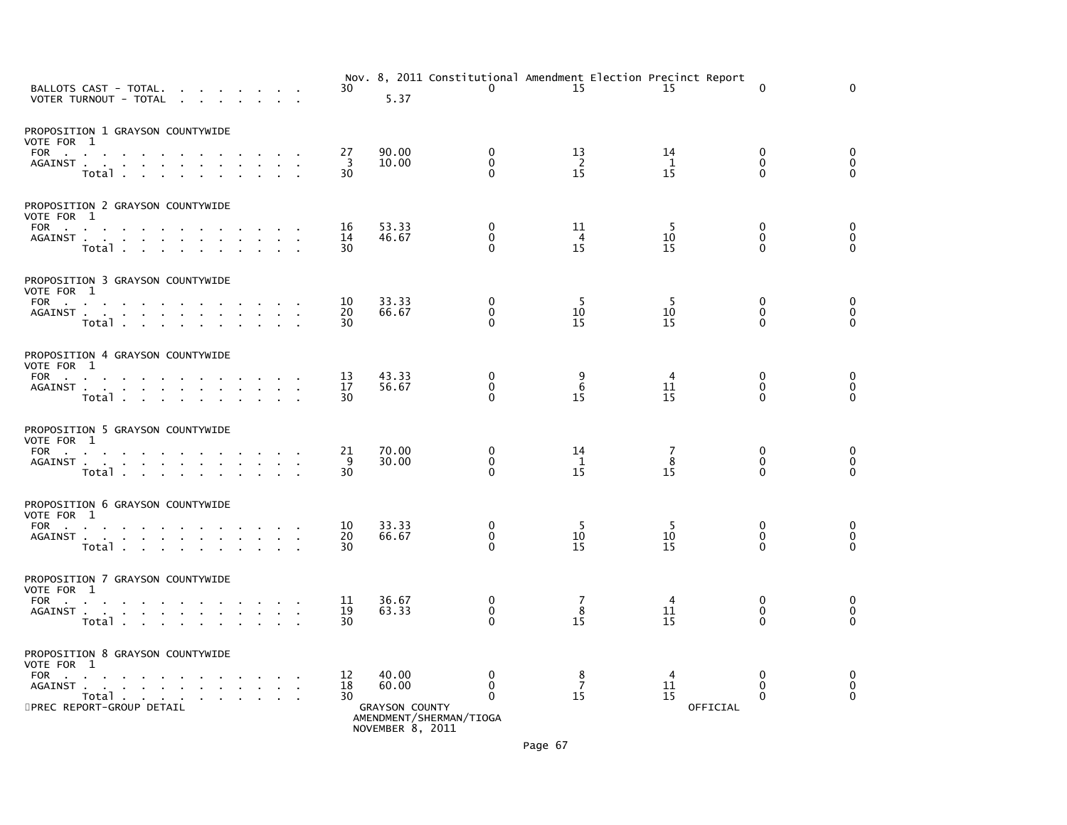| BALLOTS CAST - TOTAL.<br><b>Contract Contract</b><br>VOTER TURNOUT - TOTAL                                                                                                                                                             |              | 30             | Nov. 8, 2011 Constitutional Amendment Election Precinct Report<br>5.37                 | $\mathbf{0}$                             | 15                         | 15                         | $\Omega$                                | $\Omega$                                     |
|----------------------------------------------------------------------------------------------------------------------------------------------------------------------------------------------------------------------------------------|--------------|----------------|----------------------------------------------------------------------------------------|------------------------------------------|----------------------------|----------------------------|-----------------------------------------|----------------------------------------------|
| PROPOSITION 1 GRAYSON COUNTYWIDE<br>VOTE FOR 1<br>FOR<br>AGAINST<br>Total<br>$\sim$<br>$\sim$                                                                                                                                          |              | 27<br>3<br>30  | 90.00<br>10.00                                                                         | 0<br>$\Omega$<br>$\Omega$                | 13<br>$\overline{2}$<br>15 | 14<br>1<br>15              | $\Omega$<br>$\Omega$<br>$\Omega$        | 0<br>$\mathbf 0$<br>$\mathbf{0}$             |
| PROPOSITION 2 GRAYSON COUNTYWIDE<br>VOTE FOR 1<br>FOR $\qquad \qquad \ldots \qquad \qquad \ldots$<br>AGAINST<br>Total                                                                                                                  | $\mathbf{r}$ | 16<br>14<br>30 | 53.33<br>46.67                                                                         | $\mathbf 0$<br>$\Omega$<br>$\Omega$      | 11<br>$\overline{4}$<br>15 | -5<br>10<br>15             | $\mathbf{0}$<br>$\Omega$<br>$\Omega$    | $\mathbf 0$<br>$\mathbf 0$<br>$\overline{0}$ |
| PROPOSITION 3 GRAYSON COUNTYWIDE<br>VOTE FOR 1<br>FOR<br>the company of the company of<br>AGAINST<br>Total                                                                                                                             |              | 10<br>20<br>30 | 33.33<br>66.67                                                                         | $\mathbf 0$<br>$\mathbf{0}$<br>$\Omega$  | -5<br>10<br>15             | -5<br>10<br>15             | $\Omega$<br>$\Omega$<br>0               | $\mathbf 0$<br>$\mathbf 0$<br>$\mathbf{0}$   |
| PROPOSITION 4 GRAYSON COUNTYWIDE<br>VOTE FOR 1<br>FOR<br>AGAINST<br>Total<br>$\sim$<br>$\sim$<br>$\sim$                                                                                                                                |              | 13<br>17<br>30 | 43.33<br>56.67                                                                         | 0<br>0<br>$\Omega$                       | 9<br>6<br>15               | $\overline{4}$<br>11<br>15 | $\Omega$<br>0<br>$\Omega$               | $\mathbf 0$<br>$\pmb{0}$<br>$\Omega$         |
| PROPOSITION 5 GRAYSON COUNTYWIDE<br>VOTE FOR 1<br>FOR<br>AGAINST<br>Total                                                                                                                                                              |              | 21<br>9<br>30  | 70.00<br>30.00                                                                         | 0<br>$\Omega$<br>$\Omega$                | 14<br>$\mathbf{1}$<br>15   | 7<br>8<br>15               | 0<br>$\Omega$<br>$\Omega$               | 0<br>$\mathbf 0$<br>$\Omega$                 |
| PROPOSITION 6 GRAYSON COUNTYWIDE<br>VOTE FOR 1<br>FOR<br>AGAINST<br>Total<br>the company of the company                                                                                                                                |              | 10<br>20<br>30 | 33.33<br>66.67                                                                         | 0<br>0<br>$\Omega$                       | -5<br>10<br>15             | -5<br>10<br>15             | $\mathbf{0}$<br>0<br>$\Omega$           | 0<br>$\mathbf 0$<br>$\mathbf 0$              |
| PROPOSITION 7 GRAYSON COUNTYWIDE<br>VOTE FOR 1<br>FOR<br>AGAINST<br>Total                                                                                                                                                              |              | 11<br>19<br>30 | 36.67<br>63.33                                                                         | 0<br>$\mathbf 0$<br>$\Omega$             | 7<br>8<br>15               | $\overline{4}$<br>11<br>15 | $\mathbf 0$<br>$\mathbf{0}$<br>$\Omega$ | 0<br>$\mathbf 0$<br>$\Omega$                 |
| PROPOSITION 8 GRAYSON COUNTYWIDE<br>VOTE FOR 1<br>FOR<br>$\sim$<br>the contract of the contract of the con-<br><b>Contract Contract Contract</b><br>AGAINST<br>the company of the company of the<br>Total<br>5PREC REPORT-GROUP DETAIL |              | 12<br>18<br>30 | 40.00<br>60.00<br><b>GRAYSON COUNTY</b><br>AMENDMENT/SHERMAN/TIOGA<br>NOVEMBER 8, 2011 | $\mathbf{0}$<br>$\mathbf{0}$<br>$\Omega$ | 8<br>$\overline{7}$<br>15  | 4<br>11<br>15<br>OFFICIAL  | $\mathbf{0}$<br>$\Omega$<br>0           | 0<br>$\overline{0}$<br>$\mathbf{0}$          |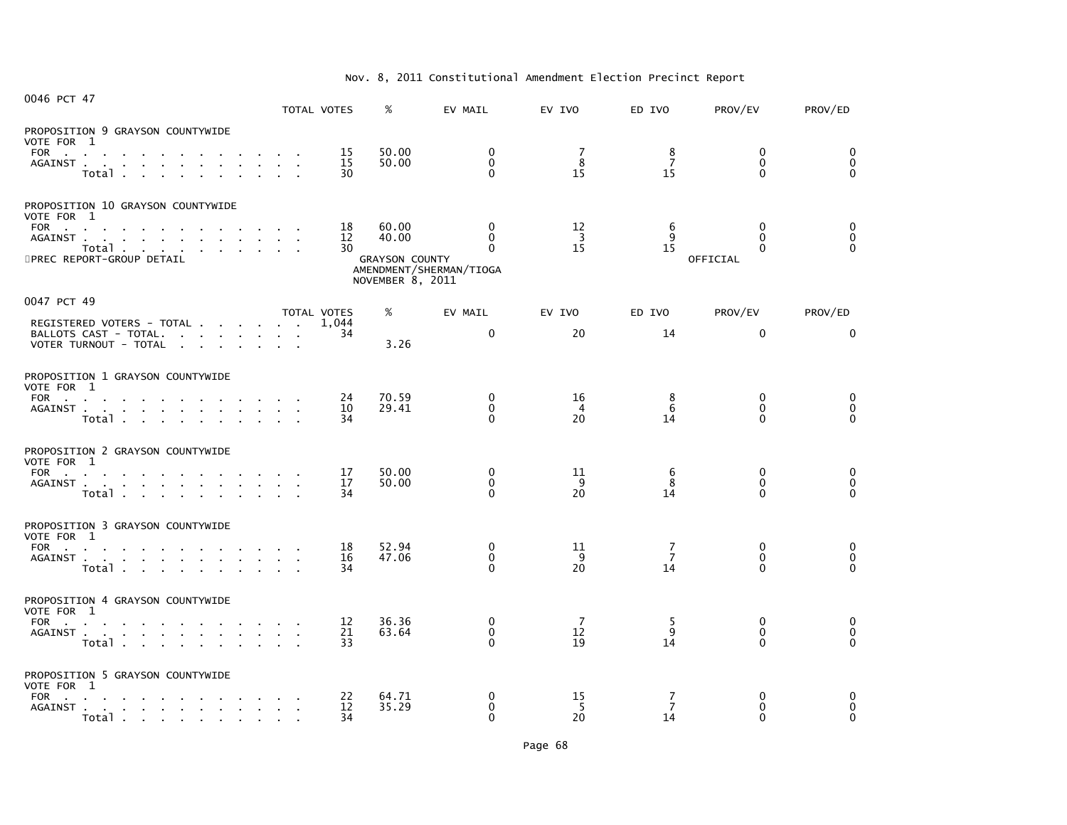| 0046 PCT 47                                                                                                                                                                 | TOTAL VOTES                             |                | %                                                           | EV MAIL                                                     | EV IVO                     | ED IVO       | PROV/EV                               | PROV/ED                       |
|-----------------------------------------------------------------------------------------------------------------------------------------------------------------------------|-----------------------------------------|----------------|-------------------------------------------------------------|-------------------------------------------------------------|----------------------------|--------------|---------------------------------------|-------------------------------|
| PROPOSITION 9 GRAYSON COUNTYWIDE<br>VOTE FOR 1<br>FOR<br>AGAINST<br>Total<br>$\mathbf{1}^{\prime}$ , $\mathbf{1}^{\prime}$ , $\mathbf{1}^{\prime}$ , $\mathbf{1}^{\prime}$  |                                         | 15<br>15<br>30 | 50.00<br>50.00                                              | $\Omega$<br>$\Omega$<br>$\mathbf{0}$                        | 7<br>8<br>15               | 8<br>7<br>15 | $\Omega$<br>$\Omega$<br>$\Omega$      | 0<br>$\mathbf 0$<br>$\Omega$  |
| PROPOSITION 10 GRAYSON COUNTYWIDE<br>VOTE FOR 1<br>FOR<br>AGAINST<br>Total<br>5PREC REPORT-GROUP DETAIL                                                                     |                                         | 18<br>12<br>30 | 60.00<br>40.00<br><b>GRAYSON COUNTY</b><br>NOVEMBER 8, 2011 | $\Omega$<br>$\Omega$<br>$\Omega$<br>AMENDMENT/SHERMAN/TIOGA | 12<br>$\overline{3}$<br>15 | 6<br>q<br>15 | $\Omega$<br>$\Omega$<br>0<br>OFFICIAL | 0<br>$\mathbf 0$<br>$\Omega$  |
| 0047 PCT 49                                                                                                                                                                 | TOTAL VOTES                             |                | %                                                           | EV MAIL                                                     | EV IVO                     | ED IVO       | PROV/EV                               | PROV/ED                       |
| REGISTERED VOTERS - TOTAL<br>BALLOTS CAST - TOTAL.<br>VOTER TURNOUT - TOTAL                                                                                                 |                                         | 1.044<br>34    | 3.26                                                        | $\Omega$                                                    | 20                         | 14           | $\mathbf 0$                           | $\mathbf{0}$                  |
| PROPOSITION 1 GRAYSON COUNTYWIDE<br>VOTE FOR 1<br>FOR<br>AGAINST<br>Total                                                                                                   |                                         | 24<br>10<br>34 | 70.59<br>29.41                                              | $\mathbf{0}$<br>$\mathbf{0}$<br>$\Omega$                    | 16<br>$\overline{4}$<br>20 | 8<br>6<br>14 | $\mathbf{0}$<br>$\Omega$<br>$\Omega$  | 0<br>$\mathbf 0$<br>$\Omega$  |
| PROPOSITION 2 GRAYSON COUNTYWIDE<br>VOTE FOR 1<br>FOR<br>AGAINST<br>$\mathbf{r}$<br>Total                                                                                   | $\mathcal{A}=\mathcal{A}=\mathcal{A}$ . | 17<br>17<br>34 | 50.00<br>50.00                                              | 0<br>$\Omega$<br>$\Omega$                                   | 11<br>9<br>20              | 6<br>8<br>14 | 0<br>$\mathbf{0}$<br>$\Omega$         | 0<br>$\mathbf 0$<br>$\Omega$  |
| PROPOSITION 3 GRAYSON COUNTYWIDE<br>VOTE FOR 1<br><b>FOR</b><br>the contract of the contract of the<br>AGAINST<br>Total                                                     |                                         | 18<br>16<br>34 | 52.94<br>47.06                                              | $\mathbf 0$<br>$\mathbf 0$<br>$\Omega$                      | 11<br>9<br>20              | 7<br>7<br>14 | $\mathbf{0}$<br>0<br>$\Omega$         | 0<br>$\mathbf 0$<br>$\Omega$  |
| PROPOSITION 4 GRAYSON COUNTYWIDE<br>VOTE FOR 1<br>FOR<br>AGAINST<br>Total, , , , , , , , ,                                                                                  |                                         | 12<br>21<br>33 | 36.36<br>63.64                                              | $\Omega$<br>$\mathbf{0}$<br>$\Omega$                        | 7<br>12<br>19              | 5<br>9<br>14 | 0<br>$\mathbf{0}$<br>$\Omega$         | 0<br>$\mathbf 0$<br>$\Omega$  |
| PROPOSITION 5 GRAYSON COUNTYWIDE<br>VOTE FOR 1<br><b>FOR</b><br>$\sim 10$<br><b>Contract Contract State</b><br>the contract of the contract of the con-<br>AGAINST<br>Total |                                         | 22<br>12<br>34 | 64.71<br>35.29                                              | 0<br>0<br>$\Omega$                                          | 15<br>-5<br>20             | 7<br>7<br>14 | $\Omega$<br>0<br>0                    | 0<br>$\mathbf{0}$<br>$\Omega$ |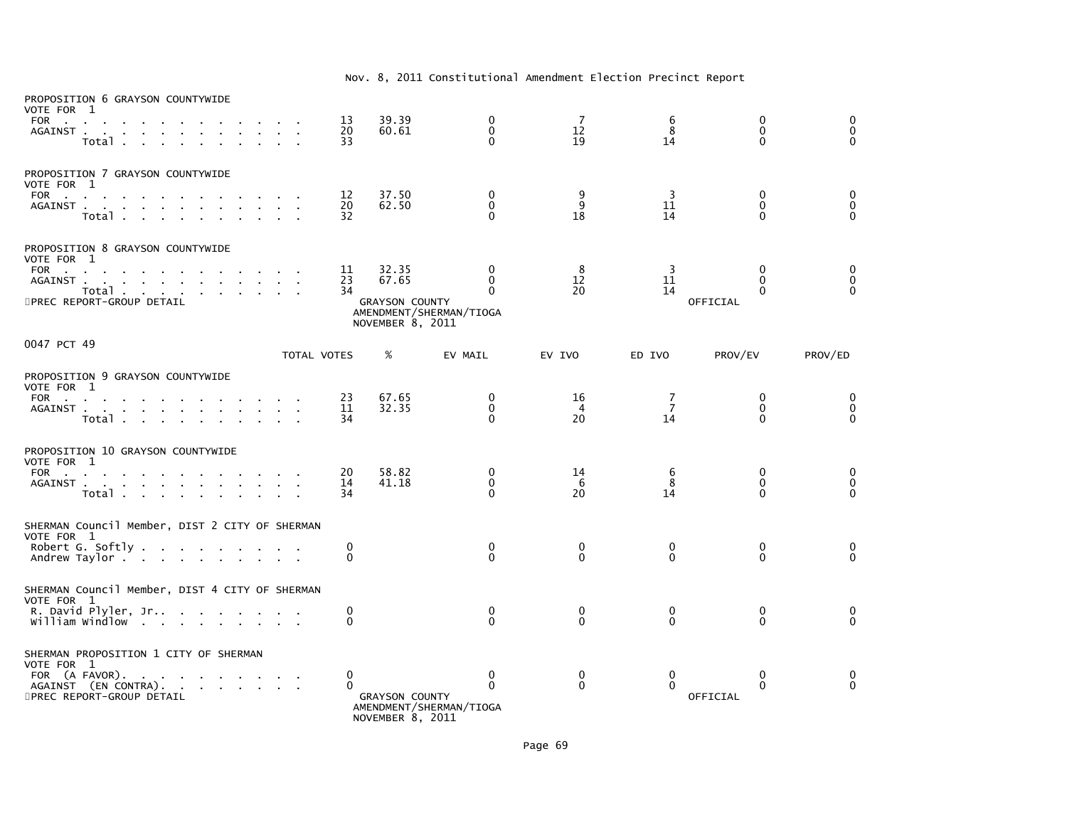| PROPOSITION 6 GRAYSON COUNTYWIDE<br>VOTE FOR 1<br>FOR<br>AGAINST.<br>the contract of the contract of<br>Total .<br><b>Contract Contract</b>                                                                                                                                                          |                                 |                        | 13<br>20<br>33     | 39.39<br>60.61                                              | $\mathbf 0$<br>$\mathbf{0}$<br>$\Omega$                         | 7<br>12<br>19              | 6<br>8<br>14               | $\mathbf 0$<br>$\Omega$<br>0                 | 0<br>$\mathbf 0$<br>$\Omega$  |
|------------------------------------------------------------------------------------------------------------------------------------------------------------------------------------------------------------------------------------------------------------------------------------------------------|---------------------------------|------------------------|--------------------|-------------------------------------------------------------|-----------------------------------------------------------------|----------------------------|----------------------------|----------------------------------------------|-------------------------------|
| PROPOSITION 7 GRAYSON COUNTYWIDE<br>VOTE FOR 1<br>FOR PORT AND PORT AND RESIDENCE AND RESIDENCE OF A STRUCK CONTROL CONTROL CONTROL CONTROL CONTROL CONTROL CONTROL CONTROL CONTROL CONTROL CONTROL CONTROL CONTROL CONTROL CONTROL CONTROL CONTROL CONTROL CONTROL CONTROL CONT<br>AGAINST<br>Total |                                 | $\sim$                 | 12<br>20<br>32     | 37.50<br>62.50                                              | 0<br>$\mathbf{0}$<br>$\Omega$                                   | 9<br>9<br>18               | $\overline{3}$<br>11<br>14 | $\mathbf{0}$<br>$\mathbf{0}$<br>0            | 0<br>$\mathbf 0$<br>$\Omega$  |
| PROPOSITION 8 GRAYSON COUNTYWIDE<br>VOTE FOR 1<br>FOR<br>AGAINST<br>Total<br>5PREC REPORT-GROUP DETAIL                                                                                                                                                                                               |                                 |                        | 11<br>23<br>34     | 32.35<br>67.65<br><b>GRAYSON COUNTY</b><br>NOVEMBER 8, 2011 | $\mathbf{0}$<br>$\Omega$<br>$\Omega$<br>AMENDMENT/SHERMAN/TIOGA | 8<br>12<br>20              | 3<br>11<br>14              | $\Omega$<br>$\Omega$<br>$\Omega$<br>OFFICIAL | 0<br>$\mathbf 0$<br>$\Omega$  |
| 0047 PCT 49                                                                                                                                                                                                                                                                                          |                                 |                        | <b>TOTAL VOTES</b> | %                                                           | EV MAIL                                                         | EV IVO                     | ED IVO                     | PROV/EV                                      | PROV/ED                       |
| PROPOSITION 9 GRAYSON COUNTYWIDE<br>VOTE FOR 1<br>FOR<br>AGAINST<br>Total                                                                                                                                                                                                                            |                                 |                        | 23<br>11<br>34     | 67.65<br>32.35                                              | 0<br>$\Omega$<br>$\Omega$                                       | 16<br>$\overline{4}$<br>20 | 7<br>7<br>14               | $\mathbf{0}$<br>$\Omega$<br>0                | 0<br>$\mathbf{0}$<br>$\Omega$ |
| PROPOSITION 10 GRAYSON COUNTYWIDE<br>VOTE FOR 1<br>FOR<br>AGAINST<br>Total                                                                                                                                                                                                                           | $\sim$                          | $\mathbf{r}$<br>$\sim$ | 20<br>14<br>34     | 58.82<br>41.18                                              | $\mathbf{0}$<br>$\Omega$<br>$\Omega$                            | 14<br>6<br>20              | 6<br>8<br>14               | $\bf{0}$<br>$\Omega$<br>0                    | 0<br>$\mathbf 0$<br>$\Omega$  |
| SHERMAN Council Member, DIST 2 CITY OF SHERMAN<br>VOTE FOR 1<br>Robert G. Softly<br>Andrew Taylor                                                                                                                                                                                                    |                                 |                        | 0<br>$\Omega$      |                                                             | $\mathbf 0$<br>$\Omega$                                         | $\mathbf 0$<br>$\Omega$    | $\mathbf 0$<br>$\Omega$    | $\mathbf{0}$<br>$\Omega$                     | 0<br>$\Omega$                 |
| SHERMAN Council Member, DIST 4 CITY OF SHERMAN<br>VOTE FOR 1<br>R. David Plyler, Jr<br>william windlow                                                                                                                                                                                               |                                 |                        | 0<br>$\Omega$      |                                                             | $\mathbf{0}$<br>$\Omega$                                        | $\mathbf{0}$<br>0          | 0<br>0                     | $\mathbf{0}$<br>0                            | 0<br>$\overline{O}$           |
| SHERMAN PROPOSITION 1 CITY OF SHERMAN<br>VOTE FOR 1<br>FOR (A FAVOR).<br><b>Contractor</b><br>AGAINST (EN CONTRA).<br>5PREC REPORT-GROUP DETAIL                                                                                                                                                      | the contract of the contract of |                        | 0<br>$\Omega$      | <b>GRAYSON COUNTY</b><br>NOVEMBER 8, 2011                   | $\mathbf 0$<br>$\Omega$<br>AMENDMENT/SHERMAN/TIOGA              | 0<br>$\mathbf{0}$          | 0<br>$\Omega$              | 0<br>$\Omega$<br>OFFICIAL                    | 0<br>$\Omega$                 |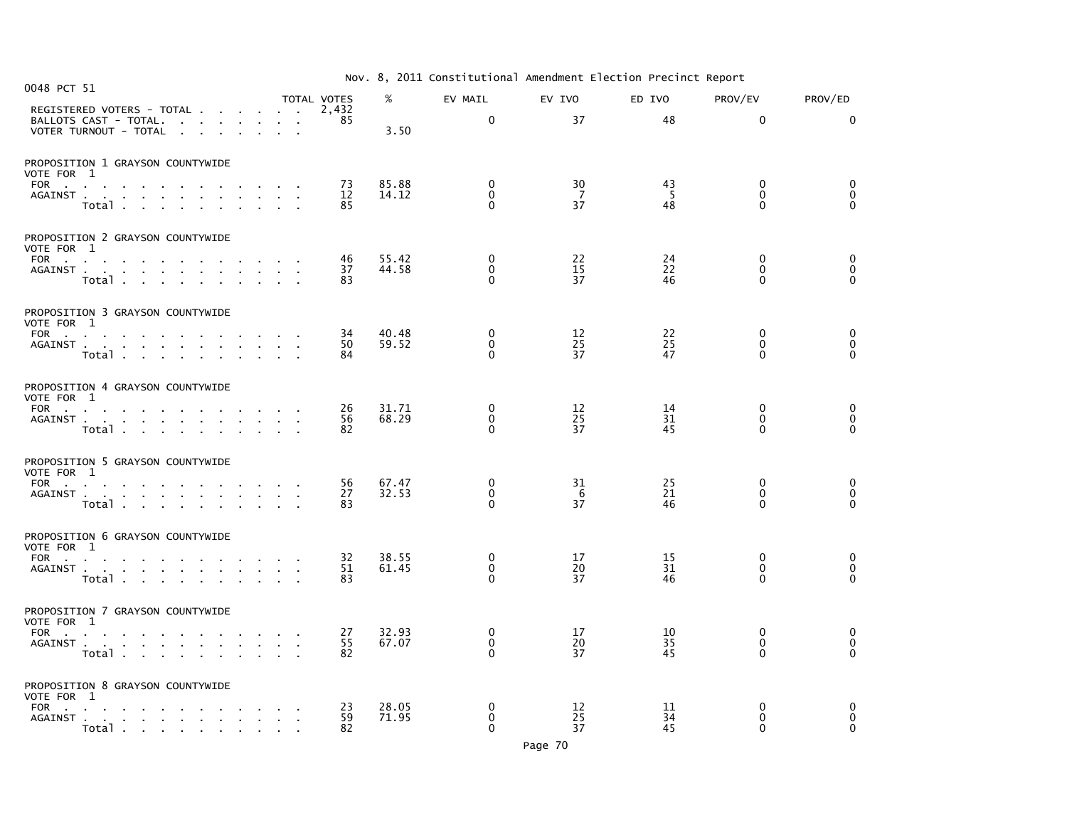| Nov. 8, 2011 Constitutional Amendment Election Precinct Report |  |
|----------------------------------------------------------------|--|
|----------------------------------------------------------------|--|

| 0048 PCT 51                                                                                                        |                                                        | TOTAL VOTES    | %              | EV MAIL                                 | EV IVO          | ED IVO         | PROV/EV                             | PROV/ED                                                        |
|--------------------------------------------------------------------------------------------------------------------|--------------------------------------------------------|----------------|----------------|-----------------------------------------|-----------------|----------------|-------------------------------------|----------------------------------------------------------------|
| REGISTERED VOTERS - TOTAL<br>BALLOTS CAST - TOTAL.<br>VOTER TURNOUT - TOTAL<br>$\sim$<br>$\sim$<br><b>Contract</b> |                                                        | 2,432<br>85    | 3.50           | $\mathbf 0$                             | 37              | 48             | $\mathbf 0$                         | $\Omega$                                                       |
| PROPOSITION 1 GRAYSON COUNTYWIDE<br>VOTE FOR 1                                                                     |                                                        |                |                |                                         |                 |                |                                     |                                                                |
| FOR<br>the contract of the contract of<br>AGAINST<br>Total                                                         |                                                        | 73<br>12<br>85 | 85.88<br>14.12 | $\Omega$<br>$\mathbf 0$<br>$\Omega$     | 30<br>- 7<br>37 | 43<br>-5<br>48 | $\Omega$<br>$\mathbf 0$<br>$\Omega$ | 0<br>$\mathbf 0$<br>$\Omega$                                   |
| PROPOSITION 2 GRAYSON COUNTYWIDE<br>VOTE FOR 1                                                                     |                                                        |                |                |                                         |                 |                |                                     |                                                                |
| FOR<br>AGAINST<br>Total                                                                                            |                                                        | 46<br>37<br>83 | 55.42<br>44.58 | $\mathbf{0}$<br>$\mathbf 0$<br>$\Omega$ | 22<br>15<br>37  | 24<br>22<br>46 | $\Omega$<br>$\mathbf 0$<br>$\Omega$ | 0<br>$\ddot{\mathbf{0}}$<br>$\Omega$                           |
| PROPOSITION 3 GRAYSON COUNTYWIDE<br>VOTE FOR 1                                                                     |                                                        |                |                |                                         |                 |                |                                     |                                                                |
| FOR<br>Total<br>$\sim$<br>$\sim$<br>$\sim$                                                                         | and the contract of the contract of<br>$\sim 10^{-11}$ | 34<br>50<br>84 | 40.48<br>59.52 | $\Omega$<br>$\mathbf 0$<br>$\Omega$     | 12<br>25<br>37  | 22<br>25<br>47 | $\Omega$<br>$\mathbf 0$<br>$\Omega$ | 0<br>$\overline{0}$                                            |
| PROPOSITION 4 GRAYSON COUNTYWIDE<br>VOTE FOR 1                                                                     |                                                        |                |                |                                         |                 |                |                                     |                                                                |
| FOR<br>$\sim$<br>Total                                                                                             |                                                        | 26<br>56<br>82 | 31.71<br>68.29 | 0<br>$\mathbf 0$<br>$\Omega$            | 12<br>25<br>37  | 14<br>31<br>45 | 0<br>$\mathbf 0$<br>$\Omega$        | 0<br>$\pmb{0}$<br>$\mathbf{0}$                                 |
| PROPOSITION 5 GRAYSON COUNTYWIDE<br>VOTE FOR 1                                                                     |                                                        |                |                |                                         |                 |                |                                     |                                                                |
| FOR<br>AGAINST<br>Total                                                                                            |                                                        | 56<br>27<br>83 | 67.47<br>32.53 | 0<br>$\mathbf 0$<br>$\Omega$            | 31<br>6<br>37   | 25<br>21<br>46 | 0<br>$\mathbf 0$<br>$\Omega$        | $\begin{smallmatrix} 0\\0 \end{smallmatrix}$<br>$\Omega$       |
| PROPOSITION 6 GRAYSON COUNTYWIDE<br>VOTE FOR 1                                                                     |                                                        |                |                |                                         |                 |                |                                     |                                                                |
| FOR<br>the company of the company of the company<br>AGAINST<br>Total                                               |                                                        | 32<br>51<br>83 | 38.55<br>61.45 | 0<br>$\mathbf 0$<br>$\Omega$            | 17<br>20<br>37  | 15<br>31<br>46 | 0<br>$\mathbf 0$<br>$\Omega$        | $\begin{smallmatrix} 0\\0 \end{smallmatrix}$<br>$\overline{0}$ |
| PROPOSITION 7 GRAYSON COUNTYWIDE<br>VOTE FOR 1                                                                     |                                                        |                |                |                                         |                 |                |                                     |                                                                |
| FOR<br>AGAINST<br>Total<br>$\sim$<br>$\sim$<br>$\sim$                                                              | $\sim 100$                                             | 27<br>55<br>82 | 32.93<br>67.07 | 0<br>$\mathbf 0$<br>$\Omega$            | 17<br>20<br>37  | 10<br>35<br>45 | 0<br>$\mathbf 0$<br>$\Omega$        | $\begin{smallmatrix} 0\\0 \end{smallmatrix}$<br>$\Omega$       |
| PROPOSITION 8 GRAYSON COUNTYWIDE<br>VOTE FOR 1                                                                     |                                                        |                |                |                                         |                 |                |                                     |                                                                |
| FOR<br>and a straightful control of the state<br>Total                                                             |                                                        | 23<br>59<br>82 | 28.05<br>71.95 | 0<br>$\mathbf 0$<br>$\Omega$            | 12<br>25<br>37  | 11<br>34<br>45 | 0<br>$\mathbf 0$<br>$\Omega$        | 0<br>$\pmb{0}$<br>$\pmb{0}$                                    |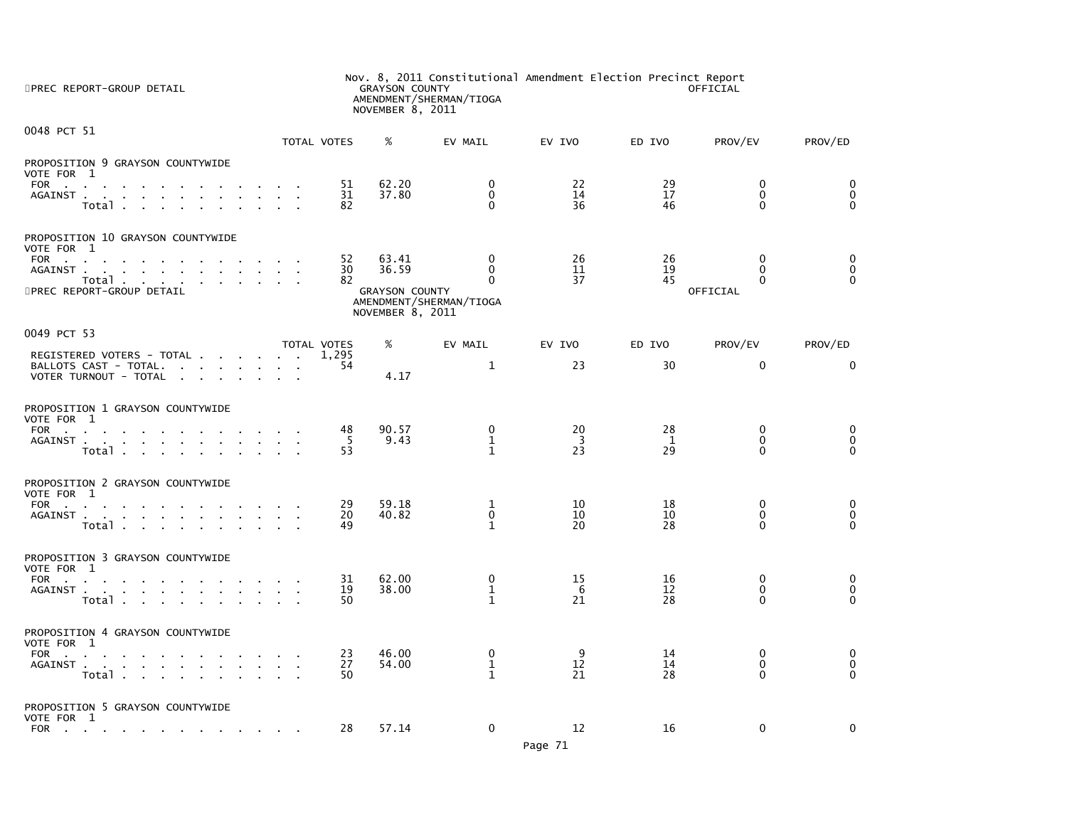| 5PREC REPORT-GROUP DETAIL                                                                                                                  | Nov. 8, 2011 Constitutional Amendment Election Precinct Report<br><b>GRAYSON COUNTY</b><br>OFFICIAL<br>AMENDMENT/SHERMAN/TIOGA<br>NOVEMBER 8, 2011 |                                           |                                     |                 |                |                              |                              |
|--------------------------------------------------------------------------------------------------------------------------------------------|----------------------------------------------------------------------------------------------------------------------------------------------------|-------------------------------------------|-------------------------------------|-----------------|----------------|------------------------------|------------------------------|
| 0048 PCT 51                                                                                                                                | TOTAL VOTES                                                                                                                                        | %                                         | EV MAIL                             | EV IVO          | ED IVO         | PROV/EV                      | PROV/ED                      |
| PROPOSITION 9 GRAYSON COUNTYWIDE<br>VOTE FOR 1                                                                                             |                                                                                                                                                    |                                           |                                     |                 |                | $\Omega$                     |                              |
| FOR<br><b>Contract Contract</b><br>AGAINST<br>Total                                                                                        | 51<br>31<br>82                                                                                                                                     | 62.20<br>37.80                            | 0<br>$\mathbf 0$<br>$\Omega$        | 22<br>14<br>36  | 29<br>17<br>46 | $\mathbf 0$<br>$\mathbf{0}$  | 0<br>$\mathbf 0$<br>$\Omega$ |
| PROPOSITION 10 GRAYSON COUNTYWIDE<br>VOTE FOR 1                                                                                            |                                                                                                                                                    |                                           |                                     |                 |                |                              |                              |
| FOR<br>the contract of the contract of the contract of<br>AGAINST.<br>the contract of the contract of the con-<br><b>Contract Contract</b> | 52<br>30                                                                                                                                           | 63.41<br>36.59                            | $\mathbf 0$<br>$\mathbf{0}$         | 26<br>11        | 26<br>19       | $\mathbf{0}$<br>$\Omega$     | 0<br>$\mathbf 0$             |
| Total<br>$\mathbf{a} = \mathbf{a} + \mathbf{a} + \mathbf{a} + \mathbf{a}$<br>5PREC REPORT-GROUP DETAIL                                     | 82                                                                                                                                                 | <b>GRAYSON COUNTY</b><br>NOVEMBER 8, 2011 | $\Omega$<br>AMENDMENT/SHERMAN/TIOGA | 37              | 45             | $\Omega$<br>OFFICIAL         | $\Omega$                     |
| 0049 PCT 53                                                                                                                                | TOTAL VOTES                                                                                                                                        | %                                         | EV MAIL                             | EV IVO          | ED IVO         | PROV/EV                      | PROV/ED                      |
| REGISTERED VOTERS - TOTAL<br>BALLOTS CAST - TOTAL.                                                                                         | 1.295<br>54                                                                                                                                        |                                           | $\mathbf{1}$                        | 23              | 30             | $\mathbf 0$                  | $\mathbf{0}$                 |
| VOTER TURNOUT - TOTAL                                                                                                                      |                                                                                                                                                    | 4.17                                      |                                     |                 |                |                              |                              |
| PROPOSITION 1 GRAYSON COUNTYWIDE<br>VOTE FOR 1                                                                                             |                                                                                                                                                    |                                           |                                     |                 |                |                              |                              |
| <b>FOR</b><br>the contract of the contract of the con-<br>AGAINST                                                                          | 48<br>-5                                                                                                                                           | 90.57<br>9.43                             | $\mathbf 0$<br>$\mathbf{1}$         | 20<br>3         | 28<br>1        | $\mathbf{0}$<br>$\mathbf{0}$ | $\mathbf{0}$<br>0            |
| Total                                                                                                                                      | 53                                                                                                                                                 |                                           | $\mathbf{1}$                        | $2\overline{3}$ | 29             | $\Omega$                     | $\Omega$                     |
| PROPOSITION 2 GRAYSON COUNTYWIDE<br>VOTE FOR 1                                                                                             |                                                                                                                                                    |                                           |                                     |                 |                |                              |                              |
| FOR<br>AGAINST                                                                                                                             | 29<br>20                                                                                                                                           | 59.18<br>40.82                            | 1<br>$\mathbf{0}$                   | 10<br>10        | 18<br>10       | $\mathbf 0$<br>$\mathbf{0}$  | 0<br>$\mathbf 0$             |
| Total                                                                                                                                      | 49                                                                                                                                                 |                                           | $\mathbf{1}$                        | 20              | 28             | 0                            | $\Omega$                     |
| PROPOSITION 3 GRAYSON COUNTYWIDE<br>VOTE FOR 1                                                                                             |                                                                                                                                                    |                                           |                                     |                 |                |                              |                              |
| FOR<br><b>Contract Contract</b><br>AGAINST                                                                                                 | 31<br>19                                                                                                                                           | 62.00<br>38.00                            | $\Omega$<br>$\mathbf{1}$            | 15<br>-6        | 16<br>12       | $\Omega$<br>$\mathbf{0}$     | $\mathbf{0}$<br>$\mathbf{0}$ |
| Total                                                                                                                                      | 50                                                                                                                                                 |                                           | $\mathbf{1}$                        | 21              | 28             | $\Omega$                     | $\Omega$                     |
| PROPOSITION 4 GRAYSON COUNTYWIDE<br>VOTE FOR 1                                                                                             |                                                                                                                                                    |                                           |                                     |                 |                |                              |                              |
| FOR<br>the contract of the contract of the<br>AGAINST<br><b>Contract Contract</b>                                                          | 23<br>27                                                                                                                                           | 46.00<br>54.00                            | 0<br>$\mathbf{1}$                   | 9<br>12         | 14<br>14       | $\mathbf 0$<br>0             | 0<br>0                       |
| Total                                                                                                                                      | 50                                                                                                                                                 |                                           | $\mathbf{1}$                        | 21              | 28             | $\Omega$                     | $\Omega$                     |
| PROPOSITION 5 GRAYSON COUNTYWIDE                                                                                                           |                                                                                                                                                    |                                           |                                     |                 |                |                              |                              |
| VOTE FOR 1<br><b>FOR</b><br>the contract of the contract of the contract of the contract of                                                | 28                                                                                                                                                 | 57.14                                     | $\mathbf 0$                         | 12              | 16             | $\mathbf 0$                  | $\mathbf 0$                  |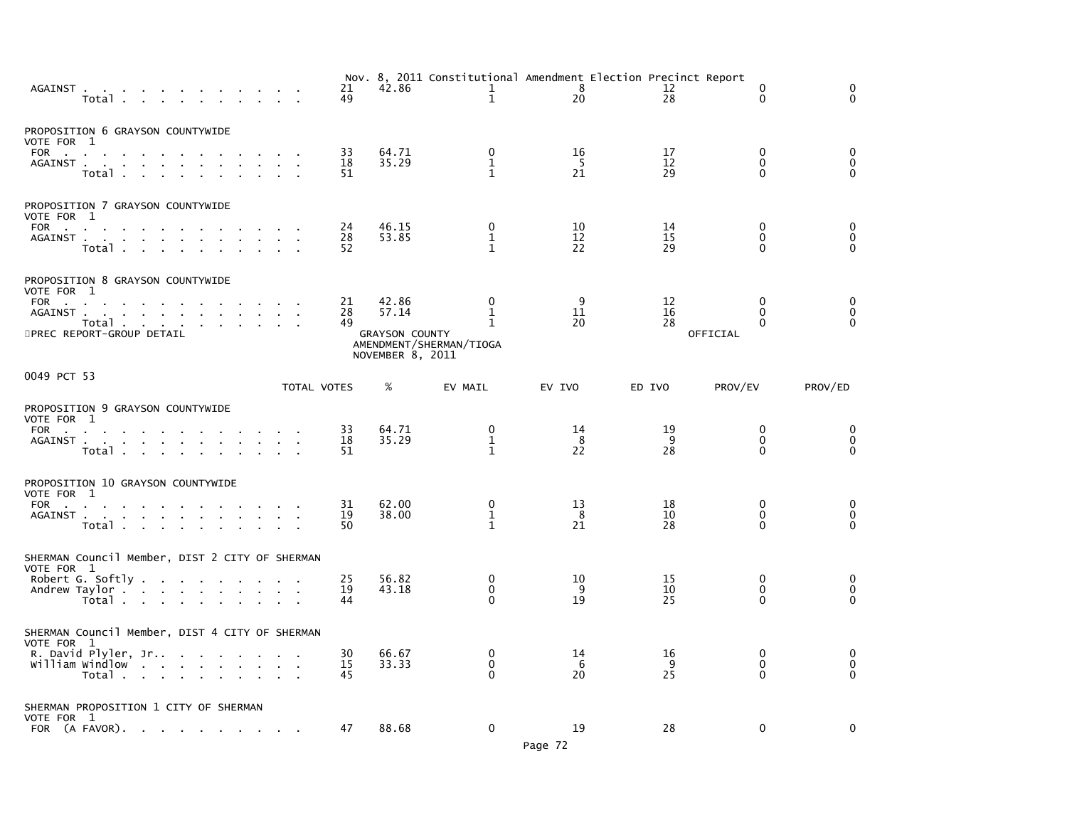| AGAINST<br>Total                                                                                                             |                                                                                         |        |                                   | 21<br>49       | 42.86                                                       | Nov. 8, 2011 Constitutional Amendment Election Precinct Report<br>$\mathbf{1}$<br>$\mathbf 1$ | - 8<br>20                   | 12<br>28       | $\Omega$<br>$\Omega$                             | $\Omega$<br>$\Omega$             |
|------------------------------------------------------------------------------------------------------------------------------|-----------------------------------------------------------------------------------------|--------|-----------------------------------|----------------|-------------------------------------------------------------|-----------------------------------------------------------------------------------------------|-----------------------------|----------------|--------------------------------------------------|----------------------------------|
| PROPOSITION 6 GRAYSON COUNTYWIDE<br>VOTE FOR 1<br>FOR<br>AGAINST<br>Total                                                    | <b>Contract Contract</b><br>$\mathcal{A}^{\mathcal{A}}$ and $\mathcal{A}^{\mathcal{A}}$ | $\sim$ | $\sim 10^{-1}$ and $\sim 10^{-1}$ | 33<br>18<br>51 | 64.71<br>35.29                                              | 0<br>$\mathbf{1}$<br>$\mathbf{1}$                                                             | 16<br>$5\phantom{.0}$<br>21 | 17<br>12<br>29 | $\mathbf 0$<br>$\mathbf{0}$<br>$\Omega$          | 0<br>$\mathbf 0$<br>$\mathbf{0}$ |
| PROPOSITION 7 GRAYSON COUNTYWIDE<br>VOTE FOR 1<br>FOR<br>AGAINST<br>Total                                                    | the contract of the contract of the<br>$\sim$                                           |        |                                   | 24<br>28<br>52 | 46.15<br>53.85                                              | 0<br>$\mathbf{1}$<br>1                                                                        | 10<br>12<br>22              | 14<br>15<br>29 | 0<br>$\Omega$<br>$\Omega$                        | 0<br>$\mathbf 0$<br>$\Omega$     |
| PROPOSITION 8 GRAYSON COUNTYWIDE<br>VOTE FOR 1<br>FOR<br>$\sim$<br>AGAINST<br>5PREC REPORT-GROUP DETAIL                      | Total                                                                                   |        |                                   | 21<br>28<br>49 | 42.86<br>57.14<br><b>GRAYSON COUNTY</b><br>NOVEMBER 8, 2011 | $\mathbf{0}$<br>1<br>1<br>AMENDMENT/SHERMAN/TIOGA                                             | 9<br>11<br>20               | 12<br>16<br>28 | $\mathbf{0}$<br>$\Omega$<br>$\Omega$<br>OFFICIAL | 0<br>0<br>$\Omega$               |
| 0049 PCT 53                                                                                                                  |                                                                                         |        | TOTAL VOTES                       |                | %                                                           | EV MAIL                                                                                       | EV IVO                      | ED IVO         | PROV/EV                                          | PROV/ED                          |
| PROPOSITION 9 GRAYSON COUNTYWIDE<br>VOTE FOR 1<br>FOR<br>AGAINST                                                             | Total                                                                                   |        |                                   | 33<br>18<br>51 | 64.71<br>35.29                                              | 0<br>$\mathbf{1}$<br>$\mathbf{1}$                                                             | 14<br>8<br>22               | 19<br>9<br>28  | 0<br>$\mathbf 0$<br>$\Omega$                     | 0<br>$\mathbf 0$<br>$\mathbf{0}$ |
| PROPOSITION 10 GRAYSON COUNTYWIDE<br>VOTE FOR 1<br>FOR<br>AGAINST<br>Total                                                   |                                                                                         |        | $\sim$ $\sim$                     | 31<br>19<br>50 | 62.00<br>38.00                                              | 0<br>$\mathbf{1}$<br>$\mathbf{1}$                                                             | 13<br>-8<br>21              | 18<br>10<br>28 | 0<br>$\Omega$<br>$\Omega$                        | 0<br>$\mathbf 0$<br>$\Omega$     |
| SHERMAN Council Member, DIST 2 CITY OF SHERMAN<br>VOTE FOR 1<br>Robert G. Softly $\ldots$ $\ldots$ $\ldots$<br>Andrew Taylor | Total $\cdots$ $\cdots$ $\cdots$                                                        |        |                                   | 25<br>19<br>44 | 56.82<br>43.18                                              | $\mathbf{0}$<br>0<br>$\Omega$                                                                 | 10<br>9<br>19               | 15<br>10<br>25 | $\mathbf{0}$<br>$\mathbf{0}$<br>$\Omega$         | $\Omega$<br>0<br>$\Omega$        |
| SHERMAN Council Member, DIST 4 CITY OF SHERMAN<br>VOTE FOR 1<br>R. David Plyler, Jr<br>william windlow                       | Total                                                                                   |        |                                   | 30<br>15<br>45 | 66.67<br>33.33                                              | 0<br>$\mathbf 0$<br>$\Omega$                                                                  | 14<br>6<br>20               | 16<br>9<br>25  | 0<br>$\mathbf{0}$<br>$\Omega$                    | 0<br>$\mathbf 0$<br>$\Omega$     |
| SHERMAN PROPOSITION 1 CITY OF SHERMAN<br>VOTE FOR 1<br>FOR (A FAVOR).                                                        |                                                                                         |        |                                   | 47             | 88.68                                                       | $\mathbf 0$                                                                                   | 19                          | 28             | $\mathbf 0$                                      | 0                                |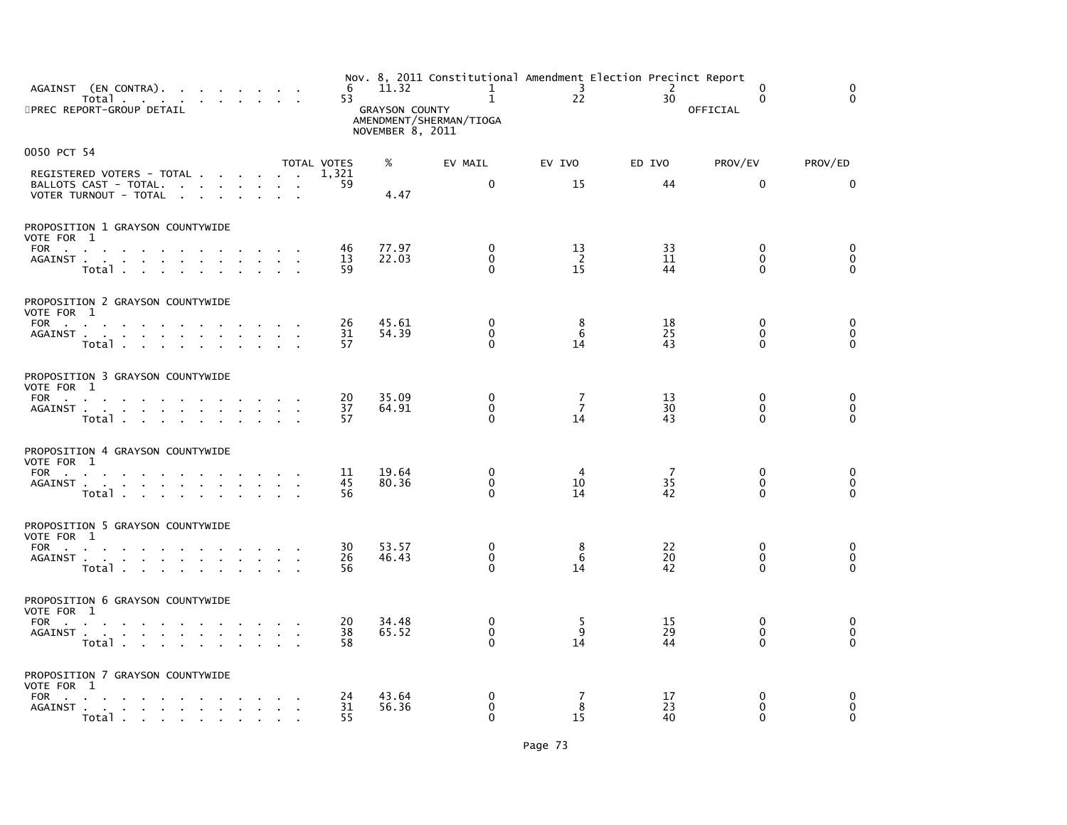| AGAINST (EN CONTRA).<br>Total<br>5PREC REPORT-GROUP DETAIL                                                                                                                                                                                        | 6<br>53         | 11.32<br><b>GRAYSON COUNTY</b> | Nov. 8, 2011 Constitutional Amendment Election Precinct Report<br>$\mathbf{1}$<br>$\mathbf{1}$<br>AMENDMENT/SHERMAN/TIOGA | $\overline{\mathbf{3}}$<br>22 | 2<br>30        | $\mathbf{0}$<br>$\mathbf{0}$<br>OFFICIAL | $\mathbf{0}$<br>$\Omega$         |
|---------------------------------------------------------------------------------------------------------------------------------------------------------------------------------------------------------------------------------------------------|-----------------|--------------------------------|---------------------------------------------------------------------------------------------------------------------------|-------------------------------|----------------|------------------------------------------|----------------------------------|
|                                                                                                                                                                                                                                                   |                 | NOVEMBER 8, 2011               |                                                                                                                           |                               |                |                                          |                                  |
| 0050 PCT 54                                                                                                                                                                                                                                       | TOTAL VOTES     | %                              | EV MAIL                                                                                                                   | EV IVO                        | ED IVO         | PROV/EV                                  | PROV/ED                          |
| REGISTERED VOTERS - TOTAL<br>BALLOTS CAST - TOTAL.<br>VOTER TURNOUT - TOTAL                                                                                                                                                                       | 1,321<br>59     | 4.47                           | $\mathbf 0$                                                                                                               | 15                            | 44             | $\mathbf{0}$                             | $\mathbf{0}$                     |
| PROPOSITION 1 GRAYSON COUNTYWIDE<br>VOTE FOR 1                                                                                                                                                                                                    |                 |                                |                                                                                                                           |                               |                |                                          |                                  |
| FOR the state of the state of the state of the state of the state of the state of the state of the state of the state of the state of the state of the state of the state of the state of the state of the state of the state<br>AGAINST<br>Total | 46<br>13<br>59  | 77.97<br>22.03                 | $\mathbf{0}$<br>$\mathbf{0}$<br>$\Omega$                                                                                  | 13<br>-2<br>15                | 33<br>11<br>44 | $\mathbf{0}$<br>$\Omega$<br>$\Omega$     | 0<br>0<br>$\Omega$               |
| PROPOSITION 2 GRAYSON COUNTYWIDE<br>VOTE FOR 1                                                                                                                                                                                                    |                 |                                |                                                                                                                           |                               |                |                                          |                                  |
| FOR<br>AGAINST<br>Total                                                                                                                                                                                                                           | 26<br>31<br>57  | 45.61<br>54.39                 | $\mathbf{0}$<br>$\mathbf 0$<br>$\Omega$                                                                                   | 8<br>6<br>14                  | 18<br>25<br>43 | $\mathbf{0}$<br>$\mathbf{0}$<br>$\Omega$ | $\mathbf 0$<br>0<br>$\Omega$     |
| PROPOSITION 3 GRAYSON COUNTYWIDE<br>VOTE FOR 1                                                                                                                                                                                                    |                 |                                |                                                                                                                           |                               |                |                                          |                                  |
| FOR<br>AGAINST<br>Total                                                                                                                                                                                                                           | 20<br>37<br>57  | 35.09<br>64.91                 | $\mathbf 0$<br>$\mathbf 0$<br>$\Omega$                                                                                    | 7<br>$\overline{7}$<br>14     | 13<br>30<br>43 | $\mathbf{0}$<br>0<br>$\Omega$            | 0<br>$\mathbf 0$<br>$\Omega$     |
| PROPOSITION 4 GRAYSON COUNTYWIDE                                                                                                                                                                                                                  |                 |                                |                                                                                                                           |                               |                |                                          |                                  |
| VOTE FOR 1<br>FOR<br>AGAINST<br>Total                                                                                                                                                                                                             | 11<br>45<br>56  | 19.64<br>80.36                 | $\mathbf{0}$<br>$\mathbf{0}$<br>$\Omega$                                                                                  | 4<br>10<br>14                 | 7<br>35<br>42  | $\mathbf{0}$<br>$\mathbf{0}$<br>$\Omega$ | 0<br>$\mathbf{0}$<br>$\Omega$    |
| PROPOSITION 5 GRAYSON COUNTYWIDE<br>VOTE FOR 1                                                                                                                                                                                                    |                 |                                |                                                                                                                           |                               |                |                                          |                                  |
| FOR<br>AGAINST<br>Total                                                                                                                                                                                                                           | 30<br>26<br>56  | 53.57<br>46.43                 | $\mathbf 0$<br>$\mathbf 0$<br>$\Omega$                                                                                    | 8<br>6<br>14                  | 22<br>20<br>42 | $\mathbf 0$<br>$\mathbf 0$<br>$\Omega$   | 0<br>$\mathbf 0$<br>$\Omega$     |
| PROPOSITION 6 GRAYSON COUNTYWIDE<br>VOTE FOR 1                                                                                                                                                                                                    |                 |                                |                                                                                                                           |                               |                |                                          |                                  |
| FOR<br>AGAINST<br>Total                                                                                                                                                                                                                           | 20<br>38<br>58  | 34.48<br>65.52                 | $\Omega$<br>$\mathbf{0}$<br>$\Omega$                                                                                      | 5<br>9<br>14                  | 15<br>29<br>44 | $\mathbf{0}$<br>$\mathbf{0}$<br>$\Omega$ | 0<br>$\mathbf 0$<br>$\mathbf{0}$ |
| PROPOSITION 7 GRAYSON COUNTYWIDE<br>VOTE FOR 1                                                                                                                                                                                                    |                 |                                |                                                                                                                           |                               |                |                                          |                                  |
| FOR<br>the contract of the contract of the con-<br>AGAINST                                                                                                                                                                                        | 24<br>31<br>55. | 43.64<br>56.36                 | 0<br>$\mathbf 0$<br>$\Omega$                                                                                              | 7<br>8<br>15                  | 17<br>23<br>40 | $\mathbf 0$<br>$\mathbf 0$<br>$\Omega$   | 0<br>$\mathbf 0$<br>$\Omega$     |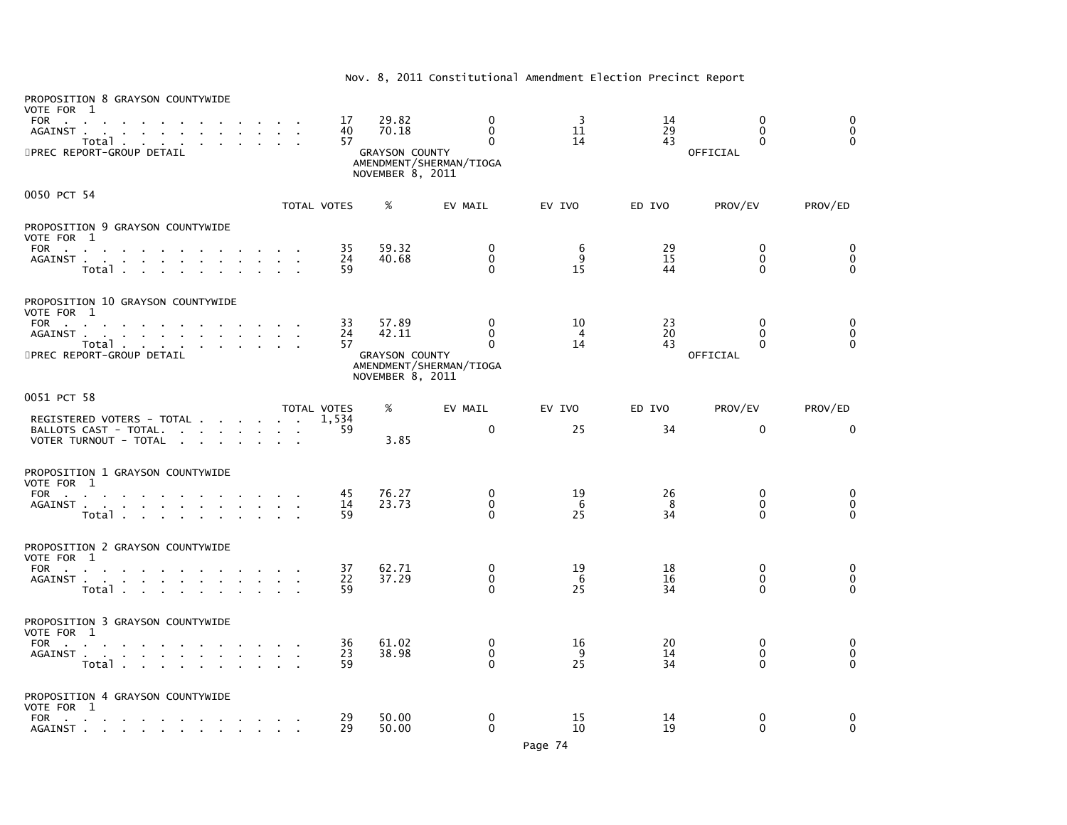| PROPOSITION 8 GRAYSON COUNTYWIDE<br>VOTE FOR 1<br><b>FOR</b><br><b>Contract Contract</b><br>AGAINST.<br>the company of the company of the<br>Total<br>5PREC REPORT-GROUP DETAIL |                                                                                                                 | 17<br>40<br>57       | 29.82<br>70.18<br><b>GRAYSON COUNTY</b><br>NOVEMBER 8, 2011 | $\mathbf{0}$<br>$\Omega$<br>$\Omega$<br>AMENDMENT/SHERMAN/TIOGA | 3<br>11<br>14        | 14<br>29<br>43 | $\Omega$<br>$\Omega$<br>$\Omega$<br>OFFICIAL | $\Omega$<br>$\mathbf 0$<br>$\Omega$ |
|---------------------------------------------------------------------------------------------------------------------------------------------------------------------------------|-----------------------------------------------------------------------------------------------------------------|----------------------|-------------------------------------------------------------|-----------------------------------------------------------------|----------------------|----------------|----------------------------------------------|-------------------------------------|
| 0050 PCT 54                                                                                                                                                                     |                                                                                                                 | TOTAL VOTES          | %                                                           | EV MAIL                                                         | EV IVO               | ED IVO         |                                              |                                     |
| PROPOSITION 9 GRAYSON COUNTYWIDE                                                                                                                                                |                                                                                                                 |                      |                                                             |                                                                 |                      |                | PROV/EV                                      | PROV/ED                             |
| VOTE FOR 1                                                                                                                                                                      |                                                                                                                 |                      |                                                             |                                                                 |                      |                |                                              |                                     |
| FOR<br>AGAINST                                                                                                                                                                  |                                                                                                                 | 35<br>24             | 59.32<br>40.68                                              | $\mathbf 0$<br>$\Omega$                                         | 6<br>9               | 29<br>15       | $\mathbf 0$<br>$\Omega$                      | $\mathbf 0$<br>$\Omega$             |
| Total                                                                                                                                                                           |                                                                                                                 | 59                   |                                                             | $\Omega$                                                        | 15                   | 44             | O                                            | $\Omega$                            |
| PROPOSITION 10 GRAYSON COUNTYWIDE<br>VOTE FOR 1                                                                                                                                 |                                                                                                                 |                      |                                                             |                                                                 |                      |                |                                              |                                     |
| FOR<br>the contract of the contract of<br>AGAINST                                                                                                                               | the contract of the contract of the contract of the contract of the contract of the contract of the contract of | 33<br>24             | 57.89<br>42.11                                              | $\mathbf{0}$<br>$\Omega$                                        | 10<br>$\overline{4}$ | 23<br>20       | $\Omega$<br>$\Omega$                         | $\Omega$<br>$\mathbf 0$             |
| Total<br>the contract of the contract                                                                                                                                           |                                                                                                                 | 57                   |                                                             | 0                                                               | 14                   | 43             | $\Omega$                                     | $\mathbf{0}$                        |
| 5PREC REPORT-GROUP DETAIL                                                                                                                                                       |                                                                                                                 |                      | <b>GRAYSON COUNTY</b><br>NOVEMBER 8, 2011                   | AMENDMENT/SHERMAN/TIOGA                                         |                      |                | OFFICIAL                                     |                                     |
| 0051 PCT 58                                                                                                                                                                     |                                                                                                                 |                      |                                                             |                                                                 |                      |                |                                              |                                     |
| REGISTERED VOTERS - TOTAL                                                                                                                                                       |                                                                                                                 | TOTAL VOTES<br>1,534 | %                                                           | EV MAIL                                                         | EV IVO               | ED IVO         | PROV/EV                                      | PROV/ED                             |
| BALLOTS CAST - TOTAL.<br>VOTER TURNOUT - TOTAL                                                                                                                                  |                                                                                                                 | 59                   | 3.85                                                        | $\mathbf 0$                                                     | 25                   | 34             | $\mathbf 0$                                  | 0                                   |
| PROPOSITION 1 GRAYSON COUNTYWIDE<br>VOTE FOR 1                                                                                                                                  |                                                                                                                 |                      |                                                             |                                                                 |                      |                |                                              |                                     |
| FOR<br>$\sim$ 10 $\pm$                                                                                                                                                          |                                                                                                                 | 45                   | 76.27                                                       | $\mathbf{0}$                                                    | 19                   | 26             | $\Omega$                                     | 0                                   |
| AGAINST<br>Total                                                                                                                                                                | $\mathbf{r}$                                                                                                    | 14<br>59             | 23.73                                                       | $\mathbf{0}$<br>$\Omega$                                        | -6<br>25             | 8<br>34        | $\mathbf{0}$<br>$\Omega$                     | $\mathbf 0$<br>$\Omega$             |
|                                                                                                                                                                                 |                                                                                                                 |                      |                                                             |                                                                 |                      |                |                                              |                                     |
| PROPOSITION 2 GRAYSON COUNTYWIDE<br>VOTE FOR 1                                                                                                                                  |                                                                                                                 |                      |                                                             |                                                                 |                      |                |                                              |                                     |
| <b>FOR</b><br>the contract of the contract of the                                                                                                                               |                                                                                                                 | 37                   | 62.71                                                       | 0                                                               | 19                   | 18             | $\Omega$                                     | 0                                   |
| AGAINST<br>Total .<br><b>Contract Contract</b><br>$\sim$                                                                                                                        |                                                                                                                 | 22<br>59             | 37.29                                                       | $\mathbf{0}$<br>$\Omega$                                        | 6<br>25              | 16<br>34       | $\Omega$<br>$\Omega$                         | $\mathbf 0$<br>$\Omega$             |
| PROPOSITION 3 GRAYSON COUNTYWIDE                                                                                                                                                |                                                                                                                 |                      |                                                             |                                                                 |                      |                |                                              |                                     |
| VOTE FOR 1                                                                                                                                                                      |                                                                                                                 |                      |                                                             |                                                                 |                      |                |                                              |                                     |
| <b>FOR</b><br>the contract of the contract of<br>AGAINST                                                                                                                        |                                                                                                                 | 36<br>23             | 61.02<br>38.98                                              | $\mathbf 0$<br>$\mathbf 0$                                      | 16<br>9              | 20<br>14       | 0<br>0                                       | 0<br>$\pmb{0}$                      |
| Total                                                                                                                                                                           |                                                                                                                 | 59                   |                                                             | $\Omega$                                                        | 25                   | 34             | $\Omega$                                     | $\Omega$                            |
| PROPOSITION 4 GRAYSON COUNTYWIDE<br>VOTE FOR 1                                                                                                                                  |                                                                                                                 |                      |                                                             |                                                                 |                      |                |                                              |                                     |
| <b>FOR</b><br>the contract of the<br>the contract of the contract of the contract of<br>AGAINST                                                                                 |                                                                                                                 | 29<br>29             | 50.00<br>50.00                                              | 0<br>$\Omega$                                                   | 15<br>10             | 14<br>19       | $\Omega$<br>0                                | 0<br>$\Omega$                       |
|                                                                                                                                                                                 |                                                                                                                 |                      |                                                             |                                                                 |                      |                |                                              |                                     |

## Nov. 8, 2011 Constitutional Amendment Election Precinct Report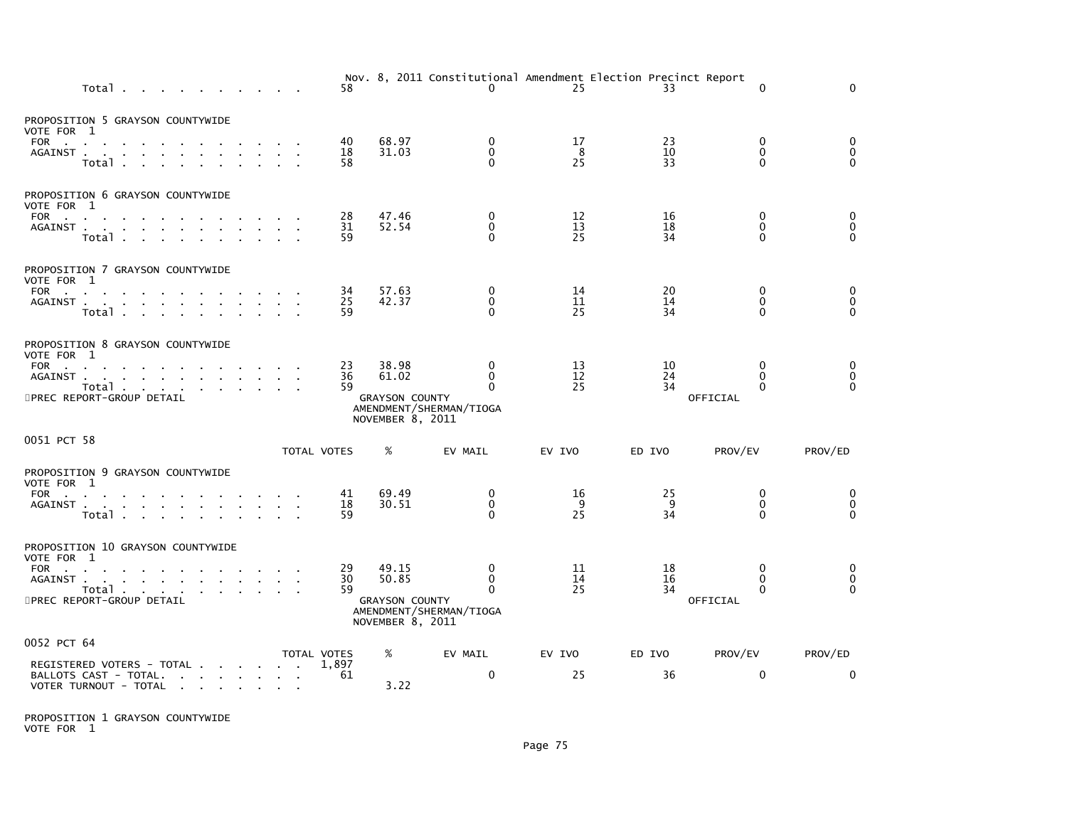| Total                                                                                                                                                                                                 | 58             |                                                             | 0                                                                  | Nov. 8, 2011 Constitutional Amendment Election Precinct Report<br>25 | 33             | $\mathbf{0}$                                     | $\Omega$                                                   |
|-------------------------------------------------------------------------------------------------------------------------------------------------------------------------------------------------------|----------------|-------------------------------------------------------------|--------------------------------------------------------------------|----------------------------------------------------------------------|----------------|--------------------------------------------------|------------------------------------------------------------|
| PROPOSITION 5 GRAYSON COUNTYWIDE<br>VOTE FOR 1<br>FOR<br>AGAINST.<br>the company of the company<br>Total                                                                                              | 40<br>18<br>58 | 68.97<br>31.03                                              | 0<br>$\mathbf 0$<br>$\Omega$                                       | 17<br>8<br>25                                                        | 23<br>10<br>33 | 0<br>0<br>$\Omega$                               | 0<br>$\pmb{0}$<br>$\Omega$                                 |
| PROPOSITION 6 GRAYSON COUNTYWIDE<br>VOTE FOR 1<br>FOR<br>AGAINST<br>Total                                                                                                                             | 28<br>31<br>59 | 47.46<br>52.54                                              | 0<br>$\mathbf{0}$<br>$\Omega$                                      | 12<br>13<br>25                                                       | 16<br>18<br>34 | 0<br>$\mathbf{0}$<br>$\Omega$                    | $\begin{smallmatrix}0\0\0\end{smallmatrix}$<br>$\Omega$    |
| PROPOSITION 7 GRAYSON COUNTYWIDE<br>VOTE FOR 1<br>AGAINST<br>Total                                                                                                                                    | 34<br>25<br>59 | 57.63<br>42.37                                              | $\mathbf 0$<br>$\mathbf 0$<br>$\Omega$                             | 14<br>11<br>25                                                       | 20<br>14<br>34 | 0<br>$\mathbf 0$<br>$\Omega$                     | $\begin{smallmatrix}0\0\end{smallmatrix}$<br>$\mathbf{0}$  |
| PROPOSITION 8 GRAYSON COUNTYWIDE<br>VOTE FOR 1<br>FOR<br>the contract of the contract of the con-<br>AGAINST<br>Total<br>5PREC REPORT-GROUP DETAIL                                                    | 23<br>36<br>59 | 38.98<br>61.02<br><b>GRAYSON COUNTY</b><br>NOVEMBER 8, 2011 | 0<br>$\mathbf 0$<br>$\Omega$<br>AMENDMENT/SHERMAN/TIOGA            | 13<br>12<br>25                                                       | 10<br>24<br>34 | $\mathbf{0}$<br>0<br>$\Omega$<br>OFFICIAL        | 0<br>$\pmb{0}$<br>$\Omega$                                 |
| 0051 PCT 58                                                                                                                                                                                           | TOTAL VOTES    | %                                                           | EV MAIL                                                            | EV IVO                                                               | ED IVO         | PROV/EV                                          | PROV/ED                                                    |
| PROPOSITION 9 GRAYSON COUNTYWIDE<br>VOTE FOR 1<br>FOR<br>the contract of the contract of the<br>AGAINST<br>Total                                                                                      | 41<br>18<br>59 | 69.49<br>30.51                                              | 0<br>$\mathbf 0$<br>$\Omega$                                       | 16<br>9<br>25                                                        | 25<br>9<br>34  | 0<br>$\mathbf{0}$<br>$\Omega$                    | $\begin{smallmatrix} 0 \\ 0 \end{smallmatrix}$<br>$\Omega$ |
| PROPOSITION 10 GRAYSON COUNTYWIDE<br>VOTE FOR 1<br>FOR<br>the company of the company<br>AGAINST<br>Total<br>5PREC REPORT-GROUP DETAIL                                                                 | 29<br>30<br>59 | 49.15<br>50.85<br><b>GRAYSON COUNTY</b><br>NOVEMBER 8, 2011 | $\mathbf{0}$<br>$\mathbf 0$<br>$\Omega$<br>AMENDMENT/SHERMAN/TIOGA | 11<br>14<br>25                                                       | 18<br>16<br>34 | $\Omega$<br>$\mathbf{0}$<br>$\Omega$<br>OFFICIAL | 0<br>$\pmb{0}$<br>$\Omega$                                 |
| 0052 PCT 64                                                                                                                                                                                           | TOTAL VOTES    | %                                                           | EV MAIL                                                            | EV IVO                                                               | ED IVO         | PROV/EV                                          | PROV/ED                                                    |
| REGISTERED VOTERS - TOTAL<br>BALLOTS CAST - TOTAL.<br>the contract of the contract of the<br>VOTER TURNOUT - TOTAL<br>the contract of the contract of the contract of the contract of the contract of | 1,897<br>61    | 3.22                                                        | $\mathbf{0}$                                                       | 25                                                                   | 36             | $\mathbf{0}$                                     | $\mathbf{0}$                                               |

PROPOSITION 1 GRAYSON COUNTYWIDE VOTE FOR 1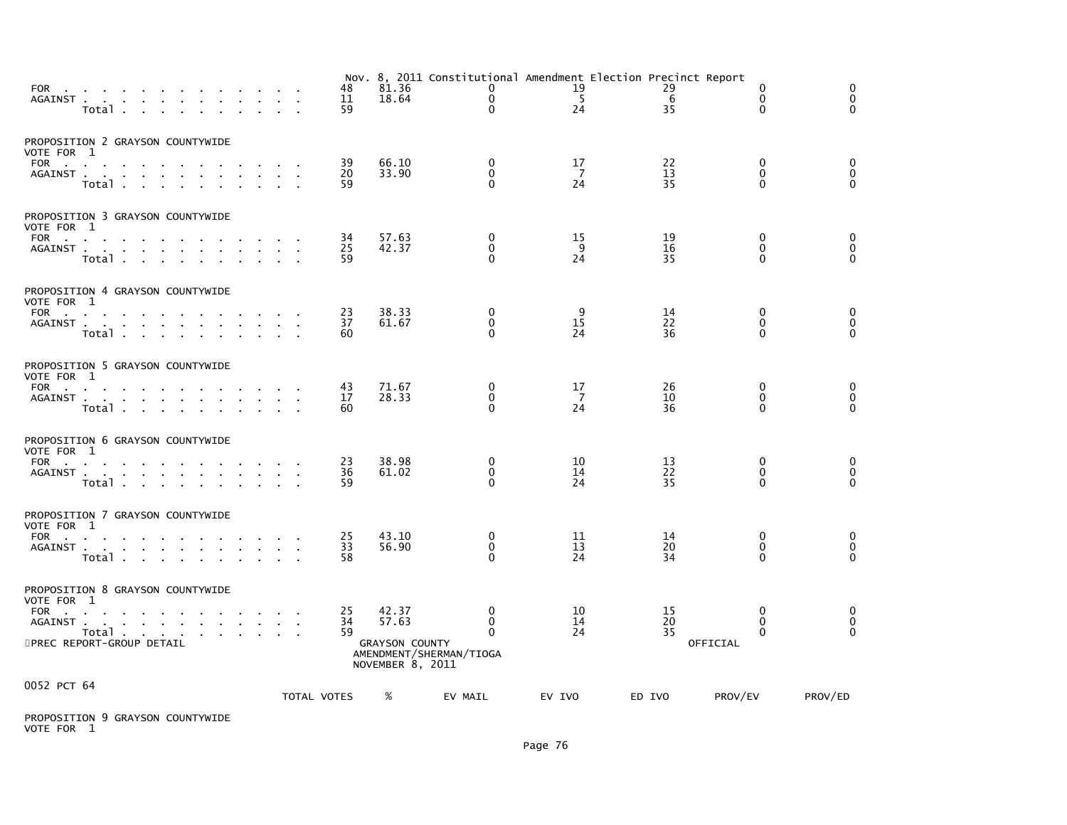| FOR PORT CONTROL CONTROL CONTROL CONTROL CONTROL CONTROL CONTROL CONTROL CONTROL CONTROL CONTROL CONTROL CONTROL CONTROL CONTROL CONTROL CONTROL CONTROL CONTROL CONTROL CONTROL CONTROL CONTROL CONTROL CONTROL CONTROL CONTR<br>AGAINST | Total                               |                                           |                           | $\sim$                            |  |        |                                      |             | 48<br>11<br>59 | 81.36<br>18.64                                              |                         | 0<br>$\mathbf 0$<br>$\mathbf{0}$  | Nov. 8, 2011 Constitutional Amendment Election Precinct Report<br>19<br>5<br>24 | 29<br>6<br>35                          |          | 0<br>$\mathbf 0$<br>$\Omega$                 | 0<br>$\mathbf 0$<br>$\Omega$    |  |
|-------------------------------------------------------------------------------------------------------------------------------------------------------------------------------------------------------------------------------------------|-------------------------------------|-------------------------------------------|---------------------------|-----------------------------------|--|--------|--------------------------------------|-------------|----------------|-------------------------------------------------------------|-------------------------|-----------------------------------|---------------------------------------------------------------------------------|----------------------------------------|----------|----------------------------------------------|---------------------------------|--|
| PROPOSITION 2 GRAYSON COUNTYWIDE<br>VOTE FOR 1<br>FOR<br>AGAINST.                                                                                                                                                                         | <b>Contract Contract</b><br>Total   |                                           | $\sim 10^{-11}$<br>$\sim$ |                                   |  |        |                                      |             | 39<br>20<br>59 | 66.10<br>33.90                                              |                         | $\mathbf{0}$<br>$\mathbf{0}$<br>0 | 17<br>$\overline{7}$<br>24                                                      | 22<br>13<br>35                         |          | $\Omega$<br>$\Omega$<br>$\Omega$             | 0<br>0<br>$\Omega$              |  |
| PROPOSITION 3 GRAYSON COUNTYWIDE<br>VOTE FOR 1<br>FOR<br>AGAINST.                                                                                                                                                                         | Total .                             | the company of the company of the company |                           | <b>Contract Contract</b>          |  |        |                                      |             | 34<br>25<br>59 | 57.63<br>42.37                                              |                         | 0<br>$\mathbf{0}$<br>0            | 15<br>9<br>24                                                                   | 19<br>16<br>35                         |          | $\mathbf{0}$<br>$\mathbf{0}$<br>$\mathbf{0}$ | 0<br>0<br>$\mathbf 0$           |  |
| PROPOSITION 4 GRAYSON COUNTYWIDE<br>VOTE FOR 1<br>FOR<br>AGAINST                                                                                                                                                                          | Total                               | $\mathbf{r}$<br>$\sim 10^{-1}$            | $\sim 10^{-1}$            | the control of the control of the |  | $\sim$ |                                      |             | 23<br>37<br>60 | 38.33<br>61.67                                              |                         | 0<br>0<br>0                       | 9<br>15<br>24                                                                   | 14<br>22<br>36                         |          | 0<br>0<br>$\mathbf{0}$                       | 0<br>0<br>$\Omega$              |  |
| PROPOSITION 5 GRAYSON COUNTYWIDE<br>VOTE FOR 1<br>FOR<br>AGAINST                                                                                                                                                                          | Total.                              |                                           |                           |                                   |  |        |                                      |             | 43<br>17<br>60 | 71.67<br>28.33                                              |                         | 0<br>0<br>$\Omega$                | 17<br>$\overline{7}$<br>24                                                      | 26<br>10<br>36                         |          | 0<br>0<br>$\Omega$                           | 0<br>$\mathbf 0$<br>$\mathbf 0$ |  |
| PROPOSITION 6 GRAYSON COUNTYWIDE<br>VOTE FOR 1<br>FOR<br>AGAINST                                                                                                                                                                          | <b>Contract Contract</b><br>Total . |                                           |                           | and the contract of the con-      |  |        |                                      |             | 23<br>36<br>59 | 38.98<br>61.02                                              |                         | 0<br>$\mathbf 0$<br>0             | 10<br>14<br>24                                                                  | 13<br>$\overline{2}\overline{2}$<br>35 |          | 0<br>$\mathbf 0$<br>$\Omega$                 | 0<br>$\pmb{0}$<br>$\mathbf 0$   |  |
| PROPOSITION 7 GRAYSON COUNTYWIDE<br>VOTE FOR 1<br>FOR<br>AGAINST .                                                                                                                                                                        | Total .                             | the contract of the contract of the       |                           | <b>Contract Contract</b>          |  |        |                                      |             | 25<br>33<br>58 | 43.10<br>56.90                                              |                         | 0<br>0<br>0                       | 11<br>13<br>24                                                                  | 14<br>20<br>34                         |          | 0<br>$\mathbf 0$<br>$\mathbf{0}$             | 0<br>$\mathbf 0$<br>$\Omega$    |  |
| PROPOSITION 8 GRAYSON COUNTYWIDE<br>VOTE FOR 1<br>FOR<br>AGAINST.<br>5PREC REPORT-GROUP DETAIL                                                                                                                                            | Total                               | and a straightful contract and a straight |                           |                                   |  |        | $\sim$<br>$\mathcal{L}_{\mathbf{a}}$ |             | 25<br>34<br>59 | 42.37<br>57.63<br><b>GRAYSON COUNTY</b><br>NOVEMBER 8, 2011 | AMENDMENT/SHERMAN/TIOGA | $\Omega$<br>$\mathbf{0}$<br>0     | 10<br>14<br>24                                                                  | 15<br>20<br>35                         | OFFICIAL | 0<br>0<br>$\mathbf{0}$                       | 0<br>$\mathbf 0$<br>$\Omega$    |  |
| 0052 PCT 64                                                                                                                                                                                                                               |                                     |                                           |                           |                                   |  |        |                                      | TOTAL VOTES |                | %                                                           | EV MAIL                 |                                   | EV IVO                                                                          | ED IVO                                 | PROV/EV  |                                              | PROV/ED                         |  |

PROPOSITION 9 GRAYSON COUNTYWIDE VOTE FOR 1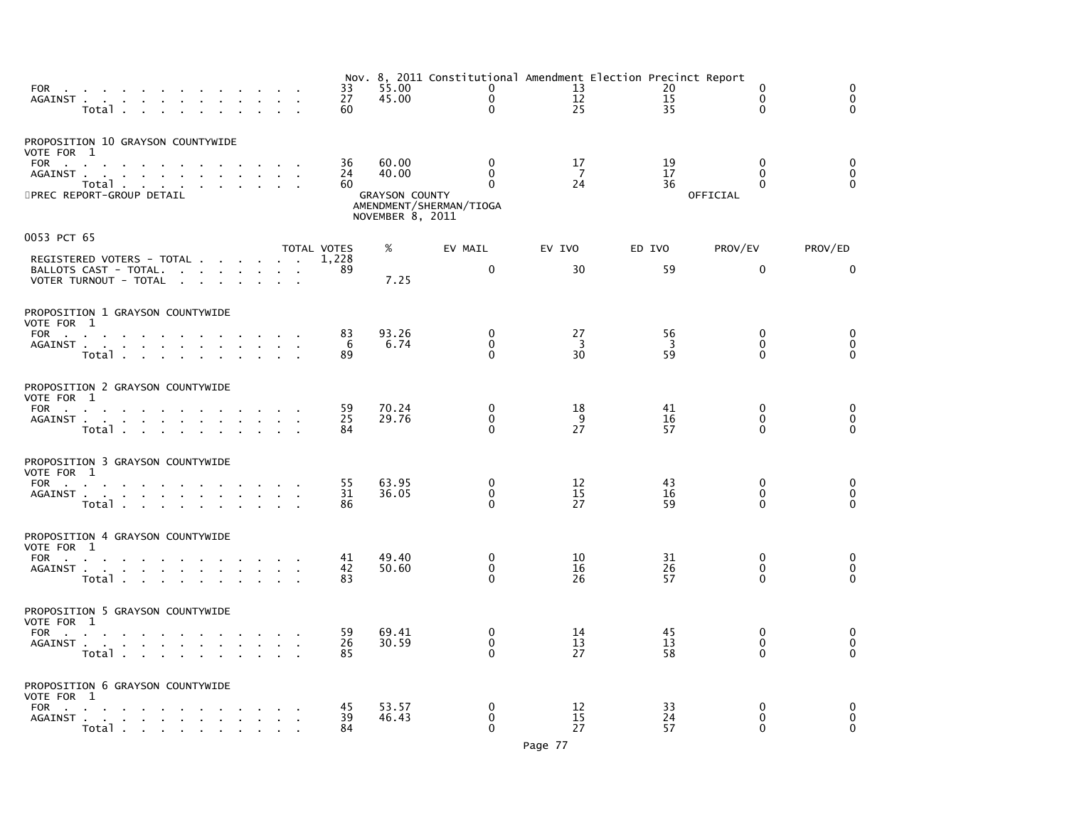| FOR the contract of the contract of the contract of the contract of the contract of the contract of the contract of the contract of the contract of the contract of the contract of the contract of the contract of the contra<br>AGAINST<br>Total<br><b>Contract Contract</b> |              | 33<br>27<br>60 | 55.00<br>45.00                                              | Nov. 8, 2011 Constitutional Amendment Election Precinct Report<br>$\Omega$<br>$\mathbf 0$<br>$\mathbf{0}$ | 13<br>12<br>25              | 20<br>15<br>35 | $\Omega$<br>$\mathbf{0}$<br>0                    | $\Omega$<br>$\Omega$<br>$\Omega$ |
|--------------------------------------------------------------------------------------------------------------------------------------------------------------------------------------------------------------------------------------------------------------------------------|--------------|----------------|-------------------------------------------------------------|-----------------------------------------------------------------------------------------------------------|-----------------------------|----------------|--------------------------------------------------|----------------------------------|
| PROPOSITION 10 GRAYSON COUNTYWIDE<br>VOTE FOR 1<br>FOR<br>and a strong control of the strong strong and<br>AGAINST .<br>the contract of the contract of the contract of<br>Total<br>$\sim$<br>5PREC REPORT-GROUP DETAIL                                                        |              | 36<br>24<br>60 | 60.00<br>40.00<br><b>GRAYSON COUNTY</b><br>NOVEMBER 8, 2011 | $\mathbf{0}$<br>$\Omega$<br>$\Omega$<br>AMENDMENT/SHERMAN/TIOGA                                           | 17<br>-7<br>24              | 19<br>17<br>36 | $\mathbf{0}$<br>$\Omega$<br>$\Omega$<br>OFFICIAL | $\mathbf{0}$<br>0<br>$\Omega$    |
| 0053 PCT 65                                                                                                                                                                                                                                                                    |              | TOTAL VOTES    | %                                                           | EV MAIL                                                                                                   | EV IVO                      | ED IVO         | PROV/EV                                          | PROV/ED                          |
| REGISTERED VOTERS - TOTAL<br>BALLOTS CAST - TOTAL.<br>VOTER TURNOUT - TOTAL                                                                                                                                                                                                    |              | 1,228<br>89    | 7.25                                                        | $\mathbf 0$                                                                                               | 30                          | 59             | $\mathbf 0$                                      | 0                                |
| PROPOSITION 1 GRAYSON COUNTYWIDE<br>VOTE FOR 1<br>FOR<br><b>Contract Contract</b><br>AGAINST<br><b>Carl Carl</b><br>Total<br><b>Contract Contract</b>                                                                                                                          |              | 83<br>6<br>89  | 93.26<br>6.74                                               | 0<br>0<br>$\Omega$                                                                                        | 27<br>3<br>30               | 56<br>3<br>59  | $\mathbf{0}$<br>0<br>$\Omega$                    | 0<br>0<br>$\Omega$               |
| PROPOSITION 2 GRAYSON COUNTYWIDE<br>VOTE FOR 1<br>FOR<br>AGAINST<br>Total                                                                                                                                                                                                      |              | 59<br>25<br>84 | 70.24<br>29.76                                              | 0<br>$\Omega$<br>$\Omega$                                                                                 | 18<br>9<br>27               | 41<br>16<br>57 | 0<br>$\mathbf{0}$<br>$\Omega$                    | 0<br>0<br>$\Omega$               |
| PROPOSITION 3 GRAYSON COUNTYWIDE<br>VOTE FOR 1<br>FOR<br>the contract of the contract of the<br>AGAINST<br>Total                                                                                                                                                               |              | 55<br>31<br>86 | 63.95<br>36.05                                              | $\Omega$<br>$\mathbf{0}$<br>$\Omega$                                                                      | 12<br>15<br>27              | 43<br>16<br>59 | $\Omega$<br>$\Omega$<br>0                        | 0<br>$\mathbf 0$<br>$\Omega$     |
| PROPOSITION 4 GRAYSON COUNTYWIDE<br>VOTE FOR 1<br>FOR<br>the company of the company<br>AGAINST<br>Total                                                                                                                                                                        | $\mathbf{r}$ | 41<br>42<br>83 | 49.40<br>50.60                                              | $\Omega$<br>$\mathbf 0$<br>$\Omega$                                                                       | 10<br>16<br>26              | 31<br>26<br>57 | $\mathbf{0}$<br>$\mathbf{0}$<br>0                | 0<br>$\mathbf 0$<br>$\mathbf{0}$ |
| PROPOSITION 5 GRAYSON COUNTYWIDE<br>VOTE FOR 1<br>FOR<br>the contract of the contract<br>AGAINST<br>Total .<br>the contract of the contract of the                                                                                                                             |              | 59<br>26<br>85 | 69.41<br>30.59                                              | 0<br>$\Omega$<br>$\Omega$                                                                                 | 14<br>13<br>27              | 45<br>13<br>58 | $\mathbf{0}$<br>$\Omega$<br>0                    | 0<br>$\mathbf 0$<br>$\Omega$     |
| PROPOSITION 6 GRAYSON COUNTYWIDE<br>VOTE FOR 1<br><b>FOR</b><br><b>Contract Contract</b><br>AGAINST<br>Total                                                                                                                                                                   |              | 45<br>39<br>84 | 53.57<br>46.43                                              | $\Omega$<br>$\Omega$<br>$\mathbf{0}$                                                                      | 12<br>$\overline{15}$<br>27 | 33<br>24<br>57 | 0<br>0<br>$\Omega$                               | 0<br>$\mathbf 0$<br>$\Omega$     |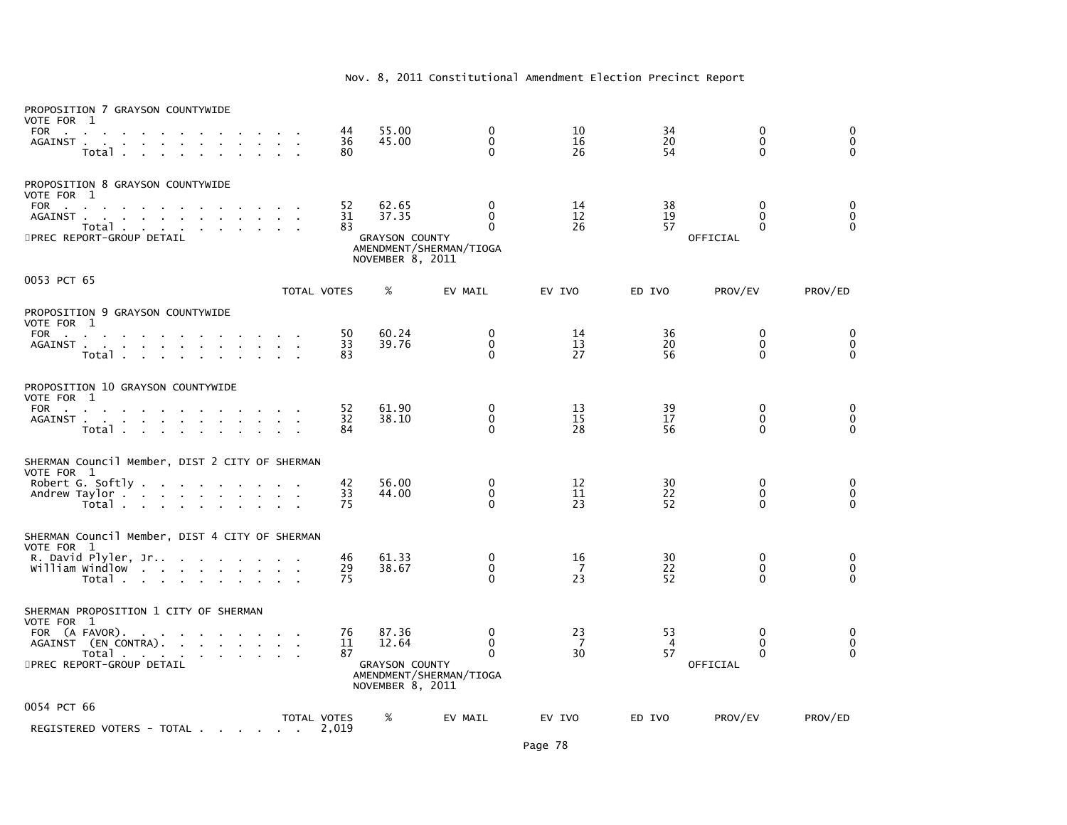## Nov. 8, 2011 Constitutional Amendment Election Precinct Report

| PROPOSITION 7 GRAYSON COUNTYWIDE<br>VOTE FOR 1                                                                                                                                                                                                         |             |                |                                                             |                                                      |                |                            |                                              |                                       |
|--------------------------------------------------------------------------------------------------------------------------------------------------------------------------------------------------------------------------------------------------------|-------------|----------------|-------------------------------------------------------------|------------------------------------------------------|----------------|----------------------------|----------------------------------------------|---------------------------------------|
| FOR<br>$\mathbf{r}$<br>AGAINST.<br><b>Contract Contract</b><br>Total .                                                                                                                                                                                 |             | 44<br>36<br>80 | 55.00<br>45.00                                              | $\mathbf{0}$<br>$\Omega$<br>$\Omega$                 | 10<br>16<br>26 | 34<br>20<br>54             | $\mathbf{0}$<br>$\mathbf{0}$<br>$\mathbf{0}$ | 0<br>$\mathbf 0$<br>$\Omega$          |
| PROPOSITION 8 GRAYSON COUNTYWIDE<br>VOTE FOR 1<br><b>FOR</b><br><b>Contractor</b><br>AGAINST.<br>the contract of the contract of the contract of the contract of the contract of the contract of the contract of<br>Total<br>5PREC REPORT-GROUP DETAIL |             | 52<br>31<br>83 | 62.65<br>37.35<br><b>GRAYSON COUNTY</b><br>NOVEMBER 8, 2011 | 0<br>$\Omega$<br>$\Omega$<br>AMENDMENT/SHERMAN/TIOGA | 14<br>12<br>26 | 38<br>19<br>57             | 0<br>$\Omega$<br>$\Omega$<br>OFFICIAL        | 0<br>$\pmb{0}$<br>$\overline{O}$      |
| 0053 PCT 65                                                                                                                                                                                                                                            | TOTAL VOTES |                | %                                                           | EV MAIL                                              | EV IVO         | ED IVO                     | PROV/EV                                      | PROV/ED                               |
| PROPOSITION 9 GRAYSON COUNTYWIDE<br>VOTE FOR 1                                                                                                                                                                                                         |             |                |                                                             |                                                      |                |                            |                                              |                                       |
| <b>FOR</b><br>the control of the control of<br>AGAINST<br>Total .                                                                                                                                                                                      |             | 50<br>33<br>83 | 60.24<br>39.76                                              | $\mathbf{0}$<br>$\mathbf{0}$<br>$\mathbf{0}$         | 14<br>13<br>27 | 36<br>20<br>56             | 0<br>$\mathbf 0$<br>$\mathbf{0}$             | 0<br>$\ddot{\mathbf{0}}$<br>$\Omega$  |
| PROPOSITION 10 GRAYSON COUNTYWIDE<br>VOTE FOR 1                                                                                                                                                                                                        |             |                |                                                             |                                                      |                |                            |                                              |                                       |
| FOR<br>AGAINST<br>Total                                                                                                                                                                                                                                |             | 52<br>32<br>84 | 61.90<br>38.10                                              | 0<br>$\Omega$<br>$\Omega$                            | 13<br>15<br>28 | 39<br>17<br>56             | 0<br>$\mathbf{0}$<br>0                       | 0<br>$\pmb{0}$<br>$\overline{0}$      |
| SHERMAN Council Member, DIST 2 CITY OF SHERMAN<br>VOTE FOR 1                                                                                                                                                                                           |             |                |                                                             |                                                      |                |                            |                                              |                                       |
| Robert G. Softly<br>Andrew Taylor<br>Total                                                                                                                                                                                                             |             | 42<br>33<br>75 | 56.00<br>44.00                                              | 0<br>0<br>$\Omega$                                   | 12<br>11<br>23 | 30<br>22<br>52             | 0<br>0<br>0                                  | 0<br>0<br>$\Omega$                    |
| SHERMAN Council Member, DIST 4 CITY OF SHERMAN<br>VOTE FOR 1                                                                                                                                                                                           |             |                |                                                             |                                                      |                |                            |                                              |                                       |
| william windlow<br>Total                                                                                                                                                                                                                               |             | 46<br>29<br>75 | 61.33<br>38.67                                              | $\Omega$<br>$\mathbf 0$<br>$\Omega$                  | 16<br>-7<br>23 | 30<br>22<br>52             | $\Omega$<br>$\mathbf 0$<br>$\Omega$          | $_{\rm 0}^{\rm 0}$<br>$\Omega$        |
| SHERMAN PROPOSITION 1 CITY OF SHERMAN<br>VOTE FOR 1                                                                                                                                                                                                    |             |                |                                                             |                                                      |                |                            |                                              |                                       |
| FOR (A FAVOR).<br>AGAINST (EN CONTRA).<br>Total<br><b>Service Control</b>                                                                                                                                                                              |             | 76<br>11<br>87 | 87.36<br>12.64                                              | $\mathbf{0}$<br>$\mathbf 0$<br>$\Omega$              | 23<br>-7<br>30 | 53<br>$\overline{4}$<br>57 | $\bf{0}$<br>$\bf{0}$<br>$\Omega$             | 0<br>$\check{\mathrm{o}}$<br>$\Omega$ |
| 5PREC REPORT-GROUP DETAIL                                                                                                                                                                                                                              |             |                | <b>GRAYSON COUNTY</b><br>NOVEMBER 8, 2011                   | AMENDMENT/SHERMAN/TIOGA                              |                |                            | OFFICIAL                                     |                                       |
| 0054 PCT 66                                                                                                                                                                                                                                            | TOTAL VOTES |                | %                                                           | EV MAIL                                              | EV IVO         | ED IVO                     | PROV/EV                                      | PROV/ED                               |
| REGISTERED VOTERS - TOTAL                                                                                                                                                                                                                              |             | 2,019          |                                                             |                                                      |                |                            |                                              |                                       |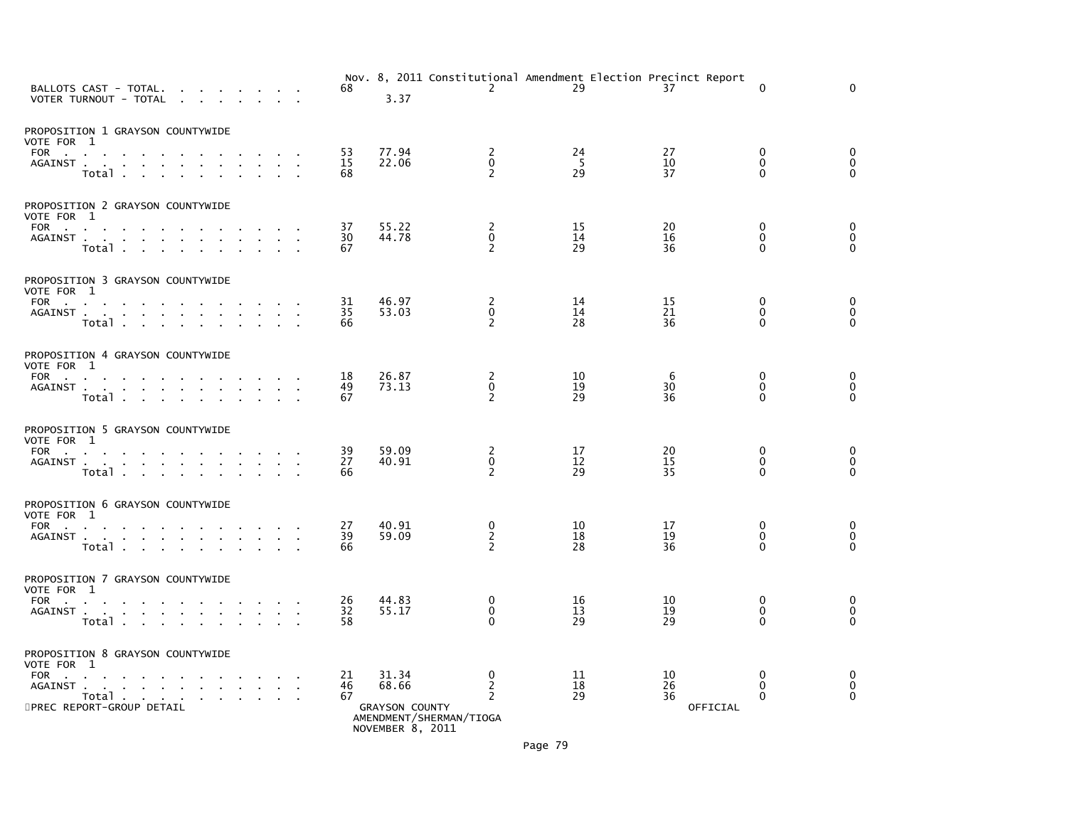| BALLOTS CAST - TOTAL.<br>VOTER TURNOUT - TOTAL                                                |                         |                                     | n.                                              | <b>Contract Contract</b>          |        |        |                 | 68                          | 3.37                                                        | $\mathbf{2}^{\prime}$                               | Nov. 8, 2011 Constitutional Amendment Election Precinct Report<br>29 | 37                         | $\Omega$                                 | $\Omega$                               |  |
|-----------------------------------------------------------------------------------------------|-------------------------|-------------------------------------|-------------------------------------------------|-----------------------------------|--------|--------|-----------------|-----------------------------|-------------------------------------------------------------|-----------------------------------------------------|----------------------------------------------------------------------|----------------------------|------------------------------------------|----------------------------------------|--|
| PROPOSITION 1 GRAYSON COUNTYWIDE<br>VOTE FOR 1<br>FOR<br>AGAINST                              | Total                   |                                     |                                                 |                                   | $\sim$ | $\sim$ |                 | 53<br>15<br>68              | 77.94<br>22.06                                              | 2<br>$\Omega$<br>$\overline{\phantom{0}}$           | 24<br>$\frac{5}{29}$                                                 | 27<br>10<br>37             | 0<br>$\Omega$<br>$\Omega$                | 0<br>$\mathbf 0$<br>$\Omega$           |  |
| PROPOSITION 2 GRAYSON COUNTYWIDE<br>VOTE FOR 1<br>FOR<br>AGAINST                              | Total                   |                                     |                                                 | and the state of the state of the |        |        | <b>Contract</b> | 37<br>30<br>67              | 55.22<br>44.78                                              | 2<br>$\mathbf{0}$<br>2                              | 15<br>14<br>29                                                       | 20<br>16<br>36             | $\mathbf{0}$<br>$\mathbf{0}$<br>$\Omega$ | 0<br>$\mathbf 0$<br>$\Omega$           |  |
| PROPOSITION 3 GRAYSON COUNTYWIDE<br>VOTE FOR 1<br>FOR<br>AGAINST                              | Total                   |                                     |                                                 |                                   |        |        |                 | 31<br>35<br>66              | 46.97<br>53.03                                              | 2<br>$\Omega$<br>$\overline{2}$                     | 14<br>14<br>28                                                       | 15<br>21<br>36             | $\mathbf{0}$<br>$\Omega$<br>$\Omega$     | 0<br>$\mathbf 0$<br>$\mathbf{0}$       |  |
| PROPOSITION 4 GRAYSON COUNTYWIDE<br>VOTE FOR 1<br>FOR<br>AGAINST                              | Total                   |                                     | the contract of the contract of the contract of | $\sim 10$                         | $\sim$ | $\sim$ |                 | 18<br>49<br>67              | 26.87<br>73.13                                              | $\frac{2}{0}$<br>$\overline{2}$                     | 10<br>19<br>29                                                       | 6<br>30<br>36              | $\mathbf 0$<br>$\mathbf 0$<br>$\Omega$   | $\mathbf 0$<br>$\mathbf 0$<br>$\Omega$ |  |
| PROPOSITION 5 GRAYSON COUNTYWIDE<br>VOTE FOR 1<br>AGAINST                                     | Total                   |                                     |                                                 | $\mathbf{r}$                      | $\sim$ |        |                 | 39<br>$\overline{27}$<br>66 | 59.09<br>40.91                                              | 2<br>$\Omega$<br>2                                  | 17<br>12<br>29                                                       | 20<br>15<br>35             | 0<br>$\Omega$<br>$\Omega$                | 0<br>$\mathbf 0$<br>$\Omega$           |  |
| PROPOSITION 6 GRAYSON COUNTYWIDE<br>VOTE FOR 1<br>FOR<br>AGAINST                              | Total                   |                                     |                                                 | <b>Contract Contract</b>          |        |        |                 | 27<br>39<br>66              | 40.91<br>59.09                                              | 0<br>$\frac{2}{2}$                                  | 10<br>18<br>28                                                       | 17<br>19<br>36             | 0<br>$\mathbf 0$<br>$\Omega$             | 0<br>0<br>$\Omega$                     |  |
| PROPOSITION 7 GRAYSON COUNTYWIDE<br>VOTE FOR 1<br>FOR<br>AGAINST                              | Total                   |                                     |                                                 |                                   |        |        |                 | 26<br>32<br>58              | 44.83<br>55.17                                              | 0<br>$\Omega$<br>$\Omega$                           | 16<br>13<br>29                                                       | 10<br>19<br>29             | $\mathbf 0$<br>$\mathbf{0}$<br>$\Omega$  | 0<br>$\mathbf 0$<br>$\Omega$           |  |
| PROPOSITION 8 GRAYSON COUNTYWIDE<br>VOTE FOR 1<br>FOR<br>AGAINST<br>5PREC REPORT-GROUP DETAIL | <b>Service</b><br>Total | the contract of the contract of the |                                                 |                                   |        |        |                 | 21<br>46<br>67              | 31.34<br>68.66<br><b>GRAYSON COUNTY</b><br>NOVEMBER 8, 2011 | 0<br>$\overline{2}$<br>2<br>AMENDMENT/SHERMAN/TIOGA | 11<br>18<br>29                                                       | 10<br>26<br>36<br>OFFICIAL | $\mathbf{0}$<br>$\Omega$<br>$\mathbf{0}$ | $\Omega$<br>$\mathbf 0$<br>$\Omega$    |  |